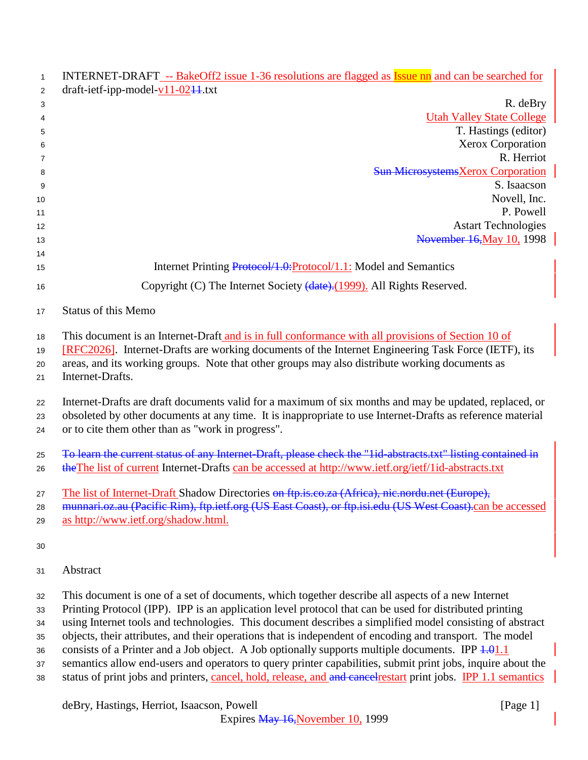| $\mathbf{1}$<br>2 | INTERNET-DRAFT -- BakeOff2 issue 1-36 resolutions are flagged as Issue nn and can be searched for<br>$draff-ietf-ipp-model-v11-02+1.txt$                                                                                                                                  |
|-------------------|---------------------------------------------------------------------------------------------------------------------------------------------------------------------------------------------------------------------------------------------------------------------------|
| 3                 | R. deBry                                                                                                                                                                                                                                                                  |
| 4                 | <b>Utah Valley State College</b>                                                                                                                                                                                                                                          |
| 5                 | T. Hastings (editor)                                                                                                                                                                                                                                                      |
| 6                 | Xerox Corporation                                                                                                                                                                                                                                                         |
| 7                 | R. Herriot                                                                                                                                                                                                                                                                |
| 8                 | <b>Sun MicrosystemsXerox Corporation</b>                                                                                                                                                                                                                                  |
| 9                 | S. Isaacson                                                                                                                                                                                                                                                               |
| 10                | Novell, Inc.                                                                                                                                                                                                                                                              |
| 11                | P. Powell                                                                                                                                                                                                                                                                 |
| 12                | <b>Astart Technologies</b>                                                                                                                                                                                                                                                |
| 13                | November 16, May 10, 1998                                                                                                                                                                                                                                                 |
| 14<br>15          | Internet Printing Protocol/1.0: Protocol/1.1: Model and Semantics                                                                                                                                                                                                         |
|                   |                                                                                                                                                                                                                                                                           |
| 16                | Copyright (C) The Internet Society (date). (1999). All Rights Reserved.                                                                                                                                                                                                   |
| 17                | <b>Status of this Memo</b>                                                                                                                                                                                                                                                |
| 18                | This document is an Internet-Draft and is in full conformance with all provisions of Section 10 of                                                                                                                                                                        |
| 19                | [RFC2026]. Internet-Drafts are working documents of the Internet Engineering Task Force (IETF), its                                                                                                                                                                       |
| 20                | areas, and its working groups. Note that other groups may also distribute working documents as                                                                                                                                                                            |
| 21                | Internet-Drafts.                                                                                                                                                                                                                                                          |
| 22<br>23<br>24    | Internet-Drafts are draft documents valid for a maximum of six months and may be updated, replaced, or<br>obsoleted by other documents at any time. It is inappropriate to use Internet-Drafts as reference material<br>or to cite them other than as "work in progress". |
| 25                | To learn the current status of any Internet Draft, please check the "lid-abstracts.txt" listing contained in                                                                                                                                                              |
| 26                | the The list of current Internet-Drafts can be accessed at http://www.ietf.org/ietf/1id-abstracts.txt                                                                                                                                                                     |
| 27                | The list of Internet-Draft Shadow Directories on ftp.is.co.za (Africa), nic.nordu.net (Europe),                                                                                                                                                                           |
| 28                | munnari.oz.au (Pacific Rim), ftp.ietf.org (US East Coast), or ftp.isi.edu (US West Coast).can be accessed                                                                                                                                                                 |
| 29                | as http://www.ietf.org/shadow.html.                                                                                                                                                                                                                                       |
|                   |                                                                                                                                                                                                                                                                           |
| 30                |                                                                                                                                                                                                                                                                           |
| 31                | Abstract                                                                                                                                                                                                                                                                  |
|                   | This document is one of a set of documents, which together describe all aspects of a new Internet                                                                                                                                                                         |
| 32<br>33          | Printing Protocol (IPP). IPP is an application level protocol that can be used for distributed printing                                                                                                                                                                   |
| 34                | using Internet tools and technologies. This document describes a simplified model consisting of abstract                                                                                                                                                                  |
| 35                | objects, their attributes, and their operations that is independent of encoding and transport. The model                                                                                                                                                                  |
| 36                | consists of a Printer and a Job object. A Job optionally supports multiple documents. IPP $\frac{1.01}{1.1}$                                                                                                                                                              |
| 37                | semantics allow end-users and operators to query printer capabilities, submit print jobs, inquire about the                                                                                                                                                               |
| 38                | status of print jobs and printers, cancel, hold, release, and and cancel restart print jobs. IPP 1.1 semantics                                                                                                                                                            |
|                   | deBry, Hastings, Herriot, Isaacson, Powell<br>[Page 1]                                                                                                                                                                                                                    |

Expires May 16, November 10, 1999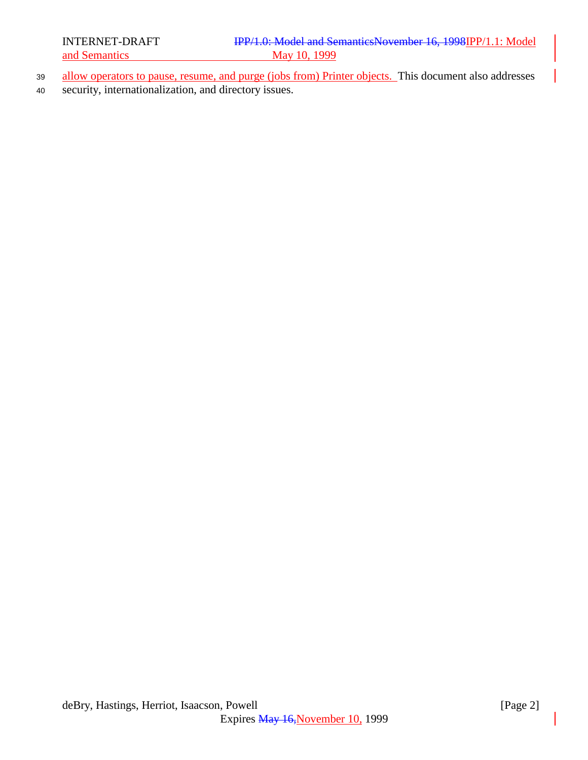- 39 allow operators to pause, resume, and purge (jobs from) Printer objects. This document also addresses
- <sup>40</sup> security, internationalization, and directory issues.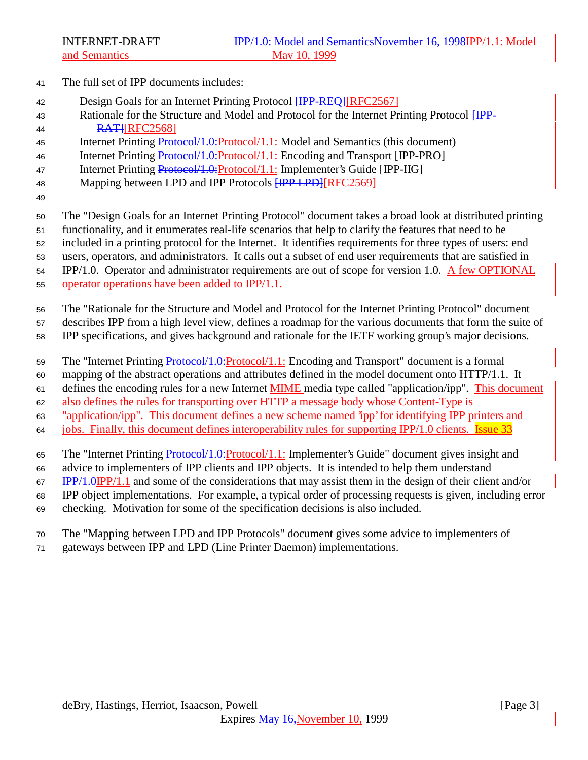- The full set of IPP documents includes:
- 42 Design Goals for an Internet Printing Protocol [IPP-REQ][RFC2567]
- 43 Rationale for the Structure and Model and Protocol for the Internet Printing Protocol  $HPP-$ **RATHREC2568**
- 45 Internet Printing Protocol/1.0: Protocol/1.1: Model and Semantics (this document)
- 46 Internet Printing Protocol/1.0: Protocol/1.1: Encoding and Transport [IPP-PRO]
- 47 Internet Printing Protocol/1.0:Protocol/1.1: Implementer's Guide [IPP-IIG]
- 48 Mapping between LPD and IPP Protocols **[IPP LPD]**[RFC2569]
- 

The "Design Goals for an Internet Printing Protocol" document takes a broad look at distributed printing

- functionality, and it enumerates real-life scenarios that help to clarify the features that need to be
- included in a printing protocol for the Internet. It identifies requirements for three types of users: end
- users, operators, and administrators. It calls out a subset of end user requirements that are satisfied in

IPP/1.0. Operator and administrator requirements are out of scope for version 1.0. A few OPTIONAL

- operator operations have been added to IPP/1.1.
- The "Rationale for the Structure and Model and Protocol for the Internet Printing Protocol" document

describes IPP from a high level view, defines a roadmap for the various documents that form the suite of

- IPP specifications, and gives background and rationale for the IETF working group's major decisions.
- 59 The "Internet Printing Protocol/1.0:Protocol/1.1: Encoding and Transport" document is a formal
- mapping of the abstract operations and attributes defined in the model document onto HTTP/1.1. It

defines the encoding rules for a new Internet MIME media type called "application/ipp". This document

also defines the rules for transporting over HTTP a message body whose Content-Type is

- "application/ipp". This document defines a new scheme named 'ipp' for identifying IPP printers and
- jobs. Finally, this document defines interoperability rules for supporting IPP/1.0 clients. Issue 33
- The "Internet Printing Protocol/1.0:Protocol/1.1: Implementer's Guide" document gives insight and
- advice to implementers of IPP clients and IPP objects. It is intended to help them understand
- IPP/1.0IPP/1.1 and some of the considerations that may assist them in the design of their client and/or
- IPP object implementations. For example, a typical order of processing requests is given, including error
- checking. Motivation for some of the specification decisions is also included.
- The "Mapping between LPD and IPP Protocols" document gives some advice to implementers of
- gateways between IPP and LPD (Line Printer Daemon) implementations.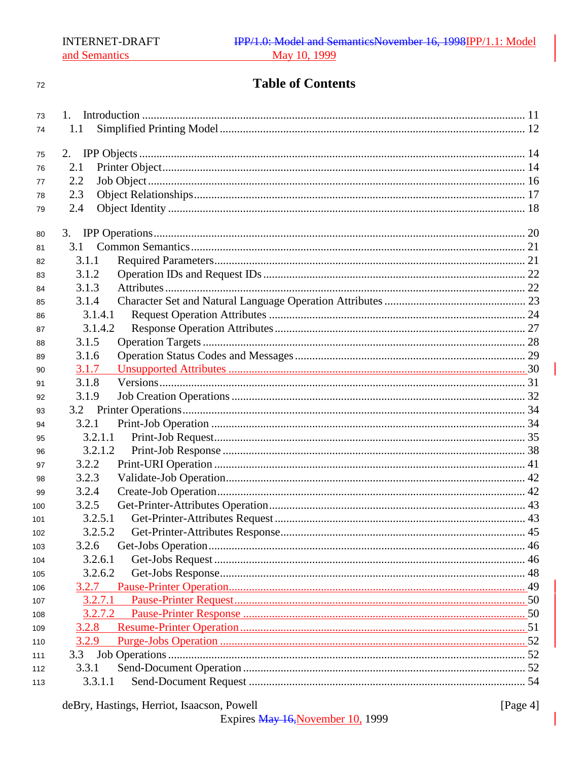$72\,$ 

# **Table of Contents**

| 73  |         |  |
|-----|---------|--|
| 74  | 1.1     |  |
|     |         |  |
| 75  | 2.      |  |
| 76  | 2.1     |  |
| 77  | 2.2     |  |
| 78  | 2.3     |  |
| 79  | 2.4     |  |
| 80  |         |  |
| 81  | 3.1     |  |
| 82  | 3.1.1   |  |
| 83  | 3.1.2   |  |
| 84  | 3.1.3   |  |
| 85  | 3.1.4   |  |
| 86  | 3.1.4.1 |  |
| 87  | 3.1.4.2 |  |
| 88  | 3.1.5   |  |
| 89  | 3.1.6   |  |
| 90  | 3.1.7   |  |
| 91  | 3.1.8   |  |
| 92  | 3.1.9   |  |
| 93  |         |  |
| 94  | 3.2.1   |  |
| 95  | 3.2.1.1 |  |
| 96  | 3.2.1.2 |  |
| 97  | 3.2.2   |  |
| 98  | 3.2.3   |  |
| 99  | 3.2.4   |  |
| 100 | 3.2.5   |  |
| 101 | 3.2.5.1 |  |
| 102 | 3.2.5.2 |  |
| 103 | 3.2.6   |  |
| 104 | 3.2.6.1 |  |
| 105 | 3.2.6.2 |  |
| 106 | 3.2.7   |  |
| 107 | 3.2.7.1 |  |
| 108 | 3.2.7.2 |  |
| 109 | 3.2.8   |  |
| 110 | 3.2.9   |  |
| 111 | 3.3     |  |
| 112 | 3.3.1   |  |
| 113 | 3.3.1.1 |  |

[Page 4]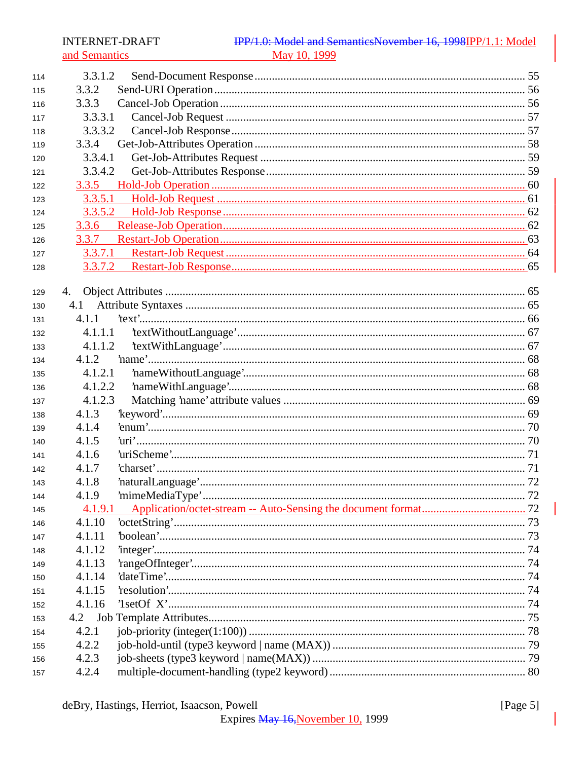# IPP/1.0: Model and SemanticsNovember 16, 1998IPP/1.1: Model May 10, 1999

| 114 | 3.3.1.2 |  |
|-----|---------|--|
| 115 | 3.3.2   |  |
| 116 | 3.3.3   |  |
| 117 | 3.3.3.1 |  |
| 118 | 3.3.3.2 |  |
| 119 | 3.3.4   |  |
| 120 | 3.3.4.1 |  |
| 121 | 3.3.4.2 |  |
| 122 | 3.3.5   |  |
| 123 | 3.3.5.1 |  |
| 124 | 3.3.5.2 |  |
| 125 | 3.3.6   |  |
| 126 | 3.3.7   |  |
| 127 |         |  |
| 128 |         |  |
|     |         |  |
| 129 | 4.      |  |
| 130 | 4.1     |  |
| 131 | 4.1.1   |  |
| 132 | 4.1.1.1 |  |
| 133 | 4.1.1.2 |  |
| 134 | 4.1.2   |  |
| 135 | 4.1.2.1 |  |
| 136 | 4.1.2.2 |  |
| 137 | 4.1.2.3 |  |
| 138 | 4.1.3   |  |
| 139 | 4.1.4   |  |
| 140 | 4.1.5   |  |
| 141 | 4.1.6   |  |
| 142 | 4.1.7   |  |
| 143 | 4.1.8   |  |
| 144 | 4.1.9   |  |
| 145 |         |  |
| 146 | 4.1.10  |  |
| 147 | 4.1.11  |  |
| 148 | 4.1.12  |  |
| 149 | 4.1.13  |  |
| 150 | 4.1.14  |  |
| 151 | 4.1.15  |  |
| 152 | 4.1.16  |  |
| 153 | 4.2     |  |
| 154 | 4.2.1   |  |
| 155 | 4.2.2   |  |
| 156 | 4.2.3   |  |
| 157 | 4.2.4   |  |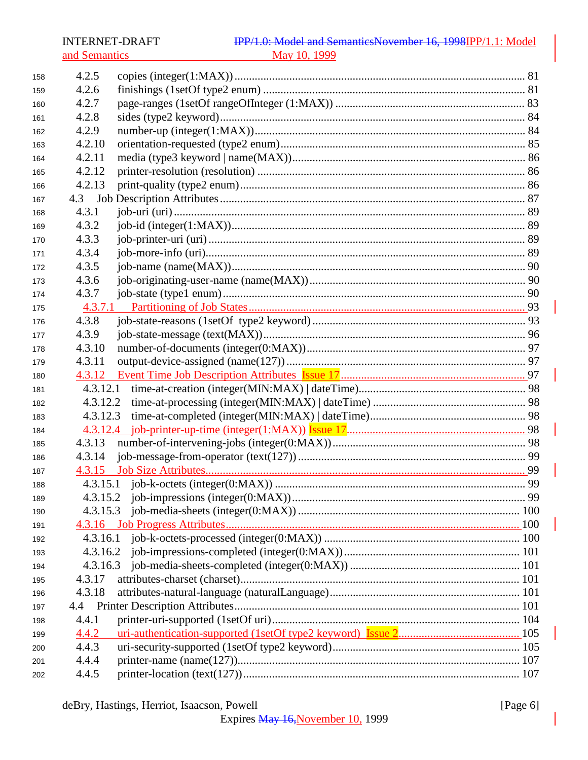# IPP/1.0: Model and SemanticsNovember 16, 1998IPP/1.1: Model May 10, 1999

| 158 | 4.2.5    |  |
|-----|----------|--|
| 159 | 4.2.6    |  |
| 160 | 4.2.7    |  |
| 161 | 4.2.8    |  |
| 162 | 4.2.9    |  |
| 163 | 4.2.10   |  |
| 164 | 4.2.11   |  |
| 165 | 4.2.12   |  |
| 166 | 4.2.13   |  |
| 167 |          |  |
| 168 | 4.3.1    |  |
| 169 | 4.3.2    |  |
| 170 | 4.3.3    |  |
| 171 | 4.3.4    |  |
| 172 | 4.3.5    |  |
| 173 | 4.3.6    |  |
| 174 | 4.3.7    |  |
| 175 | 4.3.7.1  |  |
| 176 | 4.3.8    |  |
| 177 | 4.3.9    |  |
| 178 | 4.3.10   |  |
| 179 | 4.3.11   |  |
| 180 |          |  |
| 181 | 4.3.12.1 |  |
| 182 | 4.3.12.2 |  |
| 183 | 4.3.12.3 |  |
| 184 |          |  |
| 185 | 4.3.13   |  |
| 186 | 4.3.14   |  |
| 187 |          |  |
| 188 |          |  |
| 189 |          |  |
| 190 | 4.3.15.3 |  |
| 191 |          |  |
| 192 | 4.3.16.1 |  |
| 193 | 4.3.16.2 |  |
| 194 | 4.3.16.3 |  |
| 195 | 4.3.17   |  |
| 196 | 4.3.18   |  |
| 197 | 4.4      |  |
| 198 | 4.4.1    |  |
| 199 | 4.4.2    |  |
| 200 | 4.4.3    |  |
| 201 | 4.4.4    |  |
| 202 | 4.4.5    |  |
|     |          |  |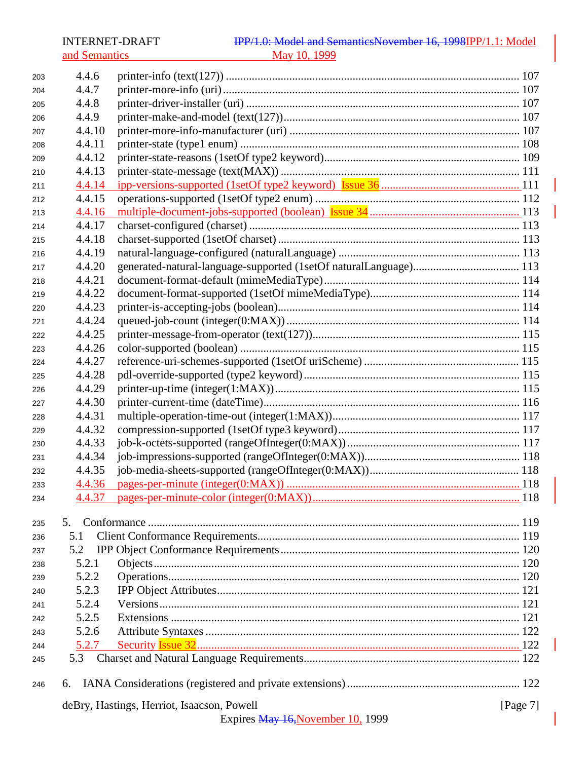and Semantics

| 203 | 4.4.6        |                                            |             |
|-----|--------------|--------------------------------------------|-------------|
| 204 | 4.4.7        |                                            |             |
| 205 | 4.4.8        |                                            |             |
| 206 | 4.4.9        |                                            |             |
| 207 | 4.4.10       |                                            |             |
| 208 | 4.4.11       |                                            |             |
| 209 | 4.4.12       |                                            |             |
| 210 | 4.4.13       |                                            |             |
| 211 | 4.4.14       |                                            |             |
| 212 | 4.4.15       |                                            |             |
| 213 | 4.4.16       |                                            |             |
| 214 | 4.4.17       |                                            |             |
| 215 | 4.4.18       |                                            |             |
| 216 | 4.4.19       |                                            |             |
| 217 | 4.4.20       |                                            |             |
| 218 | 4.4.21       |                                            |             |
| 219 | 4.4.22       |                                            |             |
| 220 | 4.4.23       |                                            |             |
| 221 | 4.4.24       |                                            |             |
| 222 | 4.4.25       |                                            |             |
| 223 | 4.4.26       |                                            |             |
| 224 | 4.4.27       |                                            |             |
| 225 | 4.4.28       |                                            |             |
| 226 | 4.4.29       |                                            |             |
| 227 | 4.4.30       |                                            |             |
| 228 | 4.4.31       |                                            |             |
| 229 | 4.4.32       |                                            |             |
| 230 | 4.4.33       |                                            |             |
| 231 | 4.4.34       |                                            |             |
| 232 | 4.4.35       |                                            |             |
| 233 | 4.4.36       |                                            |             |
| 234 |              |                                            |             |
|     |              |                                            |             |
| 235 | 5.           |                                            |             |
| 236 | 5.1          |                                            |             |
| 237 | 5.2          |                                            |             |
| 238 | 5.2.1        |                                            |             |
| 239 | 5.2.2        |                                            |             |
| 240 | 5.2.3        |                                            |             |
| 241 | 5.2.4        |                                            |             |
| 242 | 5.2.5        |                                            |             |
| 243 | 5.2.6        |                                            |             |
| 244 | <u>5.2.7</u> |                                            |             |
| 245 | 5.3          |                                            |             |
| 246 | 6.           |                                            |             |
|     |              | deBry, Hastings, Herriot, Isaacson, Powell | [Page $7$ ] |
|     |              | Expires May 16, November 10, 1999          |             |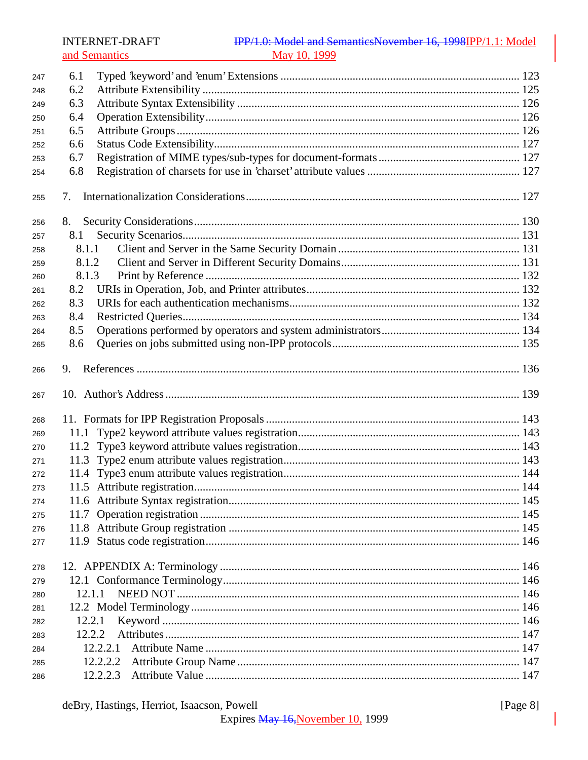| 247 | 6.1      |  |
|-----|----------|--|
| 248 | 6.2      |  |
| 249 | 6.3      |  |
| 250 | 6.4      |  |
| 251 | 6.5      |  |
| 252 | 6.6      |  |
| 253 | 6.7      |  |
| 254 | 6.8      |  |
| 255 | 7.       |  |
| 256 |          |  |
| 257 | 8.1      |  |
| 258 | 8.1.1    |  |
| 259 | 8.1.2    |  |
| 260 | 8.1.3    |  |
| 261 | 8.2      |  |
| 262 | 8.3      |  |
| 263 | 8.4      |  |
| 264 | 8.5      |  |
| 265 | 8.6      |  |
| 266 | 9.       |  |
| 267 |          |  |
| 268 |          |  |
| 269 | 11.1     |  |
| 270 |          |  |
| 271 |          |  |
| 272 |          |  |
| 273 |          |  |
| 274 |          |  |
| 275 |          |  |
| 276 |          |  |
| 277 |          |  |
| 278 |          |  |
| 279 |          |  |
| 280 | 12.1.1   |  |
| 281 |          |  |
| 282 | 12.2.1   |  |
| 283 | 12.2.2   |  |
| 284 | 12.2.2.1 |  |
| 285 | 12.2.2.2 |  |
| 286 | 12.2.2.3 |  |

[Page  $8$ ]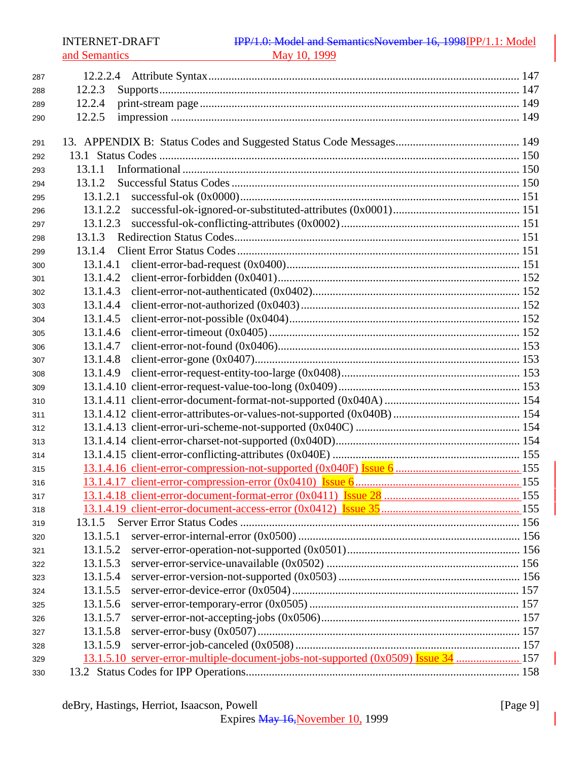| 287 |                                                                                    |  |
|-----|------------------------------------------------------------------------------------|--|
| 288 | 12.2.3                                                                             |  |
| 289 | 12.2.4                                                                             |  |
| 290 | 12.2.5                                                                             |  |
|     |                                                                                    |  |
| 291 |                                                                                    |  |
| 292 |                                                                                    |  |
| 293 | 13.1.1                                                                             |  |
| 294 | 13.1.2                                                                             |  |
| 295 | 13.1.2.1                                                                           |  |
| 296 | 13.1.2.2                                                                           |  |
| 297 | 13.1.2.3                                                                           |  |
| 298 | 13.1.3                                                                             |  |
| 299 | 13.1.4                                                                             |  |
| 300 | 13.1.4.1                                                                           |  |
| 301 | 13.1.4.2                                                                           |  |
| 302 | 13.1.4.3                                                                           |  |
| 303 | 13.1.4.4                                                                           |  |
| 304 | 13.1.4.5                                                                           |  |
| 305 | 13.1.4.6                                                                           |  |
| 306 | 13.1.4.7                                                                           |  |
| 307 | 13.1.4.8                                                                           |  |
| 308 | 13.1.4.9                                                                           |  |
| 309 |                                                                                    |  |
| 310 |                                                                                    |  |
| 311 |                                                                                    |  |
| 312 |                                                                                    |  |
| 313 |                                                                                    |  |
| 314 |                                                                                    |  |
| 315 |                                                                                    |  |
| 316 |                                                                                    |  |
| 317 |                                                                                    |  |
| 318 |                                                                                    |  |
| 319 | 13.1.5                                                                             |  |
| 320 | 13.1.5.1                                                                           |  |
| 321 | 13.1.5.2                                                                           |  |
| 322 | 13.1.5.3                                                                           |  |
| 323 | 13.1.5.4                                                                           |  |
| 324 | 13.1.5.5                                                                           |  |
| 325 | 13.1.5.6                                                                           |  |
| 326 | 13.1.5.7                                                                           |  |
| 327 | 13.1.5.8                                                                           |  |
| 328 | 13.1.5.9                                                                           |  |
| 329 | 13.1.5.10 server-error-multiple-document-jobs-not-supported (0x0509) Issue 34  157 |  |
| 330 |                                                                                    |  |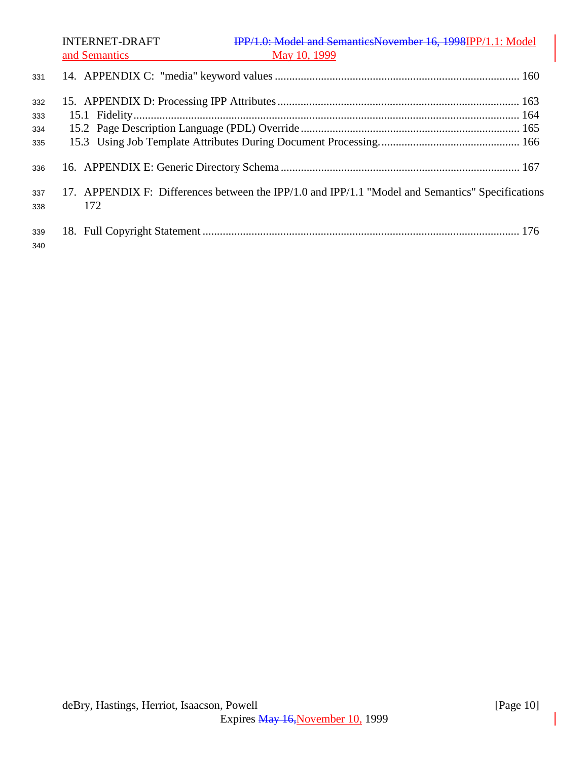INTERNET-DRAFT **IPP/1.0:** Model and SemanticsNovember 16, 1998IPP/1.1: Model and Semantics May 10, 1999 14. APPENDIX C: "media" keyword values ..................................................................................... 160 15. APPENDIX D: Processing IPP Attributes .................................................................................... 163 15.1 Fidelity...................................................................................................................................... 164 15.2 Page Description Language (PDL) Override ............................................................................ 165 15.3 Using Job Template Attributes During Document Processing................................................. 166 16. APPENDIX E: Generic Directory Schema ................................................................................... 167 17. APPENDIX F: Differences between the IPP/1.0 and IPP/1.1 "Model and Semantics" Specifications 172 18. Full Copyright Statement .............................................................................................................. 176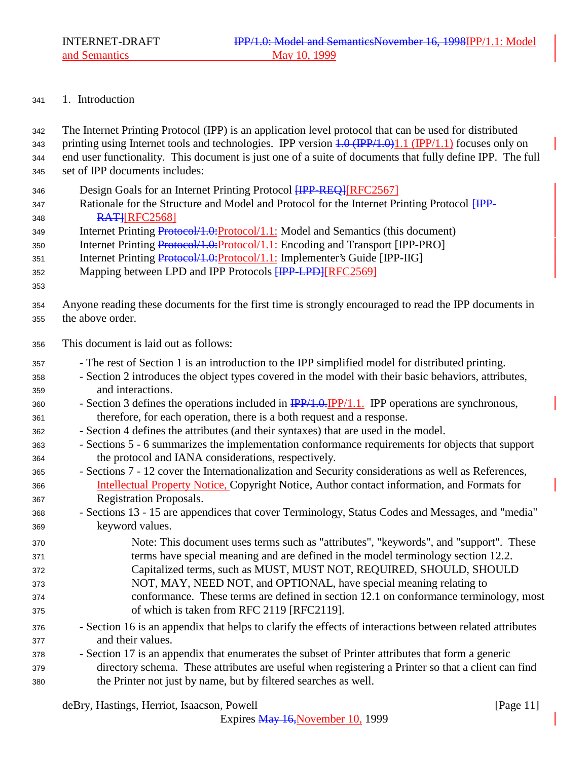# 1. Introduction

| 342                                                  | The Internet Printing Protocol (IPP) is an application level protocol that can be used for distributed                                                                                                                                                                                                                                                                                                                                                                                                              |
|------------------------------------------------------|---------------------------------------------------------------------------------------------------------------------------------------------------------------------------------------------------------------------------------------------------------------------------------------------------------------------------------------------------------------------------------------------------------------------------------------------------------------------------------------------------------------------|
| 343                                                  | printing using Internet tools and technologies. IPP version $4.0 \text{ (IPP/1.0)}1.1 \text{ (IPP/1.1)}$ focuses only on                                                                                                                                                                                                                                                                                                                                                                                            |
| 344                                                  | end user functionality. This document is just one of a suite of documents that fully define IPP. The full                                                                                                                                                                                                                                                                                                                                                                                                           |
| 345                                                  | set of IPP documents includes:                                                                                                                                                                                                                                                                                                                                                                                                                                                                                      |
| 346<br>347<br>348<br>349<br>350<br>351<br>352<br>353 | Design Goals for an Internet Printing Protocol <b>HPP-REQ]</b> [RFC2567]<br>Rationale for the Structure and Model and Protocol for the Internet Printing Protocol HPP-<br><b>RATHREC2568</b><br>Internet Printing Protocol/1.0: Protocol/1.1: Model and Semantics (this document)<br>Internet Printing Protocol/1.0: Protocol/1.1: Encoding and Transport [IPP-PRO]<br>Internet Printing Protocol/1.0: Protocol/1.1: Implementer's Guide [IPP-IIG]<br>Mapping between LPD and IPP Protocols <b>HPP-LPD JRFC2569</b> |
| 354                                                  | Anyone reading these documents for the first time is strongly encouraged to read the IPP documents in                                                                                                                                                                                                                                                                                                                                                                                                               |
| 355                                                  | the above order.                                                                                                                                                                                                                                                                                                                                                                                                                                                                                                    |
| 356                                                  | This document is laid out as follows:                                                                                                                                                                                                                                                                                                                                                                                                                                                                               |
| 357                                                  | - The rest of Section 1 is an introduction to the IPP simplified model for distributed printing.                                                                                                                                                                                                                                                                                                                                                                                                                    |
| 358                                                  | - Section 2 introduces the object types covered in the model with their basic behaviors, attributes,                                                                                                                                                                                                                                                                                                                                                                                                                |
| 359                                                  | and interactions.                                                                                                                                                                                                                                                                                                                                                                                                                                                                                                   |
| 360                                                  | - Section 3 defines the operations included in $\frac{IPP}{1.0} \cdot \frac{IPP}{1.1}$ . IPP operations are synchronous,                                                                                                                                                                                                                                                                                                                                                                                            |
| 361                                                  | therefore, for each operation, there is a both request and a response.                                                                                                                                                                                                                                                                                                                                                                                                                                              |
| 362                                                  | - Section 4 defines the attributes (and their syntaxes) that are used in the model.                                                                                                                                                                                                                                                                                                                                                                                                                                 |
| 363                                                  | - Sections 5 - 6 summarizes the implementation conformance requirements for objects that support                                                                                                                                                                                                                                                                                                                                                                                                                    |
| 364                                                  | the protocol and IANA considerations, respectively.                                                                                                                                                                                                                                                                                                                                                                                                                                                                 |
| 365                                                  | - Sections 7 - 12 cover the Internationalization and Security considerations as well as References,                                                                                                                                                                                                                                                                                                                                                                                                                 |
| 366                                                  | Intellectual Property Notice, Copyright Notice, Author contact information, and Formats for                                                                                                                                                                                                                                                                                                                                                                                                                         |
| 367                                                  | Registration Proposals.                                                                                                                                                                                                                                                                                                                                                                                                                                                                                             |
| 368                                                  | - Sections 13 - 15 are appendices that cover Terminology, Status Codes and Messages, and "media"                                                                                                                                                                                                                                                                                                                                                                                                                    |
| 369                                                  | keyword values.                                                                                                                                                                                                                                                                                                                                                                                                                                                                                                     |
| 370                                                  | Note: This document uses terms such as "attributes", "keywords", and "support". These                                                                                                                                                                                                                                                                                                                                                                                                                               |
| 371                                                  | terms have special meaning and are defined in the model terminology section 12.2.                                                                                                                                                                                                                                                                                                                                                                                                                                   |
| 372                                                  | Capitalized terms, such as MUST, MUST NOT, REQUIRED, SHOULD, SHOULD                                                                                                                                                                                                                                                                                                                                                                                                                                                 |
| 373                                                  | NOT, MAY, NEED NOT, and OPTIONAL, have special meaning relating to                                                                                                                                                                                                                                                                                                                                                                                                                                                  |
| 374                                                  | conformance. These terms are defined in section 12.1 on conformance terminology, most                                                                                                                                                                                                                                                                                                                                                                                                                               |
| 375                                                  | of which is taken from RFC 2119 [RFC2119].                                                                                                                                                                                                                                                                                                                                                                                                                                                                          |
| 376                                                  | - Section 16 is an appendix that helps to clarify the effects of interactions between related attributes                                                                                                                                                                                                                                                                                                                                                                                                            |
| 377                                                  | and their values.                                                                                                                                                                                                                                                                                                                                                                                                                                                                                                   |
| 378                                                  | - Section 17 is an appendix that enumerates the subset of Printer attributes that form a generic                                                                                                                                                                                                                                                                                                                                                                                                                    |
| 379                                                  | directory schema. These attributes are useful when registering a Printer so that a client can find                                                                                                                                                                                                                                                                                                                                                                                                                  |
| 380                                                  | the Printer not just by name, but by filtered searches as well.                                                                                                                                                                                                                                                                                                                                                                                                                                                     |

deBry, Hastings, Herriot, Isaacson, Powell [Page 11]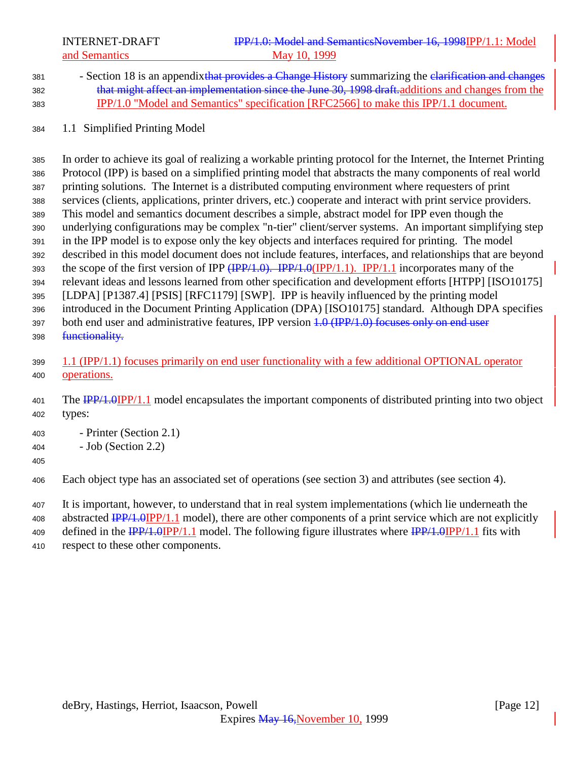INTERNET-DRAFT **IPP/1.0: Model and SemanticsNovember 16, 1998IPP/1.1:** Model and Semantics May 10, 1999

- 381 Section 18 is an appendixthat provides a Change History summarizing the elarification and changes that might affect an implementation since the June 30, 1998 draft.additions and changes from the IPP/1.0 "Model and Semantics" specification [RFC2566] to make this IPP/1.1 document.
- 1.1 Simplified Printing Model

 In order to achieve its goal of realizing a workable printing protocol for the Internet, the Internet Printing Protocol (IPP) is based on a simplified printing model that abstracts the many components of real world printing solutions. The Internet is a distributed computing environment where requesters of print services (clients, applications, printer drivers, etc.) cooperate and interact with print service providers. This model and semantics document describes a simple, abstract model for IPP even though the underlying configurations may be complex "n-tier" client/server systems. An important simplifying step in the IPP model is to expose only the key objects and interfaces required for printing. The model described in this model document does not include features, interfaces, and relationships that are beyond 393 the scope of the first version of IPP  $(\text{IPP}/1.0)$ . IPP/1.0(IPP/1.1). IPP/1.1 incorporates many of the relevant ideas and lessons learned from other specification and development efforts [HTPP] [ISO10175] [LDPA] [P1387.4] [PSIS] [RFC1179] [SWP]. IPP is heavily influenced by the printing model introduced in the Document Printing Application (DPA) [ISO10175] standard. Although DPA specifies 397 both end user and administrative features, IPP version 4.0 (IPP/1.0) focuses only on end user 398 functionality.

 1.1 (IPP/1.1) focuses primarily on end user functionality with a few additional OPTIONAL operator operations.

- Printer (Section 2.1)
- Job (Section 2.2)
- 

Each object type has an associated set of operations (see section 3) and attributes (see section 4).

It is important, however, to understand that in real system implementations (which lie underneath the

408 abstracted IPP/1.0IPP/1.1 model), there are other components of a print service which are not explicitly

409 defined in the IPP/1.0IPP/1.1 model. The following figure illustrates where IPP/1.0IPP/1.1 fits with

respect to these other components.

<sup>401</sup> The IPP/1.0IPP/1.1 model encapsulates the important components of distributed printing into two object types: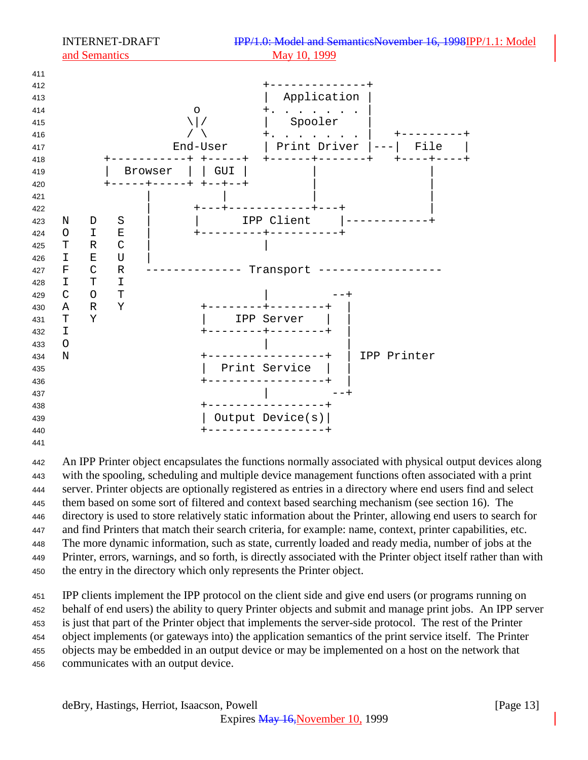

 An IPP Printer object encapsulates the functions normally associated with physical output devices along with the spooling, scheduling and multiple device management functions often associated with a print server. Printer objects are optionally registered as entries in a directory where end users find and select them based on some sort of filtered and context based searching mechanism (see section 16). The directory is used to store relatively static information about the Printer, allowing end users to search for and find Printers that match their search criteria, for example: name, context, printer capabilities, etc. The more dynamic information, such as state, currently loaded and ready media, number of jobs at the Printer, errors, warnings, and so forth, is directly associated with the Printer object itself rather than with the entry in the directory which only represents the Printer object.

 IPP clients implement the IPP protocol on the client side and give end users (or programs running on behalf of end users) the ability to query Printer objects and submit and manage print jobs. An IPP server is just that part of the Printer object that implements the server-side protocol. The rest of the Printer object implements (or gateways into) the application semantics of the print service itself. The Printer objects may be embedded in an output device or may be implemented on a host on the network that communicates with an output device.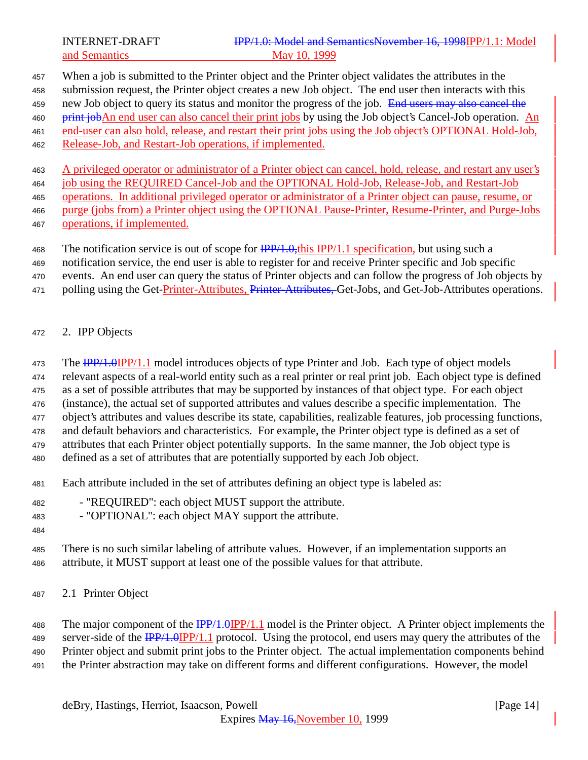When a job is submitted to the Printer object and the Printer object validates the attributes in the

submission request, the Printer object creates a new Job object. The end user then interacts with this

459 new Job object to query its status and monitor the progress of the job. End users may also cancel the

460 print jobAn end user can also cancel their print jobs by using the Job object's Cancel-Job operation. An end-user can also hold, release, and restart their print jobs using the Job object's OPTIONAL Hold-Job,

- 
- Release-Job, and Restart-Job operations, if implemented.

A privileged operator or administrator of a Printer object can cancel, hold, release, and restart any user's

464 job using the REQUIRED Cancel-Job and the OPTIONAL Hold-Job, Release-Job, and Restart-Job

 operations. In additional privileged operator or administrator of a Printer object can pause, resume, or purge (jobs from) a Printer object using the OPTIONAL Pause-Printer, Resume-Printer, and Purge-Jobs

operations, if implemented.

468 The notification service is out of scope for  $\frac{IPP}{1.0}$ , this IPP/1.1 specification, but using such a

notification service, the end user is able to register for and receive Printer specific and Job specific

events. An end user can query the status of Printer objects and can follow the progress of Job objects by

- 471 polling using the Get-Printer-Attributes, Printer-Attributes, Get-Jobs, and Get-Job-Attributes operations.
- 2. IPP Objects

473 The IPP/1.0IPP/1.1 model introduces objects of type Printer and Job. Each type of object models

relevant aspects of a real-world entity such as a real printer or real print job. Each object type is defined

as a set of possible attributes that may be supported by instances of that object type. For each object

(instance), the actual set of supported attributes and values describe a specific implementation. The

object's attributes and values describe its state, capabilities, realizable features, job processing functions,

and default behaviors and characteristics. For example, the Printer object type is defined as a set of

attributes that each Printer object potentially supports. In the same manner, the Job object type is

defined as a set of attributes that are potentially supported by each Job object.

- Each attribute included in the set of attributes defining an object type is labeled as:
- "REQUIRED": each object MUST support the attribute.

- "OPTIONAL": each object MAY support the attribute.

 There is no such similar labeling of attribute values. However, if an implementation supports an attribute, it MUST support at least one of the possible values for that attribute.

2.1 Printer Object

488 The major component of the  $\frac{IPP}{1.0}IPP/1.1$  model is the Printer object. A Printer object implements the 489 server-side of the  $\frac{IPP}{1.0}$ IPP/1.1 protocol. Using the protocol, end users may query the attributes of the Printer object and submit print jobs to the Printer object. The actual implementation components behind the Printer abstraction may take on different forms and different configurations. However, the model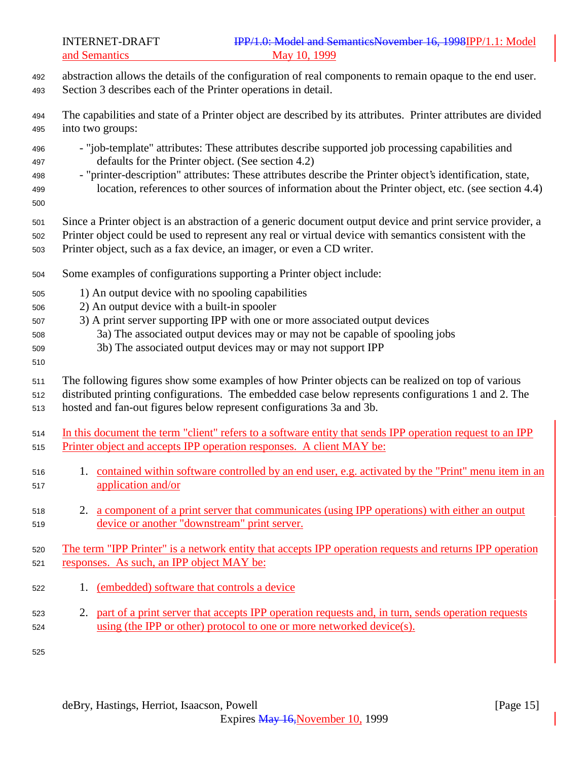- abstraction allows the details of the configuration of real components to remain opaque to the end user. Section 3 describes each of the Printer operations in detail.
- The capabilities and state of a Printer object are described by its attributes. Printer attributes are divided into two groups:
- "job-template" attributes: These attributes describe supported job processing capabilities and defaults for the Printer object. (See section 4.2)
- "printer-description" attributes: These attributes describe the Printer object's identification, state, location, references to other sources of information about the Printer object, etc. (see section 4.4)
- 
- Since a Printer object is an abstraction of a generic document output device and print service provider, a
- Printer object could be used to represent any real or virtual device with semantics consistent with the Printer object, such as a fax device, an imager, or even a CD writer.
- Some examples of configurations supporting a Printer object include:
- 1) An output device with no spooling capabilities
- 2) An output device with a built-in spooler
- 3) A print server supporting IPP with one or more associated output devices
- 3a) The associated output devices may or may not be capable of spooling jobs
- 3b) The associated output devices may or may not support IPP
- 

The following figures show some examples of how Printer objects can be realized on top of various

- distributed printing configurations. The embedded case below represents configurations 1 and 2. The hosted and fan-out figures below represent configurations 3a and 3b.
- In this document the term "client" refers to a software entity that sends IPP operation request to an IPP 515 Printer object and accepts IPP operation responses. A client MAY be:
- 1. contained within software controlled by an end user, e.g. activated by the "Print" menu item in an application and/or
- 2. a component of a print server that communicates (using IPP operations) with either an output device or another "downstream" print server.

# The term "IPP Printer" is a network entity that accepts IPP operation requests and returns IPP operation responses. As such, an IPP object MAY be:

- 1. (embedded) software that controls a device
- 2. part of a print server that accepts IPP operation requests and, in turn, sends operation requests using (the IPP or other) protocol to one or more networked device(s).
-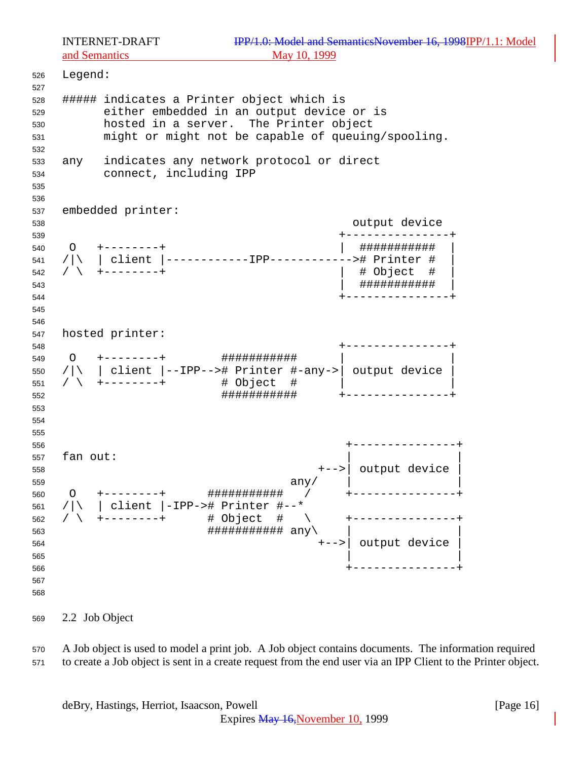| 526<br>527                             | Legend:  |                                                                                                                                                                                         |                                          |
|----------------------------------------|----------|-----------------------------------------------------------------------------------------------------------------------------------------------------------------------------------------|------------------------------------------|
| 528<br>529<br>530<br>531<br>532        |          | ###### indicates a Printer object which is<br>either embedded in an output device or is<br>hosted in a server. The Printer object<br>might or might not be capable of queuing/spooling. |                                          |
| 533<br>534<br>535<br>536               |          | any indicates any network protocol or direct<br>connect, including IPP                                                                                                                  |                                          |
| 537                                    |          | embedded printer:                                                                                                                                                                       |                                          |
| 538                                    |          |                                                                                                                                                                                         | output device                            |
| 539<br>540<br>541<br>542<br>543<br>544 |          | $0 + - - - - - - +$<br>$/$ \ +--------+                                                                                                                                                 | ###########<br># Object #<br>########### |
| 545<br>546                             |          |                                                                                                                                                                                         |                                          |
| 547                                    |          | hosted printer:                                                                                                                                                                         |                                          |
| 548<br>549<br>550<br>551<br>552<br>553 |          | $/ \n\ $   client  --IPP--># Printer #-any->  output device<br>###########                                                                                                              |                                          |
| 554<br>555                             |          |                                                                                                                                                                                         |                                          |
| 556                                    |          |                                                                                                                                                                                         |                                          |
| 557<br>558<br>559                      | fan out: | any/                                                                                                                                                                                    | +-->  output device                      |
| 560<br>561                             |          | ###########<br>client  -IPP-># Printer #--*                                                                                                                                             |                                          |
| 562<br>563<br>564<br>565               |          | # Object<br>#<br>########### any\<br>$+ - - >  $                                                                                                                                        | output device                            |
| 566<br>567<br>568                      |          |                                                                                                                                                                                         |                                          |

2.2 Job Object

 A Job object is used to model a print job. A Job object contains documents. The information required to create a Job object is sent in a create request from the end user via an IPP Client to the Printer object.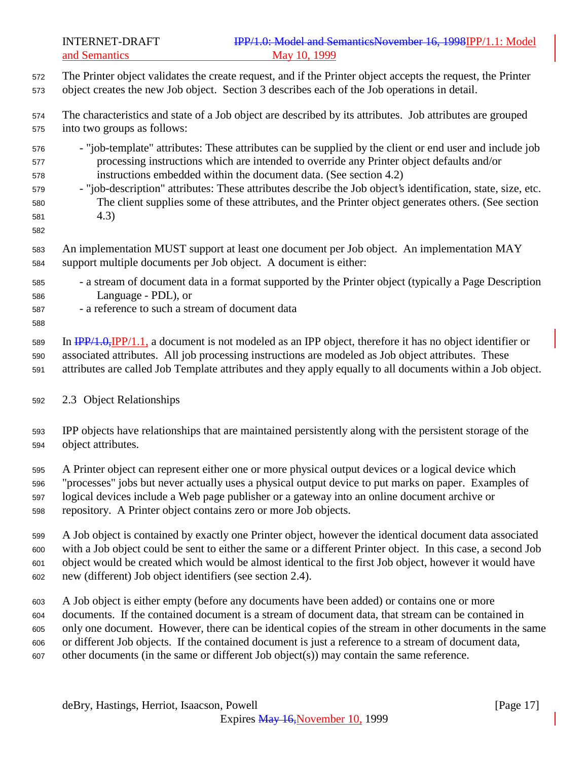The Printer object validates the create request, and if the Printer object accepts the request, the Printer object creates the new Job object. Section 3 describes each of the Job operations in detail.

 The characteristics and state of a Job object are described by its attributes. Job attributes are grouped into two groups as follows:

- "job-template" attributes: These attributes can be supplied by the client or end user and include job processing instructions which are intended to override any Printer object defaults and/or instructions embedded within the document data. (See section 4.2)
- "job-description" attributes: These attributes describe the Job object's identification, state, size, etc. The client supplies some of these attributes, and the Printer object generates others. (See section 4.3)
- 

 An implementation MUST support at least one document per Job object. An implementation MAY support multiple documents per Job object. A document is either:

- a stream of document data in a format supported by the Printer object (typically a Page Description Language - PDL), or
- a reference to such a stream of document data
- 

 In IPP/1.0,IPP/1.1, a document is not modeled as an IPP object, therefore it has no object identifier or associated attributes. All job processing instructions are modeled as Job object attributes. These attributes are called Job Template attributes and they apply equally to all documents within a Job object.

2.3 Object Relationships

 IPP objects have relationships that are maintained persistently along with the persistent storage of the object attributes.

 A Printer object can represent either one or more physical output devices or a logical device which "processes" jobs but never actually uses a physical output device to put marks on paper. Examples of logical devices include a Web page publisher or a gateway into an online document archive or repository. A Printer object contains zero or more Job objects.

 A Job object is contained by exactly one Printer object, however the identical document data associated with a Job object could be sent to either the same or a different Printer object. In this case, a second Job object would be created which would be almost identical to the first Job object, however it would have new (different) Job object identifiers (see section 2.4).

 A Job object is either empty (before any documents have been added) or contains one or more documents. If the contained document is a stream of document data, that stream can be contained in only one document. However, there can be identical copies of the stream in other documents in the same or different Job objects. If the contained document is just a reference to a stream of document data, other documents (in the same or different Job object(s)) may contain the same reference.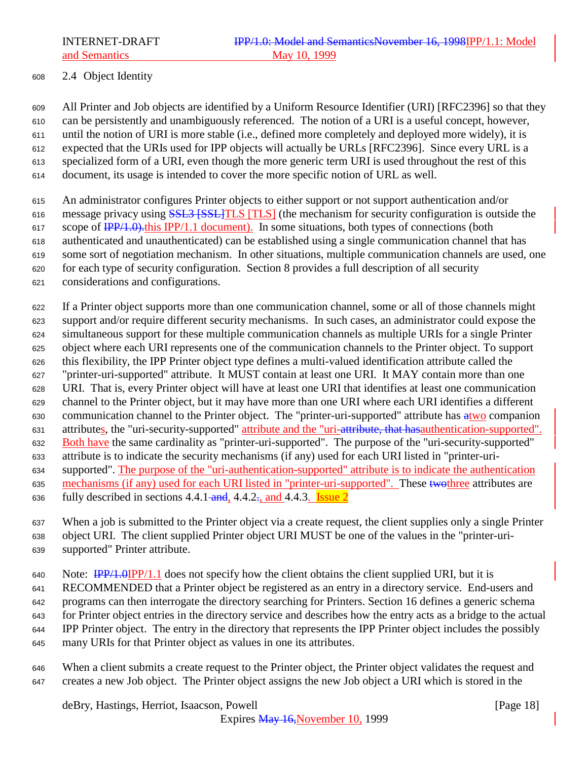## 2.4 Object Identity

 All Printer and Job objects are identified by a Uniform Resource Identifier (URI) [RFC2396] so that they can be persistently and unambiguously referenced. The notion of a URI is a useful concept, however, until the notion of URI is more stable (i.e., defined more completely and deployed more widely), it is expected that the URIs used for IPP objects will actually be URLs [RFC2396]. Since every URL is a specialized form of a URI, even though the more generic term URI is used throughout the rest of this document, its usage is intended to cover the more specific notion of URL as well.

 An administrator configures Printer objects to either support or not support authentication and/or 616 message privacy using **SSL3 [SSL] TLS** [TLS] (the mechanism for security configuration is outside the 617 scope of  $\frac{IPP}{1.0}$ , this IPP/1.1 document). In some situations, both types of connections (both authenticated and unauthenticated) can be established using a single communication channel that has some sort of negotiation mechanism. In other situations, multiple communication channels are used, one for each type of security configuration. Section 8 provides a full description of all security

considerations and configurations.

 If a Printer object supports more than one communication channel, some or all of those channels might support and/or require different security mechanisms. In such cases, an administrator could expose the simultaneous support for these multiple communication channels as multiple URIs for a single Printer object where each URI represents one of the communication channels to the Printer object. To support this flexibility, the IPP Printer object type defines a multi-valued identification attribute called the "printer-uri-supported" attribute. It MUST contain at least one URI. It MAY contain more than one URI. That is, every Printer object will have at least one URI that identifies at least one communication channel to the Printer object, but it may have more than one URI where each URI identifies a different 630 communication channel to the Printer object. The "printer-uri-supported" attribute has  $\frac{atwo}{ctwo}$  companion attributes, the "uri-security-supported" attribute and the "uri-attribute, that hasauthentication-supported". 632 Both have the same cardinality as "printer-uri-supported". The purpose of the "uri-security-supported" attribute is to indicate the security mechanisms (if any) used for each URI listed in "printer-uri- supported". The purpose of the "uri-authentication-supported" attribute is to indicate the authentication 635 mechanisms (if any) used for each URI listed in "printer-uri-supported". These two three attributes are 636 fully described in sections  $4.4.1$  and,  $4.4.2$ , and  $4.4.3$ . Issue 2

- When a job is submitted to the Printer object via a create request, the client supplies only a single Printer
- object URI. The client supplied Printer object URI MUST be one of the values in the "printer-uri-
- supported" Printer attribute.

640 Note:  $\frac{IPP}{1.0}$  Note:  $\frac{IPP}{1.1}$  does not specify how the client obtains the client supplied URI, but it is

- RECOMMENDED that a Printer object be registered as an entry in a directory service. End-users and
- programs can then interrogate the directory searching for Printers. Section 16 defines a generic schema
- for Printer object entries in the directory service and describes how the entry acts as a bridge to the actual
- IPP Printer object. The entry in the directory that represents the IPP Printer object includes the possibly
- many URIs for that Printer object as values in one its attributes.
- When a client submits a create request to the Printer object, the Printer object validates the request and creates a new Job object. The Printer object assigns the new Job object a URI which is stored in the

deBry, Hastings, Herriot, Isaacson, Powell [Page 18]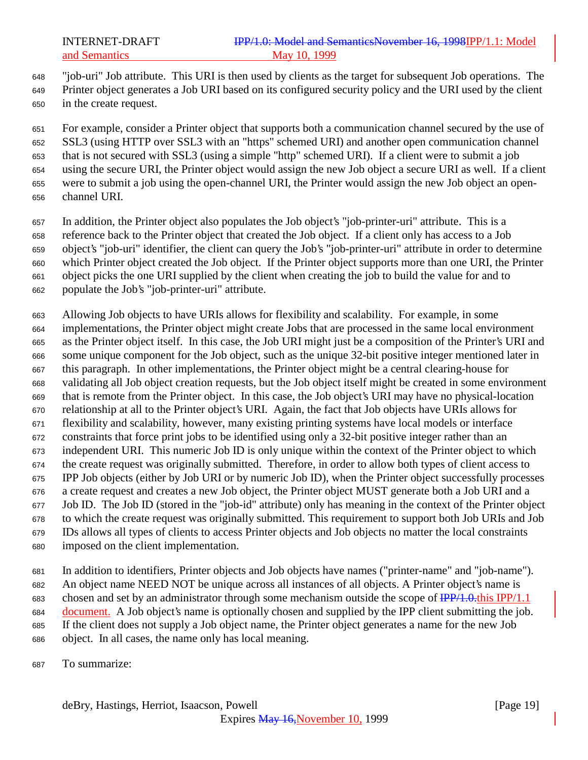"job-uri" Job attribute. This URI is then used by clients as the target for subsequent Job operations. The

 Printer object generates a Job URI based on its configured security policy and the URI used by the client in the create request.

 For example, consider a Printer object that supports both a communication channel secured by the use of SSL3 (using HTTP over SSL3 with an "https" schemed URI) and another open communication channel that is not secured with SSL3 (using a simple "http" schemed URI). If a client were to submit a job using the secure URI, the Printer object would assign the new Job object a secure URI as well. If a client were to submit a job using the open-channel URI, the Printer would assign the new Job object an open-channel URI.

In addition, the Printer object also populates the Job object's "job-printer-uri" attribute. This is a

 reference back to the Printer object that created the Job object. If a client only has access to a Job object's "job-uri" identifier, the client can query the Job's "job-printer-uri" attribute in order to determine

which Printer object created the Job object. If the Printer object supports more than one URI, the Printer

object picks the one URI supplied by the client when creating the job to build the value for and to

populate the Job's "job-printer-uri" attribute.

 Allowing Job objects to have URIs allows for flexibility and scalability. For example, in some implementations, the Printer object might create Jobs that are processed in the same local environment as the Printer object itself. In this case, the Job URI might just be a composition of the Printer's URI and some unique component for the Job object, such as the unique 32-bit positive integer mentioned later in this paragraph. In other implementations, the Printer object might be a central clearing-house for validating all Job object creation requests, but the Job object itself might be created in some environment that is remote from the Printer object. In this case, the Job object's URI may have no physical-location relationship at all to the Printer object's URI. Again, the fact that Job objects have URIs allows for flexibility and scalability, however, many existing printing systems have local models or interface constraints that force print jobs to be identified using only a 32-bit positive integer rather than an independent URI. This numeric Job ID is only unique within the context of the Printer object to which the create request was originally submitted. Therefore, in order to allow both types of client access to IPP Job objects (either by Job URI or by numeric Job ID), when the Printer object successfully processes a create request and creates a new Job object, the Printer object MUST generate both a Job URI and a Job ID. The Job ID (stored in the "job-id" attribute) only has meaning in the context of the Printer object to which the create request was originally submitted. This requirement to support both Job URIs and Job IDs allows all types of clients to access Printer objects and Job objects no matter the local constraints imposed on the client implementation.

 In addition to identifiers, Printer objects and Job objects have names ("printer-name" and "job-name"). An object name NEED NOT be unique across all instances of all objects. A Printer object's name is chosen and set by an administrator through some mechanism outside the scope of IPP/1.0.this IPP/1.1 document. A Job object's name is optionally chosen and supplied by the IPP client submitting the job. If the client does not supply a Job object name, the Printer object generates a name for the new Job object. In all cases, the name only has local meaning.

To summarize: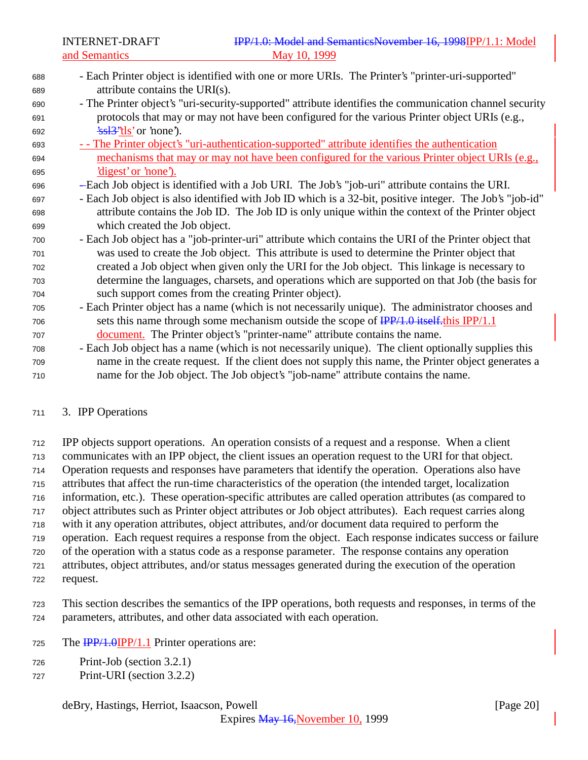- Each Printer object is identified with one or more URIs. The Printer's "printer-uri-supported" attribute contains the URI(s). - The Printer object's "uri-security-supported" attribute identifies the communication channel security protocols that may or may not have been configured for the various Printer object URIs (e.g., 692  $\frac{\text{2s}}{3}$ 's  $\frac{13}{3}$ ''tls' or 'none'). - - The Printer object's "uri-authentication-supported" attribute identifies the authentication mechanisms that may or may not have been configured for the various Printer object URIs (e.g., 'digest' or 'none'). - Each Job object is identified with a Job URI. The Job's "job-uri" attribute contains the URI. - Each Job object is also identified with Job ID which is a 32-bit, positive integer. The Job's "job-id" attribute contains the Job ID. The Job ID is only unique within the context of the Printer object which created the Job object. - Each Job object has a "job-printer-uri" attribute which contains the URI of the Printer object that was used to create the Job object. This attribute is used to determine the Printer object that created a Job object when given only the URI for the Job object. This linkage is necessary to determine the languages, charsets, and operations which are supported on that Job (the basis for such support comes from the creating Printer object). - Each Printer object has a name (which is not necessarily unique). The administrator chooses and sets this name through some mechanism outside the scope of  $\frac{IPP}{1.0}$  itself. this IPP/1.1 document. The Printer object's "printer-name" attribute contains the name. - Each Job object has a name (which is not necessarily unique). The client optionally supplies this name in the create request. If the client does not supply this name, the Printer object generates a name for the Job object. The Job object's "job-name" attribute contains the name.
- 3. IPP Operations

 IPP objects support operations. An operation consists of a request and a response. When a client communicates with an IPP object, the client issues an operation request to the URI for that object. Operation requests and responses have parameters that identify the operation. Operations also have attributes that affect the run-time characteristics of the operation (the intended target, localization information, etc.). These operation-specific attributes are called operation attributes (as compared to object attributes such as Printer object attributes or Job object attributes). Each request carries along with it any operation attributes, object attributes, and/or document data required to perform the operation. Each request requires a response from the object. Each response indicates success or failure of the operation with a status code as a response parameter. The response contains any operation attributes, object attributes, and/or status messages generated during the execution of the operation

request.

 This section describes the semantics of the IPP operations, both requests and responses, in terms of the parameters, attributes, and other data associated with each operation.

- 725 The  $\frac{IPP}{1.0}$   $IPP/1.1$  Printer operations are:
- Print-Job (section 3.2.1)
- Print-URI (section 3.2.2)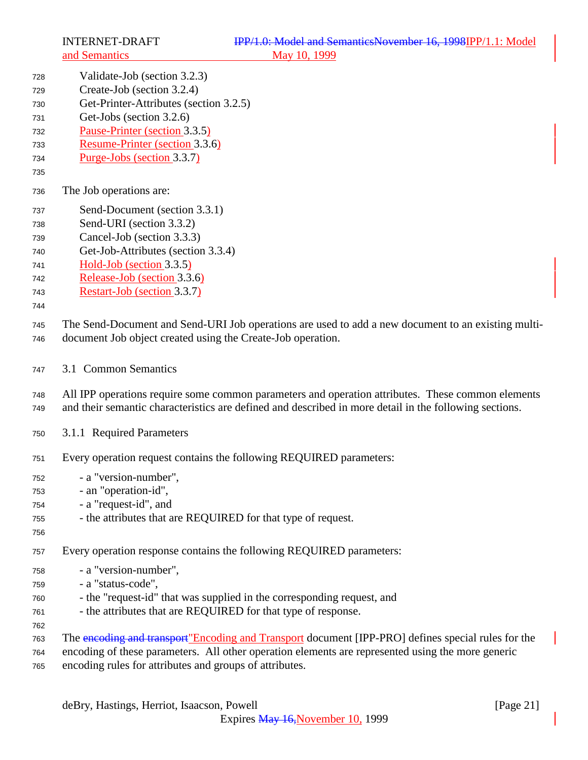- Validate-Job (section 3.2.3)
- Create-Job (section 3.2.4)
- Get-Printer-Attributes (section 3.2.5)
- Get-Jobs (section 3.2.6)
- Pause-Printer (section 3.3.5)
- Resume-Printer (section 3.3.6)
- Purge-Jobs (section 3.3.7)
- 
- The Job operations are:
- Send-Document (section 3.3.1)
- Send-URI (section 3.3.2)
- Cancel-Job (section 3.3.3)
- Get-Job-Attributes (section 3.3.4)
- Hold-Job (section 3.3.5)
- Release-Job (section 3.3.6)
- Restart-Job (section 3.3.7)
- 

 The Send-Document and Send-URI Job operations are used to add a new document to an existing multi-document Job object created using the Create-Job operation.

3.1 Common Semantics

 All IPP operations require some common parameters and operation attributes. These common elements and their semantic characteristics are defined and described in more detail in the following sections.

- 3.1.1 Required Parameters
- Every operation request contains the following REQUIRED parameters:
- a "version-number",
- an "operation-id",
- a "request-id", and
- the attributes that are REQUIRED for that type of request.
- 

Every operation response contains the following REQUIRED parameters:

- a "version-number",
- a "status-code",
- the "request-id" that was supplied in the corresponding request, and
- the attributes that are REQUIRED for that type of response.
- 

The encoding and transport"Encoding and Transport document [IPP-PRO] defines special rules for the

encoding of these parameters. All other operation elements are represented using the more generic

encoding rules for attributes and groups of attributes.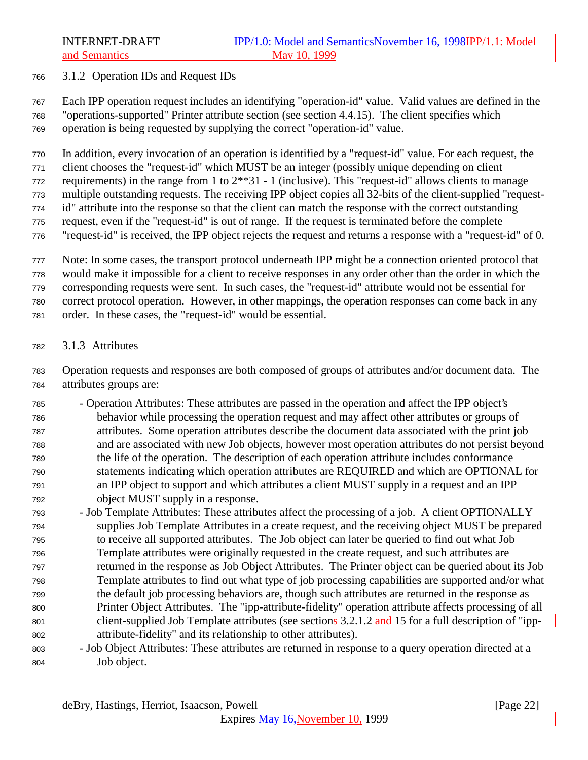#### 3.1.2 Operation IDs and Request IDs

 Each IPP operation request includes an identifying "operation-id" value. Valid values are defined in the "operations-supported" Printer attribute section (see section 4.4.15). The client specifies which operation is being requested by supplying the correct "operation-id" value.

In addition, every invocation of an operation is identified by a "request-id" value. For each request, the

client chooses the "request-id" which MUST be an integer (possibly unique depending on client

requirements) in the range from 1 to 2\*\*31 - 1 (inclusive). This "request-id" allows clients to manage

 multiple outstanding requests. The receiving IPP object copies all 32-bits of the client-supplied "request-id" attribute into the response so that the client can match the response with the correct outstanding

request, even if the "request-id" is out of range. If the request is terminated before the complete

"request-id" is received, the IPP object rejects the request and returns a response with a "request-id" of 0.

Note: In some cases, the transport protocol underneath IPP might be a connection oriented protocol that

would make it impossible for a client to receive responses in any order other than the order in which the

corresponding requests were sent. In such cases, the "request-id" attribute would not be essential for

correct protocol operation. However, in other mappings, the operation responses can come back in any

- order. In these cases, the "request-id" would be essential.
- 3.1.3 Attributes

 Operation requests and responses are both composed of groups of attributes and/or document data. The attributes groups are:

- Operation Attributes: These attributes are passed in the operation and affect the IPP object's behavior while processing the operation request and may affect other attributes or groups of attributes. Some operation attributes describe the document data associated with the print job and are associated with new Job objects, however most operation attributes do not persist beyond the life of the operation. The description of each operation attribute includes conformance statements indicating which operation attributes are REQUIRED and which are OPTIONAL for an IPP object to support and which attributes a client MUST supply in a request and an IPP object MUST supply in a response.
- Job Template Attributes: These attributes affect the processing of a job. A client OPTIONALLY supplies Job Template Attributes in a create request, and the receiving object MUST be prepared to receive all supported attributes. The Job object can later be queried to find out what Job Template attributes were originally requested in the create request, and such attributes are returned in the response as Job Object Attributes. The Printer object can be queried about its Job Template attributes to find out what type of job processing capabilities are supported and/or what the default job processing behaviors are, though such attributes are returned in the response as Printer Object Attributes. The "ipp-attribute-fidelity" operation attribute affects processing of all 801 client-supplied Job Template attributes (see sections 3.2.1.2 and 15 for a full description of "ipp-attribute-fidelity" and its relationship to other attributes).
- Job Object Attributes: These attributes are returned in response to a query operation directed at a Job object.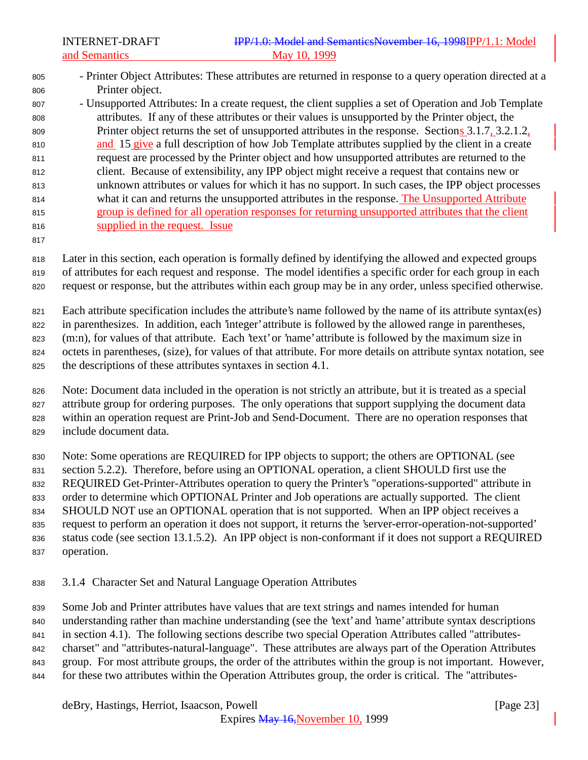- Printer Object Attributes: These attributes are returned in response to a query operation directed at a Printer object.
- Unsupported Attributes: In a create request, the client supplies a set of Operation and Job Template attributes. If any of these attributes or their values is unsupported by the Printer object, the Printer object returns the set of unsupported attributes in the response. Sections 3.1.7, 3.2.1.2, and 15 give a full description of how Job Template attributes supplied by the client in a create request are processed by the Printer object and how unsupported attributes are returned to the client. Because of extensibility, any IPP object might receive a request that contains new or unknown attributes or values for which it has no support. In such cases, the IPP object processes what it can and returns the unsupported attributes in the response. The Unsupported Attribute group is defined for all operation responses for returning unsupported attributes that the client supplied in the request. Issue
- 

 Later in this section, each operation is formally defined by identifying the allowed and expected groups of attributes for each request and response. The model identifies a specific order for each group in each request or response, but the attributes within each group may be in any order, unless specified otherwise.

Each attribute specification includes the attribute's name followed by the name of its attribute syntax(es)

in parenthesizes. In addition, each 'integer' attribute is followed by the allowed range in parentheses,

823 (m:n), for values of that attribute. Each 'text' or 'name' attribute is followed by the maximum size in

octets in parentheses, (size), for values of that attribute. For more details on attribute syntax notation, see

the descriptions of these attributes syntaxes in section 4.1.

 Note: Document data included in the operation is not strictly an attribute, but it is treated as a special attribute group for ordering purposes. The only operations that support supplying the document data within an operation request are Print-Job and Send-Document. There are no operation responses that include document data.

Note: Some operations are REQUIRED for IPP objects to support; the others are OPTIONAL (see

section 5.2.2). Therefore, before using an OPTIONAL operation, a client SHOULD first use the

REQUIRED Get-Printer-Attributes operation to query the Printer's "operations-supported" attribute in

order to determine which OPTIONAL Printer and Job operations are actually supported. The client

SHOULD NOT use an OPTIONAL operation that is not supported. When an IPP object receives a

request to perform an operation it does not support, it returns the 'server-error-operation-not-supported'

- status code (see section 13.1.5.2). An IPP object is non-conformant if it does not support a REQUIRED operation.
- 3.1.4 Character Set and Natural Language Operation Attributes

Some Job and Printer attributes have values that are text strings and names intended for human

understanding rather than machine understanding (see the 'text' and 'name' attribute syntax descriptions

in section 4.1). The following sections describe two special Operation Attributes called "attributes-

charset" and "attributes-natural-language". These attributes are always part of the Operation Attributes

- group. For most attribute groups, the order of the attributes within the group is not important. However,
- for these two attributes within the Operation Attributes group, the order is critical. The "attributes-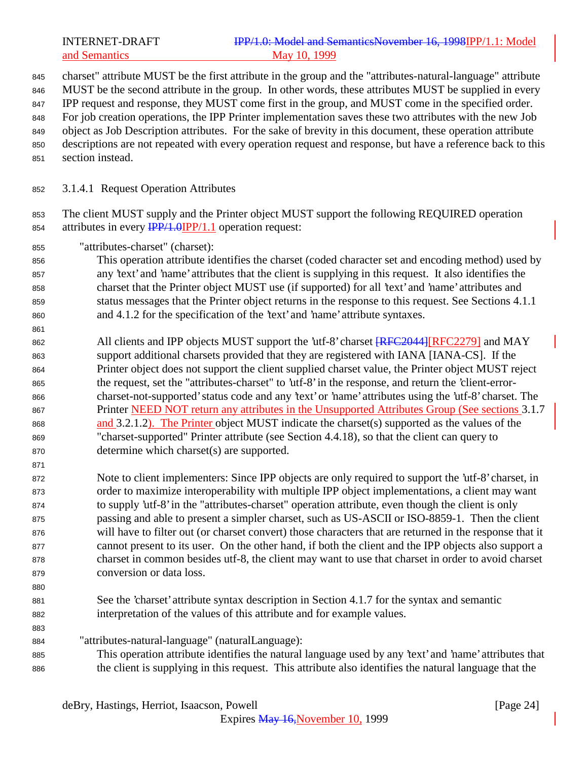## INTERNET-DRAFT **IPP/1.0: Model and SemanticsNovember 16, 1998IPP/1.1:** Model and Semantics May 10, 1999

charset" attribute MUST be the first attribute in the group and the "attributes-natural-language" attribute

- 846 MUST be the second attribute in the group. In other words, these attributes MUST be supplied in every
- IPP request and response, they MUST come first in the group, and MUST come in the specified order.

 For job creation operations, the IPP Printer implementation saves these two attributes with the new Job object as Job Description attributes. For the sake of brevity in this document, these operation attribute

- descriptions are not repeated with every operation request and response, but have a reference back to this
- section instead.
- 3.1.4.1 Request Operation Attributes

 The client MUST supply and the Printer object MUST support the following REQUIRED operation 854 attributes in every  $\frac{IPP}{1.0} \cdot \frac{IPP}{1.1}$  operation request:

"attributes-charset" (charset):

 This operation attribute identifies the charset (coded character set and encoding method) used by any 'text' and 'name' attributes that the client is supplying in this request. It also identifies the charset that the Printer object MUST use (if supported) for all 'text' and 'name' attributes and status messages that the Printer object returns in the response to this request. See Sections 4.1.1 and 4.1.2 for the specification of the 'text' and 'name' attribute syntaxes.

862 All clients and IPP objects MUST support the 'utf-8' charset  $\sqrt{RFC2044}$ [RFC2279] and MAY support additional charsets provided that they are registered with IANA [IANA-CS]. If the Printer object does not support the client supplied charset value, the Printer object MUST reject the request, set the "attributes-charset" to 'utf-8' in the response, and return the 'client-error- charset-not-supported' status code and any 'text' or 'name' attributes using the 'utf-8' charset. The Printer NEED NOT return any attributes in the Unsupported Attributes Group (See sections 3.1.7 and 3.2.1.2). The Printer object MUST indicate the charset(s) supported as the values of the "charset-supported" Printer attribute (see Section 4.4.18), so that the client can query to determine which charset(s) are supported.

 Note to client implementers: Since IPP objects are only required to support the 'utf-8' charset, in order to maximize interoperability with multiple IPP object implementations, a client may want to supply 'utf-8' in the "attributes-charset" operation attribute, even though the client is only passing and able to present a simpler charset, such as US-ASCII or ISO-8859-1. Then the client will have to filter out (or charset convert) those characters that are returned in the response that it cannot present to its user. On the other hand, if both the client and the IPP objects also support a charset in common besides utf-8, the client may want to use that charset in order to avoid charset conversion or data loss.

 See the 'charset' attribute syntax description in Section 4.1.7 for the syntax and semantic interpretation of the values of this attribute and for example values.

- "attributes-natural-language" (naturalLanguage):
- This operation attribute identifies the natural language used by any 'text' and 'name' attributes that the client is supplying in this request. This attribute also identifies the natural language that the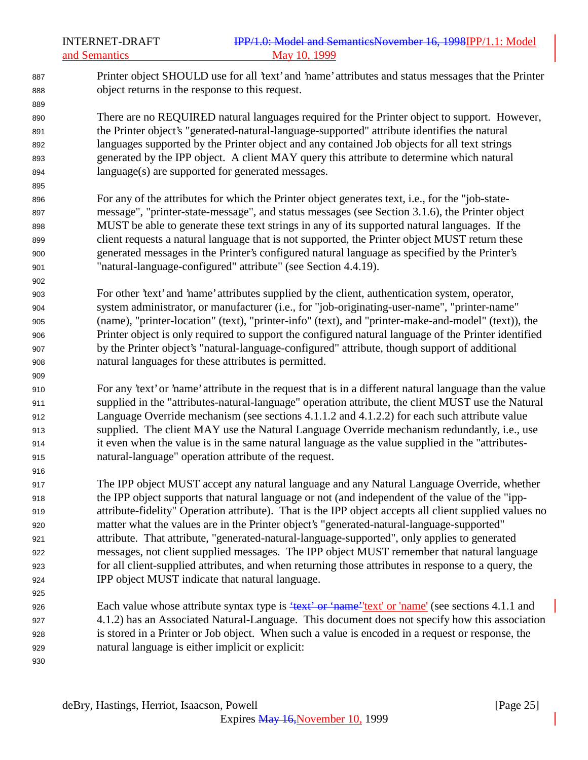## INTERNET-DRAFT **IPP/1.0: Model and SemanticsNovember 16, 1998** IPP/1.1: Model and Semantics May 10, 1999

 Printer object SHOULD use for all 'text' and 'name' attributes and status messages that the Printer object returns in the response to this request.

 There are no REQUIRED natural languages required for the Printer object to support. However, the Printer object's "generated-natural-language-supported" attribute identifies the natural languages supported by the Printer object and any contained Job objects for all text strings generated by the IPP object. A client MAY query this attribute to determine which natural language(s) are supported for generated messages.

 For any of the attributes for which the Printer object generates text, i.e., for the "job-state- message", "printer-state-message", and status messages (see Section 3.1.6), the Printer object MUST be able to generate these text strings in any of its supported natural languages. If the client requests a natural language that is not supported, the Printer object MUST return these generated messages in the Printer's configured natural language as specified by the Printer's "natural-language-configured" attribute" (see Section 4.4.19).

 For other 'text' and 'name' attributes supplied by the client, authentication system, operator, system administrator, or manufacturer (i.e., for "job-originating-user-name", "printer-name" (name), "printer-location" (text), "printer-info" (text), and "printer-make-and-model" (text)), the Printer object is only required to support the configured natural language of the Printer identified by the Printer object's "natural-language-configured" attribute, though support of additional natural languages for these attributes is permitted.

 For any 'text' or 'name' attribute in the request that is in a different natural language than the value supplied in the "attributes-natural-language" operation attribute, the client MUST use the Natural Language Override mechanism (see sections 4.1.1.2 and 4.1.2.2) for each such attribute value supplied. The client MAY use the Natural Language Override mechanism redundantly, i.e., use it even when the value is in the same natural language as the value supplied in the "attributes-natural-language" operation attribute of the request.

 The IPP object MUST accept any natural language and any Natural Language Override, whether the IPP object supports that natural language or not (and independent of the value of the "ipp- attribute-fidelity" Operation attribute). That is the IPP object accepts all client supplied values no matter what the values are in the Printer object's "generated-natural-language-supported" attribute. That attribute, "generated-natural-language-supported", only applies to generated messages, not client supplied messages. The IPP object MUST remember that natural language for all client-supplied attributes, and when returning those attributes in response to a query, the IPP object MUST indicate that natural language.

926 Each value whose attribute syntax type is  $\frac{4.14}{100}$  +  $\frac{6.14}{100}$  +  $\frac{6.14}{100}$  +  $\frac{6.14}{100}$  +  $\frac{6.14}{100}$  +  $\frac{6.14}{100}$  +  $\frac{6.14}{100}$  +  $\frac{6.14}{100}$  +  $\frac{6.14}{100}$  +  $\frac{6.14}{100}$  +  $\frac{6$  4.1.2) has an Associated Natural-Language. This document does not specify how this association is stored in a Printer or Job object. When such a value is encoded in a request or response, the natural language is either implicit or explicit: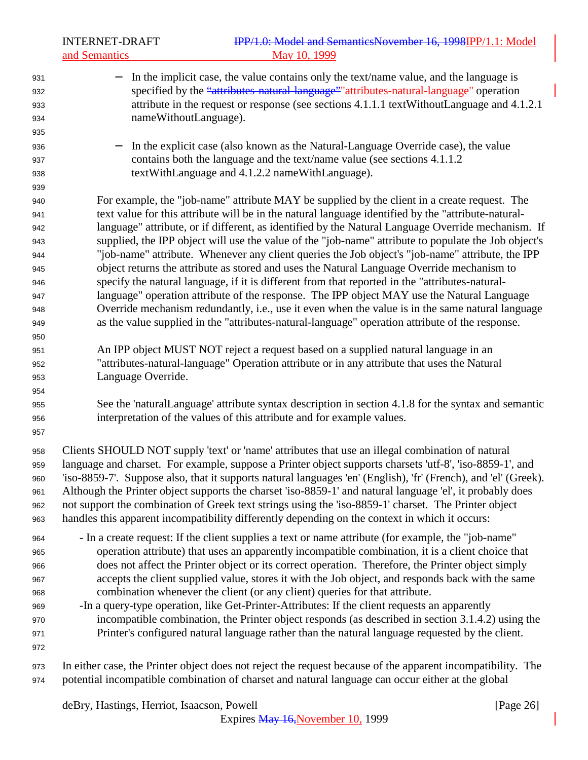INTERNET-DRAFT **IPP/1.0: Model and SemanticsNovember 16, 1998IPP/1.1:** Model and Semantics May 10, 1999 931 − In the implicit case, the value contains only the text/name value, and the language is 932 specified by the "attributes-natural-language" attributes-natural-language" operation attribute in the request or response (see sections 4.1.1.1 textWithoutLanguage and 4.1.2.1 nameWithoutLanguage). − In the explicit case (also known as the Natural-Language Override case), the value contains both the language and the text/name value (see sections 4.1.1.2 textWithLanguage and 4.1.2.2 nameWithLanguage). For example, the "job-name" attribute MAY be supplied by the client in a create request. The text value for this attribute will be in the natural language identified by the "attribute-natural- language" attribute, or if different, as identified by the Natural Language Override mechanism. If supplied, the IPP object will use the value of the "job-name" attribute to populate the Job object's "job-name" attribute. Whenever any client queries the Job object's "job-name" attribute, the IPP object returns the attribute as stored and uses the Natural Language Override mechanism to specify the natural language, if it is different from that reported in the "attributes-natural- language" operation attribute of the response. The IPP object MAY use the Natural Language Override mechanism redundantly, i.e., use it even when the value is in the same natural language as the value supplied in the "attributes-natural-language" operation attribute of the response. An IPP object MUST NOT reject a request based on a supplied natural language in an "attributes-natural-language" Operation attribute or in any attribute that uses the Natural Language Override. See the 'naturalLanguage' attribute syntax description in section 4.1.8 for the syntax and semantic interpretation of the values of this attribute and for example values. Clients SHOULD NOT supply 'text' or 'name' attributes that use an illegal combination of natural language and charset. For example, suppose a Printer object supports charsets 'utf-8', 'iso-8859-1', and 'iso-8859-7'. Suppose also, that it supports natural languages 'en' (English), 'fr' (French), and 'el' (Greek). Although the Printer object supports the charset 'iso-8859-1' and natural language 'el', it probably does not support the combination of Greek text strings using the 'iso-8859-1' charset. The Printer object handles this apparent incompatibility differently depending on the context in which it occurs: - In a create request: If the client supplies a text or name attribute (for example, the "job-name" operation attribute) that uses an apparently incompatible combination, it is a client choice that does not affect the Printer object or its correct operation. Therefore, the Printer object simply accepts the client supplied value, stores it with the Job object, and responds back with the same combination whenever the client (or any client) queries for that attribute. -In a query-type operation, like Get-Printer-Attributes: If the client requests an apparently incompatible combination, the Printer object responds (as described in section 3.1.4.2) using the Printer's configured natural language rather than the natural language requested by the client. In either case, the Printer object does not reject the request because of the apparent incompatibility. The potential incompatible combination of charset and natural language can occur either at the global

deBry, Hastings, Herriot, Isaacson, Powell **Example 26** and the same control in the same control of  $[Page\ 26]$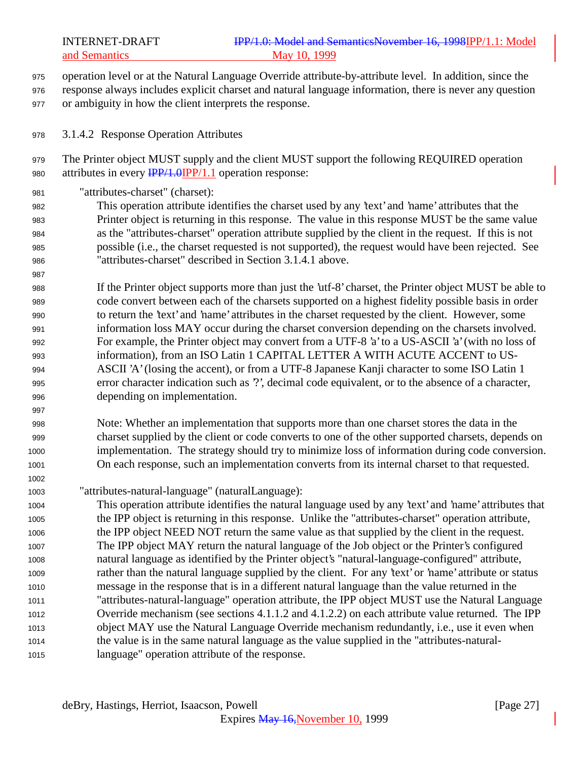- operation level or at the Natural Language Override attribute-by-attribute level. In addition, since the
- response always includes explicit charset and natural language information, there is never any question or ambiguity in how the client interprets the response.
- 3.1.4.2 Response Operation Attributes

 The Printer object MUST supply and the client MUST support the following REQUIRED operation 980 attributes in every  $\frac{IPP}{1.0}$  (PP/1.1 operation response:

"attributes-charset" (charset):

 This operation attribute identifies the charset used by any 'text' and 'name' attributes that the Printer object is returning in this response. The value in this response MUST be the same value as the "attributes-charset" operation attribute supplied by the client in the request. If this is not possible (i.e., the charset requested is not supported), the request would have been rejected. See "attributes-charset" described in Section 3.1.4.1 above.

 If the Printer object supports more than just the 'utf-8' charset, the Printer object MUST be able to code convert between each of the charsets supported on a highest fidelity possible basis in order to return the 'text' and 'name' attributes in the charset requested by the client. However, some information loss MAY occur during the charset conversion depending on the charsets involved. For example, the Printer object may convert from a UTF-8 'a' to a US-ASCII 'a' (with no loss of information), from an ISO Latin 1 CAPITAL LETTER A WITH ACUTE ACCENT to US- ASCII 'A' (losing the accent), or from a UTF-8 Japanese Kanji character to some ISO Latin 1 error character indication such as '?', decimal code equivalent, or to the absence of a character, depending on implementation.

 Note: Whether an implementation that supports more than one charset stores the data in the charset supplied by the client or code converts to one of the other supported charsets, depends on implementation. The strategy should try to minimize loss of information during code conversion. On each response, such an implementation converts from its internal charset to that requested.

"attributes-natural-language" (naturalLanguage):

 This operation attribute identifies the natural language used by any 'text' and 'name' attributes that the IPP object is returning in this response. Unlike the "attributes-charset" operation attribute, the IPP object NEED NOT return the same value as that supplied by the client in the request. The IPP object MAY return the natural language of the Job object or the Printer's configured natural language as identified by the Printer object's "natural-language-configured" attribute, rather than the natural language supplied by the client. For any 'text' or 'name' attribute or status message in the response that is in a different natural language than the value returned in the "attributes-natural-language" operation attribute, the IPP object MUST use the Natural Language Override mechanism (see sections 4.1.1.2 and 4.1.2.2) on each attribute value returned. The IPP object MAY use the Natural Language Override mechanism redundantly, i.e., use it even when the value is in the same natural language as the value supplied in the "attributes-natural-language" operation attribute of the response.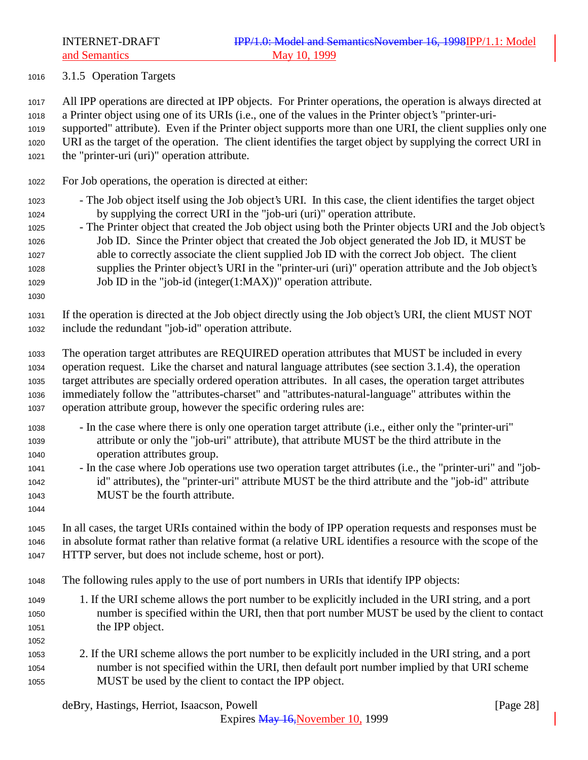3.1.5 Operation Targets

 All IPP operations are directed at IPP objects. For Printer operations, the operation is always directed at a Printer object using one of its URIs (i.e., one of the values in the Printer object's "printer-uri-

 supported" attribute). Even if the Printer object supports more than one URI, the client supplies only one URI as the target of the operation. The client identifies the target object by supplying the correct URI in the "printer-uri (uri)" operation attribute.

- For Job operations, the operation is directed at either:
- The Job object itself using the Job object's URI. In this case, the client identifies the target object by supplying the correct URI in the "job-uri (uri)" operation attribute.
- The Printer object that created the Job object using both the Printer objects URI and the Job object's Job ID. Since the Printer object that created the Job object generated the Job ID, it MUST be able to correctly associate the client supplied Job ID with the correct Job object. The client supplies the Printer object's URI in the "printer-uri (uri)" operation attribute and the Job object's Job ID in the "job-id (integer(1:MAX))" operation attribute.
- 

 If the operation is directed at the Job object directly using the Job object's URI, the client MUST NOT include the redundant "job-id" operation attribute.

- The operation target attributes are REQUIRED operation attributes that MUST be included in every operation request. Like the charset and natural language attributes (see section 3.1.4), the operation target attributes are specially ordered operation attributes. In all cases, the operation target attributes immediately follow the "attributes-charset" and "attributes-natural-language" attributes within the operation attribute group, however the specific ordering rules are:
- In the case where there is only one operation target attribute (i.e., either only the "printer-uri" attribute or only the "job-uri" attribute), that attribute MUST be the third attribute in the operation attributes group.
- In the case where Job operations use two operation target attributes (i.e., the "printer-uri" and "job- id" attributes), the "printer-uri" attribute MUST be the third attribute and the "job-id" attribute MUST be the fourth attribute.
- 

 In all cases, the target URIs contained within the body of IPP operation requests and responses must be in absolute format rather than relative format (a relative URL identifies a resource with the scope of the HTTP server, but does not include scheme, host or port).

- The following rules apply to the use of port numbers in URIs that identify IPP objects:
- 1. If the URI scheme allows the port number to be explicitly included in the URI string, and a port number is specified within the URI, then that port number MUST be used by the client to contact the IPP object.
- 
- 2. If the URI scheme allows the port number to be explicitly included in the URI string, and a port number is not specified within the URI, then default port number implied by that URI scheme MUST be used by the client to contact the IPP object.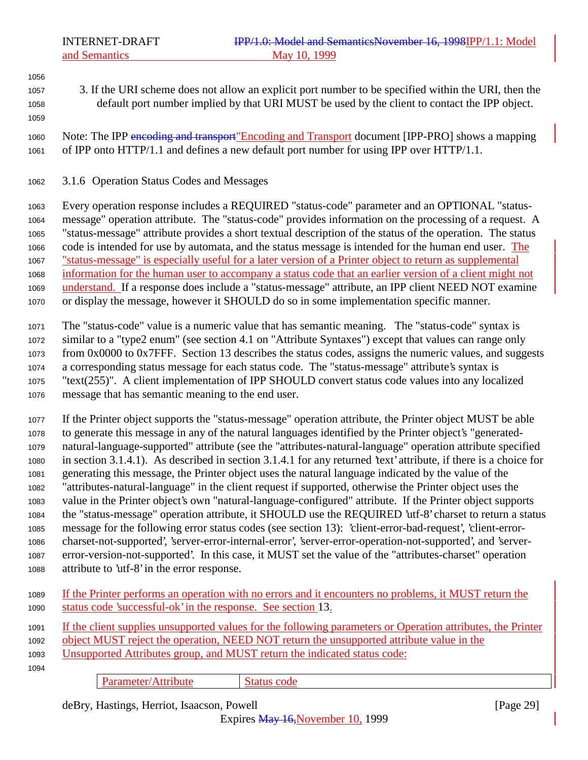3. If the URI scheme does not allow an explicit port number to be specified within the URI, then the default port number implied by that URI MUST be used by the client to contact the IPP object.

1060 Note: The IPP encoding and transport" Encoding and Transport document [IPP-PRO] shows a mapping of IPP onto HTTP/1.1 and defines a new default port number for using IPP over HTTP/1.1.

3.1.6 Operation Status Codes and Messages

 Every operation response includes a REQUIRED "status-code" parameter and an OPTIONAL "status- message" operation attribute. The "status-code" provides information on the processing of a request. A "status-message" attribute provides a short textual description of the status of the operation. The status code is intended for use by automata, and the status message is intended for the human end user. The "status-message" is especially useful for a later version of a Printer object to return as supplemental information for the human user to accompany a status code that an earlier version of a client might not understand. If a response does include a "status-message" attribute, an IPP client NEED NOT examine or display the message, however it SHOULD do so in some implementation specific manner.

 The "status-code" value is a numeric value that has semantic meaning. The "status-code" syntax is similar to a "type2 enum" (see section 4.1 on "Attribute Syntaxes") except that values can range only from 0x0000 to 0x7FFF. Section 13 describes the status codes, assigns the numeric values, and suggests a corresponding status message for each status code. The "status-message" attribute's syntax is "text(255)". A client implementation of IPP SHOULD convert status code values into any localized message that has semantic meaning to the end user.

 If the Printer object supports the "status-message" operation attribute, the Printer object MUST be able to generate this message in any of the natural languages identified by the Printer object's "generated- natural-language-supported" attribute (see the "attributes-natural-language" operation attribute specified in section 3.1.4.1). As described in section 3.1.4.1 for any returned 'text' attribute, if there is a choice for generating this message, the Printer object uses the natural language indicated by the value of the "attributes-natural-language" in the client request if supported, otherwise the Printer object uses the value in the Printer object's own "natural-language-configured" attribute. If the Printer object supports the "status-message" operation attribute, it SHOULD use the REQUIRED 'utf-8' charset to return a status message for the following error status codes (see section 13): 'client-error-bad-request', 'client-error- charset-not-supported', 'server-error-internal-error', 'server-error-operation-not-supported', and 'server- error-version-not-supported'. In this case, it MUST set the value of the "attributes-charset" operation attribute to 'utf-8' in the error response.

 If the Printer performs an operation with no errors and it encounters no problems, it MUST return the status code 'successful-ok' in the response. See section 13.

 If the client supplies unsupported values for the following parameters or Operation attributes, the Printer object MUST reject the operation, NEED NOT return the unsupported attribute value in the Unsupported Attributes group, and MUST return the indicated status code: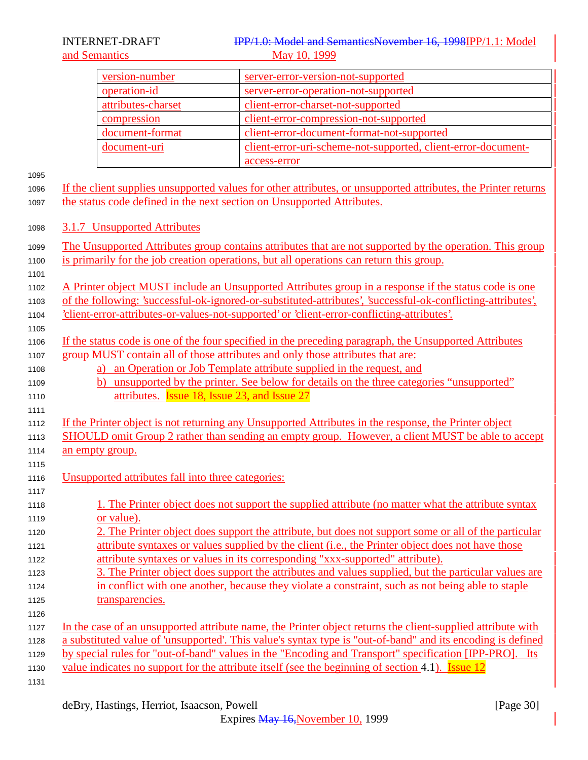#### INTERNET-DRAFT IPP/1.0: Model and SemanticsNovember 16, 1998IPP/1.1: Model and Semantics May 10, 1999

| version-number     | server-error-version-not-supported                            |
|--------------------|---------------------------------------------------------------|
| operation-id       | server-error-operation-not-supported                          |
| attributes-charset | client-error-charset-not-supported                            |
| compression        | client-error-compression-not-supported                        |
| document-format    | client-error-document-format-not-supported                    |
| document-uri       | client-error-uri-scheme-not-supported, client-error-document- |
|                    | access-error                                                  |

 If the client supplies unsupported values for other attributes, or unsupported attributes, the Printer returns the status code defined in the next section on Unsupported Attributes.

- 3.1.7 Unsupported Attributes
- The Unsupported Attributes group contains attributes that are not supported by the operation. This group is primarily for the job creation operations, but all operations can return this group.
- A Printer object MUST include an Unsupported Attributes group in a response if the status code is one
- of the following: 'successful-ok-ignored-or-substituted-attributes', 'successful-ok-conflicting-attributes',
- 'client-error-attributes-or-values-not-supported' or 'client-error-conflicting-attributes'.
- If the status code is one of the four specified in the preceding paragraph, the Unsupported Attributes group MUST contain all of those attributes and only those attributes that are:
- **a)** an Operation or Job Template attribute supplied in the request, and
- b) unsupported by the printer. See below for details on the three categories "unsupported" **attributes. Issue 18, Issue 23, and Issue 27**
- If the Printer object is not returning any Unsupported Attributes in the response, the Printer object
- SHOULD omit Group 2 rather than sending an empty group. However, a client MUST be able to accept an empty group.
- Unsupported attributes fall into three categories:
- 1118 1118 1. The Printer object does not support the supplied attribute (no matter what the attribute syntax or value).
- 2. The Printer object does support the attribute, but does not support some or all of the particular attribute syntaxes or values supplied by the client (i.e., the Printer object does not have those attribute syntaxes or values in its corresponding "xxx-supported" attribute).
- 3. The Printer object does support the attributes and values supplied, but the particular values are in conflict with one another, because they violate a constraint, such as not being able to staple 1125 transparencies.
- 1127 In the case of an unsupported attribute name, the Printer object returns the client-supplied attribute with a substituted value of 'unsupported'. This value's syntax type is "out-of-band" and its encoding is defined
	- by special rules for "out-of-band" values in the "Encoding and Transport" specification [IPP-PRO]. Its
	- 1130 value indicates no support for the attribute itself (see the beginning of section 4.1). Issue 12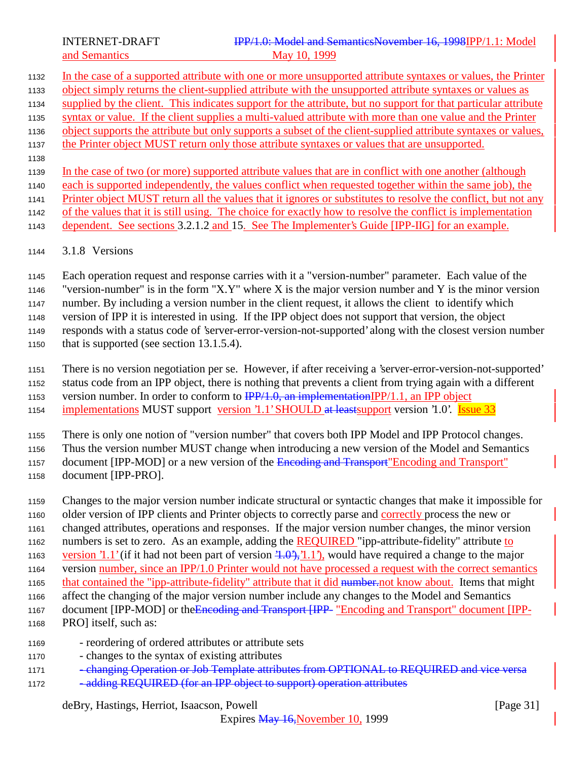- In the case of a supported attribute with one or more unsupported attribute syntaxes or values, the Printer object simply returns the client-supplied attribute with the unsupported attribute syntaxes or values as supplied by the client. This indicates support for the attribute, but no support for that particular attribute syntax or value. If the client supplies a multi-valued attribute with more than one value and the Printer object supports the attribute but only supports a subset of the client-supplied attribute syntaxes or values, the Printer object MUST return only those attribute syntaxes or values that are unsupported. In the case of two (or more) supported attribute values that are in conflict with one another (although each is supported independently, the values conflict when requested together within the same job), the Printer object MUST return all the values that it ignores or substitutes to resolve the conflict, but not any of the values that it is still using. The choice for exactly how to resolve the conflict is implementation
- dependent. See sections 3.2.1.2 and 15. See The Implementer's Guide [IPP-IIG] for an example.
- 3.1.8 Versions

 Each operation request and response carries with it a "version-number" parameter. Each value of the "version-number" is in the form "X.Y" where X is the major version number and Y is the minor version number. By including a version number in the client request, it allows the client to identify which version of IPP it is interested in using. If the IPP object does not support that version, the object responds with a status code of 'server-error-version-not-supported' along with the closest version number that is supported (see section 13.1.5.4).

There is no version negotiation per se. However, if after receiving a 'server-error-version-not-supported'

status code from an IPP object, there is nothing that prevents a client from trying again with a different

1153 version number. In order to conform to  $\frac{IPP}{1.0}$ , an implementationIPP/1.1, an IPP object

1154 implementations MUST support version '1.1' SHOULD at least support version '1.0'. Issue 33

There is only one notion of "version number" that covers both IPP Model and IPP Protocol changes.

Thus the version number MUST change when introducing a new version of the Model and Semantics

1157 document [IPP-MOD] or a new version of the Encoding and Transport" Encoding and Transport"

document [IPP-PRO].

Changes to the major version number indicate structural or syntactic changes that make it impossible for

older version of IPP clients and Printer objects to correctly parse and correctly process the new or

changed attributes, operations and responses. If the major version number changes, the minor version

numbers is set to zero. As an example, adding the REQUIRED "ipp-attribute-fidelity" attribute to

1163 version '1.1' (if it had not been part of version  $(1.0^{\circ}), (1.1^{\circ})$ , would have required a change to the major

- version number, since an IPP/1.0 Printer would not have processed a request with the correct semantics 1165 that contained the "ipp-attribute-fidelity" attribute that it did number.not know about. Items that might
- affect the changing of the major version number include any changes to the Model and Semantics
- 1167 document [IPP-MOD] or the Encoding and Transport [IPP- "Encoding and Transport" document [IPP-
- PRO] itself, such as:
- reordering of ordered attributes or attribute sets
- changes to the syntax of existing attributes
- 1171 changing Operation or Job Template attributes from OPTIONAL to REQUIRED and vice versa
- 1172 adding REQUIRED (for an IPP object to support) operation attributes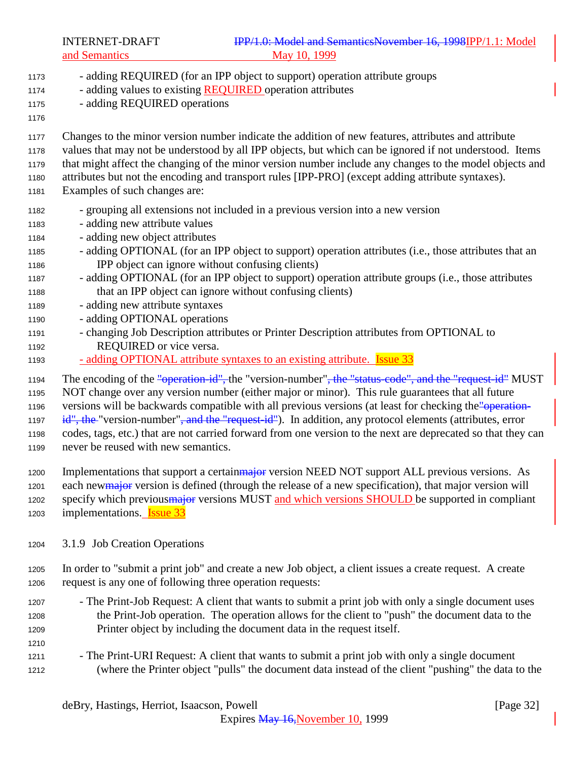- adding REQUIRED (for an IPP object to support) operation attribute groups 1174 - adding values to existing **REQUIRED** operation attributes - adding REQUIRED operations Changes to the minor version number indicate the addition of new features, attributes and attribute values that may not be understood by all IPP objects, but which can be ignored if not understood. Items that might affect the changing of the minor version number include any changes to the model objects and attributes but not the encoding and transport rules [IPP-PRO] (except adding attribute syntaxes). Examples of such changes are: - grouping all extensions not included in a previous version into a new version - adding new attribute values - adding new object attributes - adding OPTIONAL (for an IPP object to support) operation attributes (i.e., those attributes that an IPP object can ignore without confusing clients) - adding OPTIONAL (for an IPP object to support) operation attribute groups (i.e., those attributes that an IPP object can ignore without confusing clients) - adding new attribute syntaxes - adding OPTIONAL operations - changing Job Description attributes or Printer Description attributes from OPTIONAL to REQUIRED or vice versa. 1193 - adding OPTIONAL attribute syntaxes to an existing attribute. **Issue 33** 1194 The encoding of the "operation-id", the "version-number", the "status-code", and the "request-id" MUST NOT change over any version number (either major or minor). This rule guarantees that all future 1196 versions will be backwards compatible with all previous versions (at least for checking the "operation-1197 id", the "version-number", and the "request-id"). In addition, any protocol elements (attributes, error codes, tags, etc.) that are not carried forward from one version to the next are deprecated so that they can never be reused with new semantics. 1200 Implementations that support a certainmator version NEED NOT support ALL previous versions. As 1201 each newmator version is defined (through the release of a new specification), that major version will 1202 specify which previous major versions MUST and which versions SHOULD be supported in compliant 1203 implementations. **Issue 33**  3.1.9 Job Creation Operations In order to "submit a print job" and create a new Job object, a client issues a create request. A create request is any one of following three operation requests: - The Print-Job Request: A client that wants to submit a print job with only a single document uses the Print-Job operation. The operation allows for the client to "push" the document data to the Printer object by including the document data in the request itself.
- The Print-URI Request: A client that wants to submit a print job with only a single document (where the Printer object "pulls" the document data instead of the client "pushing" the data to the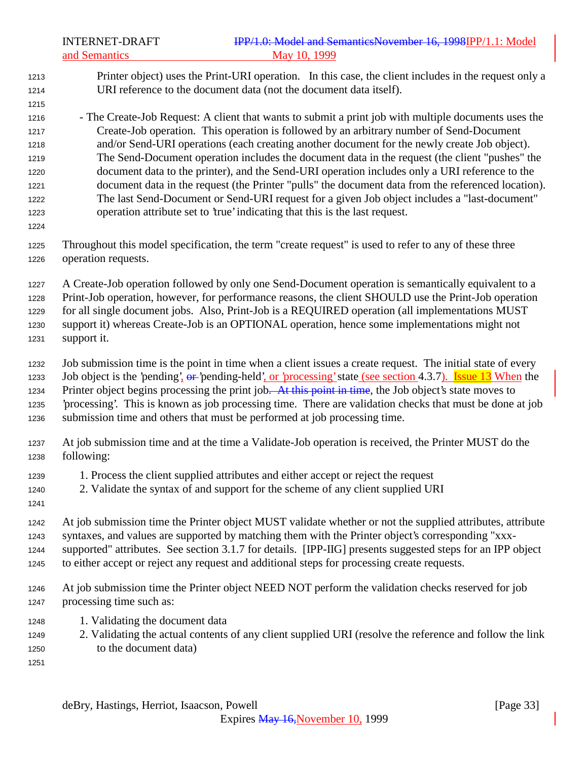# INTERNET-DRAFT **IPP/1.0: Model and SemanticsNovember 16, 1998IPP/1.1:** Model and Semantics May 10, 1999

 Printer object) uses the Print-URI operation. In this case, the client includes in the request only a URI reference to the document data (not the document data itself). - The Create-Job Request: A client that wants to submit a print job with multiple documents uses the Create-Job operation. This operation is followed by an arbitrary number of Send-Document and/or Send-URI operations (each creating another document for the newly create Job object). The Send-Document operation includes the document data in the request (the client "pushes" the document data to the printer), and the Send-URI operation includes only a URI reference to the document data in the request (the Printer "pulls" the document data from the referenced location). The last Send-Document or Send-URI request for a given Job object includes a "last-document" operation attribute set to 'true' indicating that this is the last request. Throughout this model specification, the term "create request" is used to refer to any of these three operation requests. A Create-Job operation followed by only one Send-Document operation is semantically equivalent to a Print-Job operation, however, for performance reasons, the client SHOULD use the Print-Job operation for all single document jobs. Also, Print-Job is a REQUIRED operation (all implementations MUST support it) whereas Create-Job is an OPTIONAL operation, hence some implementations might not support it. Job submission time is the point in time when a client issues a create request. The initial state of every 1233 Job object is the 'pending', or 'pending-held', or 'processing' state (see section 4.3.7). Issue 13 When the 1234 Printer object begins processing the print job. At this point in time, the Job object's state moves to 'processing'. This is known as job processing time. There are validation checks that must be done at job submission time and others that must be performed at job processing time. At job submission time and at the time a Validate-Job operation is received, the Printer MUST do the following: 1. Process the client supplied attributes and either accept or reject the request 2. Validate the syntax of and support for the scheme of any client supplied URI At job submission time the Printer object MUST validate whether or not the supplied attributes, attribute syntaxes, and values are supported by matching them with the Printer object's corresponding "xxx- supported" attributes. See section 3.1.7 for details. [IPP-IIG] presents suggested steps for an IPP object to either accept or reject any request and additional steps for processing create requests. At job submission time the Printer object NEED NOT perform the validation checks reserved for job processing time such as: 1. Validating the document data 2. Validating the actual contents of any client supplied URI (resolve the reference and follow the link to the document data)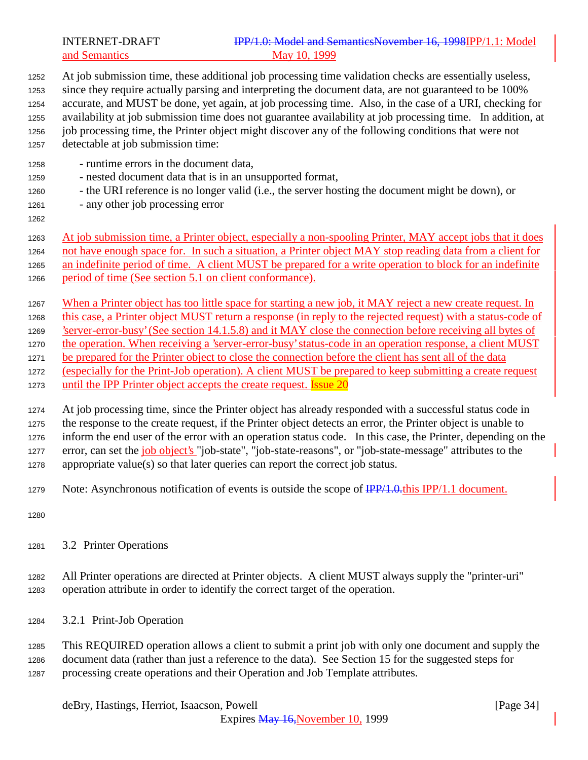INTERNET-DRAFT **IPP/1.0: Model and SemanticsNovember 16, 1998IPP/1.1:** Model and Semantics May 10, 1999

 At job submission time, these additional job processing time validation checks are essentially useless, since they require actually parsing and interpreting the document data, are not guaranteed to be 100% accurate, and MUST be done, yet again, at job processing time. Also, in the case of a URI, checking for availability at job submission time does not guarantee availability at job processing time. In addition, at job processing time, the Printer object might discover any of the following conditions that were not detectable at job submission time:

- runtime errors in the document data,
- nested document data that is in an unsupported format,
- the URI reference is no longer valid (i.e., the server hosting the document might be down), or
- any other job processing error
- 

 At job submission time, a Printer object, especially a non-spooling Printer, MAY accept jobs that it does not have enough space for. In such a situation, a Printer object MAY stop reading data from a client for an indefinite period of time. A client MUST be prepared for a write operation to block for an indefinite period of time (See section 5.1 on client conformance).

- When a Printer object has too little space for starting a new job, it MAY reject a new create request. In
- 1268 this case, a Printer object MUST return a response (in reply to the rejected request) with a status-code of
- 1269 'server-error-busy' (See section 14.1.5.8) and it MAY close the connection before receiving all bytes of
- the operation. When receiving a 'server-error-busy' status-code in an operation response, a client MUST
- 1271 be prepared for the Printer object to close the connection before the client has sent all of the data
- (especially for the Print-Job operation). A client MUST be prepared to keep submitting a create request 1273 until the IPP Printer object accepts the create request. **Issue 20**

 At job processing time, since the Printer object has already responded with a successful status code in the response to the create request, if the Printer object detects an error, the Printer object is unable to inform the end user of the error with an operation status code. In this case, the Printer, depending on the 1277 error, can set the *job object's* "job-state", "job-state-reasons", or "job-state-message" attributes to the

appropriate value(s) so that later queries can report the correct job status.

- 1279 Note: Asynchronous notification of events is outside the scope of  $\frac{IPP}{1.0.01}$ . I document.
- 
- 3.2 Printer Operations
- All Printer operations are directed at Printer objects. A client MUST always supply the "printer-uri" operation attribute in order to identify the correct target of the operation.
- 3.2.1 Print-Job Operation

 This REQUIRED operation allows a client to submit a print job with only one document and supply the document data (rather than just a reference to the data). See Section 15 for the suggested steps for processing create operations and their Operation and Job Template attributes.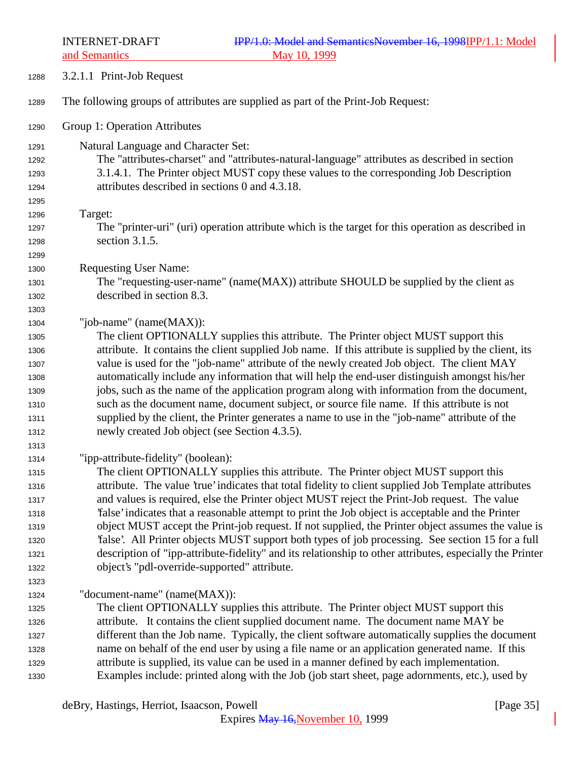a<br>**A** Semantic

|              | and Semantics<br>May 10, 1999                                                                                                                                                                |
|--------------|----------------------------------------------------------------------------------------------------------------------------------------------------------------------------------------------|
| 1288         | 3.2.1.1 Print-Job Request                                                                                                                                                                    |
| 1289         | The following groups of attributes are supplied as part of the Print-Job Request:                                                                                                            |
| 1290         | Group 1: Operation Attributes                                                                                                                                                                |
| 1291         | Natural Language and Character Set:                                                                                                                                                          |
| 1292         | The "attributes-charset" and "attributes-natural-language" attributes as described in section                                                                                                |
| 1293         | 3.1.4.1. The Printer object MUST copy these values to the corresponding Job Description                                                                                                      |
| 1294         | attributes described in sections 0 and 4.3.18.                                                                                                                                               |
| 1295         |                                                                                                                                                                                              |
| 1296         | Target:                                                                                                                                                                                      |
| 1297         | The "printer-uri" (uri) operation attribute which is the target for this operation as described in                                                                                           |
| 1298         | section 3.1.5.                                                                                                                                                                               |
| 1299         |                                                                                                                                                                                              |
| 1300         | <b>Requesting User Name:</b>                                                                                                                                                                 |
| 1301         | The "requesting-user-name" (name(MAX)) attribute SHOULD be supplied by the client as                                                                                                         |
| 1302         | described in section 8.3.                                                                                                                                                                    |
| 1303         |                                                                                                                                                                                              |
| 1304         | "job-name" (name(MAX)):                                                                                                                                                                      |
| 1305         | The client OPTIONALLY supplies this attribute. The Printer object MUST support this                                                                                                          |
| 1306         | attribute. It contains the client supplied Job name. If this attribute is supplied by the client, its                                                                                        |
| 1307         | value is used for the "job-name" attribute of the newly created Job object. The client MAY                                                                                                   |
| 1308         | automatically include any information that will help the end-user distinguish amongst his/her<br>jobs, such as the name of the application program along with information from the document, |
| 1309<br>1310 | such as the document name, document subject, or source file name. If this attribute is not                                                                                                   |
| 1311         | supplied by the client, the Printer generates a name to use in the "job-name" attribute of the                                                                                               |
| 1312         | newly created Job object (see Section 4.3.5).                                                                                                                                                |
| 1313         |                                                                                                                                                                                              |
| 1314         | "ipp-attribute-fidelity" (boolean):                                                                                                                                                          |
| 1315         | The client OPTIONALLY supplies this attribute. The Printer object MUST support this                                                                                                          |
| 1316         | attribute. The value 'true' indicates that total fidelity to client supplied Job Template attributes                                                                                         |
| 1317         | and values is required, else the Printer object MUST reject the Print-Job request. The value                                                                                                 |
| 1318         | 'false' indicates that a reasonable attempt to print the Job object is acceptable and the Printer                                                                                            |
| 1319         | object MUST accept the Print-job request. If not supplied, the Printer object assumes the value is                                                                                           |
| 1320         | Talse'. All Printer objects MUST support both types of job processing. See section 15 for a full                                                                                             |
| 1321         | description of "ipp-attribute-fidelity" and its relationship to other attributes, especially the Printer                                                                                     |
| 1322         | object's "pdl-override-supported" attribute.                                                                                                                                                 |
| 1323         |                                                                                                                                                                                              |
| 1324         | "document-name" (name(MAX)):                                                                                                                                                                 |
| 1325         | The client OPTIONALLY supplies this attribute. The Printer object MUST support this                                                                                                          |
| 1326         | attribute. It contains the client supplied document name. The document name MAY be                                                                                                           |
| 1327         | different than the Job name. Typically, the client software automatically supplies the document                                                                                              |
| 1328         | name on behalf of the end user by using a file name or an application generated name. If this                                                                                                |
| 1329         | attribute is supplied, its value can be used in a manner defined by each implementation.                                                                                                     |
| 1330         | Examples include: printed along with the Job (job start sheet, page adornments, etc.), used by                                                                                               |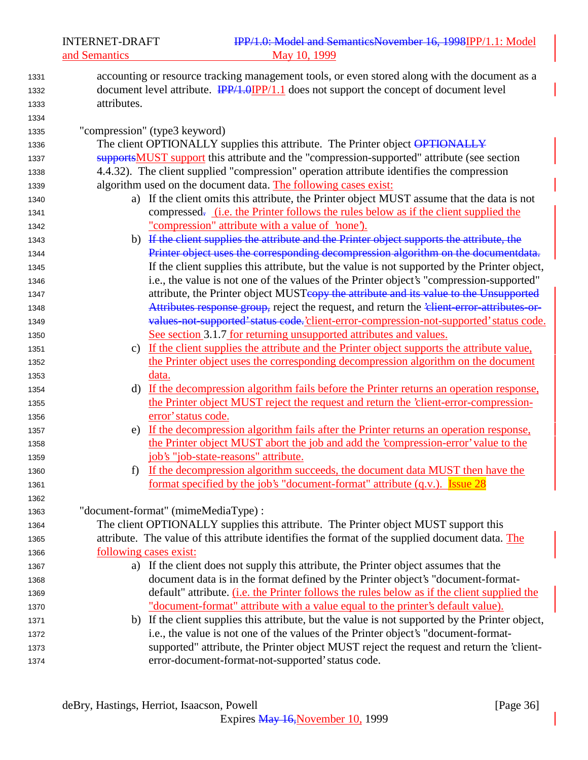and Semantics

| 1331 | accounting or resource tracking management tools, or even stored along with the document as a       |
|------|-----------------------------------------------------------------------------------------------------|
| 1332 | document level attribute. <b>IPP/1.0</b> IPP/1.1 does not support the concept of document level     |
| 1333 | attributes.                                                                                         |
| 1334 |                                                                                                     |
| 1335 | "compression" (type3 keyword)                                                                       |
| 1336 | The client OPTIONALLY supplies this attribute. The Printer object OPTIONALLY                        |
| 1337 | supportsMUST support this attribute and the "compression-supported" attribute (see section          |
| 1338 | 4.4.32). The client supplied "compression" operation attribute identifies the compression           |
| 1339 | algorithm used on the document data. The following cases exist:                                     |
| 1340 | a) If the client omits this attribute, the Printer object MUST assume that the data is not          |
| 1341 | compressed. <u>(i.e. the Printer follows the rules below as if the client supplied the</u>          |
| 1342 | "compression" attribute with a value of 'none').                                                    |
| 1343 | b) If the client supplies the attribute and the Printer object supports the attribute, the          |
| 1344 | Printer object uses the corresponding decompression algorithm on the documentdata.                  |
| 1345 | If the client supplies this attribute, but the value is not supported by the Printer object,        |
| 1346 | i.e., the value is not one of the values of the Printer object's "compression-supported"            |
| 1347 | attribute, the Printer object MUSTcopy the attribute and its value to the Unsupported               |
| 1348 | Attributes response group, reject the request, and return the 'elient-error-attributes-or-          |
| 1349 | values-not-supported' status code. client-error-compression-not-supported' status code.             |
| 1350 | See section 3.1.7 for returning unsupported attributes and values.                                  |
| 1351 | c) If the client supplies the attribute and the Printer object supports the attribute value,        |
| 1352 | the Printer object uses the corresponding decompression algorithm on the document                   |
| 1353 | data.                                                                                               |
| 1354 | d) If the decompression algorithm fails before the Printer returns an operation response,           |
| 1355 | the Printer object MUST reject the request and return the 'client-error-compression-                |
| 1356 | error' status code.                                                                                 |
| 1357 | e) If the decompression algorithm fails after the Printer returns an operation response,            |
| 1358 | the Printer object MUST abort the job and add the 'compression-error' value to the                  |
| 1359 | job's "job-state-reasons" attribute.                                                                |
| 1360 | If the decompression algorithm succeeds, the document data MUST then have the<br>f                  |
| 1361 | <u>format specified by the job's "document-format" attribute (q.v.). Issue 28</u>                   |
| 1362 |                                                                                                     |
| 1363 | "document-format" (mimeMediaType) :                                                                 |
| 1364 | The client OPTIONALLY supplies this attribute. The Printer object MUST support this                 |
| 1365 | attribute. The value of this attribute identifies the format of the supplied document data. The     |
| 1366 | following cases exist:                                                                              |
| 1367 | a) If the client does not supply this attribute, the Printer object assumes that the                |
| 1368 | document data is in the format defined by the Printer object's "document-format-                    |
| 1369 | default" attribute. ( <i>i.e.</i> the Printer follows the rules below as if the client supplied the |
| 1370 | "document-format" attribute with a value equal to the printer's default value).                     |
| 1371 | b) If the client supplies this attribute, but the value is not supported by the Printer object,     |
| 1372 | i.e., the value is not one of the values of the Printer object's "document-format-                  |
| 1373 | supported" attribute, the Printer object MUST reject the request and return the 'client-            |
| 1374 | error-document-format-not-supported' status code.                                                   |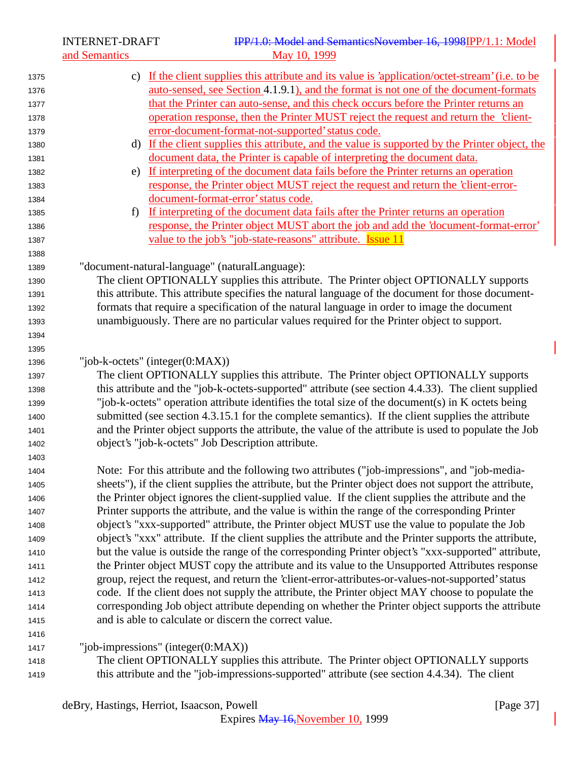INTERNET-DRAFT IPP/1.0: Model and SemanticsNovember 16, 1998IPP/1.1: Model<br>May 10, 1999

|              | and Semantics                                                                                                                                                                            | May 10, 1999                                                                                                                                                                                                  |  |  |
|--------------|------------------------------------------------------------------------------------------------------------------------------------------------------------------------------------------|---------------------------------------------------------------------------------------------------------------------------------------------------------------------------------------------------------------|--|--|
| 1375         |                                                                                                                                                                                          | c) If the client supplies this attribute and its value is 'application/octet-stream' (i.e. to be                                                                                                              |  |  |
| 1376         |                                                                                                                                                                                          | auto-sensed, see Section 4.1.9.1), and the format is not one of the document-formats                                                                                                                          |  |  |
| 1377         |                                                                                                                                                                                          | that the Printer can auto-sense, and this check occurs before the Printer returns an                                                                                                                          |  |  |
| 1378         |                                                                                                                                                                                          | operation response, then the Printer MUST reject the request and return the 'client-                                                                                                                          |  |  |
| 1379         |                                                                                                                                                                                          | error-document-format-not-supported' status code.                                                                                                                                                             |  |  |
| 1380         |                                                                                                                                                                                          | d) If the client supplies this attribute, and the value is supported by the Printer object, the                                                                                                               |  |  |
| 1381         |                                                                                                                                                                                          | document data, the Printer is capable of interpreting the document data.                                                                                                                                      |  |  |
| 1382         | e)                                                                                                                                                                                       | If interpreting of the document data fails before the Printer returns an operation                                                                                                                            |  |  |
| 1383         |                                                                                                                                                                                          | response, the Printer object MUST reject the request and return the 'client-error-                                                                                                                            |  |  |
| 1384         |                                                                                                                                                                                          | document-format-error' status code.                                                                                                                                                                           |  |  |
| 1385         | f                                                                                                                                                                                        | If interpreting of the document data fails after the Printer returns an operation                                                                                                                             |  |  |
| 1386         |                                                                                                                                                                                          | response, the Printer object MUST abort the job and add the 'document-format-error'                                                                                                                           |  |  |
| 1387         |                                                                                                                                                                                          | value to the job's "job-state-reasons" attribute. Issue 11                                                                                                                                                    |  |  |
| 1388         |                                                                                                                                                                                          |                                                                                                                                                                                                               |  |  |
| 1389         |                                                                                                                                                                                          | "document-natural-language" (naturalLanguage):                                                                                                                                                                |  |  |
| 1390         |                                                                                                                                                                                          | The client OPTIONALLY supplies this attribute. The Printer object OPTIONALLY supports<br>this attribute. This attribute specifies the natural language of the document for those document-                    |  |  |
| 1391<br>1392 |                                                                                                                                                                                          |                                                                                                                                                                                                               |  |  |
| 1393         | formats that require a specification of the natural language in order to image the document<br>unambiguously. There are no particular values required for the Printer object to support. |                                                                                                                                                                                                               |  |  |
| 1394         |                                                                                                                                                                                          |                                                                                                                                                                                                               |  |  |
| 1395         |                                                                                                                                                                                          |                                                                                                                                                                                                               |  |  |
| 1396         |                                                                                                                                                                                          | "job-k-octets" (integer $(0:MAX)$ )                                                                                                                                                                           |  |  |
| 1397         |                                                                                                                                                                                          | The client OPTIONALLY supplies this attribute. The Printer object OPTIONALLY supports                                                                                                                         |  |  |
| 1398         | this attribute and the "job-k-octets-supported" attribute (see section 4.4.33). The client supplied                                                                                      |                                                                                                                                                                                                               |  |  |
| 1399         | "job-k-octets" operation attribute identifies the total size of the document(s) in K octets being                                                                                        |                                                                                                                                                                                                               |  |  |
| 1400         | submitted (see section 4.3.15.1 for the complete semantics). If the client supplies the attribute                                                                                        |                                                                                                                                                                                                               |  |  |
| 1401         | and the Printer object supports the attribute, the value of the attribute is used to populate the Job                                                                                    |                                                                                                                                                                                                               |  |  |
| 1402         | object's "job-k-octets" Job Description attribute.                                                                                                                                       |                                                                                                                                                                                                               |  |  |
| 1403         |                                                                                                                                                                                          |                                                                                                                                                                                                               |  |  |
| 1404         |                                                                                                                                                                                          | Note: For this attribute and the following two attributes ("job-impressions", and "job-media-                                                                                                                 |  |  |
| 1405         |                                                                                                                                                                                          | sheets"), if the client supplies the attribute, but the Printer object does not support the attribute,                                                                                                        |  |  |
| 1406         |                                                                                                                                                                                          | the Printer object ignores the client-supplied value. If the client supplies the attribute and the                                                                                                            |  |  |
| 1407         |                                                                                                                                                                                          | Printer supports the attribute, and the value is within the range of the corresponding Printer                                                                                                                |  |  |
| 1408         |                                                                                                                                                                                          | object's "xxx-supported" attribute, the Printer object MUST use the value to populate the Job                                                                                                                 |  |  |
| 1409         |                                                                                                                                                                                          | object's "xxx" attribute. If the client supplies the attribute and the Printer supports the attribute,<br>but the value is outside the range of the corresponding Printer object's "xxx-supported" attribute, |  |  |
| 1410         |                                                                                                                                                                                          | the Printer object MUST copy the attribute and its value to the Unsupported Attributes response                                                                                                               |  |  |
| 1411<br>1412 |                                                                                                                                                                                          | group, reject the request, and return the 'client-error-attributes-or-values-not-supported' status                                                                                                            |  |  |
| 1413         |                                                                                                                                                                                          | code. If the client does not supply the attribute, the Printer object MAY choose to populate the                                                                                                              |  |  |
| 1414         |                                                                                                                                                                                          | corresponding Job object attribute depending on whether the Printer object supports the attribute                                                                                                             |  |  |
| 1415         |                                                                                                                                                                                          | and is able to calculate or discern the correct value.                                                                                                                                                        |  |  |
| 1416         |                                                                                                                                                                                          |                                                                                                                                                                                                               |  |  |
| 1417         |                                                                                                                                                                                          | "job-impressions" (integer $(0:MAX)$ )                                                                                                                                                                        |  |  |
| 1418         |                                                                                                                                                                                          | The client OPTIONALLY supplies this attribute. The Printer object OPTIONALLY supports                                                                                                                         |  |  |
| 1419         |                                                                                                                                                                                          | this attribute and the "job-impressions-supported" attribute (see section 4.4.34). The client                                                                                                                 |  |  |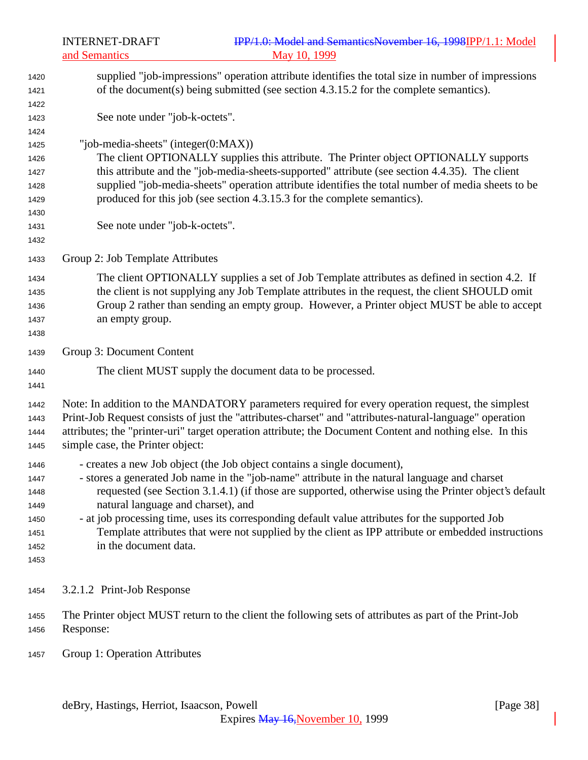| 1420<br>1421 | supplied "job-impressions" operation attribute identifies the total size in number of impressions<br>of the document(s) being submitted (see section 4.3.15.2 for the complete semantics). |
|--------------|--------------------------------------------------------------------------------------------------------------------------------------------------------------------------------------------|
| 1422         |                                                                                                                                                                                            |
| 1423         | See note under "job-k-octets".                                                                                                                                                             |
| 1424         |                                                                                                                                                                                            |
| 1425         | "job-media-sheets" (integer(0:MAX))                                                                                                                                                        |
| 1426         | The client OPTIONALLY supplies this attribute. The Printer object OPTIONALLY supports                                                                                                      |
| 1427         | this attribute and the "job-media-sheets-supported" attribute (see section 4.4.35). The client                                                                                             |
| 1428         | supplied "job-media-sheets" operation attribute identifies the total number of media sheets to be                                                                                          |
| 1429         | produced for this job (see section 4.3.15.3 for the complete semantics).                                                                                                                   |
| 1430         |                                                                                                                                                                                            |
| 1431         | See note under "job-k-octets".                                                                                                                                                             |
| 1432         |                                                                                                                                                                                            |
| 1433         | Group 2: Job Template Attributes                                                                                                                                                           |
| 1434         | The client OPTIONALLY supplies a set of Job Template attributes as defined in section 4.2. If                                                                                              |
| 1435         | the client is not supplying any Job Template attributes in the request, the client SHOULD omit                                                                                             |
| 1436         | Group 2 rather than sending an empty group. However, a Printer object MUST be able to accept                                                                                               |
| 1437         | an empty group.                                                                                                                                                                            |
| 1438         |                                                                                                                                                                                            |
| 1439         | Group 3: Document Content                                                                                                                                                                  |
| 1440         | The client MUST supply the document data to be processed.                                                                                                                                  |
| 1441         |                                                                                                                                                                                            |
| 1442         | Note: In addition to the MANDATORY parameters required for every operation request, the simplest                                                                                           |
| 1443         | Print-Job Request consists of just the "attributes-charset" and "attributes-natural-language" operation                                                                                    |
| 1444         | attributes; the "printer-uri" target operation attribute; the Document Content and nothing else. In this                                                                                   |
| 1445         | simple case, the Printer object:                                                                                                                                                           |
| 1446         | - creates a new Job object (the Job object contains a single document),                                                                                                                    |
| 1447         | - stores a generated Job name in the "job-name" attribute in the natural language and charset                                                                                              |
| 1448         | requested (see Section 3.1.4.1) (if those are supported, otherwise using the Printer object's default                                                                                      |
| 1449         | natural language and charset), and                                                                                                                                                         |
| 1450         | - at job processing time, uses its corresponding default value attributes for the supported Job                                                                                            |
| 1451         | Template attributes that were not supplied by the client as IPP attribute or embedded instructions                                                                                         |
| 1452         | in the document data.                                                                                                                                                                      |
| 1453         |                                                                                                                                                                                            |
|              |                                                                                                                                                                                            |
| 1454         | 3.2.1.2 Print-Job Response                                                                                                                                                                 |
| 1455         | The Printer object MUST return to the client the following sets of attributes as part of the Print-Job                                                                                     |
| 1456         | Response:                                                                                                                                                                                  |
|              |                                                                                                                                                                                            |

Group 1: Operation Attributes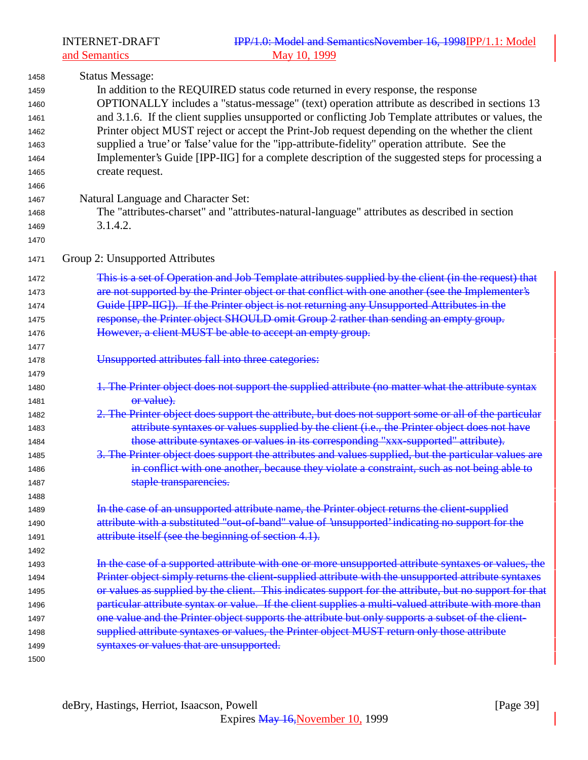| 1458 | <b>Status Message:</b>                                                                                 |
|------|--------------------------------------------------------------------------------------------------------|
| 1459 | In addition to the REQUIRED status code returned in every response, the response                       |
| 1460 | OPTIONALLY includes a "status-message" (text) operation attribute as described in sections 13          |
| 1461 | and 3.1.6. If the client supplies unsupported or conflicting Job Template attributes or values, the    |
| 1462 | Printer object MUST reject or accept the Print-Job request depending on the whether the client         |
| 1463 | supplied a 'true' or 'false' value for the "ipp-attribute-fidelity" operation attribute. See the       |
| 1464 | Implementer's Guide [IPP-IIG] for a complete description of the suggested steps for processing a       |
| 1465 | create request.                                                                                        |
| 1466 |                                                                                                        |
| 1467 | Natural Language and Character Set:                                                                    |
| 1468 | The "attributes-charset" and "attributes-natural-language" attributes as described in section          |
| 1469 | 3.1.4.2.                                                                                               |
| 1470 |                                                                                                        |
| 1471 | Group 2: Unsupported Attributes                                                                        |
| 1472 | This is a set of Operation and Job Template attributes supplied by the client (in the request) that    |
| 1473 | are not supported by the Printer object or that conflict with one another (see the Implementer's       |
| 1474 | Guide [IPP-IIG]). If the Printer object is not returning any Unsupported Attributes in the             |
| 1475 | response, the Printer object SHOULD omit Group 2 rather than sending an empty group.                   |
| 1476 | However, a client MUST be able to accept an empty group.                                               |
| 1477 |                                                                                                        |
| 1478 | Unsupported attributes fall into three categories:                                                     |
| 1479 |                                                                                                        |
| 1480 | 1. The Printer object does not support the supplied attribute (no matter what the attribute syntax     |
| 1481 | or value).                                                                                             |
| 1482 | 2. The Printer object does support the attribute, but does not support some or all of the particular   |
| 1483 | attribute syntaxes or values supplied by the client (i.e., the Printer object does not have            |
| 1484 | those attribute syntaxes or values in its corresponding "xxx-supported" attribute).                    |
| 1485 | 3. The Printer object does support the attributes and values supplied, but the particular values are   |
| 1486 | in conflict with one another, because they violate a constraint, such as not being able to             |
| 1487 | staple transparencies.                                                                                 |
| 1488 |                                                                                                        |
| 1489 | In the case of an unsupported attribute name, the Printer object returns the client-supplied           |
| 1490 | attribute with a substituted "out-of-band" value of 'unsupported' indicating no support for the        |
| 1491 | attribute itself (see the beginning of section 4.1).                                                   |
| 1492 |                                                                                                        |
| 1493 | In the case of a supported attribute with one or more unsupported attribute syntaxes or values, the    |
| 1494 | Printer object simply returns the client-supplied attribute with the unsupported attribute syntaxes    |
| 1495 | or values as supplied by the client. This indicates support for the attribute, but no support for that |
| 1496 | particular attribute syntax or value. If the client supplies a multi-valued attribute with more than   |
| 1497 | one value and the Printer object supports the attribute but only supports a subset of the client-      |
| 1498 | supplied attribute syntaxes or values, the Printer object MUST return only those attribute             |
| 1499 | syntaxes or values that are unsupported.                                                               |
| 1500 |                                                                                                        |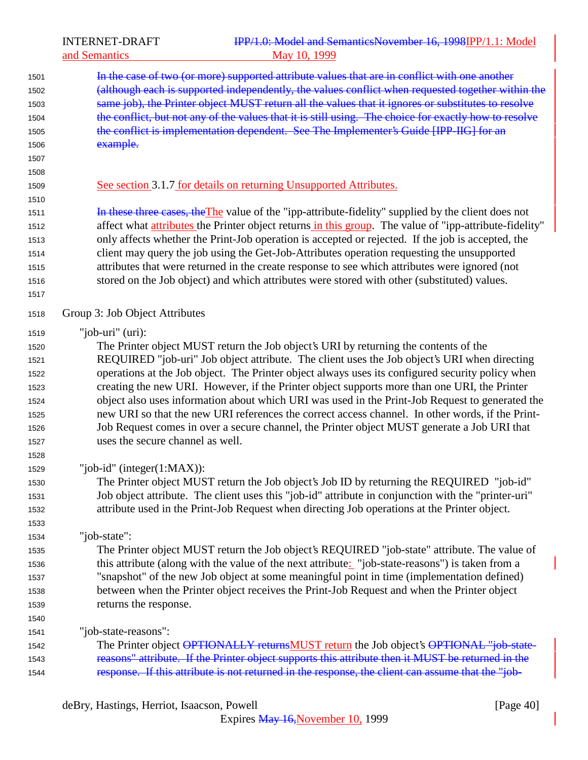| 1501 | In the case of two (or more) supported attribute values that are in conflict with one another          |
|------|--------------------------------------------------------------------------------------------------------|
| 1502 | (although each is supported independently, the values conflict when requested together within the      |
| 1503 | same job), the Printer object MUST return all the values that it ignores or substitutes to resolve     |
| 1504 | the conflict, but not any of the values that it is still using. The choice for exactly how to resolve  |
| 1505 | the conflict is implementation dependent. See The Implementer's Guide [IPP-IIG] for an                 |
| 1506 | example.                                                                                               |
| 1507 |                                                                                                        |
| 1508 |                                                                                                        |
| 1509 | See section 3.1.7 for details on returning Unsupported Attributes.                                     |
| 1510 |                                                                                                        |
| 1511 | In these three cases, the The value of the "ipp-attribute-fidelity" supplied by the client does not    |
| 1512 | affect what attributes the Printer object returns in this group. The value of "ipp-attribute-fidelity" |
| 1513 | only affects whether the Print-Job operation is accepted or rejected. If the job is accepted, the      |
| 1514 | client may query the job using the Get-Job-Attributes operation requesting the unsupported             |
| 1515 | attributes that were returned in the create response to see which attributes were ignored (not         |
| 1516 | stored on the Job object) and which attributes were stored with other (substituted) values.            |
| 1517 |                                                                                                        |
| 1518 | Group 3: Job Object Attributes                                                                         |
| 1519 | "job-uri" $(\pi)$ :                                                                                    |
| 1520 | The Printer object MUST return the Job object's URI by returning the contents of the                   |
| 1521 | REQUIRED "job-uri" Job object attribute. The client uses the Job object's URI when directing           |
| 1522 | operations at the Job object. The Printer object always uses its configured security policy when       |
| 1523 | creating the new URI. However, if the Printer object supports more than one URI, the Printer           |
| 1524 | object also uses information about which URI was used in the Print-Job Request to generated the        |
| 1525 | new URI so that the new URI references the correct access channel. In other words, if the Print-       |
| 1526 | Job Request comes in over a secure channel, the Printer object MUST generate a Job URI that            |
| 1527 | uses the secure channel as well.                                                                       |
| 1528 |                                                                                                        |
| 1529 | "job-id" (integer $(1:MAX)$ ):                                                                         |
| 1530 | The Printer object MUST return the Job object's Job ID by returning the REQUIRED "job-id"              |
| 1531 | Job object attribute. The client uses this "job-id" attribute in conjunction with the "printer-uri"    |
| 1532 | attribute used in the Print-Job Request when directing Job operations at the Printer object.           |
| 1533 |                                                                                                        |
| 1534 | "job-state":                                                                                           |
| 1535 | The Printer object MUST return the Job object's REQUIRED "job-state" attribute. The value of           |
| 1536 | this attribute (along with the value of the next attribute: "job-state-reasons") is taken from a       |
| 1537 | "snapshot" of the new Job object at some meaningful point in time (implementation defined)             |
| 1538 | between when the Printer object receives the Print-Job Request and when the Printer object             |
| 1539 | returns the response.                                                                                  |
| 1540 |                                                                                                        |
| 1541 | "job-state-reasons":                                                                                   |
| 1542 | The Printer object OPTIONALLY returnsMUST return the Job object's OPTIONAL "job-state-                 |
| 1543 | reasons" attribute. If the Printer object supports this attribute then it MUST be returned in the      |
| 1544 | response. If this attribute is not returned in the response, the client can assume that the "job-      |
|      |                                                                                                        |

deBry, Hastings, Herriot, Isaacson, Powell [Page 40]

Expires May 16, November 10, 1999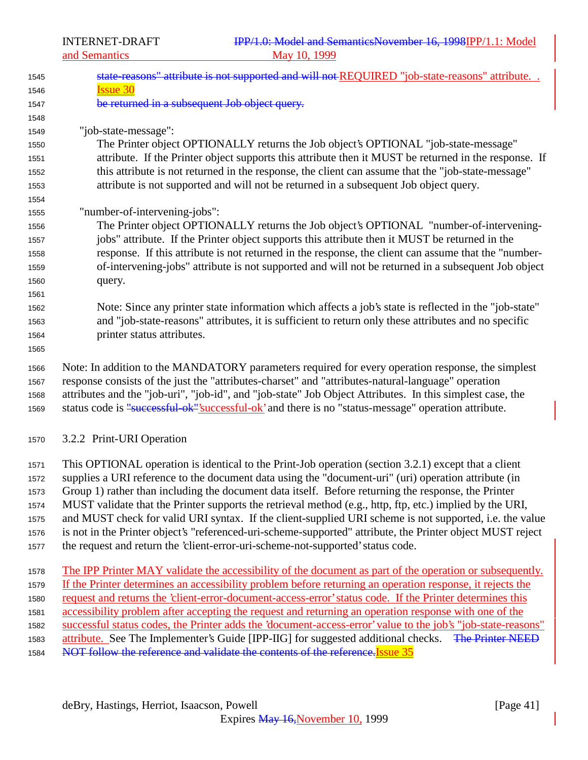|              | and Semantics                 | May 10, 1999                                                                                               |
|--------------|-------------------------------|------------------------------------------------------------------------------------------------------------|
| 1545         |                               | state-reasons" attribute is not supported and will not-REQUIRED "job-state-reasons" attribute              |
| 1546         | <b>Issue 30</b>               |                                                                                                            |
| 1547         |                               | be returned in a subsequent Job object query.                                                              |
| 1548         |                               |                                                                                                            |
| 1549         | "job-state-message":          |                                                                                                            |
| 1550         |                               | The Printer object OPTIONALLY returns the Job object's OPTIONAL "job-state-message"                        |
| 1551         |                               | attribute. If the Printer object supports this attribute then it MUST be returned in the response. If      |
| 1552         |                               | this attribute is not returned in the response, the client can assume that the "job-state-message"         |
| 1553         |                               | attribute is not supported and will not be returned in a subsequent Job object query.                      |
| 1554         |                               |                                                                                                            |
| 1555         | "number-of-intervening-jobs": | The Printer object OPTIONALLY returns the Job object's OPTIONAL "number-of-intervening-                    |
| 1556<br>1557 |                               | jobs" attribute. If the Printer object supports this attribute then it MUST be returned in the             |
| 1558         |                               | response. If this attribute is not returned in the response, the client can assume that the "number-       |
| 1559         |                               | of-intervening-jobs" attribute is not supported and will not be returned in a subsequent Job object        |
| 1560         | query.                        |                                                                                                            |
| 1561         |                               |                                                                                                            |
| 1562         |                               | Note: Since any printer state information which affects a job's state is reflected in the "job-state"      |
| 1563         |                               | and "job-state-reasons" attributes, it is sufficient to return only these attributes and no specific       |
| 1564         | printer status attributes.    |                                                                                                            |
| 1565         |                               |                                                                                                            |
| 1566         |                               | Note: In addition to the MANDATORY parameters required for every operation response, the simplest          |
| 1567         |                               | response consists of the just the "attributes-charset" and "attributes-natural-language" operation         |
| 1568         |                               | attributes and the "job-uri", "job-id", and "job-state" Job Object Attributes. In this simplest case, the  |
| 1569         |                               | status code is "successful ok"'successful ok' and there is no "status-message" operation attribute.        |
| 1570         | 3.2.2 Print-URI Operation     |                                                                                                            |
|              |                               |                                                                                                            |
| 1571         |                               | This OPTIONAL operation is identical to the Print-Job operation (section 3.2.1) except that a client       |
| 1572         |                               | supplies a URI reference to the document data using the "document-uri" (uri) operation attribute (in       |
| 1573         |                               | Group 1) rather than including the document data itself. Before returning the response, the Printer        |
| 1574         |                               | MUST validate that the Printer supports the retrieval method (e.g., http, ftp, etc.) implied by the URI,   |
| 1575         |                               | and MUST check for valid URI syntax. If the client-supplied URI scheme is not supported, i.e. the value    |
| 1576         |                               | is not in the Printer object's "referenced-uri-scheme-supported" attribute, the Printer object MUST reject |

- the request and return the 'client-error-uri-scheme-not-supported' status code.
- The IPP Printer MAY validate the accessibility of the document as part of the operation or subsequently. If the Printer determines an accessibility problem before returning an operation response, it rejects the request and returns the 'client-error-document-access-error' status code. If the Printer determines this accessibility problem after accepting the request and returning an operation response with one of the successful status codes, the Printer adds the 'document-access-error' value to the job's "job-state-reasons" 1583 attribute. See The Implementer's Guide [IPP-IIG] for suggested additional checks. The Printer NEED 1584 NOT follow the reference and validate the contents of the reference. Issue 35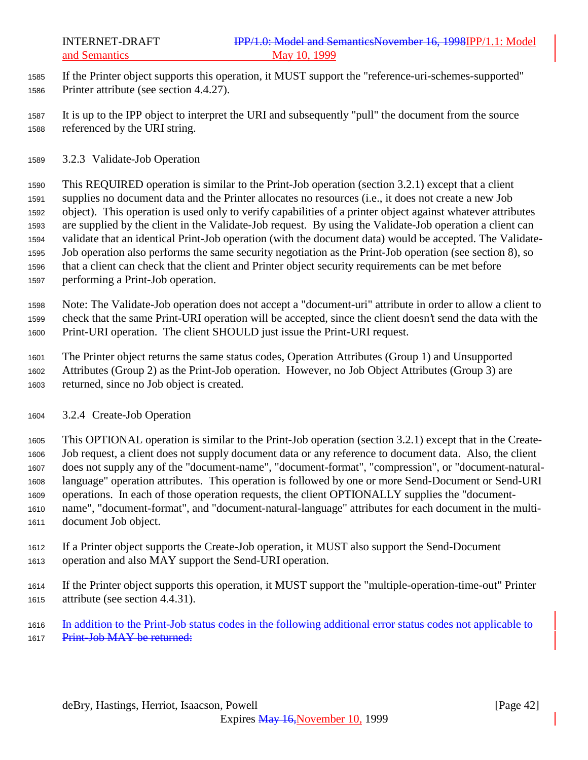If the Printer object supports this operation, it MUST support the "reference-uri-schemes-supported" Printer attribute (see section 4.4.27).

- It is up to the IPP object to interpret the URI and subsequently "pull" the document from the source referenced by the URI string.
- 3.2.3 Validate-Job Operation

 This REQUIRED operation is similar to the Print-Job operation (section 3.2.1) except that a client supplies no document data and the Printer allocates no resources (i.e., it does not create a new Job object). This operation is used only to verify capabilities of a printer object against whatever attributes are supplied by the client in the Validate-Job request. By using the Validate-Job operation a client can validate that an identical Print-Job operation (with the document data) would be accepted. The Validate- Job operation also performs the same security negotiation as the Print-Job operation (see section 8), so that a client can check that the client and Printer object security requirements can be met before performing a Print-Job operation.

 Note: The Validate-Job operation does not accept a "document-uri" attribute in order to allow a client to check that the same Print-URI operation will be accepted, since the client doesn't send the data with the Print-URI operation. The client SHOULD just issue the Print-URI request.

 The Printer object returns the same status codes, Operation Attributes (Group 1) and Unsupported Attributes (Group 2) as the Print-Job operation. However, no Job Object Attributes (Group 3) are returned, since no Job object is created.

3.2.4 Create-Job Operation

 This OPTIONAL operation is similar to the Print-Job operation (section 3.2.1) except that in the Create- Job request, a client does not supply document data or any reference to document data. Also, the client does not supply any of the "document-name", "document-format", "compression", or "document-natural- language" operation attributes. This operation is followed by one or more Send-Document or Send-URI operations. In each of those operation requests, the client OPTIONALLY supplies the "document- name", "document-format", and "document-natural-language" attributes for each document in the multi-document Job object.

- If a Printer object supports the Create-Job operation, it MUST also support the Send-Document operation and also MAY support the Send-URI operation.
- If the Printer object supports this operation, it MUST support the "multiple-operation-time-out" Printer attribute (see section 4.4.31).
- In addition to the Print-Job status codes in the following additional error status codes not applicable to 1617 Print-Job MAY be returned: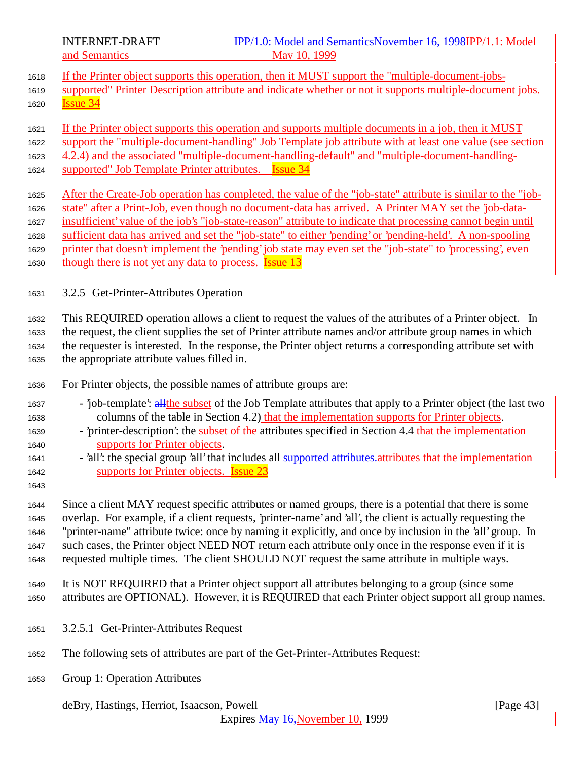- If the Printer object supports this operation, then it MUST support the "multiple-document-jobs-
- supported" Printer Description attribute and indicate whether or not it supports multiple-document jobs.
- Issue 34
- If the Printer object supports this operation and supports multiple documents in a job, then it MUST
- support the "multiple-document-handling" Job Template job attribute with at least one value (see section
- 4.2.4) and the associated "multiple-document-handling-default" and "multiple-document-handling-
- 1624 supported" Job Template Printer attributes. **Issue 34**
- After the Create-Job operation has completed, the value of the "job-state" attribute is similar to the "job- state" after a Print-Job, even though no document-data has arrived. A Printer MAY set the 'job-data- insufficient' value of the job's "job-state-reason" attribute to indicate that processing cannot begin until sufficient data has arrived and set the "job-state" to either 'pending' or 'pending-held'. A non-spooling printer that doesn't implement the 'pending' job state may even set the "job-state" to 'processing', even 1630 though there is not yet any data to process. **Issue 13**
- 3.2.5 Get-Printer-Attributes Operation

 This REQUIRED operation allows a client to request the values of the attributes of a Printer object. In the request, the client supplies the set of Printer attribute names and/or attribute group names in which the requester is interested. In the response, the Printer object returns a corresponding attribute set with the appropriate attribute values filled in.

- For Printer objects, the possible names of attribute groups are:
- 'job-template': allthe subset of the Job Template attributes that apply to a Printer object (the last two columns of the table in Section 4.2) that the implementation supports for Printer objects.
- 'printer-description': the subset of the attributes specified in Section 4.4 that the implementation supports for Printer objects.
- 1641 'all': the special group 'all' that includes all supported attributes attributes that the implementation supports for Printer objects. Issue 23
- 

 Since a client MAY request specific attributes or named groups, there is a potential that there is some overlap. For example, if a client requests, 'printer-name' and 'all', the client is actually requesting the "printer-name" attribute twice: once by naming it explicitly, and once by inclusion in the 'all' group. In such cases, the Printer object NEED NOT return each attribute only once in the response even if it is requested multiple times. The client SHOULD NOT request the same attribute in multiple ways.

- It is NOT REQUIRED that a Printer object support all attributes belonging to a group (since some attributes are OPTIONAL). However, it is REQUIRED that each Printer object support all group names.
- 3.2.5.1 Get-Printer-Attributes Request
- The following sets of attributes are part of the Get-Printer-Attributes Request:
- Group 1: Operation Attributes

deBry, Hastings, Herriot, Isaacson, Powell [Page 43]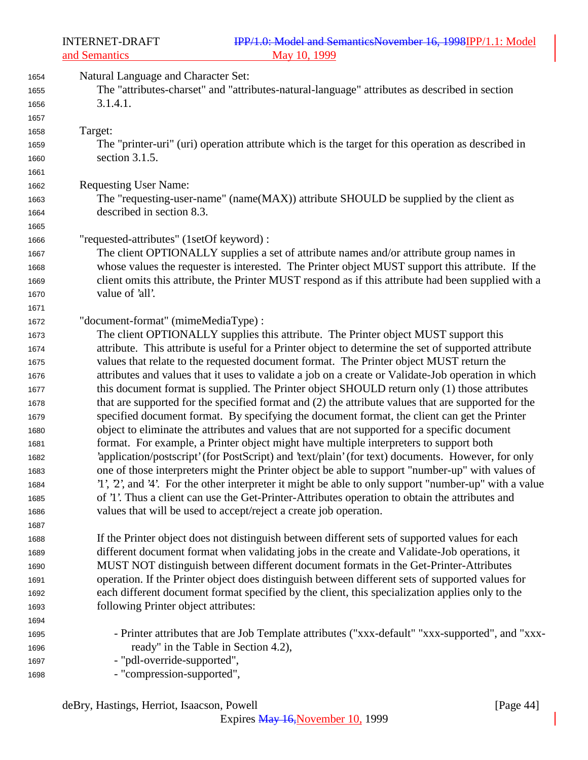| 1654<br>1655 | Natural Language and Character Set:<br>The "attributes-charset" and "attributes-natural-language" attributes as described in section                                                         |
|--------------|----------------------------------------------------------------------------------------------------------------------------------------------------------------------------------------------|
| 1656<br>1657 | 3.1.4.1.                                                                                                                                                                                     |
| 1658         | Target:                                                                                                                                                                                      |
| 1659         | The "printer-uri" (uri) operation attribute which is the target for this operation as described in                                                                                           |
| 1660         | section 3.1.5.                                                                                                                                                                               |
| 1661         |                                                                                                                                                                                              |
| 1662         | <b>Requesting User Name:</b>                                                                                                                                                                 |
| 1663         | The "requesting-user-name" (name(MAX)) attribute SHOULD be supplied by the client as                                                                                                         |
| 1664         | described in section 8.3.                                                                                                                                                                    |
| 1665         |                                                                                                                                                                                              |
| 1666         | "requested-attributes" (1setOf keyword) :                                                                                                                                                    |
| 1667         | The client OPTIONALLY supplies a set of attribute names and/or attribute group names in                                                                                                      |
| 1668         | whose values the requester is interested. The Printer object MUST support this attribute. If the                                                                                             |
| 1669         | client omits this attribute, the Printer MUST respond as if this attribute had been supplied with a                                                                                          |
| 1670         | value of 'all'.                                                                                                                                                                              |
| 1671         |                                                                                                                                                                                              |
| 1672         | "document-format" (mimeMediaType):                                                                                                                                                           |
| 1673         | The client OPTIONALLY supplies this attribute. The Printer object MUST support this                                                                                                          |
| 1674         | attribute. This attribute is useful for a Printer object to determine the set of supported attribute                                                                                         |
| 1675         | values that relate to the requested document format. The Printer object MUST return the                                                                                                      |
| 1676         | attributes and values that it uses to validate a job on a create or Validate-Job operation in which                                                                                          |
| 1677         | this document format is supplied. The Printer object SHOULD return only (1) those attributes                                                                                                 |
| 1678         | that are supported for the specified format and (2) the attribute values that are supported for the                                                                                          |
| 1679         | specified document format. By specifying the document format, the client can get the Printer                                                                                                 |
| 1680         | object to eliminate the attributes and values that are not supported for a specific document                                                                                                 |
| 1681         | format. For example, a Printer object might have multiple interpreters to support both<br>'application/postscript' (for PostScript) and 'text/plain' (for text) documents. However, for only |
| 1682         | one of those interpreters might the Printer object be able to support "number-up" with values of                                                                                             |
| 1683         | '1', 2', and '4'. For the other interpreter it might be able to only support "number-up" with a value                                                                                        |
| 1684<br>1685 | of '1'. Thus a client can use the Get-Printer-Attributes operation to obtain the attributes and                                                                                              |
| 1686         | values that will be used to accept/reject a create job operation.                                                                                                                            |
| 1687         |                                                                                                                                                                                              |
| 1688         | If the Printer object does not distinguish between different sets of supported values for each                                                                                               |
| 1689         | different document format when validating jobs in the create and Validate-Job operations, it                                                                                                 |
| 1690         | MUST NOT distinguish between different document formats in the Get-Printer-Attributes                                                                                                        |
| 1691         | operation. If the Printer object does distinguish between different sets of supported values for                                                                                             |
| 1692         | each different document format specified by the client, this specialization applies only to the                                                                                              |
| 1693         | following Printer object attributes:                                                                                                                                                         |
| 1694         |                                                                                                                                                                                              |
| 1695         | - Printer attributes that are Job Template attributes ("xxx-default" "xxx-supported", and "xxx-                                                                                              |
| 1696         | ready" in the Table in Section 4.2),                                                                                                                                                         |
| 1697         | - "pdl-override-supported",                                                                                                                                                                  |
| 1698         | - "compression-supported",                                                                                                                                                                   |
|              |                                                                                                                                                                                              |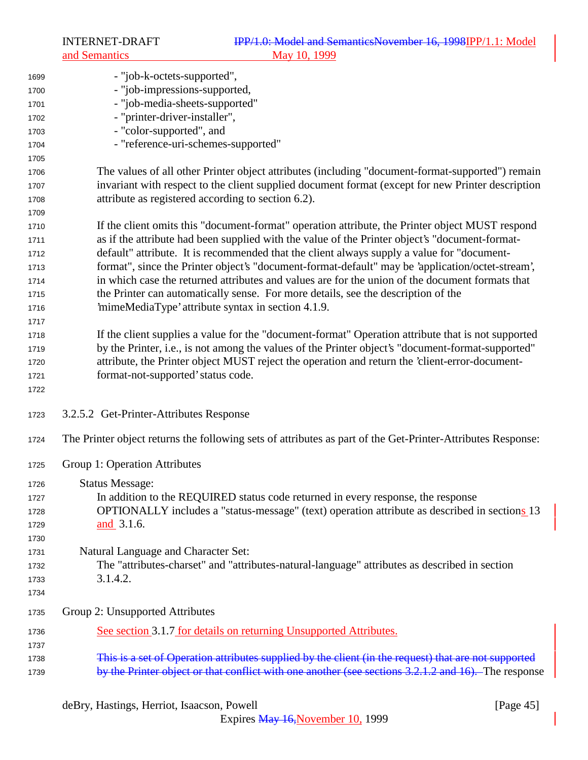| 1699         | - "job-k-octets-supported",                                                                                 |
|--------------|-------------------------------------------------------------------------------------------------------------|
| 1700         | - "job-impressions-supported,                                                                               |
|              | - "job-media-sheets-supported"                                                                              |
| 1701         | - "printer-driver-installer",                                                                               |
| 1702         | - "color-supported", and                                                                                    |
| 1703         |                                                                                                             |
| 1704         | - "reference-uri-schemes-supported"                                                                         |
| 1705         |                                                                                                             |
| 1706         | The values of all other Printer object attributes (including "document-format-supported") remain            |
| 1707         | invariant with respect to the client supplied document format (except for new Printer description           |
| 1708         | attribute as registered according to section 6.2).                                                          |
| 1709         |                                                                                                             |
| 1710         | If the client omits this "document-format" operation attribute, the Printer object MUST respond             |
| 1711         | as if the attribute had been supplied with the value of the Printer object's "document-format-              |
| 1712         | default" attribute. It is recommended that the client always supply a value for "document-                  |
| 1713         | format", since the Printer object's "document-format-default" may be 'application/octet-stream',            |
| 1714         | in which case the returned attributes and values are for the union of the document formats that             |
| 1715         | the Printer can automatically sense. For more details, see the description of the                           |
| 1716         | 'mimeMediaType' attribute syntax in section 4.1.9.                                                          |
| 1717         |                                                                                                             |
| 1718         | If the client supplies a value for the "document-format" Operation attribute that is not supported          |
| 1719         | by the Printer, i.e., is not among the values of the Printer object's "document-format-supported"           |
| 1720         | attribute, the Printer object MUST reject the operation and return the 'client-error-document-              |
| 1721         | format-not-supported' status code.                                                                          |
| 1722         |                                                                                                             |
| 1723         | 3.2.5.2 Get-Printer-Attributes Response                                                                     |
| 1724         | The Printer object returns the following sets of attributes as part of the Get-Printer-Attributes Response: |
| 1725         | Group 1: Operation Attributes                                                                               |
| 1726         | <b>Status Message:</b>                                                                                      |
| 1727         | In addition to the REQUIRED status code returned in every response, the response                            |
| 1728         | OPTIONALLY includes a "status-message" (text) operation attribute as described in sections 13               |
| 1729         | and 3.1.6.                                                                                                  |
| 1730         |                                                                                                             |
| 1731         | Natural Language and Character Set:                                                                         |
| 1732         | The "attributes-charset" and "attributes-natural-language" attributes as described in section               |
|              | 3.1.4.2.                                                                                                    |
| 1733<br>1734 |                                                                                                             |
| 1735         | Group 2: Unsupported Attributes                                                                             |
|              | See section 3.1.7 for details on returning Unsupported Attributes.                                          |
| 1736         |                                                                                                             |
| 1737         | This is a set of Operation attributes supplied by the client (in the request) that are not supported        |
| 1738         | by the Printer object or that conflict with one another (see sections 3.2.1.2 and 16). The response         |
| 1739         |                                                                                                             |

deBry, Hastings, Herriot, Isaacson, Powell [Page 45]

Expires May 16, November 10, 1999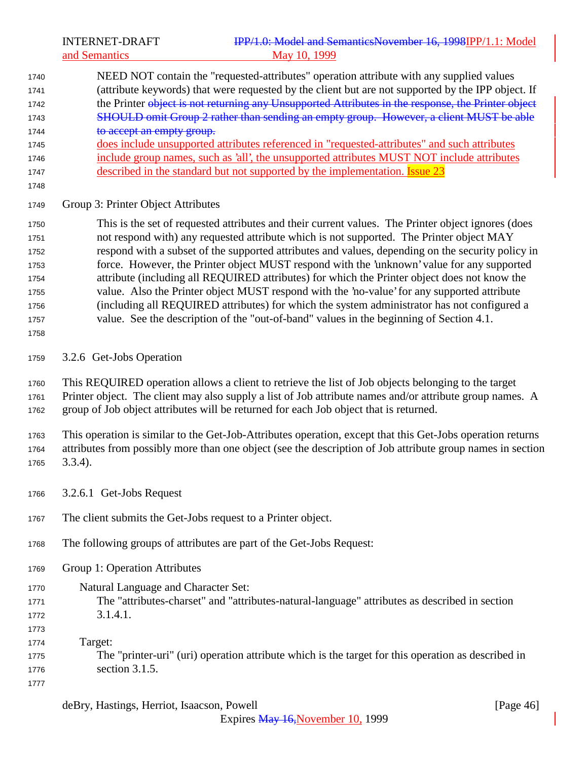INTERNET-DRAFT **IPP/1.0: Model and SemanticsNovember 16, 1998IPP/1.1:** Model and Semantics May 10, 1999

- NEED NOT contain the "requested-attributes" operation attribute with any supplied values (attribute keywords) that were requested by the client but are not supported by the IPP object. If 1742 the Printer object is not returning any Unsupported Attributes in the response, the Printer object 1743 SHOULD omit Group 2 rather than sending an empty group. However, a client MUST be able 1744 to accept an empty group. does include unsupported attributes referenced in "requested-attributes" and such attributes include group names, such as 'all', the unsupported attributes MUST NOT include attributes 1747 described in the standard but not supported by the implementation. **Issue 23**
- 

Group 3: Printer Object Attributes

 This is the set of requested attributes and their current values. The Printer object ignores (does not respond with) any requested attribute which is not supported. The Printer object MAY respond with a subset of the supported attributes and values, depending on the security policy in force. However, the Printer object MUST respond with the 'unknown' value for any supported attribute (including all REQUIRED attributes) for which the Printer object does not know the value. Also the Printer object MUST respond with the 'no-value' for any supported attribute (including all REQUIRED attributes) for which the system administrator has not configured a value. See the description of the "out-of-band" values in the beginning of Section 4.1.

3.2.6 Get-Jobs Operation

 This REQUIRED operation allows a client to retrieve the list of Job objects belonging to the target Printer object. The client may also supply a list of Job attribute names and/or attribute group names. A group of Job object attributes will be returned for each Job object that is returned.

 This operation is similar to the Get-Job-Attributes operation, except that this Get-Jobs operation returns attributes from possibly more than one object (see the description of Job attribute group names in section

- 3.3.4).
- 3.2.6.1 Get-Jobs Request
- The client submits the Get-Jobs request to a Printer object.
- The following groups of attributes are part of the Get-Jobs Request:
- Group 1: Operation Attributes
- Natural Language and Character Set: The "attributes-charset" and "attributes-natural-language" attributes as described in section 3.1.4.1.
- Target: The "printer-uri" (uri) operation attribute which is the target for this operation as described in section 3.1.5.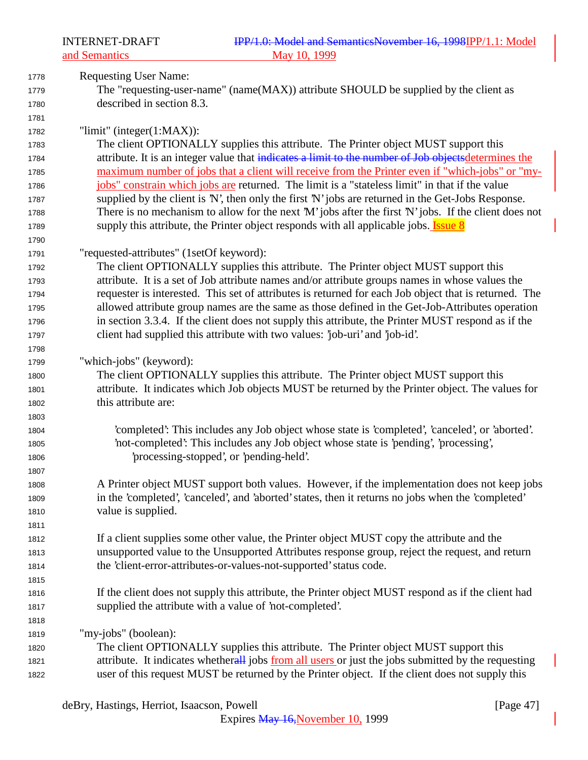| 1778 | <b>Requesting User Name:</b>                                                                          |
|------|-------------------------------------------------------------------------------------------------------|
| 1779 | The "requesting-user-name" (name(MAX)) attribute SHOULD be supplied by the client as                  |
| 1780 | described in section 8.3.                                                                             |
| 1781 |                                                                                                       |
| 1782 | "limit" (integer $(1:MAX)$ ):                                                                         |
| 1783 | The client OPTIONALLY supplies this attribute. The Printer object MUST support this                   |
| 1784 | attribute. It is an integer value that indicates a limit to the number of Job objectsdetermines the   |
| 1785 | maximum number of jobs that a client will receive from the Printer even if "which-jobs" or "my-       |
| 1786 | jobs" constrain which jobs are returned. The limit is a "stateless limit" in that if the value        |
| 1787 | supplied by the client is 'N', then only the first 'N' jobs are returned in the Get-Jobs Response.    |
| 1788 | There is no mechanism to allow for the next 'M' jobs after the first 'N' jobs. If the client does not |
| 1789 | supply this attribute, the Printer object responds with all applicable jobs. <b>Issue 8</b>           |
| 1790 |                                                                                                       |
| 1791 | "requested-attributes" (1setOf keyword):                                                              |
| 1792 | The client OPTIONALLY supplies this attribute. The Printer object MUST support this                   |
| 1793 | attribute. It is a set of Job attribute names and/or attribute groups names in whose values the       |
| 1794 | requester is interested. This set of attributes is returned for each Job object that is returned. The |
| 1795 | allowed attribute group names are the same as those defined in the Get-Job-Attributes operation       |
| 1796 | in section 3.3.4. If the client does not supply this attribute, the Printer MUST respond as if the    |
| 1797 | client had supplied this attribute with two values: 'job-uri' and 'job-id'.                           |
| 1798 |                                                                                                       |
| 1799 | "which-jobs" (keyword):                                                                               |
| 1800 | The client OPTIONALLY supplies this attribute. The Printer object MUST support this                   |
| 1801 | attribute. It indicates which Job objects MUST be returned by the Printer object. The values for      |
| 1802 | this attribute are:                                                                                   |
| 1803 |                                                                                                       |
| 1804 | 'completed': This includes any Job object whose state is 'completed', 'canceled', or 'aborted'.       |
| 1805 | 'not-completed': This includes any Job object whose state is 'pending', 'processing',                 |
| 1806 | processing-stopped', or 'pending-held'.                                                               |
| 1807 |                                                                                                       |
| 1808 | A Printer object MUST support both values. However, if the implementation does not keep jobs          |
| 1809 | in the 'completed', 'canceled', and 'aborted' states, then it returns no jobs when the 'completed'    |
| 1810 | value is supplied.                                                                                    |
| 1811 |                                                                                                       |
| 1812 | If a client supplies some other value, the Printer object MUST copy the attribute and the             |
| 1813 | unsupported value to the Unsupported Attributes response group, reject the request, and return        |
| 1814 | the 'client-error-attributes-or-values-not-supported' status code.                                    |
| 1815 |                                                                                                       |
| 1816 | If the client does not supply this attribute, the Printer object MUST respond as if the client had    |
| 1817 | supplied the attribute with a value of 'not-completed'.                                               |
| 1818 |                                                                                                       |
| 1819 | "my-jobs" (boolean):                                                                                  |
| 1820 | The client OPTIONALLY supplies this attribute. The Printer object MUST support this                   |
| 1821 | attribute. It indicates whetherall jobs from all users or just the jobs submitted by the requesting   |
| 1822 | user of this request MUST be returned by the Printer object. If the client does not supply this       |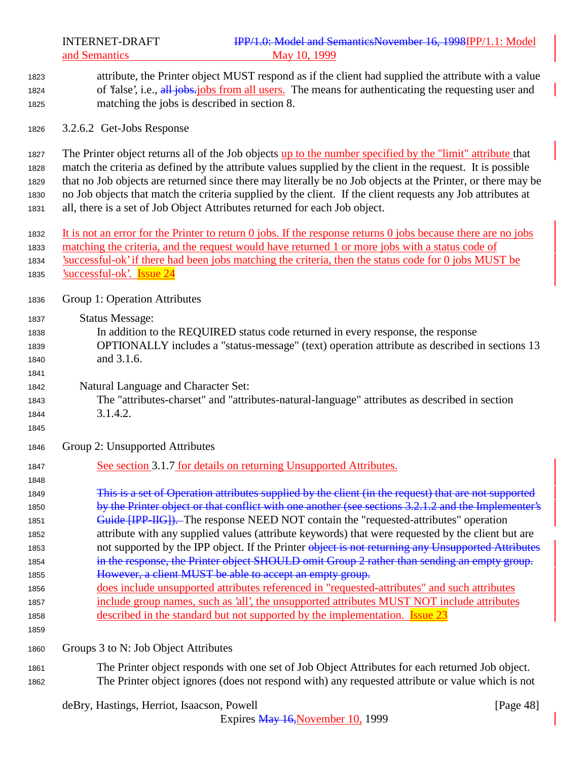INTERNET-DRAFT **IPP/1.0: Model and SemanticsNovember 16, 1998IPP/1.1:** Model and Semantics May 10, 1999 attribute, the Printer object MUST respond as if the client had supplied the attribute with a value 1824 of 'false', i.e., all jobs.jobs from all users. The means for authenticating the requesting user and matching the jobs is described in section 8. 3.2.6.2 Get-Jobs Response The Printer object returns all of the Job objects up to the number specified by the "limit" attribute that match the criteria as defined by the attribute values supplied by the client in the request. It is possible that no Job objects are returned since there may literally be no Job objects at the Printer, or there may be no Job objects that match the criteria supplied by the client. If the client requests any Job attributes at all, there is a set of Job Object Attributes returned for each Job object. It is not an error for the Printer to return 0 jobs. If the response returns 0 jobs because there are no jobs matching the criteria, and the request would have returned 1 or more jobs with a status code of 'successful-ok' if there had been jobs matching the criteria, then the status code for 0 jobs MUST be 'successful-ok'. Issue 24 Group 1: Operation Attributes Status Message: In addition to the REQUIRED status code returned in every response, the response OPTIONALLY includes a "status-message" (text) operation attribute as described in sections 13 and 3.1.6. Natural Language and Character Set: The "attributes-charset" and "attributes-natural-language" attributes as described in section 1844 3.1.4.2. Group 2: Unsupported Attributes See section 3.1.7 for details on returning Unsupported Attributes. This is a set of Operation attributes supplied by the client (in the request) that are not supported 1850 by the Printer object or that conflict with one another (see sections 3.2.1.2 and the Implementer's **Guide [IPP-IIG]).** The response NEED NOT contain the "requested-attributes" operation attribute with any supplied values (attribute keywords) that were requested by the client but are 1853 not supported by the IPP object. If the Printer object is not returning any Unsupported Attributes in the response, the Printer object SHOULD omit Group 2 rather than sending an empty group. **However, a client MUST be able to accept an empty group.**  does include unsupported attributes referenced in "requested-attributes" and such attributes include group names, such as 'all', the unsupported attributes MUST NOT include attributes described in the standard but not supported by the implementation. Issue 23 Groups 3 to N: Job Object Attributes The Printer object responds with one set of Job Object Attributes for each returned Job object.

deBry, Hastings, Herriot, Isaacson, Powell [Page 48]

The Printer object ignores (does not respond with) any requested attribute or value which is not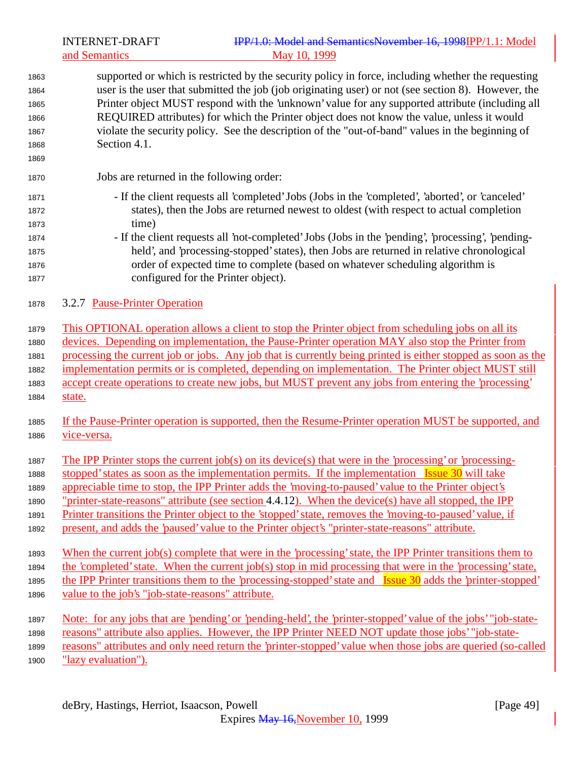# INTERNET-DRAFT **IPP/1.0: Model and SemanticsNovember 16, 1998IPP/1.1:** Model and Semantics May 10, 1999

 supported or which is restricted by the security policy in force, including whether the requesting user is the user that submitted the job (job originating user) or not (see section 8). However, the Printer object MUST respond with the 'unknown' value for any supported attribute (including all REQUIRED attributes) for which the Printer object does not know the value, unless it would violate the security policy. See the description of the "out-of-band" values in the beginning of Section 4.1. Jobs are returned in the following order: - If the client requests all 'completed' Jobs (Jobs in the 'completed', 'aborted', or 'canceled' states), then the Jobs are returned newest to oldest (with respect to actual completion time) - If the client requests all 'not-completed' Jobs (Jobs in the 'pending', 'processing', 'pending- held', and 'processing-stopped' states), then Jobs are returned in relative chronological order of expected time to complete (based on whatever scheduling algorithm is configured for the Printer object). 3.2.7 Pause-Printer Operation This OPTIONAL operation allows a client to stop the Printer object from scheduling jobs on all its devices. Depending on implementation, the Pause-Printer operation MAY also stop the Printer from processing the current job or jobs. Any job that is currently being printed is either stopped as soon as the implementation permits or is completed, depending on implementation. The Printer object MUST still accept create operations to create new jobs, but MUST prevent any jobs from entering the 'processing' state. If the Pause-Printer operation is supported, then the Resume-Printer operation MUST be supported, and vice-versa. The IPP Printer stops the current job(s) on its device(s) that were in the 'processing' or 'processing- stopped' states as soon as the implementation permits. If the implementation Issue 30 will take appreciable time to stop, the IPP Printer adds the 'moving-to-paused' value to the Printer object's "printer-state-reasons" attribute (see section 4.4.12). When the device(s) have all stopped, the IPP Printer transitions the Printer object to the 'stopped' state, removes the 'moving-to-paused' value, if present, and adds the 'paused' value to the Printer object's "printer-state-reasons" attribute. When the current job(s) complete that were in the 'processing' state, the IPP Printer transitions them to the 'completed' state. When the current job(s) stop in mid processing that were in the 'processing' state, 1895 the IPP Printer transitions them to the 'processing-stopped' state and Issue 30 adds the 'printer-stopped' value to the job's "job-state-reasons" attribute. Note: for any jobs that are 'pending' or 'pending-held', the 'printer-stopped' value of the jobs' "job-state- reasons" attribute also applies. However, the IPP Printer NEED NOT update those jobs' "job-state- reasons" attributes and only need return the 'printer-stopped' value when those jobs are queried (so-called 1900 <u>"lazy evaluation").</u>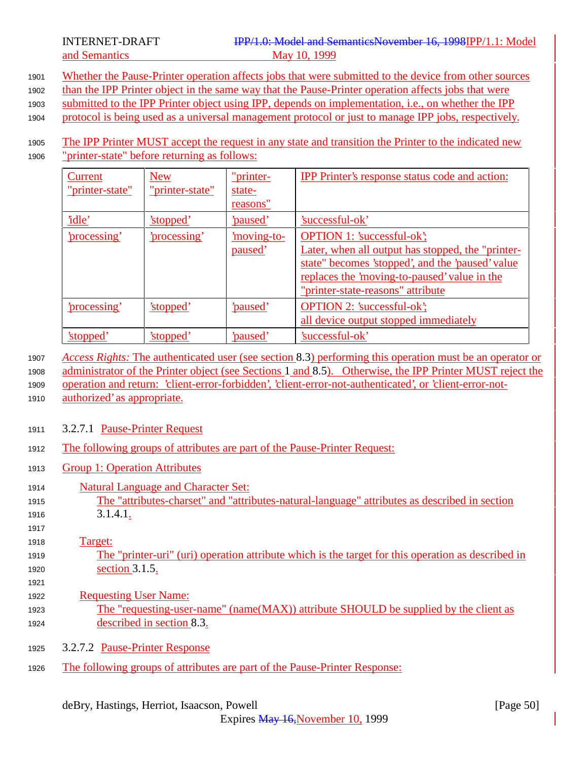<sup>1901</sup> Whether the Pause-Printer operation affects jobs that were submitted to the device from other sources

<sup>1902</sup> than the IPP Printer object in the same way that the Pause-Printer operation affects jobs that were

<sup>1903</sup> submitted to the IPP Printer object using IPP, depends on implementation, i.e., on whether the IPP

<sup>1904</sup> protocol is being used as a universal management protocol or just to manage IPP jobs, respectively.

### 1905 The IPP Printer MUST accept the request in any state and transition the Printer to the indicated new <sup>1906</sup> "printer-state" before returning as follows:

| Current<br>"printer-state" | <b>New</b><br>"printer-state" | "printer-<br>state-<br>reasons" | <b>IPP Printer's response status code and action:</b>                                                                                                                                                                           |
|----------------------------|-------------------------------|---------------------------------|---------------------------------------------------------------------------------------------------------------------------------------------------------------------------------------------------------------------------------|
| <u>'idle'</u>              | <u>'stopped'</u>              | <u>'paused'</u>                 | 'successful-ok'                                                                                                                                                                                                                 |
| 'processing'               | <u>'processing'</u>           | <u>moving-to-</u><br>paused'    | <b>OPTION 1: 'successful-ok';</b><br>Later, when all output has stopped, the "printer-<br>state" becomes 'stopped', and the 'paused' value<br>replaces the 'moving-to-paused' value in the<br>"printer-state-reasons" attribute |
| <u>'processing'</u>        | 'stopped'                     | 'paused'                        | <b>OPTION 2: 'successful-ok';</b><br>all device output stopped immediately                                                                                                                                                      |
| <u>'stopped</u>            | 'stopped'                     | paused                          | 'successful-ok'                                                                                                                                                                                                                 |

<sup>1907</sup> *Access Rights:* The authenticated user (see section 8.3) performing this operation must be an operator or

<sup>1908</sup> administrator of the Printer object (see Sections 1 and 8.5). Otherwise, the IPP Printer MUST reject the <sup>1909</sup> operation and return: 'client-error-forbidden', 'client-error-not-authenticated', or 'client-error-not-

<sup>1910</sup> authorized' as appropriate.

- <sup>1911</sup> 3.2.7.1 Pause-Printer Request
- <sup>1912</sup> The following groups of attributes are part of the Pause-Printer Request:
- <sup>1913</sup> Group 1: Operation Attributes
- <sup>1914</sup> Natural Language and Character Set: <sup>1915</sup> The "attributes-charset" and "attributes-natural-language" attributes as described in section <sup>1916</sup> 3.1.4.1.

#### 1917 <sup>1918</sup> Target:

- <sup>1919</sup> The "printer-uri" (uri) operation attribute which is the target for this operation as described in 1920 **section 3.1.5.**
- 1921 <sup>1922</sup> Requesting User Name:
- <sup>1923</sup> The "requesting-user-name" (name(MAX)) attribute SHOULD be supplied by the client as <sup>1924</sup> described in section 8.3.
- <sup>1925</sup> 3.2.7.2 Pause-Printer Response
- <sup>1926</sup> The following groups of attributes are part of the Pause-Printer Response: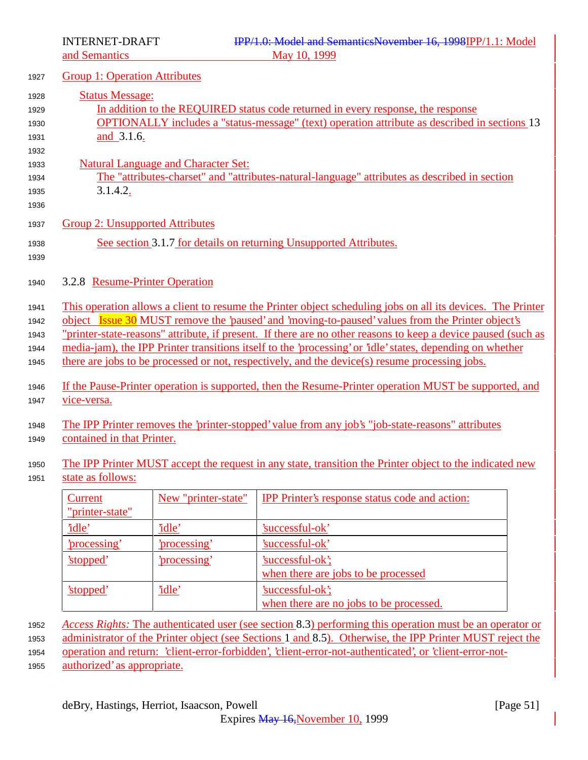|                                      | <b>Group 1: Operation Attributes</b>       |                                                                                                                                                                                                                                                                                                                                                                                                                                                                                                                                                                                                                                                          |
|--------------------------------------|--------------------------------------------|----------------------------------------------------------------------------------------------------------------------------------------------------------------------------------------------------------------------------------------------------------------------------------------------------------------------------------------------------------------------------------------------------------------------------------------------------------------------------------------------------------------------------------------------------------------------------------------------------------------------------------------------------------|
| <b>Status Message:</b><br>and 3.1.6. |                                            | In addition to the REQUIRED status code returned in every response, the response<br>OPTIONALLY includes a "status-message" (text) operation attribute as described in sections 13                                                                                                                                                                                                                                                                                                                                                                                                                                                                        |
| 3.1.4.2.                             | <b>Natural Language and Character Set:</b> | The "attributes-charset" and "attributes-natural-language" attributes as described in section                                                                                                                                                                                                                                                                                                                                                                                                                                                                                                                                                            |
|                                      | <b>Group 2: Unsupported Attributes</b>     |                                                                                                                                                                                                                                                                                                                                                                                                                                                                                                                                                                                                                                                          |
|                                      |                                            | See section 3.1.7 for details on returning Unsupported Attributes.                                                                                                                                                                                                                                                                                                                                                                                                                                                                                                                                                                                       |
|                                      | 3.2.8 Resume-Printer Operation             |                                                                                                                                                                                                                                                                                                                                                                                                                                                                                                                                                                                                                                                          |
| vice-versa.                          |                                            | This operation allows a client to resume the Printer object scheduling jobs on all its devices. The Printer<br>object Issue 30 MUST remove the 'paused' and 'moving-to-paused' values from the Printer object's<br>"printer-state-reasons" attribute, if present. If there are no other reasons to keep a device paused (such as<br>media-jam), the IPP Printer transitions itself to the 'processing' or 'idle' states, depending on whether<br>there are jobs to be processed or not, respectively, and the device(s) resume processing jobs.<br>If the Pause-Printer operation is supported, then the Resume-Printer operation MUST be supported, and |
|                                      |                                            | The IPP Printer removes the 'printer-stopped' value from any job's "job-state-reasons" attributes                                                                                                                                                                                                                                                                                                                                                                                                                                                                                                                                                        |
| contained in that Printer.           |                                            |                                                                                                                                                                                                                                                                                                                                                                                                                                                                                                                                                                                                                                                          |
| state as follows:                    |                                            | The IPP Printer MUST accept the request in any state, transition the Printer object to the indicated new                                                                                                                                                                                                                                                                                                                                                                                                                                                                                                                                                 |
| Current<br>"printer-state"           | New "printer-state"                        | <b>IPP</b> Printer's response status code and action:                                                                                                                                                                                                                                                                                                                                                                                                                                                                                                                                                                                                    |
| 'idle'                               | 'idle'                                     | 'successful-ok'                                                                                                                                                                                                                                                                                                                                                                                                                                                                                                                                                                                                                                          |
| 'processing'                         | 'processing'                               | 'successful-ok'                                                                                                                                                                                                                                                                                                                                                                                                                                                                                                                                                                                                                                          |
| 'stopped'                            | 'processing'                               | 'successful-ok';                                                                                                                                                                                                                                                                                                                                                                                                                                                                                                                                                                                                                                         |
|                                      |                                            | when there are jobs to be processed                                                                                                                                                                                                                                                                                                                                                                                                                                                                                                                                                                                                                      |
| 'stopped'                            | 'idle'                                     | 'successful-ok';                                                                                                                                                                                                                                                                                                                                                                                                                                                                                                                                                                                                                                         |
|                                      |                                            | when there are no jobs to be processed.                                                                                                                                                                                                                                                                                                                                                                                                                                                                                                                                                                                                                  |

<sup>1952</sup> *Access Rights:* The authenticated user (see section 8.3) performing this operation must be an operator or

1953 administrator of the Printer object (see Sections 1 and 8.5). Otherwise, the IPP Printer MUST reject the

<sup>1954</sup> operation and return: 'client-error-forbidden', 'client-error-not-authenticated', or 'client-error-not-

<sup>1955</sup> authorized' as appropriate.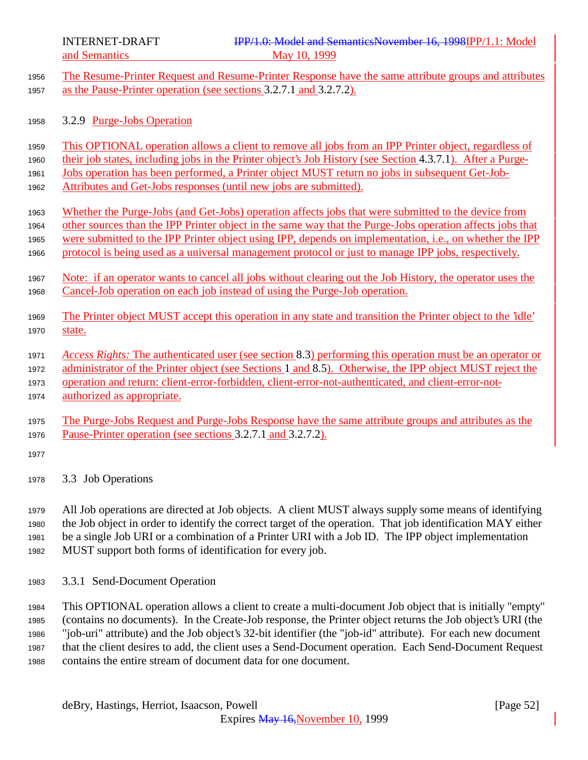INTERNET-DRAFT **IPP/1.0: Model and SemanticsNovember 16, 1998IPP/1.1:** Model

|              | May 10, 1999<br>and Semantics                                                                                                                                                                                       |
|--------------|---------------------------------------------------------------------------------------------------------------------------------------------------------------------------------------------------------------------|
| 1956         | The Resume-Printer Request and Resume-Printer Response have the same attribute groups and attributes                                                                                                                |
| 1957         | as the Pause-Printer operation (see sections 3.2.7.1 and 3.2.7.2).                                                                                                                                                  |
|              |                                                                                                                                                                                                                     |
| 1958         | 3.2.9 Purge-Jobs Operation                                                                                                                                                                                          |
| 1959         | This OPTIONAL operation allows a client to remove all jobs from an IPP Printer object, regardless of                                                                                                                |
| 1960         | their job states, including jobs in the Printer object's Job History (see Section 4.3.7.1). After a Purge-                                                                                                          |
| 1961         | Jobs operation has been performed, a Printer object MUST return no jobs in subsequent Get-Job-                                                                                                                      |
| 1962         | Attributes and Get-Jobs responses (until new jobs are submitted).                                                                                                                                                   |
| 1963         | Whether the Purge-Jobs (and Get-Jobs) operation affects jobs that were submitted to the device from                                                                                                                 |
| 1964         | other sources than the IPP Printer object in the same way that the Purge-Jobs operation affects jobs that                                                                                                           |
| 1965         | were submitted to the IPP Printer object using IPP, depends on implementation, i.e., on whether the IPP                                                                                                             |
| 1966         | protocol is being used as a universal management protocol or just to manage IPP jobs, respectively.                                                                                                                 |
|              |                                                                                                                                                                                                                     |
| 1967         | Note: if an operator wants to cancel all jobs without clearing out the Job History, the operator uses the                                                                                                           |
| 1968         | Cancel-Job operation on each job instead of using the Purge-Job operation.                                                                                                                                          |
| 1969         | The Printer object MUST accept this operation in any state and transition the Printer object to the "idle"                                                                                                          |
| 1970         | state.                                                                                                                                                                                                              |
|              |                                                                                                                                                                                                                     |
| 1971<br>1972 | Access Rights: The authenticated user (see section 8.3) performing this operation must be an operator or<br>administrator of the Printer object (see Sections 1 and 8.5). Otherwise, the IPP object MUST reject the |
| 1973         | operation and return: client-error-forbidden, client-error-not-authenticated, and client-error-not-                                                                                                                 |
| 1974         | authorized as appropriate.                                                                                                                                                                                          |
|              |                                                                                                                                                                                                                     |
| 1975         | The Purge-Jobs Request and Purge-Jobs Response have the same attribute groups and attributes as the                                                                                                                 |
| 1976         | Pause-Printer operation (see sections 3.2.7.1 and 3.2.7.2).                                                                                                                                                         |
| 1977         |                                                                                                                                                                                                                     |
| 1978         | 3.3 Job Operations                                                                                                                                                                                                  |
|              |                                                                                                                                                                                                                     |
| 1979         | All Job operations are directed at Job objects. A client MUST always supply some means of identifying                                                                                                               |
| 1000         | the Leb chiest in endente identify the compatition of the enemies. That ich identification MAV citizen                                                                                                              |

<sup>1980</sup> the Job object in order to identify the correct target of the operation. That job identification MAY either <sup>1981</sup> be a single Job URI or a combination of a Printer URI with a Job ID. The IPP object implementation <sup>1982</sup> MUST support both forms of identification for every job.

<sup>1983</sup> 3.3.1 Send-Document Operation

 This OPTIONAL operation allows a client to create a multi-document Job object that is initially "empty" (contains no documents). In the Create-Job response, the Printer object returns the Job object's URI (the "job-uri" attribute) and the Job object's 32-bit identifier (the "job-id" attribute). For each new document that the client desires to add, the client uses a Send-Document operation. Each Send-Document Request contains the entire stream of document data for one document.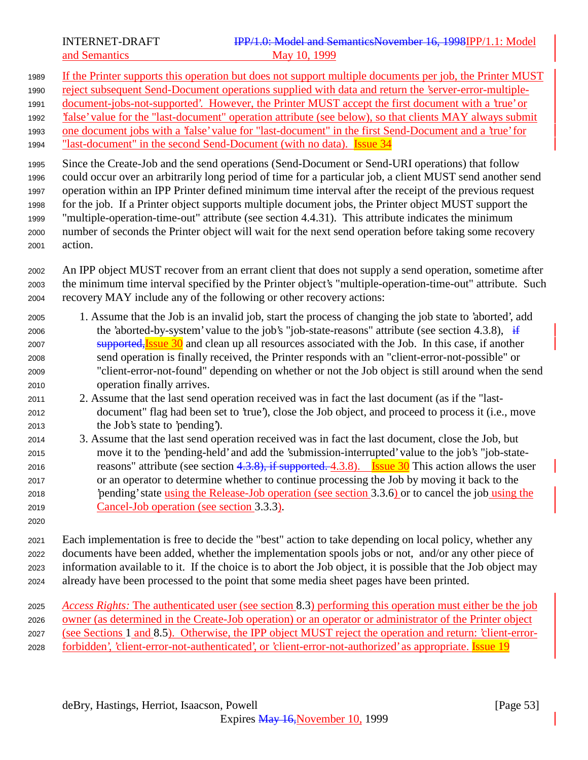- If the Printer supports this operation but does not support multiple documents per job, the Printer MUST
- 1990 reject subsequent Send-Document operations supplied with data and return the 'server-error-multiple-
- document-jobs-not-supported'. However, the Printer MUST accept the first document with a 'true' or
- 'false' value for the "last-document" operation attribute (see below), so that clients MAY always submit one document jobs with a 'false' value for "last-document" in the first Send-Document and a 'true' for
- 1994 "last-document" in the second Send-Document (with no data). **Issue 34**

 Since the Create-Job and the send operations (Send-Document or Send-URI operations) that follow could occur over an arbitrarily long period of time for a particular job, a client MUST send another send operation within an IPP Printer defined minimum time interval after the receipt of the previous request for the job. If a Printer object supports multiple document jobs, the Printer object MUST support the "multiple-operation-time-out" attribute (see section 4.4.31). This attribute indicates the minimum number of seconds the Printer object will wait for the next send operation before taking some recovery action.

- An IPP object MUST recover from an errant client that does not supply a send operation, sometime after the minimum time interval specified by the Printer object's "multiple-operation-time-out" attribute. Such recovery MAY include any of the following or other recovery actions:
- 1. Assume that the Job is an invalid job, start the process of changing the job state to 'aborted', add 2006 the 'aborted-by-system' value to the job's "job-state-reasons" attribute (see section 4.3.8), if 2007 supported, Issue 30 and clean up all resources associated with the Job. In this case, if another send operation is finally received, the Printer responds with an "client-error-not-possible" or "client-error-not-found" depending on whether or not the Job object is still around when the send operation finally arrives.
- 2. Assume that the last send operation received was in fact the last document (as if the "last- document" flag had been set to 'true'), close the Job object, and proceed to process it (i.e., move the Job's state to 'pending').
- 3. Assume that the last send operation received was in fact the last document, close the Job, but move it to the 'pending-held' and add the 'submission-interrupted' value to the job's "job-state-2016 reasons" attribute (see section  $4.3.8$ ), if supported. 4.3.8). Issue  $30$  This action allows the user or an operator to determine whether to continue processing the Job by moving it back to the 'pending' state using the Release-Job operation (see section 3.3.6) or to cancel the job using the Cancel-Job operation (see section 3.3.3).
- 

 Each implementation is free to decide the "best" action to take depending on local policy, whether any documents have been added, whether the implementation spools jobs or not, and/or any other piece of information available to it. If the choice is to abort the Job object, it is possible that the Job object may already have been processed to the point that some media sheet pages have been printed.

 *Access Rights:* The authenticated user (see section 8.3) performing this operation must either be the job owner (as determined in the Create-Job operation) or an operator or administrator of the Printer object (see Sections 1 and 8.5). Otherwise, the IPP object MUST reject the operation and return: 'client-error-forbidden', 'client-error-not-authenticated', or 'client-error-not-authorized' as appropriate. Issue 19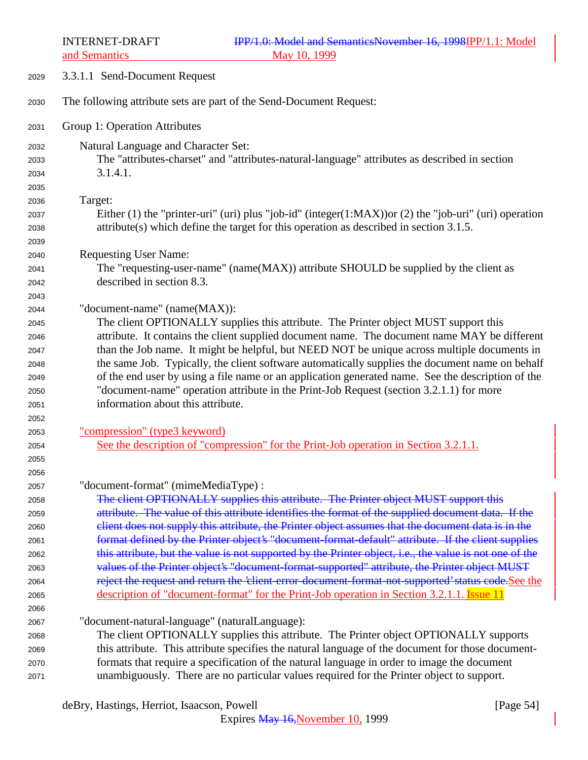| 2029                                 | 3.3.1.1 Send-Document Request                                                                                                                                                                                                                                                                                                        |
|--------------------------------------|--------------------------------------------------------------------------------------------------------------------------------------------------------------------------------------------------------------------------------------------------------------------------------------------------------------------------------------|
| 2030                                 | The following attribute sets are part of the Send-Document Request:                                                                                                                                                                                                                                                                  |
| 2031                                 | Group 1: Operation Attributes                                                                                                                                                                                                                                                                                                        |
| 2032<br>2033<br>2034<br>2035         | Natural Language and Character Set:<br>The "attributes-charset" and "attributes-natural-language" attributes as described in section<br>3.1.4.1.                                                                                                                                                                                     |
| 2036<br>2037<br>2038                 | Target:<br>Either (1) the "printer-uri" (uri) plus "job-id" (integer(1:MAX)) or (2) the "job-uri" (uri) operation<br>$attribute(s)$ which define the target for this operation as described in section 3.1.5.                                                                                                                        |
| 2039<br>2040<br>2041<br>2042         | <b>Requesting User Name:</b><br>The "requesting-user-name" (name(MAX)) attribute SHOULD be supplied by the client as<br>described in section 8.3.                                                                                                                                                                                    |
| 2043<br>2044<br>2045<br>2046<br>2047 | "document-name" (name(MAX)):<br>The client OPTIONALLY supplies this attribute. The Printer object MUST support this<br>attribute. It contains the client supplied document name. The document name MAY be different<br>than the Job name. It might be helpful, but NEED NOT be unique across multiple documents in                   |
| 2048<br>2049<br>2050<br>2051         | the same Job. Typically, the client software automatically supplies the document name on behalf<br>of the end user by using a file name or an application generated name. See the description of the<br>"document-name" operation attribute in the Print-Job Request (section 3.2.1.1) for more<br>information about this attribute. |
| 2052<br>2053<br>2054<br>2055         | "compression" (type3 keyword)<br>See the description of "compression" for the Print-Job operation in Section 3.2.1.1.                                                                                                                                                                                                                |
| 2056<br>2057<br>2058<br>2059         | "document-format" (mimeMediaType):<br>The client OPTIONALLY supplies this attribute. The Printer object MUST support this<br>attribute. The value of this attribute identifies the format of the supplied document data. If the                                                                                                      |
| 2060<br>2061<br>2062                 | elient does not supply this attribute, the Printer object assumes that the document data is in the<br>format defined by the Printer object's "document-format-default" attribute. If the client supplies<br>this attribute, but the value is not supported by the Printer object, i.e., the value is not one of the                  |
| 2063<br>2064<br>2065<br>2066         | values of the Printer object's "document-format-supported" attribute, the Printer object MUST<br>reject the request and return the 'client-error-document-format-not-supported' status code.See the<br>description of "document-format" for the Print-Job operation in Section 3.2.1.1. Issue 11                                     |
| 2067<br>2068<br>2069                 | "document-natural-language" (naturalLanguage):<br>The client OPTIONALLY supplies this attribute. The Printer object OPTIONALLY supports<br>this attribute. This attribute specifies the natural language of the document for those document-                                                                                         |
| 2070<br>2071                         | formats that require a specification of the natural language in order to image the document<br>unambiguously. There are no particular values required for the Printer object to support.                                                                                                                                             |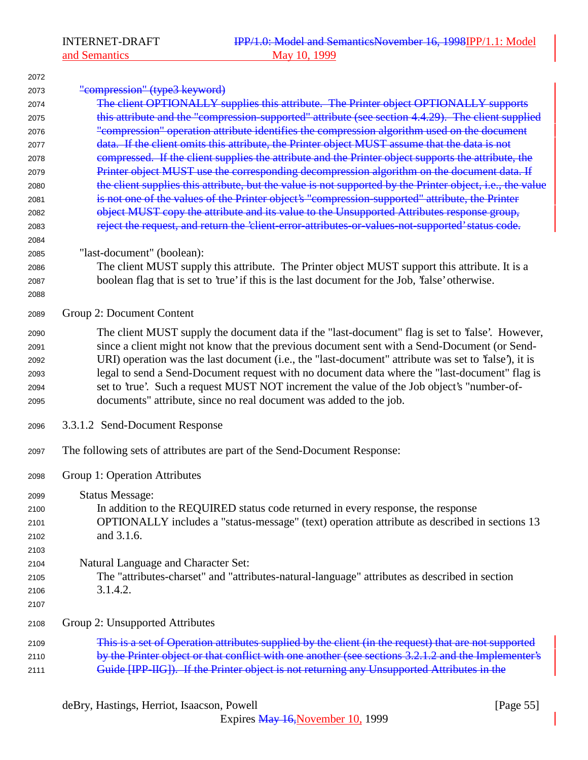| 2072 |                                                                                                           |
|------|-----------------------------------------------------------------------------------------------------------|
| 2073 | "compression" (type3 keyword)                                                                             |
| 2074 | The client OPTIONALLY supplies this attribute. The Printer object OPTIONALLY supports                     |
| 2075 | this attribute and the "compression-supported" attribute (see section 4.4.29). The client supplied        |
| 2076 | "compression" operation attribute identifies the compression algorithm used on the document               |
| 2077 | data. If the client omits this attribute, the Printer object MUST assume that the data is not             |
| 2078 | compressed. If the client supplies the attribute and the Printer object supports the attribute, the       |
| 2079 | Printer object MUST use the corresponding decompression algorithm on the document data. If                |
| 2080 | the client supplies this attribute, but the value is not supported by the Printer object, i.e., the value |
| 2081 | is not one of the values of the Printer object's "compression-supported" attribute, the Printer           |
| 2082 | object MUST copy the attribute and its value to the Unsupported Attributes response group,                |
| 2083 | reject the request, and return the 'client-error-attributes-or-values-not-supported' status code.         |
| 2084 |                                                                                                           |
| 2085 | "last-document" (boolean):                                                                                |
| 2086 | The client MUST supply this attribute. The Printer object MUST support this attribute. It is a            |
| 2087 | boolean flag that is set to 'true' if this is the last document for the Job, 'false' otherwise.           |
| 2088 |                                                                                                           |
| 2089 | Group 2: Document Content                                                                                 |
| 2090 | The client MUST supply the document data if the "last-document" flag is set to 'false'. However,          |
| 2091 | since a client might not know that the previous document sent with a Send-Document (or Send-              |
| 2092 | URI) operation was the last document (i.e., the "last-document" attribute was set to 'false'), it is      |
| 2093 | legal to send a Send-Document request with no document data where the "last-document" flag is             |
| 2094 | set to 'true'. Such a request MUST NOT increment the value of the Job object's "number-of-                |
| 2095 | documents" attribute, since no real document was added to the job.                                        |
| 2096 | 3.3.1.2 Send-Document Response                                                                            |
| 2097 | The following sets of attributes are part of the Send-Document Response:                                  |
| 2098 | Group 1: Operation Attributes                                                                             |
| 2099 | <b>Status Message:</b>                                                                                    |
| 2100 | In addition to the REQUIRED status code returned in every response, the response                          |
| 2101 | OPTIONALLY includes a "status-message" (text) operation attribute as described in sections 13             |
| 2102 | and 3.1.6.                                                                                                |
| 2103 |                                                                                                           |
| 2104 | Natural Language and Character Set:                                                                       |
| 2105 | The "attributes-charset" and "attributes-natural-language" attributes as described in section             |
| 2106 | 3.1.4.2.                                                                                                  |
| 2107 |                                                                                                           |
| 2108 | Group 2: Unsupported Attributes                                                                           |
| 2109 | This is a set of Operation attributes supplied by the client (in the request) that are not supported      |
| 2110 | by the Printer object or that conflict with one another (see sections 3.2.1.2 and the Implementer's       |
| 2111 | Guide [IPP-IIG]). If the Printer object is not returning any Unsupported Attributes in the                |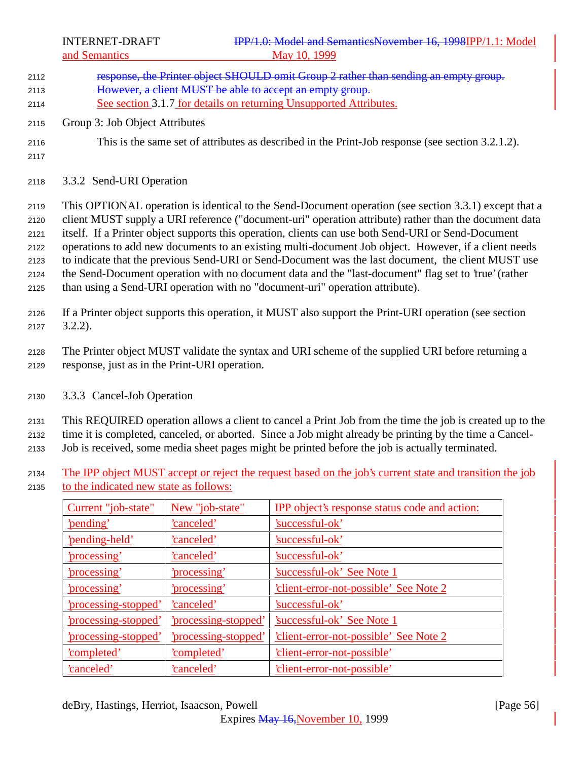- 2112 response, the Printer object SHOULD omit Group 2 rather than sending an empty group. <sup>2113</sup> However, a client MUST be able to accept an empty group. <sup>2114</sup> See section 3.1.7 for details on returning Unsupported Attributes. <sup>2115</sup> Group 3: Job Object Attributes <sup>2116</sup> This is the same set of attributes as described in the Print-Job response (see section 3.2.1.2). 2117 <sup>2118</sup> 3.3.2 Send-URI Operation <sup>2119</sup> This OPTIONAL operation is identical to the Send-Document operation (see section 3.3.1) except that a <sup>2120</sup> client MUST supply a URI reference ("document-uri" operation attribute) rather than the document data <sup>2121</sup> itself. If a Printer object supports this operation, clients can use both Send-URI or Send-Document <sup>2122</sup> operations to add new documents to an existing multi-document Job object. However, if a client needs <sup>2123</sup> to indicate that the previous Send-URI or Send-Document was the last document, the client MUST use <sup>2124</sup> the Send-Document operation with no document data and the "last-document" flag set to 'true' (rather
- <sup>2125</sup> than using a Send-URI operation with no "document-uri" operation attribute).
- <sup>2126</sup> If a Printer object supports this operation, it MUST also support the Print-URI operation (see section <sup>2127</sup> 3.2.2).
- <sup>2128</sup> The Printer object MUST validate the syntax and URI scheme of the supplied URI before returning a <sup>2129</sup> response, just as in the Print-URI operation.
- <sup>2130</sup> 3.3.3 Cancel-Job Operation

<sup>2131</sup> This REQUIRED operation allows a client to cancel a Print Job from the time the job is created up to the <sup>2132</sup> time it is completed, canceled, or aborted. Since a Job might already be printing by the time a Cancel-

- <sup>2133</sup> Job is received, some media sheet pages might be printed before the job is actually terminated.
- <sup>2134</sup> The IPP object MUST accept or reject the request based on the job's current state and transition the job <sup>2135</sup> to the indicated new state as follows:

| Current "job-state"  | New "job-state"           | <b>IPP</b> object's response status code and action: |
|----------------------|---------------------------|------------------------------------------------------|
| 'pending'            | <u>'canceled'</u>         | 'successful-ok'                                      |
| 'pending-held'       | 'canceled'                | 'successful-ok'                                      |
| <u>'processing'</u>  | 'canceled'                | 'successful-ok'                                      |
| <u>'processing'</u>  | <u>'processing'</u>       | 'successful-ok' See Note 1                           |
| <u>'processing'</u>  | 'processing'              | client-error-not-possible' See Note 2                |
| 'processing-stopped' | 'canceled'                | 'successful-ok'                                      |
| 'processing-stopped' | 'processing-stopped'      | 'successful-ok' See Note 1                           |
| 'processing-stopped' | <u>processing-stopped</u> | <u>'client-error-not-possible' See Note 2</u>        |
| <u>'completed'</u>   | <u>'completed'</u>        | <u>'client-error-not-possible'</u>                   |
| 'canceled'           | 'canceled'                | 'client-error-not-possible'                          |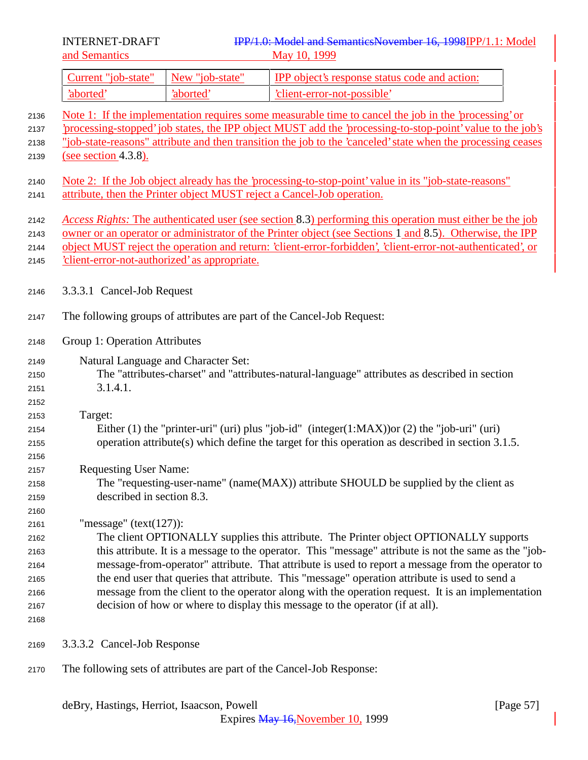| Current "job-state" New "job-state" |           | <b>IPP</b> object's response status code and action: |
|-------------------------------------|-----------|------------------------------------------------------|
| 'aborted                            | 'aborted' | client-error-not-possible'                           |

- Note 1: If the implementation requires some measurable time to cancel the job in the 'processing' or 'processing-stopped' job states, the IPP object MUST add the 'processing-to-stop-point' value to the job's "job-state-reasons" attribute and then transition the job to the 'canceled' state when the processing ceases (see section 4.3.8). Note 2: If the Job object already has the 'processing-to-stop-point' value in its "job-state-reasons" attribute, then the Printer object MUST reject a Cancel-Job operation. *Access Rights:* The authenticated user (see section 8.3) performing this operation must either be the job owner or an operator or administrator of the Printer object (see Sections 1 and 8.5). Otherwise, the IPP object MUST reject the operation and return: 'client-error-forbidden', 'client-error-not-authenticated', or 'client-error-not-authorized' as appropriate. 3.3.3.1 Cancel-Job Request The following groups of attributes are part of the Cancel-Job Request:
- Group 1: Operation Attributes
- Natural Language and Character Set: The "attributes-charset" and "attributes-natural-language" attributes as described in section
- 3.1.4.1.
- Target:

- Either (1) the "printer-uri" (uri) plus "job-id" (integer(1:MAX))or (2) the "job-uri" (uri) operation attribute(s) which define the target for this operation as described in section 3.1.5.
- Requesting User Name:
- The "requesting-user-name" (name(MAX)) attribute SHOULD be supplied by the client as described in section 8.3.

"message" (text(127)):

 The client OPTIONALLY supplies this attribute. The Printer object OPTIONALLY supports this attribute. It is a message to the operator. This "message" attribute is not the same as the "job- message-from-operator" attribute. That attribute is used to report a message from the operator to the end user that queries that attribute. This "message" operation attribute is used to send a message from the client to the operator along with the operation request. It is an implementation decision of how or where to display this message to the operator (if at all).

- 
- 3.3.3.2 Cancel-Job Response
- The following sets of attributes are part of the Cancel-Job Response: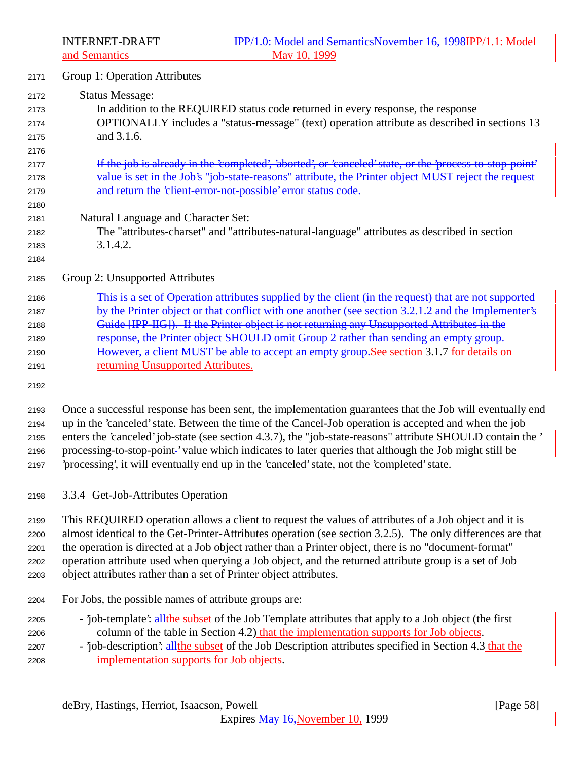- Group 1: Operation Attributes Status Message: In addition to the REQUIRED status code returned in every response, the response OPTIONALLY includes a "status-message" (text) operation attribute as described in sections 13 and 3.1.6. 2177 If the job is already in the 'completed', 'aborted', or 'canceled' state, or the 'process-to-stop-point' 2178 value is set in the Job's "job-state-reasons" attribute, the Printer object MUST reject the request and return the 'client-error-not-possible' error status code. Natural Language and Character Set: The "attributes-charset" and "attributes-natural-language" attributes as described in section 3.1.4.2. Group 2: Unsupported Attributes This is a set of Operation attributes supplied by the client (in the request) that are not supported by the Printer object or that conflict with one another (see section 3.2.1.2 and the Implementer's Guide [IPP-IIG]). If the Printer object is not returning any Unsupported Attributes in the 2189 response, the Printer object SHOULD omit Group 2 rather than sending an empty group.
- 2190 However, a client MUST be able to accept an empty group. See section 3.1.7 for details on returning Unsupported Attributes.

 Once a successful response has been sent, the implementation guarantees that the Job will eventually end up in the 'canceled' state. Between the time of the Cancel-Job operation is accepted and when the job enters the 'canceled' job-state (see section 4.3.7), the "job-state-reasons" attribute SHOULD contain the ' processing-to-stop-point ' value which indicates to later queries that although the Job might still be 'processing', it will eventually end up in the 'canceled' state, not the 'completed' state.

3.3.4 Get-Job-Attributes Operation

 This REQUIRED operation allows a client to request the values of attributes of a Job object and it is almost identical to the Get-Printer-Attributes operation (see section 3.2.5). The only differences are that the operation is directed at a Job object rather than a Printer object, there is no "document-format" operation attribute used when querying a Job object, and the returned attribute group is a set of Job object attributes rather than a set of Printer object attributes.

- For Jobs, the possible names of attribute groups are:
- 2205 'job-template': all the subset of the Job Template attributes that apply to a Job object (the first 2206 column of the table in Section 4.2) that the implementation supports for Job objects.
- 2207 'job-description': all the subset of the Job Description attributes specified in Section 4.3 that the implementation supports for Job objects.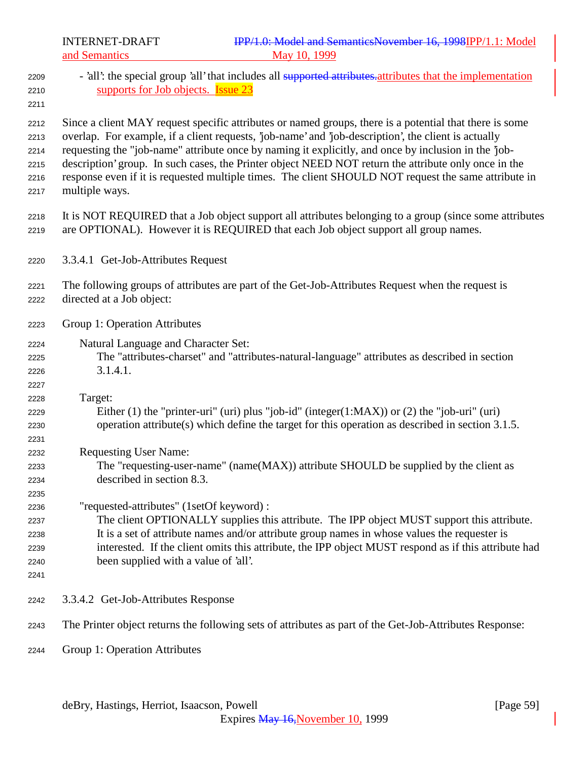- 2209 'all': the special group 'all' that includes all supported attributes. attributes that the implementation supports for Job objects. Issue 23 Since a client MAY request specific attributes or named groups, there is a potential that there is some overlap. For example, if a client requests, 'job-name' and 'job-description', the client is actually requesting the "job-name" attribute once by naming it explicitly, and once by inclusion in the 'job- description' group. In such cases, the Printer object NEED NOT return the attribute only once in the response even if it is requested multiple times. The client SHOULD NOT request the same attribute in multiple ways. It is NOT REQUIRED that a Job object support all attributes belonging to a group (since some attributes are OPTIONAL). However it is REQUIRED that each Job object support all group names. 3.3.4.1 Get-Job-Attributes Request The following groups of attributes are part of the Get-Job-Attributes Request when the request is directed at a Job object: Group 1: Operation Attributes Natural Language and Character Set: The "attributes-charset" and "attributes-natural-language" attributes as described in section 3.1.4.1. Target: Either (1) the "printer-uri" (uri) plus "job-id" (integer(1:MAX)) or (2) the "job-uri" (uri) operation attribute(s) which define the target for this operation as described in section 3.1.5. Requesting User Name: The "requesting-user-name" (name(MAX)) attribute SHOULD be supplied by the client as described in section 8.3. "requested-attributes" (1setOf keyword) : The client OPTIONALLY supplies this attribute. The IPP object MUST support this attribute. It is a set of attribute names and/or attribute group names in whose values the requester is interested. If the client omits this attribute, the IPP object MUST respond as if this attribute had been supplied with a value of 'all'. 3.3.4.2 Get-Job-Attributes Response The Printer object returns the following sets of attributes as part of the Get-Job-Attributes Response:
- Group 1: Operation Attributes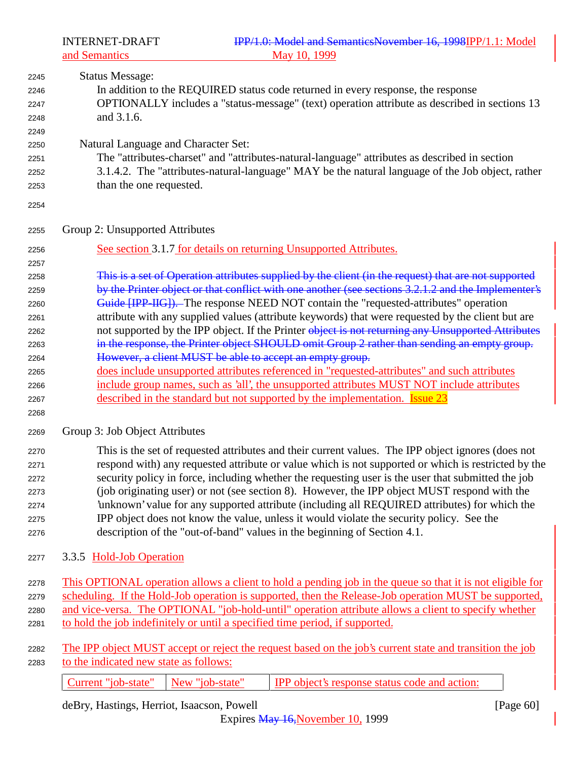| 2245 | <b>Status Message:</b>                                                                               |
|------|------------------------------------------------------------------------------------------------------|
| 2246 | In addition to the REQUIRED status code returned in every response, the response                     |
| 2247 | OPTIONALLY includes a "status-message" (text) operation attribute as described in sections 13        |
| 2248 | and 3.1.6.                                                                                           |
| 2249 |                                                                                                      |
| 2250 | Natural Language and Character Set:                                                                  |
| 2251 | The "attributes-charset" and "attributes-natural-language" attributes as described in section        |
| 2252 | 3.1.4.2. The "attributes-natural-language" MAY be the natural language of the Job object, rather     |
| 2253 | than the one requested.                                                                              |
| 2254 |                                                                                                      |
| 2255 | Group 2: Unsupported Attributes                                                                      |
| 2256 | See section 3.1.7 for details on returning Unsupported Attributes.                                   |
| 2257 |                                                                                                      |
| 2258 | This is a set of Operation attributes supplied by the client (in the request) that are not supported |
| 2259 | by the Printer object or that conflict with one another (see sections 3.2.1.2 and the Implementer's  |
| 2260 | Guide [IPP-IIG]). The response NEED NOT contain the "requested-attributes" operation                 |
| 2261 | attribute with any supplied values (attribute keywords) that were requested by the client but are    |
| 2262 | not supported by the IPP object. If the Printer object is not returning any Unsupported Attributes   |
| 2263 | in the response, the Printer object SHOULD omit Group 2 rather than sending an empty group.          |
| 2264 | However, a client MUST be able to accept an empty group.                                             |
| 2265 | does include unsupported attributes referenced in "requested-attributes" and such attributes         |
| 2266 | include group names, such as 'all', the unsupported attributes MUST NOT include attributes           |
| 2267 | described in the standard but not supported by the implementation. <b>Issue 23</b>                   |
| 2268 |                                                                                                      |
| 2269 | Group 3: Job Object Attributes                                                                       |
| 2270 | This is the set of requested attributes and their current values. The IPP object ignores (does not   |
| 2271 | respond with) any requested attribute or value which is not supported or which is restricted by the  |
| 2272 | security policy in force, including whether the requesting user is the user that submitted the job   |
| 2273 | (job originating user) or not (see section 8). However, the IPP object MUST respond with the         |

- 'unknown' value for any supported attribute (including all REQUIRED attributes) for which the IPP object does not know the value, unless it would violate the security policy. See the description of the "out-of-band" values in the beginning of Section 4.1.
- 3.3.5 Hold-Job Operation
- This OPTIONAL operation allows a client to hold a pending job in the queue so that it is not eligible for 2279 scheduling. If the Hold-Job operation is supported, then the Release-Job operation MUST be supported, and vice-versa. The OPTIONAL "job-hold-until" operation attribute allows a client to specify whether
- to hold the job indefinitely or until a specified time period, if supported.
- 2282 The IPP object MUST accept or reject the request based on the job's current state and transition the job to the indicated new state as follows:

Current "job-state" | New "job-state" | IPP object's response status code and action:

deBry, Hastings, Herriot, Isaacson, Powell [Page 60]

Expires May 16,November 10, 1999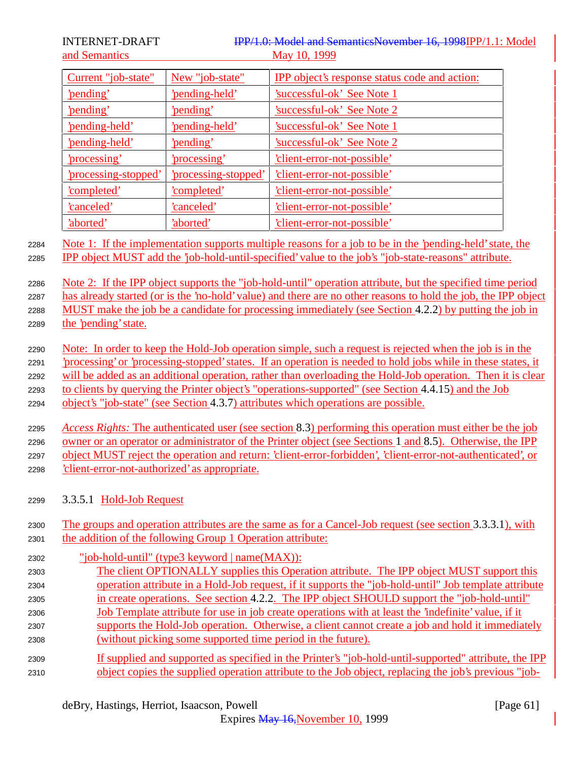INTERNET-DRAFT **IPP/1.0:** Model and SemanticsNovember 16, 1998IPP/1.1: Model and Semantics May 10, 1999

| Current "job-state"   | New "job-state"      | <b>IPP</b> object's response status code and action: |
|-----------------------|----------------------|------------------------------------------------------|
| 'pending'             | 'pending-held'       | 'successful-ok' See Note 1                           |
| <u>'pending'</u>      | 'pending'            | <u>'successful-ok' See Note 2</u>                    |
| 'pending-held'        | 'pending-held'       | Successful-ok' See Note 1                            |
| <u>'pending-held'</u> | 'pending'            | Successful-ok' See Note 2                            |
| <u>'processing'</u>   | 'processing'         | 'client-error-not-possible'                          |
| 'processing-stopped'  | 'processing-stopped' | 'client-error-not-possible'                          |
| <u>'completed'</u>    | <u>'completed'</u>   | 'client-error-not-possible'                          |
| <u>'canceled'</u>     | <u>'canceled'</u>    | <u>'client-error-not-possible'</u>                   |
| 'aborted'             | 'aborted'            | <u>'client-error-not-possible'</u>                   |

<sup>2284</sup> Note 1: If the implementation supports multiple reasons for a job to be in the 'pending-held' state, the <sup>2285</sup> IPP object MUST add the 'job-hold-until-specified' value to the job's "job-state-reasons" attribute.

 Note 2: If the IPP object supports the "job-hold-until" operation attribute, but the specified time period has already started (or is the 'no-hold' value) and there are no other reasons to hold the job, the IPP object MUST make the job be a candidate for processing immediately (see Section 4.2.2) by putting the job in the 'pending' state.

 Note: In order to keep the Hold-Job operation simple, such a request is rejected when the job is in the 'processing' or 'processing-stopped' states. If an operation is needed to hold jobs while in these states, it will be added as an additional operation, rather than overloading the Hold-Job operation. Then it is clear to clients by querying the Printer object's "operations-supported" (see Section 4.4.15) and the Job

<sup>2294</sup> object's "job-state" (see Section 4.3.7) attributes which operations are possible.

 *Access Rights:* The authenticated user (see section 8.3) performing this operation must either be the job owner or an operator or administrator of the Printer object (see Sections 1 and 8.5). Otherwise, the IPP object MUST reject the operation and return: 'client-error-forbidden', 'client-error-not-authenticated', or 'client-error-not-authorized' as appropriate.

- <sup>2299</sup> 3.3.5.1 Hold-Job Request
- <sup>2300</sup> The groups and operation attributes are the same as for a Cancel-Job request (see section 3.3.3.1), with <sup>2301</sup> the addition of the following Group 1 Operation attribute:

| 2302 | "job-hold-until" (type3 keyword $ name(MAX) $ :                                                       |
|------|-------------------------------------------------------------------------------------------------------|
| 2303 | The client OPTIONALLY supplies this Operation attribute. The IPP object MUST support this             |
| 2304 | operation attribute in a Hold-Job request, if it supports the "job-hold-until" Job template attribute |
| 2305 | in create operations. See section 4.2.2. The IPP object SHOULD support the "job-hold-until"           |
| 2306 | Job Template attribute for use in job create operations with at least the 'indefinite' value, if it   |
| 2307 | supports the Hold-Job operation. Otherwise, a client cannot create a job and hold it immediately      |
| 2308 | (without picking some supported time period in the future).                                           |
| 2309 | If supplied and supported as specified in the Printer's "job-hold-until-supported" attribute, the IPP |
| 2310 | object copies the supplied operation attribute to the Job object, replacing the job's previous "job-  |

Expires May 16,November 10, 1999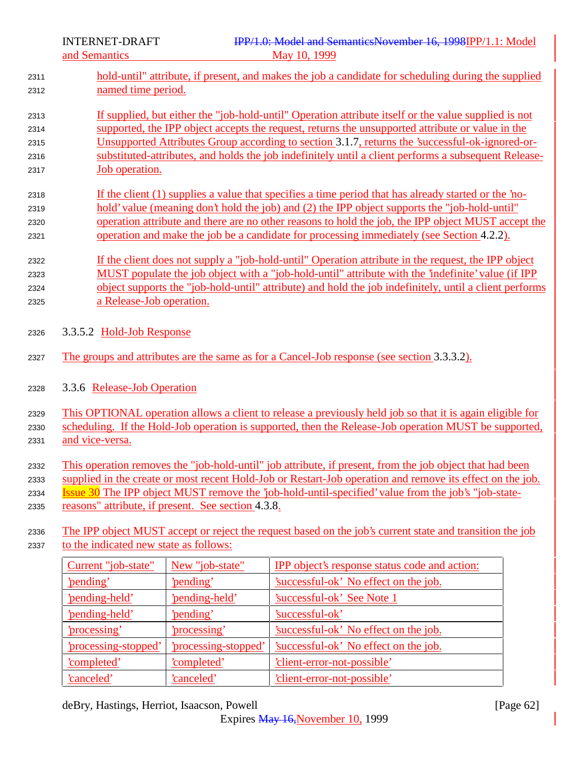- hold-until" attribute, if present, and makes the job a candidate for scheduling during the supplied named time period.
- If supplied, but either the "job-hold-until" Operation attribute itself or the value supplied is not supported, the IPP object accepts the request, returns the unsupported attribute or value in the Unsupported Attributes Group according to section 3.1.7, returns the 'successful-ok-ignored-or- substituted-attributes, and holds the job indefinitely until a client performs a subsequent Release-Job operation.
- If the client (1) supplies a value that specifies a time period that has already started or the 'no- hold' value (meaning don't hold the job) and (2) the IPP object supports the "job-hold-until" operation attribute and there are no other reasons to hold the job, the IPP object MUST accept the operation and make the job be a candidate for processing immediately (see Section 4.2.2).
- If the client does not supply a "job-hold-until" Operation attribute in the request, the IPP object 2323 MUST populate the job object with a "job-hold-until" attribute with the 'indefinite' value (if IPP object supports the "job-hold-until" attribute) and hold the job indefinitely, until a client performs a Release-Job operation.
- 3.3.5.2 Hold-Job Response
- 2327 The groups and attributes are the same as for a Cancel-Job response (see section 3.3.3.2).
- 3.3.6 Release-Job Operation

 This OPTIONAL operation allows a client to release a previously held job so that it is again eligible for scheduling. If the Hold-Job operation is supported, then the Release-Job operation MUST be supported,

- and vice-versa.
- This operation removes the "job-hold-until" job attribute, if present, from the job object that had been
- supplied in the create or most recent Hold-Job or Restart-Job operation and remove its effect on the job.
- Issue 30 The IPP object MUST remove the 'job-hold-until-specified' value from the job's "job-state-
- reasons" attribute, if present. See section 4.3.8.
- The IPP object MUST accept or reject the request based on the job's current state and transition the job to the indicated new state as follows:

| Current "job-state"         | New "job-state"      | <b>IPP</b> object's response status code and action: |
|-----------------------------|----------------------|------------------------------------------------------|
| 'pending'                   | 'pending'            | 'successful-ok' No effect on the job.                |
| 'pending-held'              | 'pending-held'       | <b>Successful-ok' See Note 1</b>                     |
| 'pending-held'              | 'pending'            | 'successful-ok'                                      |
| 'processing'                | 'processing'         | 'successful-ok' No effect on the job.                |
| <u>'processing-stopped'</u> | 'processing-stopped' | 'successful-ok' No effect on the job.                |
| <u>'completed'</u>          | <u>'completed'</u>   | 'client-error-not-possible'                          |
| 'canceled'                  | 'canceled'           | <i>client-error-not-possible</i>                     |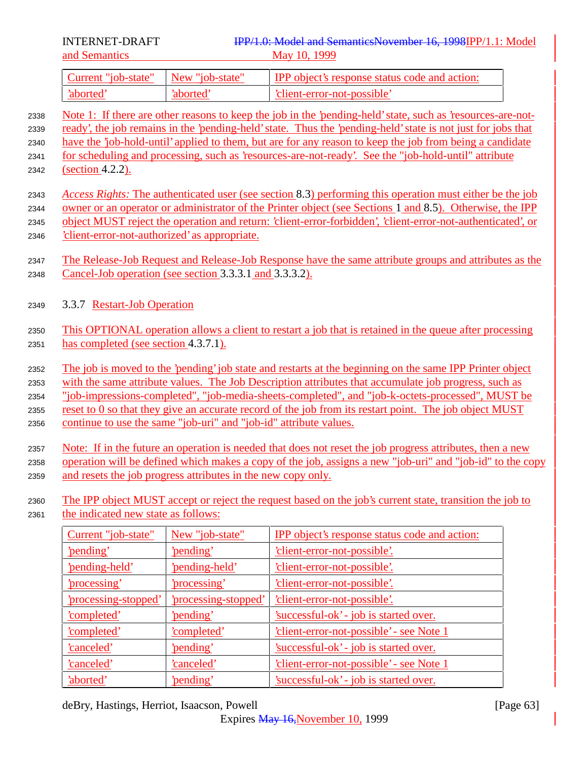| Current "job-state" New "job-state" |          | <b>IPP</b> object's response status code and action: |
|-------------------------------------|----------|------------------------------------------------------|
| 'aborted                            | 'aborted | 'client-error-not-possible'                          |

- <sup>2338</sup> Note 1: If there are other reasons to keep the job in the 'pending-held' state, such as 'resources-are-not-<sup>2339</sup> ready', the job remains in the 'pending-held' state. Thus the 'pending-held' state is not just for jobs that <sup>2340</sup> have the 'job-hold-until' applied to them, but are for any reason to keep the job from being a candidate <sup>2341</sup> for scheduling and processing, such as 'resources-are-not-ready'. See the "job-hold-until" attribute <sup>2342</sup> (section 4.2.2).
- <sup>2343</sup> *Access Rights:* The authenticated user (see section 8.3) performing this operation must either be the job <sup>2344</sup> owner or an operator or administrator of the Printer object (see Sections 1 and 8.5). Otherwise, the IPP <sup>2345</sup> object MUST reject the operation and return: 'client-error-forbidden', 'client-error-not-authenticated', or <sup>2346</sup> 'client-error-not-authorized' as appropriate.

<sup>2347</sup> The Release-Job Request and Release-Job Response have the same attribute groups and attributes as the <sup>2348</sup> Cancel-Job operation (see section 3.3.3.1 and 3.3.3.2).

- <sup>2349</sup> 3.3.7 Restart-Job Operation
- <sup>2350</sup> This OPTIONAL operation allows a client to restart a job that is retained in the queue after processing <sup>2351</sup> has completed (see section 4.3.7.1).

2352 The job is moved to the 'pending' job state and restarts at the beginning on the same IPP Printer object with the same attribute values. The Job Description attributes that accumulate job progress, such as "job-impressions-completed", "job-media-sheets-completed", and "job-k-octets-processed", MUST be reset to 0 so that they give an accurate record of the job from its restart point. The job object MUST continue to use the same "job-uri" and "job-id" attribute values.

<sup>2357</sup> Note: If in the future an operation is needed that does not reset the job progress attributes, then a new <sup>2358</sup> operation will be defined which makes a copy of the job, assigns a new "job-uri" and "job-id" to the copy <sup>2359</sup> and resets the job progress attributes in the new copy only.

- <sup>2360</sup> The IPP object MUST accept or reject the request based on the job's current state, transition the job to
- <sup>2361</sup> the indicated new state as follows:

| Current "job-state"         | New "job-state"           | IPP object's response status code and action:   |
|-----------------------------|---------------------------|-------------------------------------------------|
| 'pending'                   | 'pending'                 | <u>'client-error-not-possible'.</u>             |
| 'pending-held'              | <u>'pending-held'</u>     | <u>'client-error-not-possible'.</u>             |
| <u>'processing'</u>         | <u>'processing'</u>       | <u>'client-error-not-possible'.</u>             |
| <u>'processing-stopped'</u> | <u>processing-stopped</u> | <u>'client-error-not-possible'.</u>             |
| 'completed'                 | 'pending'                 | 'successful-ok' - job is started over.          |
| <u>'completed'</u>          | <u>'completed'</u>        | <u>'client-error-not-possible' - see Note 1</u> |
| canceled'                   | 'pending'                 | 'successful-ok' - job is started over.          |
| <u>'canceled'</u>           | <u>'canceled'</u>         | <u>'client-error-not-possible' - see Note 1</u> |
| 'aborted'                   | 'pending'                 | <u>'successful-ok' - job is started over.</u>   |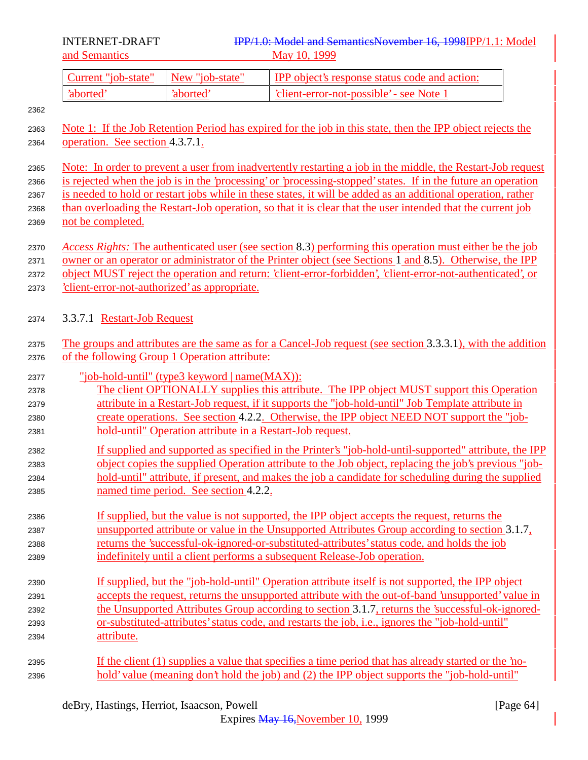| Current "job-state" | New "job-state" | <b>IPP</b> object's response status code and action: |
|---------------------|-----------------|------------------------------------------------------|
| 'aborted'           | 'aborted        | 'client-error-not-possible' - see Note 1             |

- Note 1: If the Job Retention Period has expired for the job in this state, then the IPP object rejects the 2364 operation. See section 4.3.7.1.
- Note: In order to prevent a user from inadvertently restarting a job in the middle, the Restart-Job request is rejected when the job is in the 'processing' or 'processing-stopped' states. If in the future an operation is needed to hold or restart jobs while in these states, it will be added as an additional operation, rather than overloading the Restart-Job operation, so that it is clear that the user intended that the current job
- not be completed.
- *Access Rights:* The authenticated user (see section 8.3) performing this operation must either be the job
- owner or an operator or administrator of the Printer object (see Sections 1 and 8.5). Otherwise, the IPP
- object MUST reject the operation and return: 'client-error-forbidden', 'client-error-not-authenticated', or
- 'client-error-not-authorized' as appropriate.

# 3.3.7.1 Restart-Job Request

- The groups and attributes are the same as for a Cancel-Job request (see section 3.3.3.1), with the addition of the following Group 1 Operation attribute:
- "job-hold-until" (type3 keyword | name(MAX)):
- The client OPTIONALLY supplies this attribute. The IPP object MUST support this Operation attribute in a Restart-Job request, if it supports the "job-hold-until" Job Template attribute in create operations. See section 4.2.2. Otherwise, the IPP object NEED NOT support the "job-hold-until" Operation attribute in a Restart-Job request.
- If supplied and supported as specified in the Printer's "job-hold-until-supported" attribute, the IPP object copies the supplied Operation attribute to the Job object, replacing the job's previous "job- hold-until" attribute, if present, and makes the job a candidate for scheduling during the supplied named time period. See section 4.2.2.
- If supplied, but the value is not supported, the IPP object accepts the request, returns the unsupported attribute or value in the Unsupported Attributes Group according to section 3.1.7, returns the 'successful-ok-ignored-or-substituted-attributes' status code, and holds the job indefinitely until a client performs a subsequent Release-Job operation.
- If supplied, but the "job-hold-until" Operation attribute itself is not supported, the IPP object accepts the request, returns the unsupported attribute with the out-of-band 'unsupported' value in the Unsupported Attributes Group according to section 3.1.7, returns the 'successful-ok-ignored- or-substituted-attributes' status code, and restarts the job, i.e., ignores the "job-hold-until" attribute.
- If the client (1) supplies a value that specifies a time period that has already started or the 'no-hold' value (meaning don't hold the job) and (2) the IPP object supports the "job-hold-until"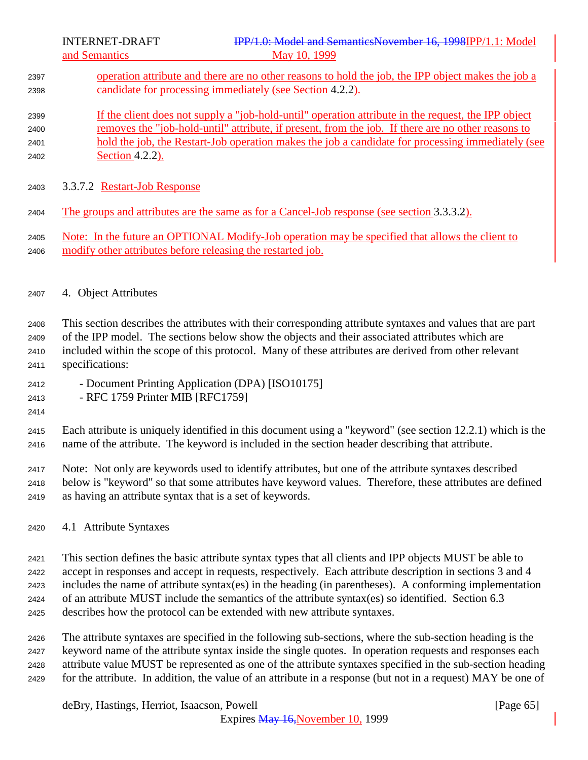- operation attribute and there are no other reasons to hold the job, the IPP object makes the job a candidate for processing immediately (see Section 4.2.2).
- If the client does not supply a "job-hold-until" operation attribute in the request, the IPP object removes the "job-hold-until" attribute, if present, from the job. If there are no other reasons to 2401 hold the job, the Restart-Job operation makes the job a candidate for processing immediately (see Section 4.2.2).
- 3.3.7.2 Restart-Job Response
- The groups and attributes are the same as for a Cancel-Job response (see section 3.3.3.2).
- Note: In the future an OPTIONAL Modify-Job operation may be specified that allows the client to modify other attributes before releasing the restarted job.

## 4. Object Attributes

 This section describes the attributes with their corresponding attribute syntaxes and values that are part of the IPP model. The sections below show the objects and their associated attributes which are included within the scope of this protocol. Many of these attributes are derived from other relevant specifications:

- Document Printing Application (DPA) [ISO10175]
- RFC 1759 Printer MIB [RFC1759]
- 

 Each attribute is uniquely identified in this document using a "keyword" (see section 12.2.1) which is the name of the attribute. The keyword is included in the section header describing that attribute.

 Note: Not only are keywords used to identify attributes, but one of the attribute syntaxes described below is "keyword" so that some attributes have keyword values. Therefore, these attributes are defined as having an attribute syntax that is a set of keywords.

4.1 Attribute Syntaxes

This section defines the basic attribute syntax types that all clients and IPP objects MUST be able to

accept in responses and accept in requests, respectively. Each attribute description in sections 3 and 4

includes the name of attribute syntax(es) in the heading (in parentheses). A conforming implementation

- of an attribute MUST include the semantics of the attribute syntax(es) so identified. Section 6.3 describes how the protocol can be extended with new attribute syntaxes.
- 
- The attribute syntaxes are specified in the following sub-sections, where the sub-section heading is the keyword name of the attribute syntax inside the single quotes. In operation requests and responses each attribute value MUST be represented as one of the attribute syntaxes specified in the sub-section heading for the attribute. In addition, the value of an attribute in a response (but not in a request) MAY be one of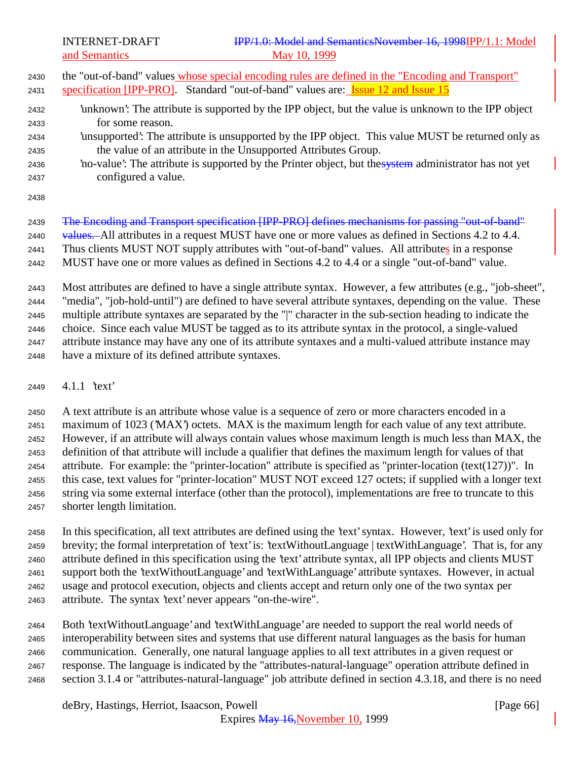- the "out-of-band" values whose special encoding rules are defined in the "Encoding and Transport"
- 2431 specification [IPP-PRO]. Standard "out-of-band" values are: **Issue 12 and Issue 15**
- 'unknown': The attribute is supported by the IPP object, but the value is unknown to the IPP object for some reason.
- 'unsupported': The attribute is unsupported by the IPP object. This value MUST be returned only as the value of an attribute in the Unsupported Attributes Group.
- 2436 'no-value': The attribute is supported by the Printer object, but the system administrator has not yet configured a value.
- 

2439 The Encoding and Transport specification [IPP-PRO] defines mechanisms for passing "out-of-band"

2440 values. All attributes in a request MUST have one or more values as defined in Sections 4.2 to 4.4.

Thus clients MUST NOT supply attributes with "out-of-band" values. All attributes in a response

MUST have one or more values as defined in Sections 4.2 to 4.4 or a single "out-of-band" value.

 Most attributes are defined to have a single attribute syntax. However, a few attributes (e.g., "job-sheet", "media", "job-hold-until") are defined to have several attribute syntaxes, depending on the value. These multiple attribute syntaxes are separated by the "|" character in the sub-section heading to indicate the choice. Since each value MUST be tagged as to its attribute syntax in the protocol, a single-valued attribute instance may have any one of its attribute syntaxes and a multi-valued attribute instance may have a mixture of its defined attribute syntaxes.

4.1.1 'text'

 A text attribute is an attribute whose value is a sequence of zero or more characters encoded in a maximum of 1023 ('MAX') octets. MAX is the maximum length for each value of any text attribute. However, if an attribute will always contain values whose maximum length is much less than MAX, the definition of that attribute will include a qualifier that defines the maximum length for values of that attribute. For example: the "printer-location" attribute is specified as "printer-location (text(127))". In this case, text values for "printer-location" MUST NOT exceed 127 octets; if supplied with a longer text string via some external interface (other than the protocol), implementations are free to truncate to this shorter length limitation.

 In this specification, all text attributes are defined using the 'text' syntax. However, 'text' is used only for brevity; the formal interpretation of 'text' is: 'textWithoutLanguage | textWithLanguage'. That is, for any attribute defined in this specification using the 'text' attribute syntax, all IPP objects and clients MUST support both the 'textWithoutLanguage' and 'textWithLanguage' attribute syntaxes. However, in actual usage and protocol execution, objects and clients accept and return only one of the two syntax per attribute. The syntax 'text' never appears "on-the-wire".

 Both 'textWithoutLanguage' and 'textWithLanguage' are needed to support the real world needs of interoperability between sites and systems that use different natural languages as the basis for human communication. Generally, one natural language applies to all text attributes in a given request or response. The language is indicated by the "attributes-natural-language" operation attribute defined in section 3.1.4 or "attributes-natural-language" job attribute defined in section 4.3.18, and there is no need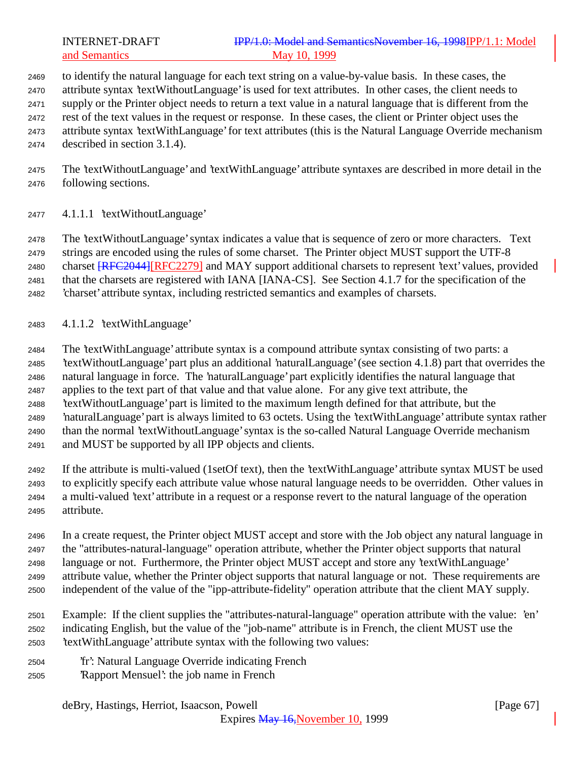# INTERNET-DRAFT **IPP/1.0: Model and SemanticsNovember 16, 1998IPP/1.1:** Model and Semantics May 10, 1999

 to identify the natural language for each text string on a value-by-value basis. In these cases, the attribute syntax 'textWithoutLanguage' is used for text attributes. In other cases, the client needs to supply or the Printer object needs to return a text value in a natural language that is different from the rest of the text values in the request or response. In these cases, the client or Printer object uses the attribute syntax 'textWithLanguage' for text attributes (this is the Natural Language Override mechanism described in section 3.1.4).

 The 'textWithoutLanguage' and 'textWithLanguage' attribute syntaxes are described in more detail in the following sections.

4.1.1.1 'textWithoutLanguage'

 The 'textWithoutLanguage' syntax indicates a value that is sequence of zero or more characters. Text strings are encoded using the rules of some charset. The Printer object MUST support the UTF-8 2480 charset **[RFC2044]**[RFC2279] and MAY support additional charsets to represent 'text' values, provided that the charsets are registered with IANA [IANA-CS]. See Section 4.1.7 for the specification of the 'charset' attribute syntax, including restricted semantics and examples of charsets.

4.1.1.2 'textWithLanguage'

 The 'textWithLanguage' attribute syntax is a compound attribute syntax consisting of two parts: a 'textWithoutLanguage' part plus an additional 'naturalLanguage' (see section 4.1.8) part that overrides the natural language in force. The 'naturalLanguage' part explicitly identifies the natural language that applies to the text part of that value and that value alone. For any give text attribute, the 'textWithoutLanguage' part is limited to the maximum length defined for that attribute, but the 'naturalLanguage' part is always limited to 63 octets. Using the 'textWithLanguage' attribute syntax rather than the normal 'textWithoutLanguage' syntax is the so-called Natural Language Override mechanism and MUST be supported by all IPP objects and clients.

 If the attribute is multi-valued (1setOf text), then the 'textWithLanguage' attribute syntax MUST be used to explicitly specify each attribute value whose natural language needs to be overridden. Other values in a multi-valued 'text' attribute in a request or a response revert to the natural language of the operation attribute.

 In a create request, the Printer object MUST accept and store with the Job object any natural language in the "attributes-natural-language" operation attribute, whether the Printer object supports that natural language or not. Furthermore, the Printer object MUST accept and store any 'textWithLanguage' attribute value, whether the Printer object supports that natural language or not. These requirements are independent of the value of the "ipp-attribute-fidelity" operation attribute that the client MAY supply.

 Example: If the client supplies the "attributes-natural-language" operation attribute with the value: 'en' indicating English, but the value of the "job-name" attribute is in French, the client MUST use the 'textWithLanguage' attribute syntax with the following two values:

- 'fr': Natural Language Override indicating French
- 'Rapport Mensuel': the job name in French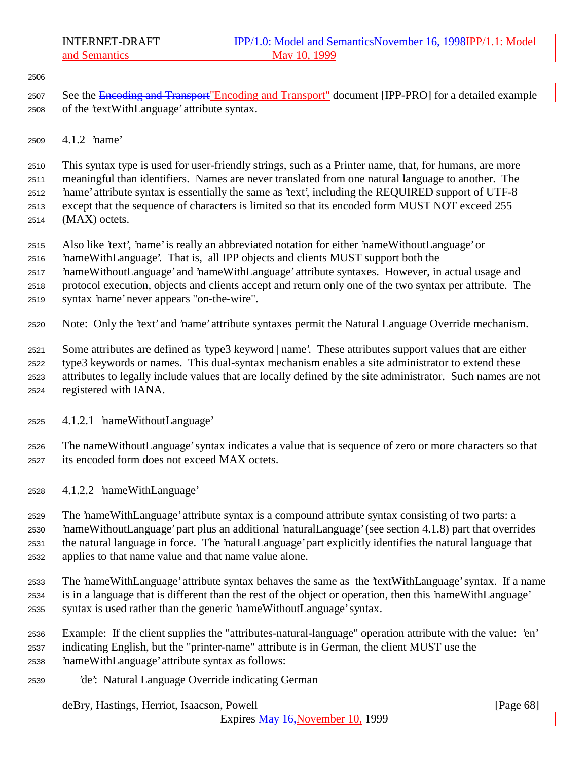- 2507 See the Encoding and Transport"Encoding and Transport" document [IPP-PRO] for a detailed example of the 'textWithLanguage' attribute syntax.
- 4.1.2 'name'

 This syntax type is used for user-friendly strings, such as a Printer name, that, for humans, are more meaningful than identifiers. Names are never translated from one natural language to another. The 'name' attribute syntax is essentially the same as 'text', including the REQUIRED support of UTF-8 except that the sequence of characters is limited so that its encoded form MUST NOT exceed 255 (MAX) octets.

- Also like 'text', 'name' is really an abbreviated notation for either 'nameWithoutLanguage' or
- 'nameWithLanguage'. That is, all IPP objects and clients MUST support both the
- 'nameWithoutLanguage' and 'nameWithLanguage' attribute syntaxes. However, in actual usage and
- protocol execution, objects and clients accept and return only one of the two syntax per attribute. The
- syntax 'name' never appears "on-the-wire".
- Note: Only the 'text' and 'name' attribute syntaxes permit the Natural Language Override mechanism.

 Some attributes are defined as 'type3 keyword | name'. These attributes support values that are either type3 keywords or names. This dual-syntax mechanism enables a site administrator to extend these attributes to legally include values that are locally defined by the site administrator. Such names are not

- registered with IANA.
- 4.1.2.1 'nameWithoutLanguage'

 The nameWithoutLanguage' syntax indicates a value that is sequence of zero or more characters so that its encoded form does not exceed MAX octets.

4.1.2.2 'nameWithLanguage'

 The 'nameWithLanguage' attribute syntax is a compound attribute syntax consisting of two parts: a 'nameWithoutLanguage' part plus an additional 'naturalLanguage' (see section 4.1.8) part that overrides the natural language in force. The 'naturalLanguage' part explicitly identifies the natural language that applies to that name value and that name value alone.

- The 'nameWithLanguage' attribute syntax behaves the same as the 'textWithLanguage' syntax. If a name is in a language that is different than the rest of the object or operation, then this 'nameWithLanguage' syntax is used rather than the generic 'nameWithoutLanguage' syntax.
- Example: If the client supplies the "attributes-natural-language" operation attribute with the value: 'en' indicating English, but the "printer-name" attribute is in German, the client MUST use the 'nameWithLanguage' attribute syntax as follows:
- 'de': Natural Language Override indicating German

# deBry, Hastings, Herriot, Isaacson, Powell [Page 68]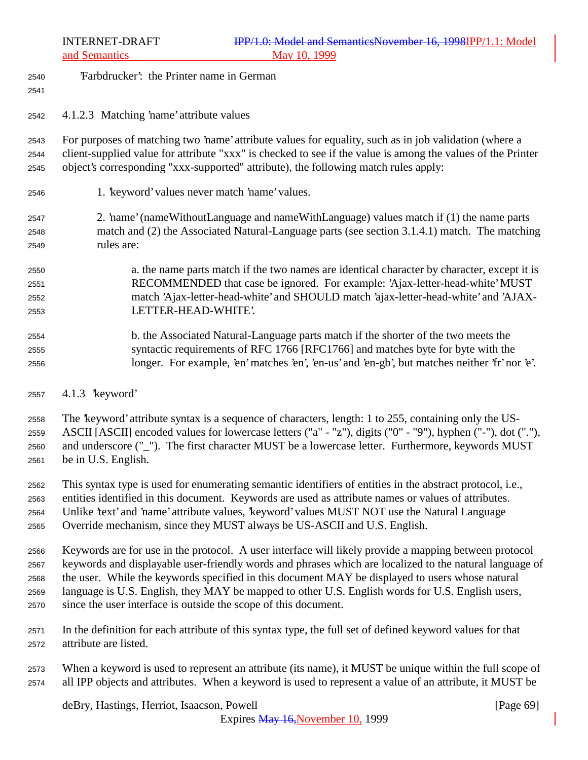- 'Farbdrucker': the Printer name in German
- 

4.1.2.3 Matching 'name' attribute values

 For purposes of matching two 'name' attribute values for equality, such as in job validation (where a client-supplied value for attribute "xxx" is checked to see if the value is among the values of the Printer object's corresponding "xxx-supported" attribute), the following match rules apply:

- 1. 'keyword' values never match 'name' values.
- 2. 'name' (nameWithoutLanguage and nameWithLanguage) values match if (1) the name parts match and (2) the Associated Natural-Language parts (see section 3.1.4.1) match. The matching rules are:
- a. the name parts match if the two names are identical character by character, except it is RECOMMENDED that case be ignored. For example: 'Ajax-letter-head-white' MUST match 'Ajax-letter-head-white' and SHOULD match 'ajax-letter-head-white' and 'AJAX-LETTER-HEAD-WHITE'.
- b. the Associated Natural-Language parts match if the shorter of the two meets the syntactic requirements of RFC 1766 [RFC1766] and matches byte for byte with the longer. For example, 'en' matches 'en', 'en-us' and 'en-gb', but matches neither 'fr' nor 'e'.
- 4.1.3 'keyword'

 The 'keyword' attribute syntax is a sequence of characters, length: 1 to 255, containing only the US- ASCII [ASCII] encoded values for lowercase letters ("a" - "z"), digits ("0" - "9"), hyphen ("-"), dot ("."), and underscore ("\_"). The first character MUST be a lowercase letter. Furthermore, keywords MUST be in U.S. English.

 This syntax type is used for enumerating semantic identifiers of entities in the abstract protocol, i.e., entities identified in this document. Keywords are used as attribute names or values of attributes. 2564 Unlike 'text' and 'name' attribute values, 'keyword' values MUST NOT use the Natural Language Override mechanism, since they MUST always be US-ASCII and U.S. English.

 Keywords are for use in the protocol. A user interface will likely provide a mapping between protocol keywords and displayable user-friendly words and phrases which are localized to the natural language of the user. While the keywords specified in this document MAY be displayed to users whose natural language is U.S. English, they MAY be mapped to other U.S. English words for U.S. English users, since the user interface is outside the scope of this document.

- In the definition for each attribute of this syntax type, the full set of defined keyword values for that attribute are listed.
- When a keyword is used to represent an attribute (its name), it MUST be unique within the full scope of all IPP objects and attributes. When a keyword is used to represent a value of an attribute, it MUST be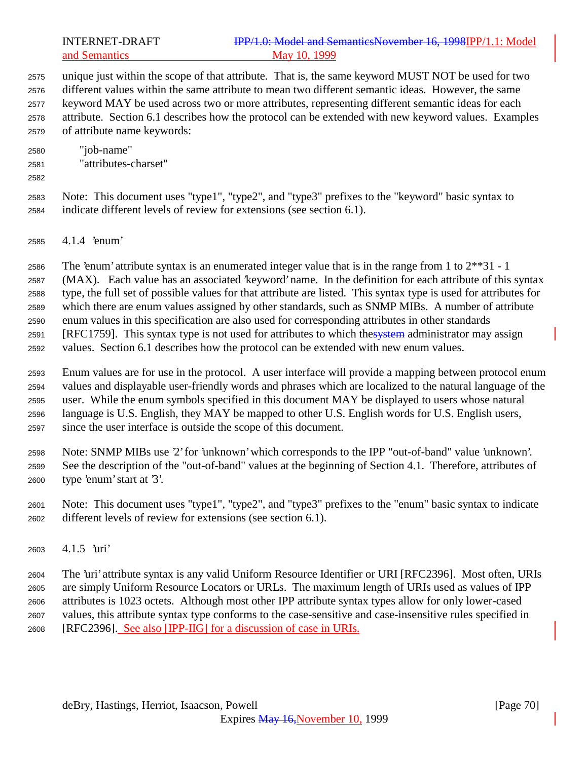INTERNET-DRAFT **IPP/1.0: Model and SemanticsNovember 16, 1998IPP/1.1:** Model and Semantics May 10, 1999

 unique just within the scope of that attribute. That is, the same keyword MUST NOT be used for two different values within the same attribute to mean two different semantic ideas. However, the same keyword MAY be used across two or more attributes, representing different semantic ideas for each attribute. Section 6.1 describes how the protocol can be extended with new keyword values. Examples of attribute name keywords:

- "job-name" "attributes-charset"
- 

 Note: This document uses "type1", "type2", and "type3" prefixes to the "keyword" basic syntax to indicate different levels of review for extensions (see section 6.1).

4.1.4 'enum'

The 'enum' attribute syntax is an enumerated integer value that is in the range from 1 to 2\*\*31 - 1

(MAX). Each value has an associated 'keyword' name. In the definition for each attribute of this syntax

type, the full set of possible values for that attribute are listed. This syntax type is used for attributes for

 which there are enum values assigned by other standards, such as SNMP MIBs. A number of attribute enum values in this specification are also used for corresponding attributes in other standards

2591 [RFC1759]. This syntax type is not used for attributes to which thesystem administrator may assign

values. Section 6.1 describes how the protocol can be extended with new enum values.

 Enum values are for use in the protocol. A user interface will provide a mapping between protocol enum values and displayable user-friendly words and phrases which are localized to the natural language of the user. While the enum symbols specified in this document MAY be displayed to users whose natural language is U.S. English, they MAY be mapped to other U.S. English words for U.S. English users, since the user interface is outside the scope of this document.

 Note: SNMP MIBs use '2' for 'unknown' which corresponds to the IPP "out-of-band" value 'unknown'. See the description of the "out-of-band" values at the beginning of Section 4.1. Therefore, attributes of type 'enum' start at '3'.

 Note: This document uses "type1", "type2", and "type3" prefixes to the "enum" basic syntax to indicate different levels of review for extensions (see section 6.1).

4.1.5 'uri'

 The 'uri' attribute syntax is any valid Uniform Resource Identifier or URI [RFC2396]. Most often, URIs are simply Uniform Resource Locators or URLs. The maximum length of URIs used as values of IPP attributes is 1023 octets. Although most other IPP attribute syntax types allow for only lower-cased values, this attribute syntax type conforms to the case-sensitive and case-insensitive rules specified in [RFC2396]. See also [IPP-IIG] for a discussion of case in URIs.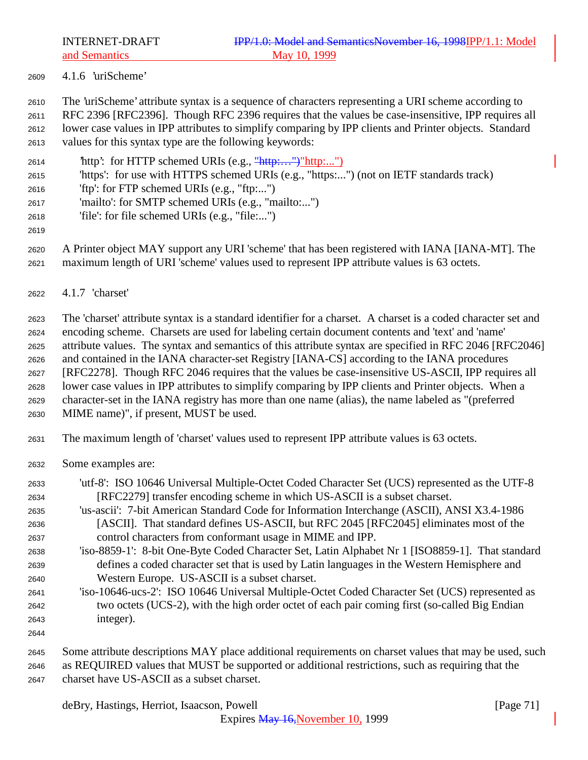4.1.6 'uriScheme'

The 'uriScheme' attribute syntax is a sequence of characters representing a URI scheme according to

 RFC 2396 [RFC2396]. Though RFC 2396 requires that the values be case-insensitive, IPP requires all lower case values in IPP attributes to simplify comparing by IPP clients and Printer objects. Standard

- values for this syntax type are the following keywords:
- 'http': for HTTP schemed URIs (e.g., "http:…")"http:...")
- 'https': for use with HTTPS schemed URIs (e.g., "https:...") (not on IETF standards track)
- 'ftp': for FTP schemed URIs (e.g., "ftp:...")
- 'mailto': for SMTP schemed URIs (e.g., "mailto:...")
- 'file': for file schemed URIs (e.g., "file:...")
- 

 A Printer object MAY support any URI 'scheme' that has been registered with IANA [IANA-MT]. The maximum length of URI 'scheme' values used to represent IPP attribute values is 63 octets.

4.1.7 'charset'

 The 'charset' attribute syntax is a standard identifier for a charset. A charset is a coded character set and encoding scheme. Charsets are used for labeling certain document contents and 'text' and 'name' attribute values. The syntax and semantics of this attribute syntax are specified in RFC 2046 [RFC2046] and contained in the IANA character-set Registry [IANA-CS] according to the IANA procedures [RFC2278]. Though RFC 2046 requires that the values be case-insensitive US-ASCII, IPP requires all lower case values in IPP attributes to simplify comparing by IPP clients and Printer objects. When a character-set in the IANA registry has more than one name (alias), the name labeled as "(preferred MIME name)", if present, MUST be used.

- The maximum length of 'charset' values used to represent IPP attribute values is 63 octets.
- Some examples are:
- 'utf-8': ISO 10646 Universal Multiple-Octet Coded Character Set (UCS) represented as the UTF-8 [RFC2279] transfer encoding scheme in which US-ASCII is a subset charset. 'us-ascii': 7-bit American Standard Code for Information Interchange (ASCII), ANSI X3.4-1986 [ASCII]. That standard defines US-ASCII, but RFC 2045 [RFC2045] eliminates most of the control characters from conformant usage in MIME and IPP. 'iso-8859-1': 8-bit One-Byte Coded Character Set, Latin Alphabet Nr 1 [ISO8859-1]. That standard defines a coded character set that is used by Latin languages in the Western Hemisphere and Western Europe. US-ASCII is a subset charset. 'iso-10646-ucs-2': ISO 10646 Universal Multiple-Octet Coded Character Set (UCS) represented as two octets (UCS-2), with the high order octet of each pair coming first (so-called Big Endian integer). Some attribute descriptions MAY place additional requirements on charset values that may be used, such

 as REQUIRED values that MUST be supported or additional restrictions, such as requiring that the charset have US-ASCII as a subset charset.

deBry, Hastings, Herriot, Isaacson, Powell [Page 71]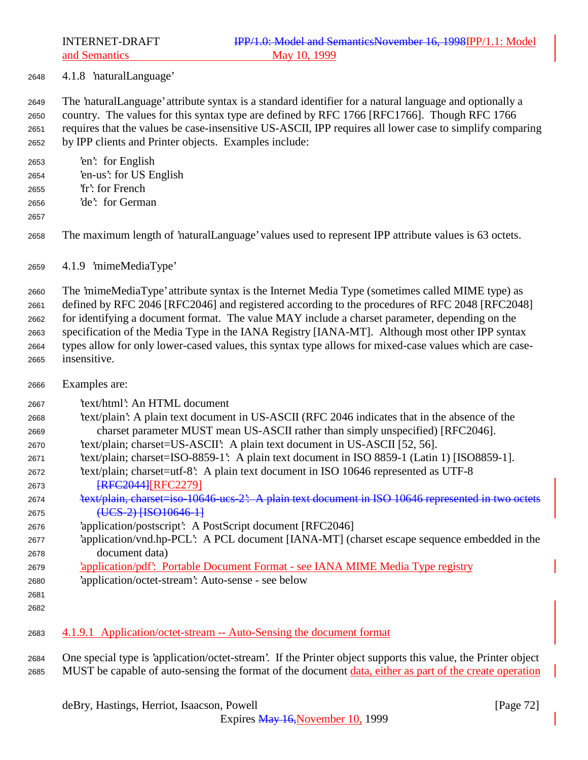4.1.8 'naturalLanguage'

 The 'naturalLanguage' attribute syntax is a standard identifier for a natural language and optionally a country. The values for this syntax type are defined by RFC 1766 [RFC1766]. Though RFC 1766 requires that the values be case-insensitive US-ASCII, IPP requires all lower case to simplify comparing by IPP clients and Printer objects. Examples include:

 'en': for English 'en-us': for US English

- 
- 'fr': for French 'de': for German
- 

The maximum length of 'naturalLanguage' values used to represent IPP attribute values is 63 octets.

4.1.9 'mimeMediaType'

 The 'mimeMediaType' attribute syntax is the Internet Media Type (sometimes called MIME type) as defined by RFC 2046 [RFC2046] and registered according to the procedures of RFC 2048 [RFC2048] for identifying a document format. The value MAY include a charset parameter, depending on the specification of the Media Type in the IANA Registry [IANA-MT]. Although most other IPP syntax types allow for only lower-cased values, this syntax type allows for mixed-case values which are case-insensitive.

Examples are:

'text/html': An HTML document

- 'text/plain': A plain text document in US-ASCII (RFC 2046 indicates that in the absence of the charset parameter MUST mean US-ASCII rather than simply unspecified) [RFC2046].
- 'text/plain; charset=US-ASCII': A plain text document in US-ASCII [52, 56].
- 'text/plain; charset=ISO-8859-1': A plain text document in ISO 8859-1 (Latin 1) [ISO8859-1].
- 'text/plain; charset=utf-8': A plain text document in ISO 10646 represented as UTF-8 **[RFC2044][RFC2279]**
- 'text/plain, charset=iso-10646-ucs-2': A plain text document in ISO 10646 represented in two octets 2675 (UCS-2) [ISO10646-1]
- 'application/postscript': A PostScript document [RFC2046]
- 'application/vnd.hp-PCL': A PCL document [IANA-MT] (charset escape sequence embedded in the document data)
- 'application/pdf': Portable Document Format see IANA MIME Media Type registry
- 'application/octet-stream': Auto-sense see below
- 
- 4.1.9.1 Application/octet-stream -- Auto-Sensing the document format

 One special type is 'application/octet-stream'. If the Printer object supports this value, the Printer object MUST be capable of auto-sensing the format of the document data, either as part of the create operation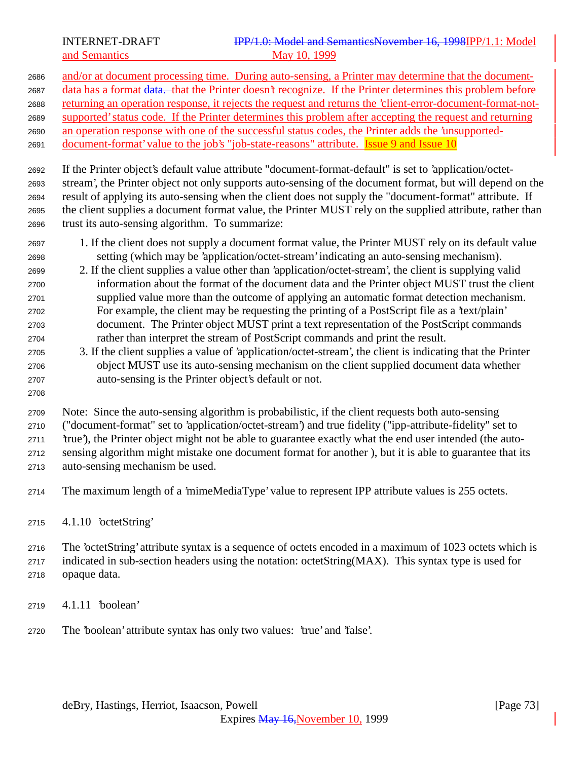and/or at document processing time. During auto-sensing, a Printer may determine that the document-2687 data has a format <del>data. t</del>hat the Printer doesn't recognize. If the Printer determines this problem before returning an operation response, it rejects the request and returns the 'client-error-document-format-not- supported' status code. If the Printer determines this problem after accepting the request and returning an operation response with one of the successful status codes, the Printer adds the 'unsupported-2691 document-format' value to the job's "job-state-reasons" attribute. Issue 9 and Issue 10 If the Printer object's default value attribute "document-format-default" is set to 'application/octet- stream', the Printer object not only supports auto-sensing of the document format, but will depend on the result of applying its auto-sensing when the client does not supply the "document-format" attribute. If the client supplies a document format value, the Printer MUST rely on the supplied attribute, rather than trust its auto-sensing algorithm. To summarize: 1. If the client does not supply a document format value, the Printer MUST rely on its default value setting (which may be 'application/octet-stream' indicating an auto-sensing mechanism). 2. If the client supplies a value other than 'application/octet-stream', the client is supplying valid information about the format of the document data and the Printer object MUST trust the client supplied value more than the outcome of applying an automatic format detection mechanism. For example, the client may be requesting the printing of a PostScript file as a 'text/plain' document. The Printer object MUST print a text representation of the PostScript commands rather than interpret the stream of PostScript commands and print the result. 3. If the client supplies a value of 'application/octet-stream', the client is indicating that the Printer object MUST use its auto-sensing mechanism on the client supplied document data whether auto-sensing is the Printer object's default or not. Note: Since the auto-sensing algorithm is probabilistic, if the client requests both auto-sensing

("document-format" set to 'application/octet-stream') and true fidelity ("ipp-attribute-fidelity" set to

'true'), the Printer object might not be able to guarantee exactly what the end user intended (the auto-

 sensing algorithm might mistake one document format for another ), but it is able to guarantee that its auto-sensing mechanism be used.

- The maximum length of a 'mimeMediaType' value to represent IPP attribute values is 255 octets.
- 4.1.10 'octetString'

 The 'octetString' attribute syntax is a sequence of octets encoded in a maximum of 1023 octets which is indicated in sub-section headers using the notation: octetString(MAX). This syntax type is used for opaque data.

- 4.1.11 'boolean'
- The 'boolean' attribute syntax has only two values: 'true' and 'false'.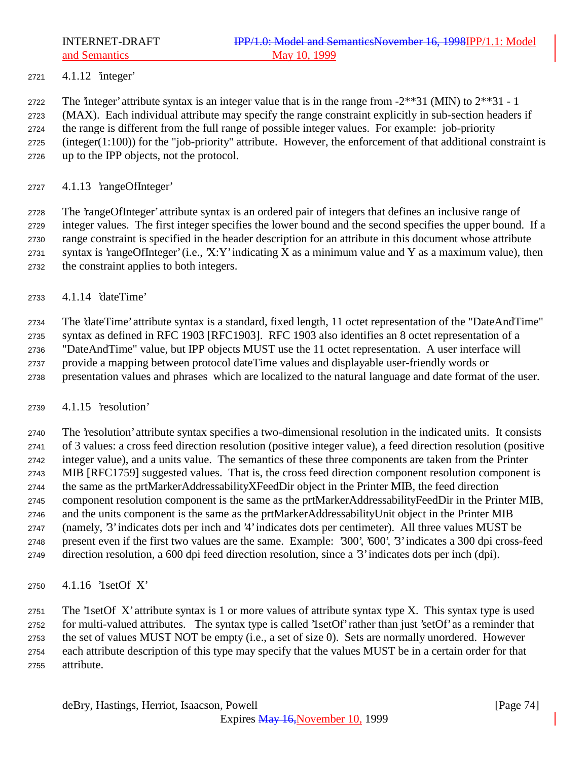4.1.12 'integer'

2722 The 'integer' attribute syntax is an integer value that is in the range from  $-2**31$  (MIN) to  $2**31 - 1$ 

(MAX). Each individual attribute may specify the range constraint explicitly in sub-section headers if

 the range is different from the full range of possible integer values. For example: job-priority (integer(1:100)) for the "job-priority" attribute. However, the enforcement of that additional constraint is

up to the IPP objects, not the protocol.

4.1.13 'rangeOfInteger'

 The 'rangeOfInteger' attribute syntax is an ordered pair of integers that defines an inclusive range of integer values. The first integer specifies the lower bound and the second specifies the upper bound. If a range constraint is specified in the header description for an attribute in this document whose attribute syntax is 'rangeOfInteger' (i.e., 'X:Y' indicating X as a minimum value and Y as a maximum value), then the constraint applies to both integers.

4.1.14 'dateTime'

 The 'dateTime' attribute syntax is a standard, fixed length, 11 octet representation of the "DateAndTime" syntax as defined in RFC 1903 [RFC1903]. RFC 1903 also identifies an 8 octet representation of a "DateAndTime" value, but IPP objects MUST use the 11 octet representation. A user interface will provide a mapping between protocol dateTime values and displayable user-friendly words or presentation values and phrases which are localized to the natural language and date format of the user.

### 4.1.15 'resolution'

 The 'resolution' attribute syntax specifies a two-dimensional resolution in the indicated units. It consists of 3 values: a cross feed direction resolution (positive integer value), a feed direction resolution (positive integer value), and a units value. The semantics of these three components are taken from the Printer MIB [RFC1759] suggested values. That is, the cross feed direction component resolution component is the same as the prtMarkerAddressabilityXFeedDir object in the Printer MIB, the feed direction component resolution component is the same as the prtMarkerAddressabilityFeedDir in the Printer MIB, and the units component is the same as the prtMarkerAddressabilityUnit object in the Printer MIB (namely, '3' indicates dots per inch and '4' indicates dots per centimeter). All three values MUST be present even if the first two values are the same. Example: '300', '600', '3' indicates a 300 dpi cross-feed direction resolution, a 600 dpi feed direction resolution, since a '3' indicates dots per inch (dpi).

4.1.16 '1setOf X'

 The '1setOf X' attribute syntax is 1 or more values of attribute syntax type X. This syntax type is used for multi-valued attributes. The syntax type is called '1setOf' rather than just 'setOf' as a reminder that the set of values MUST NOT be empty (i.e., a set of size 0). Sets are normally unordered. However each attribute description of this type may specify that the values MUST be in a certain order for that attribute.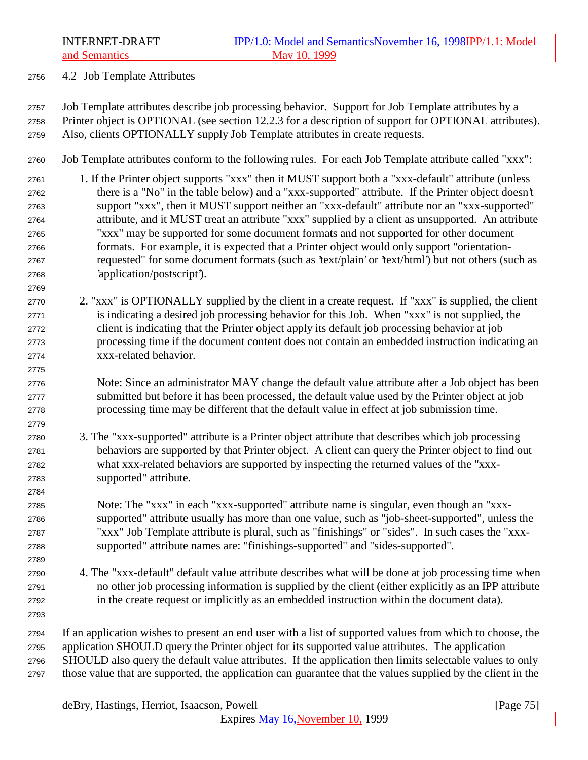4.2 Job Template Attributes

 Job Template attributes describe job processing behavior. Support for Job Template attributes by a Printer object is OPTIONAL (see section 12.2.3 for a description of support for OPTIONAL attributes). Also, clients OPTIONALLY supply Job Template attributes in create requests.

- Job Template attributes conform to the following rules. For each Job Template attribute called "xxx":
- 1. If the Printer object supports "xxx" then it MUST support both a "xxx-default" attribute (unless there is a "No" in the table below) and a "xxx-supported" attribute. If the Printer object doesn't support "xxx", then it MUST support neither an "xxx-default" attribute nor an "xxx-supported" attribute, and it MUST treat an attribute "xxx" supplied by a client as unsupported. An attribute "xxx" may be supported for some document formats and not supported for other document formats. For example, it is expected that a Printer object would only support "orientation- requested" for some document formats (such as 'text/plain' or 'text/html') but not others (such as 'application/postscript').
- 2. "xxx" is OPTIONALLY supplied by the client in a create request. If "xxx" is supplied, the client is indicating a desired job processing behavior for this Job. When "xxx" is not supplied, the client is indicating that the Printer object apply its default job processing behavior at job processing time if the document content does not contain an embedded instruction indicating an xxx-related behavior.
- Note: Since an administrator MAY change the default value attribute after a Job object has been submitted but before it has been processed, the default value used by the Printer object at job processing time may be different that the default value in effect at job submission time.
- 3. The "xxx-supported" attribute is a Printer object attribute that describes which job processing behaviors are supported by that Printer object. A client can query the Printer object to find out what xxx-related behaviors are supported by inspecting the returned values of the "xxx-supported" attribute.
- Note: The "xxx" in each "xxx-supported" attribute name is singular, even though an "xxx- supported" attribute usually has more than one value, such as "job-sheet-supported", unless the "xxx" Job Template attribute is plural, such as "finishings" or "sides". In such cases the "xxx-supported" attribute names are: "finishings-supported" and "sides-supported".
- 4. The "xxx-default" default value attribute describes what will be done at job processing time when no other job processing information is supplied by the client (either explicitly as an IPP attribute in the create request or implicitly as an embedded instruction within the document data).
- 

- If an application wishes to present an end user with a list of supported values from which to choose, the
- application SHOULD query the Printer object for its supported value attributes. The application
- SHOULD also query the default value attributes. If the application then limits selectable values to only those value that are supported, the application can guarantee that the values supplied by the client in the

deBry, Hastings, Herriot, Isaacson, Powell [Page 75]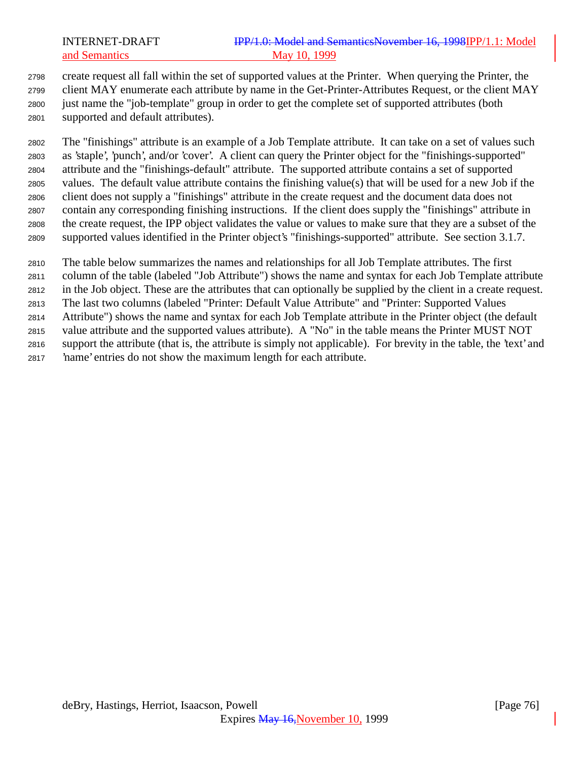create request all fall within the set of supported values at the Printer. When querying the Printer, the client MAY enumerate each attribute by name in the Get-Printer-Attributes Request, or the client MAY just name the "job-template" group in order to get the complete set of supported attributes (both supported and default attributes).

 The "finishings" attribute is an example of a Job Template attribute. It can take on a set of values such as 'staple', 'punch', and/or 'cover'. A client can query the Printer object for the "finishings-supported" attribute and the "finishings-default" attribute. The supported attribute contains a set of supported values. The default value attribute contains the finishing value(s) that will be used for a new Job if the client does not supply a "finishings" attribute in the create request and the document data does not contain any corresponding finishing instructions. If the client does supply the "finishings" attribute in the create request, the IPP object validates the value or values to make sure that they are a subset of the supported values identified in the Printer object's "finishings-supported" attribute. See section 3.1.7.

The table below summarizes the names and relationships for all Job Template attributes. The first

column of the table (labeled "Job Attribute") shows the name and syntax for each Job Template attribute

in the Job object. These are the attributes that can optionally be supplied by the client in a create request.

The last two columns (labeled "Printer: Default Value Attribute" and "Printer: Supported Values

Attribute") shows the name and syntax for each Job Template attribute in the Printer object (the default

value attribute and the supported values attribute). A "No" in the table means the Printer MUST NOT

 support the attribute (that is, the attribute is simply not applicable). For brevity in the table, the 'text' and 'name' entries do not show the maximum length for each attribute.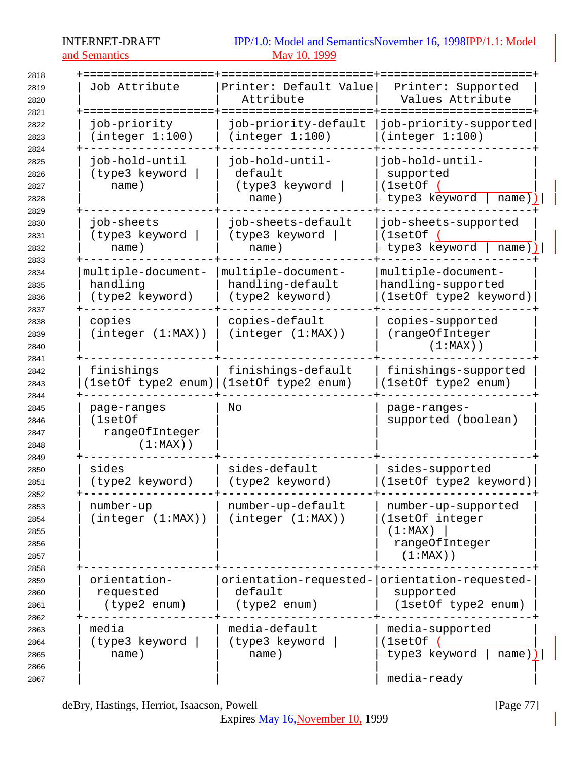## and Semantics

# INTERNET-DRAFT IPP/1.0: Model and SemanticsNovember 16, 1998IPP/1.1: Model and Semantics

| 2818                                         |                                                         |                                                               |                                                                                    |
|----------------------------------------------|---------------------------------------------------------|---------------------------------------------------------------|------------------------------------------------------------------------------------|
| 2819<br>2820<br>2821                         | Job Attribute                                           | Printer: Default Value<br>Attribute                           | Printer: Supported<br>Values Attribute                                             |
| 2822<br>2823                                 | job-priority<br>(integer 1:100)                         | job-priority-default<br>(integer 1:100)                       | job-priority-supported<br>(integer 1:100)                                          |
| 2824<br>2825<br>2826<br>2827<br>2828         | job-hold-until<br>(type3 keyword<br>name)               | job-hold-until-<br>default<br>(type3 keyword<br>name)         | job-hold-until-<br>supported<br>(1setOf)<br>-type3 keyword<br>$name)$ )            |
| 2829<br>2830<br>2831<br>2832                 | job-sheets<br>(type3 keyword<br>name)                   | job-sheets-default<br>(type3 keyword<br>name)                 | job-sheets-supported<br>(1setOf<br>-type3 keyword<br>$name)$ )                     |
| 2833<br>2834<br>2835<br>2836<br>2837         | multiple-document-<br>handling<br>(type2 keyword)       | multiple-document-<br>handling-default<br>(type2 keyword)     | multiple-document-<br>handling-supported<br>(1setOf type2 keyword)                 |
| 2838<br>2839<br>2840                         | copies<br>(integer (1:MAX))                             | copies-default<br>(integer (1:MAX))                           | copies-supported<br>(rangeOfInteger<br>$(1:MAX)$ )                                 |
| 2841<br>2842<br>2843                         | finishings                                              | finishings-default<br>(1setOf type2 enum) (1setOf type2 enum) | finishings-supported<br>(1setOf type2 enum)                                        |
| 2844<br>2845<br>2846<br>2847<br>2848         | page-ranges<br>(1setOf<br>rangeOfInteger<br>$(1:MAX)$ ) | No                                                            | page-ranges-<br>supported (boolean)                                                |
| 2849<br>2850<br>2851                         | sides<br>(type2 keyword)                                | sides-default<br>(type2 keyword)                              | sides-supported<br>(1setOf type2 keyword)                                          |
| 2852<br>2853<br>2854<br>2855<br>2856<br>2857 | number-up<br>(integer (1:MAX))                          | number-up-default<br>(integer (1:MAX))                        | number-up-supported<br>(1setOf integer<br>(1:MAX)<br>rangeOfInteger<br>$(1:MAX)$ ) |
| 2858<br>2859<br>2860<br>2861                 | orientation-<br>requested<br>(type2 enum)               | orientation-requested-<br>default<br>(type2 enum)             | orientation-requested-<br>supported<br>(1setOf type2 enum)                         |
| 2862<br>2863<br>2864<br>2865<br>2866<br>2867 | media<br>(type3 keyword<br>name)                        | media-default<br>(type3 keyword<br>name)                      | media-supported<br>(1setOf (<br>-type3 keyword<br>$name)$  <br>media-ready         |

deBry, Hastings, Herriot, Isaacson, Powell [Page 77]

Expires May 16, November 10, 1999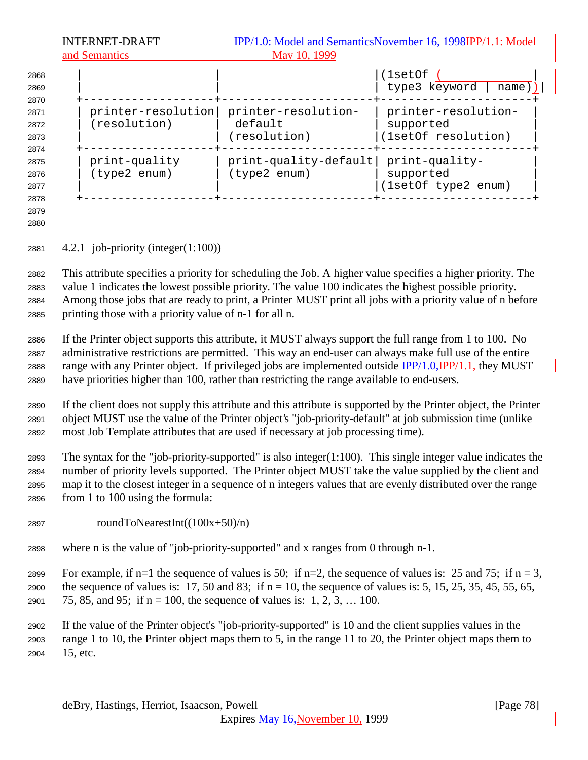| 2868<br>2869<br>2870                 |                                    |                                                | (1setOf<br>-type3 keyword<br>$name)$ )                  |
|--------------------------------------|------------------------------------|------------------------------------------------|---------------------------------------------------------|
| 2871<br>2872<br>2873                 | printer-resolution<br>(resolution) | printer-resolution-<br>default<br>(resolution) | printer-resolution-<br>supported<br>(1setOf resolution) |
| 2874<br>2875<br>2876<br>2877<br>2878 | print-quality<br>(type2 enum)      | $print-quality-default$<br>(type2 enum)        | print-quality-<br>supported<br>(1setOf type2 enum)      |
| 2879                                 |                                    |                                                |                                                         |

4.2.1 job-priority (integer(1:100))

 This attribute specifies a priority for scheduling the Job. A higher value specifies a higher priority. The value 1 indicates the lowest possible priority. The value 100 indicates the highest possible priority. Among those jobs that are ready to print, a Printer MUST print all jobs with a priority value of n before printing those with a priority value of n-1 for all n.

 If the Printer object supports this attribute, it MUST always support the full range from 1 to 100. No administrative restrictions are permitted. This way an end-user can always make full use of the entire 2888 range with any Printer object. If privileged jobs are implemented outside  $\frac{IPP}{1.0}$ , IPP/1.1, they MUST have priorities higher than 100, rather than restricting the range available to end-users.

 If the client does not supply this attribute and this attribute is supported by the Printer object, the Printer object MUST use the value of the Printer object's "job-priority-default" at job submission time (unlike most Job Template attributes that are used if necessary at job processing time).

 The syntax for the "job-priority-supported" is also integer(1:100). This single integer value indicates the number of priority levels supported. The Printer object MUST take the value supplied by the client and map it to the closest integer in a sequence of n integers values that are evenly distributed over the range from 1 to 100 using the formula:

- 2897 roundToNearestInt( $(100x+50)/n$ )
- where n is the value of "job-priority-supported" and x ranges from 0 through n-1.

2899 For example, if n=1 the sequence of values is 50; if n=2, the sequence of values is: 25 and 75; if n = 3,

2900 the sequence of values is: 17, 50 and 83; if  $n = 10$ , the sequence of values is: 5, 15, 25, 35, 45, 55, 65, 2901 75, 85, and 95; if  $n = 100$ , the sequence of values is: 1, 2, 3, ... 100.

 If the value of the Printer object's "job-priority-supported" is 10 and the client supplies values in the range 1 to 10, the Printer object maps them to 5, in the range 11 to 20, the Printer object maps them to 15, etc.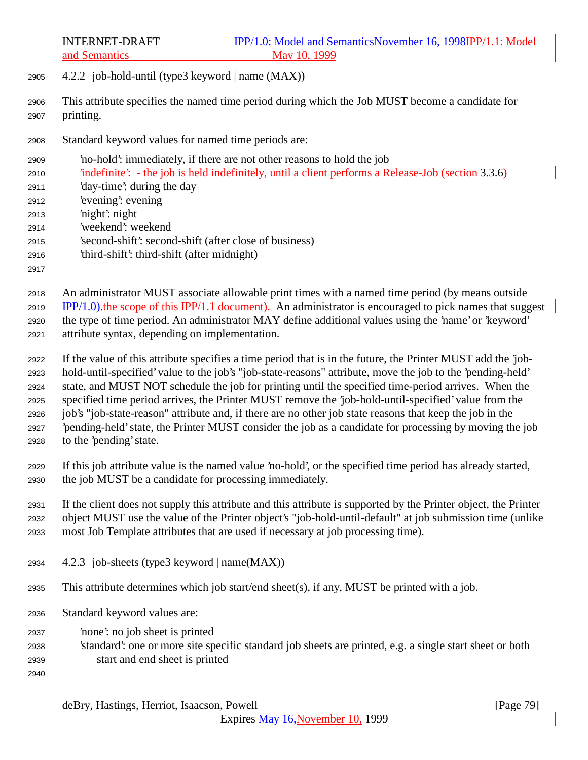- 2905  $4.2.2$  job-hold-until (type3 keyword | name (MAX))
- This attribute specifies the named time period during which the Job MUST become a candidate for printing.
- Standard keyword values for named time periods are:
- 'no-hold': immediately, if there are not other reasons to hold the job
- 'indefinite': the job is held indefinitely, until a client performs a Release-Job (section 3.3.6)
- 'day-time': during the day
- 'evening': evening
- 'night': night
- 'weekend': weekend
- 'second-shift': second-shift (after close of business)
- 'third-shift': third-shift (after midnight)
- 

 An administrator MUST associate allowable print times with a named time period (by means outside 2919 IPP/1.0). the scope of this IPP/1.1 document). An administrator is encouraged to pick names that suggest the type of time period. An administrator MAY define additional values using the 'name' or 'keyword' attribute syntax, depending on implementation.

- If the value of this attribute specifies a time period that is in the future, the Printer MUST add the 'job- hold-until-specified' value to the job's "job-state-reasons" attribute, move the job to the 'pending-held' state, and MUST NOT schedule the job for printing until the specified time-period arrives. When the specified time period arrives, the Printer MUST remove the 'job-hold-until-specified' value from the job's "job-state-reason" attribute and, if there are no other job state reasons that keep the job in the 'pending-held' state, the Printer MUST consider the job as a candidate for processing by moving the job to the 'pending' state.
- If this job attribute value is the named value 'no-hold', or the specified time period has already started, the job MUST be a candidate for processing immediately.

 If the client does not supply this attribute and this attribute is supported by the Printer object, the Printer object MUST use the value of the Printer object's "job-hold-until-default" at job submission time (unlike

- most Job Template attributes that are used if necessary at job processing time).
- 4.2.3 job-sheets (type3 keyword | name(MAX))
- This attribute determines which job start/end sheet(s), if any, MUST be printed with a job.
- Standard keyword values are:
- 'none': no job sheet is printed
- 'standard': one or more site specific standard job sheets are printed, e.g. a single start sheet or both start and end sheet is printed
-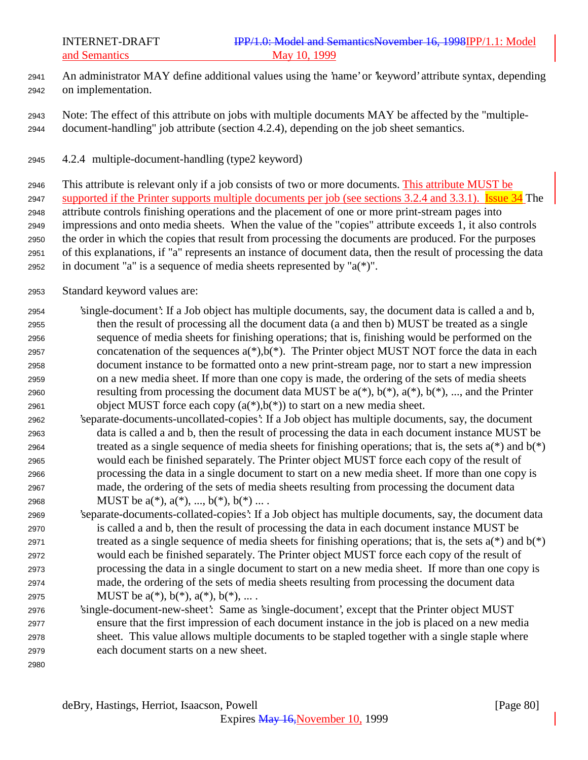- An administrator MAY define additional values using the 'name' or 'keyword' attribute syntax, depending on implementation.
- Note: The effect of this attribute on jobs with multiple documents MAY be affected by the "multiple-document-handling" job attribute (section 4.2.4), depending on the job sheet semantics.
- 4.2.4 multiple-document-handling (type2 keyword)

 This attribute is relevant only if a job consists of two or more documents. This attribute MUST be 2947 supported if the Printer supports multiple documents per job (see sections 3.2.4 and 3.3.1). Issue 34 The attribute controls finishing operations and the placement of one or more print-stream pages into impressions and onto media sheets. When the value of the "copies" attribute exceeds 1, it also controls the order in which the copies that result from processing the documents are produced. For the purposes of this explanations, if "a" represents an instance of document data, then the result of processing the data 2952 in document "a" is a sequence of media sheets represented by " $a(*)$ ".

- Standard keyword values are:
- 'single-document': If a Job object has multiple documents, say, the document data is called a and b, then the result of processing all the document data (a and then b) MUST be treated as a single sequence of media sheets for finishing operations; that is, finishing would be performed on the 2957 concatenation of the sequences  $a(*)$ ,  $b(*)$ . The Printer object MUST NOT force the data in each document instance to be formatted onto a new print-stream page, nor to start a new impression on a new media sheet. If more than one copy is made, the ordering of the sets of media sheets 2960 resulting from processing the document data MUST be  $a(*)$ ,  $b(*)$ ,  $a(*)$ ,  $b(*)$ , ..., and the Printer 2961 object MUST force each copy  $(a(*),b(*))$  to start on a new media sheet.
- 'separate-documents-uncollated-copies': If a Job object has multiple documents, say, the document data is called a and b, then the result of processing the data in each document instance MUST be 2964 treated as a single sequence of media sheets for finishing operations; that is, the sets  $a(*)$  and  $b(*)$  would each be finished separately. The Printer object MUST force each copy of the result of processing the data in a single document to start on a new media sheet. If more than one copy is made, the ordering of the sets of media sheets resulting from processing the document data 2968 MUST be  $a(*), a(*), ..., b(*), b(*)...$ .
- 'separate-documents-collated-copies': If a Job object has multiple documents, say, the document data is called a and b, then the result of processing the data in each document instance MUST be 2971 treated as a single sequence of media sheets for finishing operations; that is, the sets  $a(*)$  and  $b(*)$  would each be finished separately. The Printer object MUST force each copy of the result of processing the data in a single document to start on a new media sheet. If more than one copy is made, the ordering of the sets of media sheets resulting from processing the document data 2975 MUST be  $a(*), b(*), a(*), b(*), ...$ .
- 'single-document-new-sheet': Same as 'single-document', except that the Printer object MUST ensure that the first impression of each document instance in the job is placed on a new media sheet. This value allows multiple documents to be stapled together with a single staple where each document starts on a new sheet.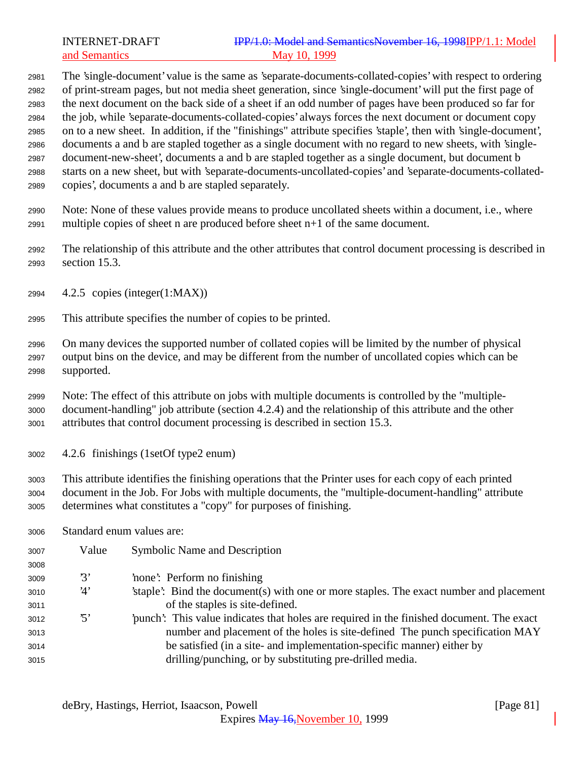The 'single-document' value is the same as 'separate-documents-collated-copies' with respect to ordering of print-stream pages, but not media sheet generation, since 'single-document' will put the first page of the next document on the back side of a sheet if an odd number of pages have been produced so far for the job, while 'separate-documents-collated-copies' always forces the next document or document copy on to a new sheet. In addition, if the "finishings" attribute specifies 'staple', then with 'single-document', documents a and b are stapled together as a single document with no regard to new sheets, with 'single- document-new-sheet', documents a and b are stapled together as a single document, but document b starts on a new sheet, but with 'separate-documents-uncollated-copies' and 'separate-documents-collated-copies', documents a and b are stapled separately.

 Note: None of these values provide means to produce uncollated sheets within a document, i.e., where multiple copies of sheet n are produced before sheet n+1 of the same document.

 The relationship of this attribute and the other attributes that control document processing is described in section 15.3.

- 4.2.5 copies (integer(1:MAX))
- This attribute specifies the number of copies to be printed.

 On many devices the supported number of collated copies will be limited by the number of physical output bins on the device, and may be different from the number of uncollated copies which can be supported.

 Note: The effect of this attribute on jobs with multiple documents is controlled by the "multiple- document-handling" job attribute (section 4.2.4) and the relationship of this attribute and the other attributes that control document processing is described in section 15.3.

4.2.6 finishings (1setOf type2 enum)

 This attribute identifies the finishing operations that the Printer uses for each copy of each printed document in the Job. For Jobs with multiple documents, the "multiple-document-handling" attribute determines what constitutes a "copy" for purposes of finishing.

Standard enum values are:

| 3007 | Value                   | <b>Symbolic Name and Description</b>                                                     |
|------|-------------------------|------------------------------------------------------------------------------------------|
| 3008 |                         |                                                                                          |
| 3009 | $\mathfrak{B}^{\prime}$ | 'none': Perform no finishing                                                             |
| 3010 | 4'                      | 'staple': Bind the document(s) with one or more staples. The exact number and placement  |
| 3011 |                         | of the staples is site-defined.                                                          |
| 3012 | $\cdot$ 5'              | punch': This value indicates that holes are required in the finished document. The exact |
| 3013 |                         | number and placement of the holes is site-defined. The punch specification MAY           |
| 3014 |                         | be satisfied (in a site- and implementation-specific manner) either by                   |
| 3015 |                         | drilling/punching, or by substituting pre-drilled media.                                 |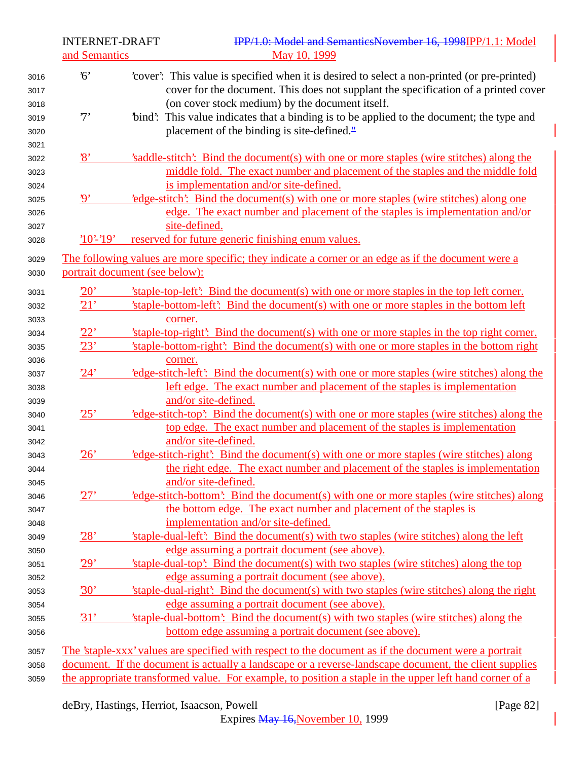| <b>INTERNET-DRAFT</b><br>and Semantics                      | IPP/1.0: Model and SemanticsNovember 16, 1998IPP/1.1: Model<br>May 10, 1999                                                                                                                                                            |
|-------------------------------------------------------------|----------------------------------------------------------------------------------------------------------------------------------------------------------------------------------------------------------------------------------------|
| 6'<br>3016<br>3017<br>3018                                  | 'cover': This value is specified when it is desired to select a non-printed (or pre-printed)<br>cover for the document. This does not supplant the specification of a printed cover<br>(on cover stock medium) by the document itself. |
| 7'<br>3019<br>3020<br>3021                                  | "bind": This value indicates that a binding is to be applied to the document; the type and<br>placement of the binding is site-defined."                                                                                               |
| $\mathbf{8}$<br>3022<br>3023                                | 's addle-stitch': Bind the document(s) with one or more staples (wire stitches) along the<br>middle fold. The exact number and placement of the staples and the middle fold<br>is implementation and/or site-defined.                  |
| 3024<br>$\boldsymbol{\mathfrak{g}}$<br>3025<br>3026<br>3027 | 'edge-stitch': Bind the document(s) with one or more staples (wire stitches) along one<br>edge. The exact number and placement of the staples is implementation and/or<br>site-defined.                                                |
| $'10'-19'$<br>3028                                          | reserved for future generic finishing enum values.                                                                                                                                                                                     |
| 3029<br>3030                                                | The following values are more specific; they indicate a corner or an edge as if the document were a<br>portrait document (see below):                                                                                                  |
| 20'<br>3031                                                 | 'staple-top-left': Bind the document(s) with one or more staples in the top left corner.                                                                                                                                               |
| 21'<br>3032                                                 | 'staple-bottom-left': Bind the document(s) with one or more staples in the bottom left                                                                                                                                                 |
| 3033<br>22'                                                 | corner.<br>'staple-top-right': Bind the document(s) with one or more staples in the top right corner.                                                                                                                                  |
| 3034<br>23'<br>3035                                         | 'staple-bottom-right': Bind the document(s) with one or more staples in the bottom right                                                                                                                                               |
| 3036                                                        | corner.                                                                                                                                                                                                                                |
| 24'<br>3037                                                 | edge-stitch-left. Bind the document(s) with one or more staples (wire stitches) along the                                                                                                                                              |
| 3038                                                        | left edge. The exact number and placement of the staples is implementation                                                                                                                                                             |
| 3039                                                        | and/or site-defined.                                                                                                                                                                                                                   |
| 25'<br>3040                                                 | 'edge-stitch-top': Bind the document(s) with one or more staples (wire stitches) along the                                                                                                                                             |
| 3041                                                        | top edge. The exact number and placement of the staples is implementation<br>and/or site-defined.                                                                                                                                      |
| 3042<br>26'<br>3043                                         | 'edge-stitch-right': Bind the document(s) with one or more staples (wire stitches) along                                                                                                                                               |
| 3044                                                        | the right edge. The exact number and placement of the staples is implementation                                                                                                                                                        |
| 3045                                                        | and/or site-defined.                                                                                                                                                                                                                   |
| 27'<br>3046                                                 | 'edge-stitch-bottom': Bind the document(s) with one or more staples (wire stitches) along                                                                                                                                              |
| 3047                                                        | the bottom edge. The exact number and placement of the staples is                                                                                                                                                                      |
| 3048                                                        | implementation and/or site-defined.                                                                                                                                                                                                    |
| 28'<br>3049                                                 | 'staple-dual-left': Bind the document(s) with two staples (wire stitches) along the left                                                                                                                                               |
| 3050<br>29'                                                 | edge assuming a portrait document (see above).<br>'staple-dual-top': Bind the document(s) with two staples (wire stitches) along the top                                                                                               |
| 3051<br>3052                                                | edge assuming a portrait document (see above).                                                                                                                                                                                         |
| 30'<br>3053                                                 | 'staple-dual-right': Bind the document(s) with two staples (wire stitches) along the right                                                                                                                                             |
| 3054                                                        | edge assuming a portrait document (see above).                                                                                                                                                                                         |
| 31'<br>3055                                                 | 'staple-dual-bottom': Bind the document(s) with two staples (wire stitches) along the                                                                                                                                                  |
| 3056                                                        | bottom edge assuming a portrait document (see above).                                                                                                                                                                                  |
| 3057                                                        | The 'staple-xxx' values are specified with respect to the document as if the document were a portrait                                                                                                                                  |
| 3058                                                        | document. If the document is actually a landscape or a reverse-landscape document, the client supplies                                                                                                                                 |
| 3059                                                        | the appropriate transformed value. For example, to position a staple in the upper left hand corner of a                                                                                                                                |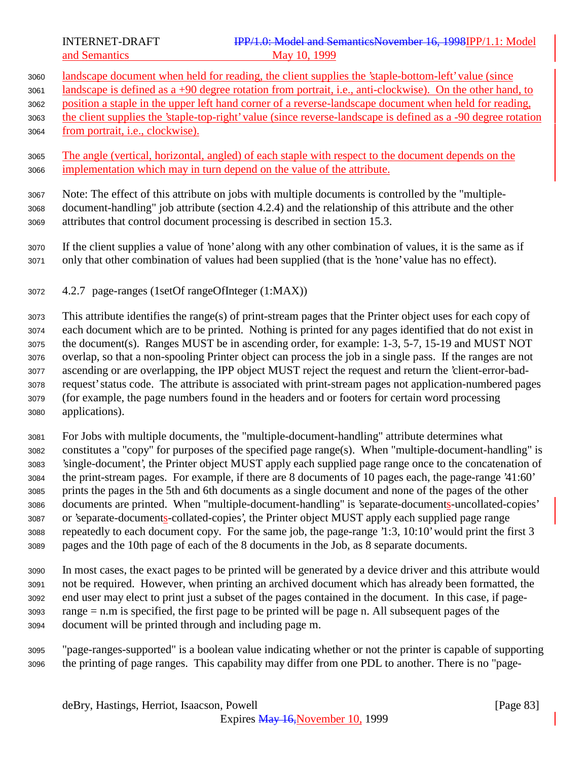- landscape document when held for reading, the client supplies the 'staple-bottom-left' value (since landscape is defined as a +90 degree rotation from portrait, i.e., anti-clockwise). On the other hand, to position a staple in the upper left hand corner of a reverse-landscape document when held for reading, the client supplies the 'staple-top-right' value (since reverse-landscape is defined as a -90 degree rotation from portrait, i.e., clockwise). The angle (vertical, horizontal, angled) of each staple with respect to the document depends on the implementation which may in turn depend on the value of the attribute.
- Note: The effect of this attribute on jobs with multiple documents is controlled by the "multiple- document-handling" job attribute (section 4.2.4) and the relationship of this attribute and the other attributes that control document processing is described in section 15.3.
- If the client supplies a value of 'none' along with any other combination of values, it is the same as if only that other combination of values had been supplied (that is the 'none' value has no effect).
- 4.2.7 page-ranges (1setOf rangeOfInteger (1:MAX))
- This attribute identifies the range(s) of print-stream pages that the Printer object uses for each copy of each document which are to be printed. Nothing is printed for any pages identified that do not exist in the document(s). Ranges MUST be in ascending order, for example: 1-3, 5-7, 15-19 and MUST NOT overlap, so that a non-spooling Printer object can process the job in a single pass. If the ranges are not ascending or are overlapping, the IPP object MUST reject the request and return the 'client-error-bad- request' status code. The attribute is associated with print-stream pages not application-numbered pages (for example, the page numbers found in the headers and or footers for certain word processing applications).
- For Jobs with multiple documents, the "multiple-document-handling" attribute determines what constitutes a "copy" for purposes of the specified page range(s). When "multiple-document-handling" is 'single-document', the Printer object MUST apply each supplied page range once to the concatenation of the print-stream pages. For example, if there are 8 documents of 10 pages each, the page-range '41:60' prints the pages in the 5th and 6th documents as a single document and none of the pages of the other documents are printed. When "multiple-document-handling" is 'separate-documents-uncollated-copies' or 'separate-documents-collated-copies', the Printer object MUST apply each supplied page range repeatedly to each document copy. For the same job, the page-range '1:3, 10:10' would print the first 3 pages and the 10th page of each of the 8 documents in the Job, as 8 separate documents.
- In most cases, the exact pages to be printed will be generated by a device driver and this attribute would not be required. However, when printing an archived document which has already been formatted, the end user may elect to print just a subset of the pages contained in the document. In this case, if page- range = n.m is specified, the first page to be printed will be page n. All subsequent pages of the document will be printed through and including page m.
- "page-ranges-supported" is a boolean value indicating whether or not the printer is capable of supporting the printing of page ranges. This capability may differ from one PDL to another. There is no "page-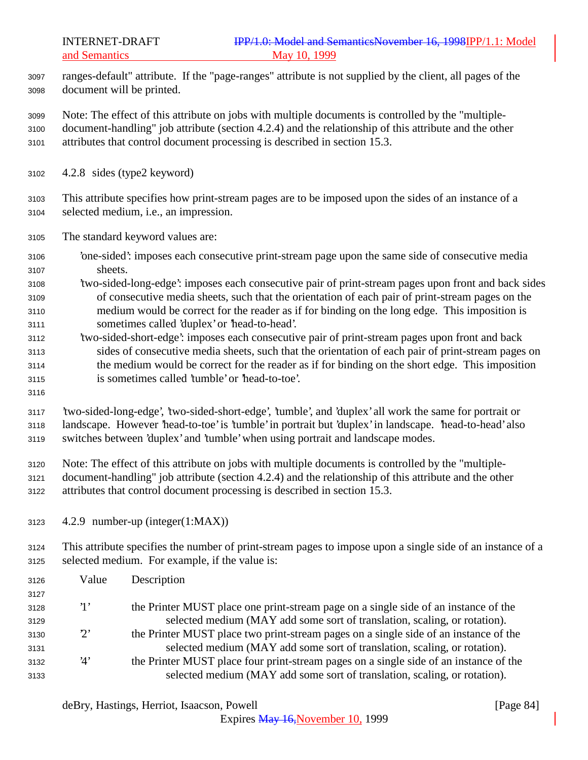ranges-default" attribute. If the "page-ranges" attribute is not supplied by the client, all pages of the document will be printed.

 Note: The effect of this attribute on jobs with multiple documents is controlled by the "multiple- document-handling" job attribute (section 4.2.4) and the relationship of this attribute and the other attributes that control document processing is described in section 15.3.

4.2.8 sides (type2 keyword)

 This attribute specifies how print-stream pages are to be imposed upon the sides of an instance of a selected medium, i.e., an impression.

- The standard keyword values are:
- 'one-sided': imposes each consecutive print-stream page upon the same side of consecutive media sheets.
- 'two-sided-long-edge': imposes each consecutive pair of print-stream pages upon front and back sides of consecutive media sheets, such that the orientation of each pair of print-stream pages on the medium would be correct for the reader as if for binding on the long edge. This imposition is sometimes called 'duplex' or 'head-to-head'.
- 'two-sided-short-edge': imposes each consecutive pair of print-stream pages upon front and back sides of consecutive media sheets, such that the orientation of each pair of print-stream pages on the medium would be correct for the reader as if for binding on the short edge. This imposition is sometimes called 'tumble' or 'head-to-toe'.
- 

 'two-sided-long-edge', 'two-sided-short-edge', 'tumble', and 'duplex' all work the same for portrait or landscape. However 'head-to-toe' is 'tumble' in portrait but 'duplex' in landscape. 'head-to-head' also switches between 'duplex' and 'tumble' when using portrait and landscape modes.

 Note: The effect of this attribute on jobs with multiple documents is controlled by the "multiple- document-handling" job attribute (section 4.2.4) and the relationship of this attribute and the other attributes that control document processing is described in section 15.3.

4.2.9 number-up (integer(1:MAX))

 This attribute specifies the number of print-stream pages to impose upon a single side of an instance of a selected medium. For example, if the value is:

| 3126 | Value       | Description                                                                           |
|------|-------------|---------------------------------------------------------------------------------------|
| 3127 |             |                                                                                       |
| 3128 | $\cdot_1$ , | the Printer MUST place one print-stream page on a single side of an instance of the   |
| 3129 |             | selected medium (MAY add some sort of translation, scaling, or rotation).             |
| 3130 | $2^{\circ}$ | the Printer MUST place two print-stream pages on a single side of an instance of the  |
| 3131 |             | selected medium (MAY add some sort of translation, scaling, or rotation).             |
| 3132 | '4'         | the Printer MUST place four print-stream pages on a single side of an instance of the |
| 3133 |             | selected medium (MAY add some sort of translation, scaling, or rotation).             |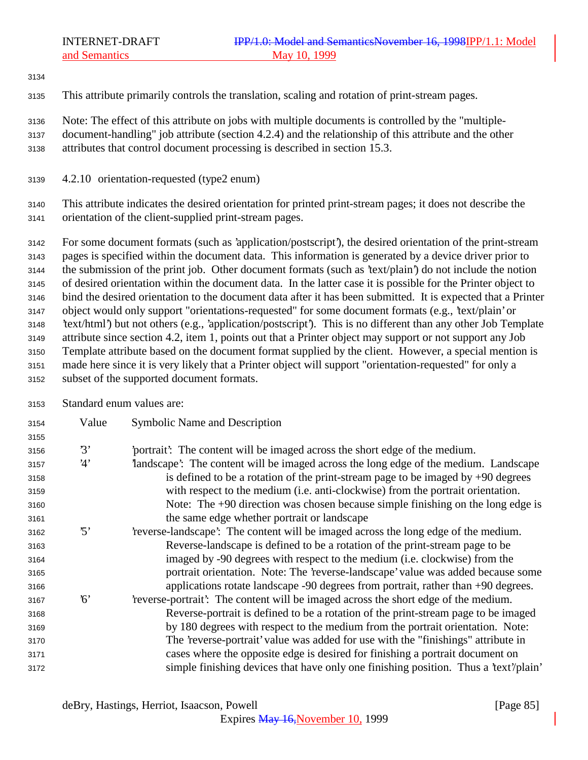This attribute primarily controls the translation, scaling and rotation of print-stream pages.

Note: The effect of this attribute on jobs with multiple documents is controlled by the "multiple-

- document-handling" job attribute (section 4.2.4) and the relationship of this attribute and the other attributes that control document processing is described in section 15.3.
- 4.2.10 orientation-requested (type2 enum)

 This attribute indicates the desired orientation for printed print-stream pages; it does not describe the orientation of the client-supplied print-stream pages.

 For some document formats (such as 'application/postscript'), the desired orientation of the print-stream pages is specified within the document data. This information is generated by a device driver prior to the submission of the print job. Other document formats (such as 'text/plain') do not include the notion of desired orientation within the document data. In the latter case it is possible for the Printer object to bind the desired orientation to the document data after it has been submitted. It is expected that a Printer object would only support "orientations-requested" for some document formats (e.g., 'text/plain' or 'text/html') but not others (e.g., 'application/postscript'). This is no different than any other Job Template attribute since section 4.2, item 1, points out that a Printer object may support or not support any Job Template attribute based on the document format supplied by the client. However, a special mention is made here since it is very likely that a Printer object will support "orientation-requested" for only a subset of the supported document formats.

Standard enum values are:

| 3154 | Value      | Symbolic Name and Description                                                        |
|------|------------|--------------------------------------------------------------------------------------|
| 3155 |            |                                                                                      |
| 3156 | 3'         | portrait? The content will be imaged across the short edge of the medium.            |
| 3157 | 4'         | landscape': The content will be imaged across the long edge of the medium. Landscape |
| 3158 |            | is defined to be a rotation of the print-stream page to be imaged by $+90$ degrees   |
| 3159 |            | with respect to the medium (i.e. anti-clockwise) from the portrait orientation.      |
| 3160 |            | Note: The $+90$ direction was chosen because simple finishing on the long edge is    |
| 3161 |            | the same edge whether portrait or landscape                                          |
| 3162 | $\cdot$ 5' | reverse-landscape': The content will be imaged across the long edge of the medium.   |
| 3163 |            | Reverse-landscape is defined to be a rotation of the print-stream page to be         |
| 3164 |            | imaged by -90 degrees with respect to the medium (i.e. clockwise) from the           |
| 3165 |            | portrait orientation. Note: The 'reverse-landscape' value was added because some     |
| 3166 |            | applications rotate landscape -90 degrees from portrait, rather than +90 degrees.    |
| 3167 | 6'         | 'reverse-portrait': The content will be imaged across the short edge of the medium.  |
| 3168 |            | Reverse-portrait is defined to be a rotation of the print-stream page to be imaged   |
| 3169 |            | by 180 degrees with respect to the medium from the portrait orientation. Note:       |
| 3170 |            | The 'reverse-portrait' value was added for use with the "finishings" attribute in    |
| 3171 |            | cases where the opposite edge is desired for finishing a portrait document on        |
| 3172 |            | simple finishing devices that have only one finishing position. Thus a 'text'/plain' |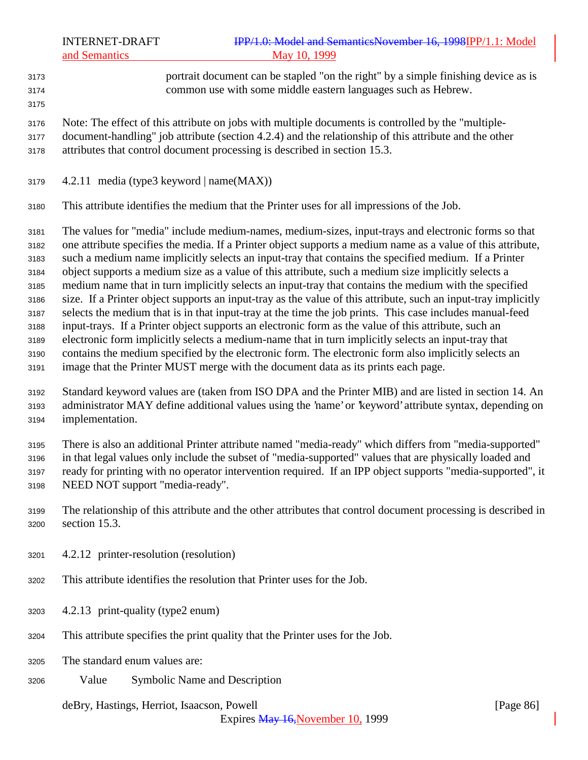portrait document can be stapled "on the right" by a simple finishing device as is common use with some middle eastern languages such as Hebrew. 

 Note: The effect of this attribute on jobs with multiple documents is controlled by the "multiple- document-handling" job attribute (section 4.2.4) and the relationship of this attribute and the other attributes that control document processing is described in section 15.3.

4.2.11 media (type3 keyword | name $(MAX)$ )

This attribute identifies the medium that the Printer uses for all impressions of the Job.

 The values for "media" include medium-names, medium-sizes, input-trays and electronic forms so that one attribute specifies the media. If a Printer object supports a medium name as a value of this attribute, such a medium name implicitly selects an input-tray that contains the specified medium. If a Printer object supports a medium size as a value of this attribute, such a medium size implicitly selects a medium name that in turn implicitly selects an input-tray that contains the medium with the specified size. If a Printer object supports an input-tray as the value of this attribute, such an input-tray implicitly selects the medium that is in that input-tray at the time the job prints. This case includes manual-feed input-trays. If a Printer object supports an electronic form as the value of this attribute, such an electronic form implicitly selects a medium-name that in turn implicitly selects an input-tray that contains the medium specified by the electronic form. The electronic form also implicitly selects an image that the Printer MUST merge with the document data as its prints each page.

 Standard keyword values are (taken from ISO DPA and the Printer MIB) and are listed in section 14. An administrator MAY define additional values using the 'name' or 'keyword' attribute syntax, depending on implementation.

 There is also an additional Printer attribute named "media-ready" which differs from "media-supported" in that legal values only include the subset of "media-supported" values that are physically loaded and ready for printing with no operator intervention required. If an IPP object supports "media-supported", it NEED NOT support "media-ready".

- The relationship of this attribute and the other attributes that control document processing is described in section 15.3.
- 4.2.12 printer-resolution (resolution)
- This attribute identifies the resolution that Printer uses for the Job.
- 4.2.13 print-quality (type2 enum)
- This attribute specifies the print quality that the Printer uses for the Job.
- The standard enum values are:
- Value Symbolic Name and Description

deBry, Hastings, Herriot, Isaacson, Powell [Page 86]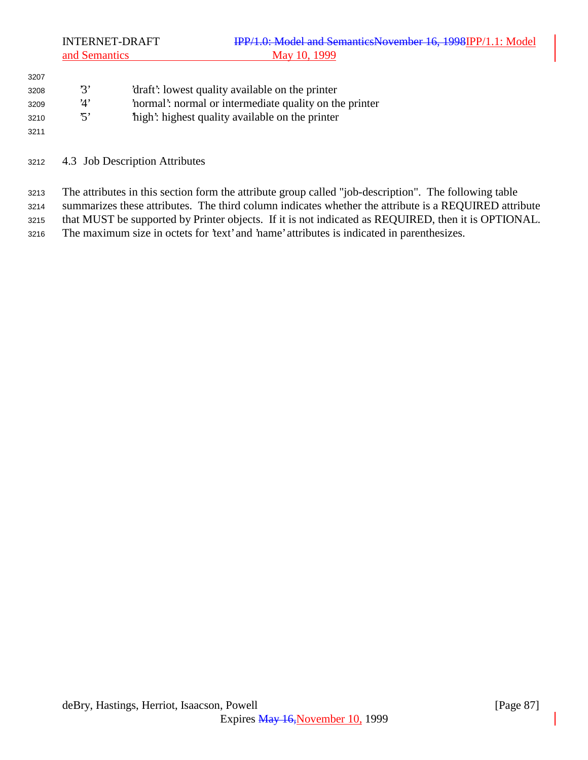| 3207 |             |                                                       |
|------|-------------|-------------------------------------------------------|
| 3208 | z,          | 'draft': lowest quality available on the printer      |
| 3209 | <u>'</u> Δ' | normal: normal or intermediate quality on the printer |
| 3210 | ה,          | high: highest quality available on the printer        |
| 3211 |             |                                                       |

4.3 Job Description Attributes

 The attributes in this section form the attribute group called "job-description". The following table summarizes these attributes. The third column indicates whether the attribute is a REQUIRED attribute that MUST be supported by Printer objects. If it is not indicated as REQUIRED, then it is OPTIONAL.

The maximum size in octets for 'text' and 'name' attributes is indicated in parenthesizes.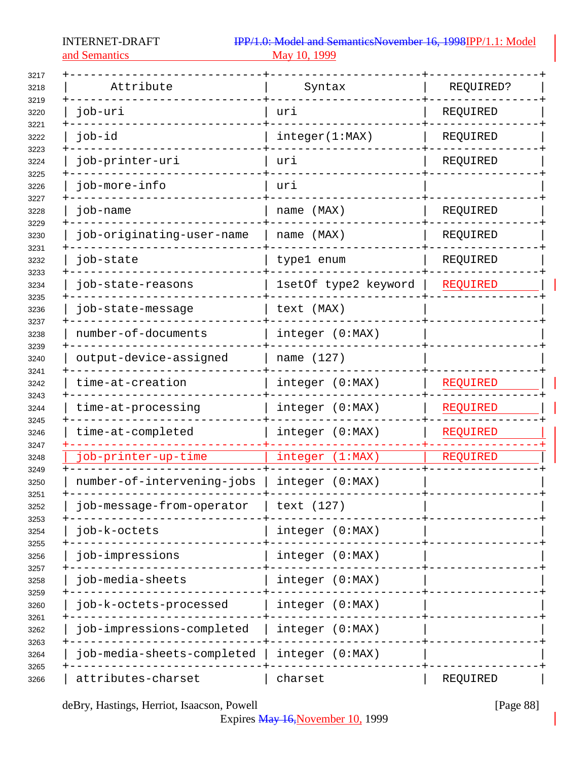and Semantics

| Attribute                  | Syntax               | REQUIRED? |
|----------------------------|----------------------|-----------|
| job-uri                    | uri                  | REQUIRED  |
| job-id                     | integer(1:MAX)       | REQUIRED  |
| job-printer-uri            | uri                  | REQUIRED  |
| job-more-info              | uri                  |           |
| job-name                   | name (MAX)           | REQUIRED  |
| job-originating-user-name  | name (MAX)           | REQUIRED  |
| job-state                  | type1 enum           | REQUIRED  |
| job-state-reasons          | 1setOf type2 keyword | REQUIRED  |
| job-state-message          | text (MAX)           |           |
| number-of-documents        | integer (0:MAX)      |           |
| output-device-assigned     | name (127)           |           |
| time-at-creation           | integer (0:MAX)      | REQUIRED  |
| time-at-processing         | integer (0:MAX)      | REQUIRED  |
| time-at-completed          | integer (0:MAX)      | REQUIRED  |
| job-printer-up-time        | integer (1:MAX)      | REQUIRED  |
| number-of-intervening-jobs | integer (0:MAX)      |           |
| job-message-from-operator  | text (127)           |           |
| job-k-octets               | integer (0:MAX)      |           |
| job-impressions            | integer (0:MAX)      |           |
| job-media-sheets           | integer (0:MAX)      |           |
| job-k-octets-processed     | integer (0:MAX)      |           |
| job-impressions-completed  | integer (0:MAX)      |           |
| job-media-sheets-completed | integer (0:MAX)      |           |
| attributes-charset         | charset              | REQUIRED  |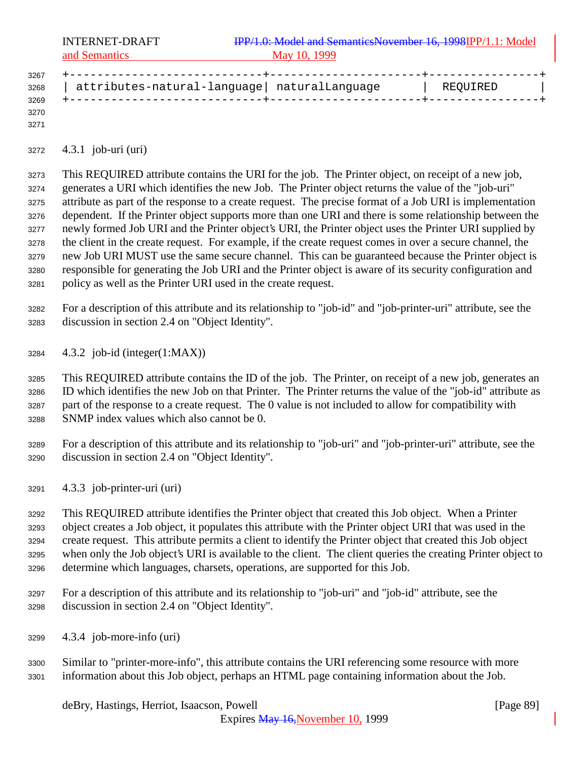| 3267 |                                              |          |  |
|------|----------------------------------------------|----------|--|
| 3268 | attributes-natural-language  naturalLanguage | REQUIRED |  |
| 3269 |                                              |          |  |
| 3270 |                                              |          |  |

4.3.1 job-uri (uri)

 This REQUIRED attribute contains the URI for the job. The Printer object, on receipt of a new job, generates a URI which identifies the new Job. The Printer object returns the value of the "job-uri" attribute as part of the response to a create request. The precise format of a Job URI is implementation dependent. If the Printer object supports more than one URI and there is some relationship between the newly formed Job URI and the Printer object's URI, the Printer object uses the Printer URI supplied by the client in the create request. For example, if the create request comes in over a secure channel, the new Job URI MUST use the same secure channel. This can be guaranteed because the Printer object is responsible for generating the Job URI and the Printer object is aware of its security configuration and policy as well as the Printer URI used in the create request.

 For a description of this attribute and its relationship to "job-id" and "job-printer-uri" attribute, see the discussion in section 2.4 on "Object Identity".

4.3.2 job-id (integer(1:MAX))

 This REQUIRED attribute contains the ID of the job. The Printer, on receipt of a new job, generates an ID which identifies the new Job on that Printer. The Printer returns the value of the "job-id" attribute as part of the response to a create request. The 0 value is not included to allow for compatibility with SNMP index values which also cannot be 0.

 For a description of this attribute and its relationship to "job-uri" and "job-printer-uri" attribute, see the discussion in section 2.4 on "Object Identity".

4.3.3 job-printer-uri (uri)

 This REQUIRED attribute identifies the Printer object that created this Job object. When a Printer object creates a Job object, it populates this attribute with the Printer object URI that was used in the create request. This attribute permits a client to identify the Printer object that created this Job object when only the Job object's URI is available to the client. The client queries the creating Printer object to determine which languages, charsets, operations, are supported for this Job.

- For a description of this attribute and its relationship to "job-uri" and "job-id" attribute, see the discussion in section 2.4 on "Object Identity".
- 4.3.4 job-more-info (uri)
- Similar to "printer-more-info", this attribute contains the URI referencing some resource with more information about this Job object, perhaps an HTML page containing information about the Job.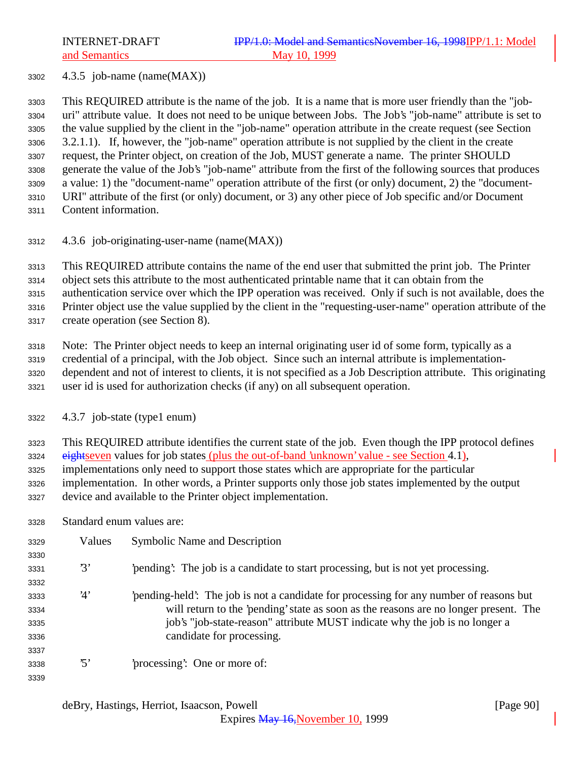4.3.5 job-name (name(MAX))

 This REQUIRED attribute is the name of the job. It is a name that is more user friendly than the "job- uri" attribute value. It does not need to be unique between Jobs. The Job's "job-name" attribute is set to the value supplied by the client in the "job-name" operation attribute in the create request (see Section 3.2.1.1). If, however, the "job-name" operation attribute is not supplied by the client in the create request, the Printer object, on creation of the Job, MUST generate a name. The printer SHOULD generate the value of the Job's "job-name" attribute from the first of the following sources that produces a value: 1) the "document-name" operation attribute of the first (or only) document, 2) the "document- URI" attribute of the first (or only) document, or 3) any other piece of Job specific and/or Document Content information.

4.3.6 job-originating-user-name (name(MAX))

This REQUIRED attribute contains the name of the end user that submitted the print job. The Printer

object sets this attribute to the most authenticated printable name that it can obtain from the

authentication service over which the IPP operation was received. Only if such is not available, does the

Printer object use the value supplied by the client in the "requesting-user-name" operation attribute of the

create operation (see Section 8).

Note: The Printer object needs to keep an internal originating user id of some form, typically as a

 credential of a principal, with the Job object. Since such an internal attribute is implementation-dependent and not of interest to clients, it is not specified as a Job Description attribute. This originating

user id is used for authorization checks (if any) on all subsequent operation.

4.3.7 job-state (type1 enum)

This REQUIRED attribute identifies the current state of the job. Even though the IPP protocol defines

3324 eightseven values for job states (plus the out-of-band 'unknown' value - see Section 4.1), implementations only need to support those states which are appropriate for the particular

implementation. In other words, a Printer supports only those job states implemented by the output

- device and available to the Printer object implementation.
- Standard enum values are:

| 3329 | Values          | Symbolic Name and Description                                                         |
|------|-----------------|---------------------------------------------------------------------------------------|
| 3330 |                 |                                                                                       |
| 3331 | 3'              | pending. The job is a candidate to start processing, but is not yet processing.       |
| 3332 |                 |                                                                                       |
| 3333 | 4'              | pending-held. The job is not a candidate for processing for any number of reasons but |
| 3334 |                 | will return to the 'pending' state as soon as the reasons are no longer present. The  |
| 3335 |                 | job's "job-state-reason" attribute MUST indicate why the job is no longer a           |
| 3336 |                 | candidate for processing.                                                             |
| 3337 |                 |                                                                                       |
| 3338 | $\mathfrak{B}'$ | processing: One or more of:                                                           |
| 3339 |                 |                                                                                       |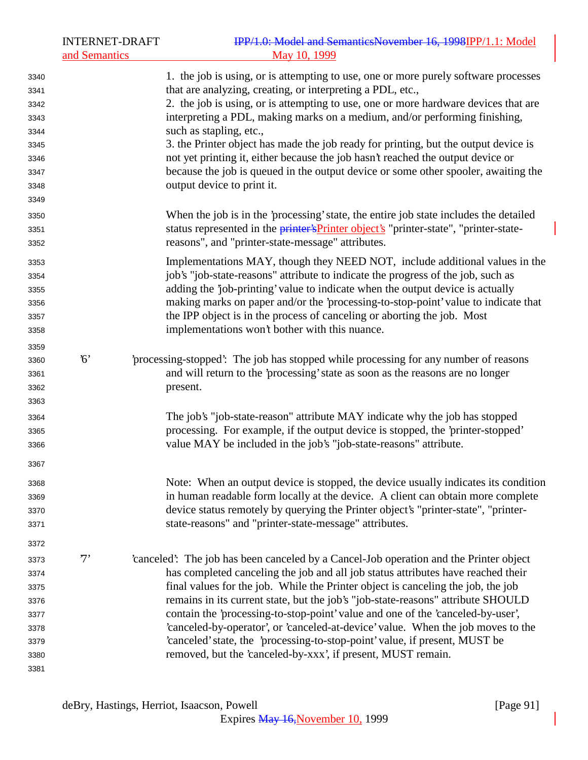|      | <b>INTERNET-DRAFT</b><br>and Semantics | IPP/1.0: Model and SemanticsNovember 16, 1998IPP/1.1: Model<br>May 10, 1999                  |
|------|----------------------------------------|----------------------------------------------------------------------------------------------|
| 3340 |                                        | 1. the job is using, or is attempting to use, one or more purely software processes          |
| 3341 |                                        | that are analyzing, creating, or interpreting a PDL, etc.,                                   |
| 3342 |                                        | 2. the job is using, or is attempting to use, one or more hardware devices that are          |
| 3343 |                                        | interpreting a PDL, making marks on a medium, and/or performing finishing,                   |
| 3344 |                                        | such as stapling, etc.,                                                                      |
| 3345 |                                        | 3. the Printer object has made the job ready for printing, but the output device is          |
| 3346 |                                        | not yet printing it, either because the job hasn't reached the output device or              |
| 3347 |                                        | because the job is queued in the output device or some other spooler, awaiting the           |
| 3348 |                                        | output device to print it.                                                                   |
| 3349 |                                        |                                                                                              |
| 3350 |                                        | When the job is in the 'processing' state, the entire job state includes the detailed        |
| 3351 |                                        | status represented in the <i>printer's</i> Printer object's "printer-state", "printer-state- |
| 3352 |                                        | reasons", and "printer-state-message" attributes.                                            |
| 3353 |                                        | Implementations MAY, though they NEED NOT, include additional values in the                  |
| 3354 |                                        | job's "job-state-reasons" attribute to indicate the progress of the job, such as             |
| 3355 |                                        | adding the 'job-printing' value to indicate when the output device is actually               |
| 3356 |                                        | making marks on paper and/or the 'processing-to-stop-point' value to indicate that           |
| 3357 |                                        | the IPP object is in the process of canceling or aborting the job. Most                      |
| 3358 |                                        | implementations won't bother with this nuance.                                               |
| 3359 |                                        |                                                                                              |
| 3360 | $6^{\circ}$                            | processing-stopped: The job has stopped while processing for any number of reasons           |
| 3361 |                                        | and will return to the 'processing' state as soon as the reasons are no longer               |
| 3362 |                                        | present.                                                                                     |
| 3363 |                                        |                                                                                              |
| 3364 |                                        | The job's "job-state-reason" attribute MAY indicate why the job has stopped                  |
| 3365 |                                        | processing. For example, if the output device is stopped, the 'printer-stopped'              |
| 3366 |                                        | value MAY be included in the job's "job-state-reasons" attribute.                            |
| 3367 |                                        |                                                                                              |
| 3368 |                                        | Note: When an output device is stopped, the device usually indicates its condition           |
| 3369 |                                        | in human readable form locally at the device. A client can obtain more complete              |
| 3370 |                                        | device status remotely by querying the Printer object's "printer-state", "printer-           |
| 3371 |                                        | state-reasons" and "printer-state-message" attributes.                                       |
| 3372 |                                        |                                                                                              |
| 3373 | $7^,$                                  | 'canceled': The job has been canceled by a Cancel-Job operation and the Printer object       |
| 3374 |                                        | has completed canceling the job and all job status attributes have reached their             |
| 3375 |                                        | final values for the job. While the Printer object is canceling the job, the job             |
| 3376 |                                        | remains in its current state, but the job's "job-state-reasons" attribute SHOULD             |
| 3377 |                                        | contain the 'processing-to-stop-point' value and one of the 'canceled-by-user',              |
| 3378 |                                        | 'canceled-by-operator', or 'canceled-at-device' value. When the job moves to the             |
| 3379 |                                        | 'canceled' state, the 'processing-to-stop-point' value, if present, MUST be                  |
| 3380 |                                        | removed, but the 'canceled-by-xxx', if present, MUST remain.                                 |
| 3381 |                                        |                                                                                              |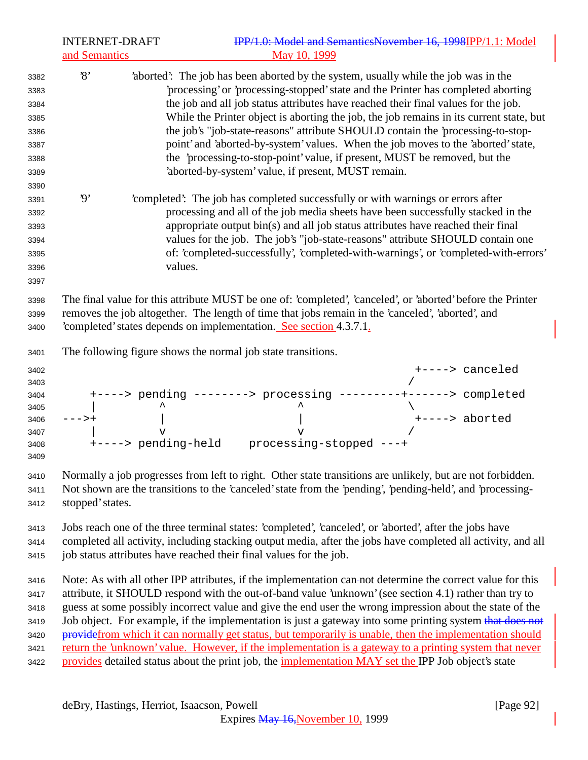| <b>INTERNET-DRAFT</b><br>and Semantics | IPP/1.0: Model and SemanticsNovember 16, 1998IPP/1.1: Model<br>May 10, 1999                                                                                                                                                                                                                                                                                                                                                                                                                                                                                                                                                                                                                                                                                                |
|----------------------------------------|----------------------------------------------------------------------------------------------------------------------------------------------------------------------------------------------------------------------------------------------------------------------------------------------------------------------------------------------------------------------------------------------------------------------------------------------------------------------------------------------------------------------------------------------------------------------------------------------------------------------------------------------------------------------------------------------------------------------------------------------------------------------------|
| $\mathcal{S}$                          | 'aborted': The job has been aborted by the system, usually while the job was in the<br>'processing' or 'processing-stopped' state and the Printer has completed aborting<br>the job and all job status attributes have reached their final values for the job.<br>While the Printer object is aborting the job, the job remains in its current state, but<br>the job's "job-state-reasons" attribute SHOULD contain the 'processing-to-stop-<br>point' and 'aborted-by-system' values. When the job moves to the 'aborted' state,<br>the 'processing-to-stop-point' value, if present, MUST be removed, but the<br>'aborted-by-system' value, if present, MUST remain.                                                                                                     |
| $\boldsymbol{\vartheta}$               | 'completed': The job has completed successfully or with warnings or errors after<br>processing and all of the job media sheets have been successfully stacked in the<br>appropriate output bin(s) and all job status attributes have reached their final<br>values for the job. The job's "job-state-reasons" attribute SHOULD contain one<br>of: 'completed-successfully', 'completed-with-warnings', or 'completed-with-errors'<br>values.                                                                                                                                                                                                                                                                                                                               |
|                                        | The final value for this attribute MUST be one of: 'completed', 'canceled', or 'aborted' before the Printer<br>removes the job altogether. The length of time that jobs remain in the 'canceled', 'aborted', and<br>completed' states depends on implementation. See section 4.3.7.1.                                                                                                                                                                                                                                                                                                                                                                                                                                                                                      |
|                                        | The following figure shows the normal job state transitions.                                                                                                                                                                                                                                                                                                                                                                                                                                                                                                                                                                                                                                                                                                               |
| --->+                                  | +----> canceled<br>+----> pending --------> processing ---------+------> completed<br>+----> aborted<br>$\overline{\mathbf{v}}$<br>v<br>+----> pending-held<br>processing-stopped ---+                                                                                                                                                                                                                                                                                                                                                                                                                                                                                                                                                                                     |
| stopped' states.                       | Normally a job progresses from left to right. Other state transitions are unlikely, but are not forbidden.<br>Not shown are the transitions to the 'canceled' state from the 'pending', 'pending-held', and 'processing-                                                                                                                                                                                                                                                                                                                                                                                                                                                                                                                                                   |
|                                        | Jobs reach one of the three terminal states: 'completed', 'canceled', or 'aborted', after the jobs have<br>completed all activity, including stacking output media, after the jobs have completed all activity, and all<br>job status attributes have reached their final values for the job.                                                                                                                                                                                                                                                                                                                                                                                                                                                                              |
|                                        | Note: As with all other IPP attributes, if the implementation can-not determine the correct value for this<br>attribute, it SHOULD respond with the out-of-band value 'unknown' (see section 4.1) rather than try to<br>guess at some possibly incorrect value and give the end user the wrong impression about the state of the<br>Job object. For example, if the implementation is just a gateway into some printing system that does not<br>provide from which it can normally get status, but temporarily is unable, then the implementation should<br>return the 'unknown' value. However, if the implementation is a gateway to a printing system that never<br>provides detailed status about the print job, the implementation MAY set the IPP Job object's state |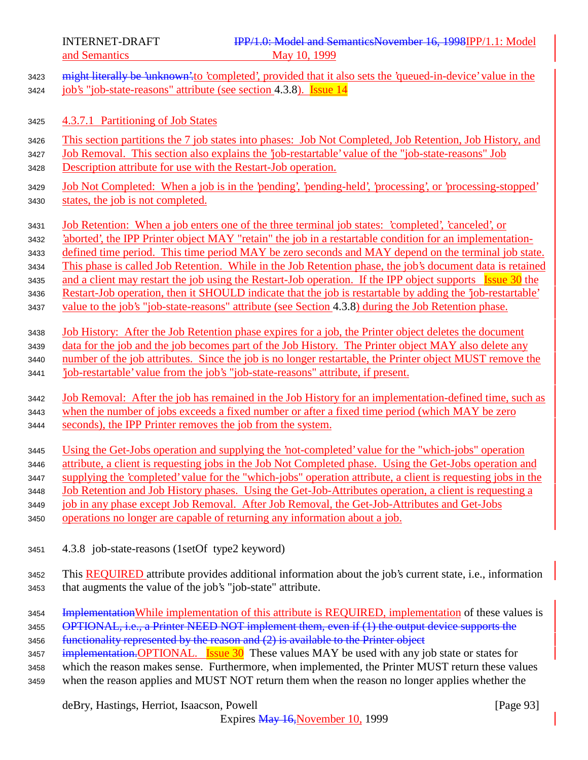|              | and Semantics<br>May 10, 1999                                                                                                                                                    |  |
|--------------|----------------------------------------------------------------------------------------------------------------------------------------------------------------------------------|--|
| 3423<br>3424 | might literally be 'unknown' to 'completed', provided that it also sets the 'queued-in-device' value in the<br>job's "job-state-reasons" attribute (see section 4.3.8). Issue 14 |  |
| 3425         | 4.3.7.1 Partitioning of Job States                                                                                                                                               |  |
| 3426         | This section partitions the 7 job states into phases: Job Not Completed, Job Retention, Job History, and                                                                         |  |
| 3427         | <u>Job Removal. This section also explains the 'job-restartable' value of the "job-state-reasons" Job</u>                                                                        |  |
| 3428         | Description attribute for use with the Restart-Job operation.                                                                                                                    |  |
| 3429         | <u>Job Not Completed: When a job is in the 'pending', 'pending-held', 'processing', or 'processing-stopped'</u>                                                                  |  |
| 3430         | states, the job is not completed.                                                                                                                                                |  |
| 3431         | Job Retention: When a job enters one of the three terminal job states: 'completed', 'canceled', or                                                                               |  |
| 3432         | 'aborted', the IPP Printer object MAY "retain" the job in a restartable condition for an implementation-                                                                         |  |
| 3433         | defined time period. This time period MAY be zero seconds and MAY depend on the terminal job state.                                                                              |  |
| 3434         | This phase is called Job Retention. While in the Job Retention phase, the job's document data is retained                                                                        |  |
| 3435         | and a client may restart the job using the Restart-Job operation. If the IPP object supports Issue 30 the                                                                        |  |
| 3436         | Restart-Job operation, then it SHOULD indicate that the job is restartable by adding the 'job-restartable'                                                                       |  |
| 3437         | value to the job's "job-state-reasons" attribute (see Section 4.3.8) during the Job Retention phase.                                                                             |  |
| 3438         | <u>Job History: After the Job Retention phase expires for a job, the Printer object deletes the document</u>                                                                     |  |
| 3439         | data for the job and the job becomes part of the Job History. The Printer object MAY also delete any                                                                             |  |
| 3440         | number of the job attributes. Since the job is no longer restartable, the Printer object MUST remove the                                                                         |  |
| 3441         | job-restartable' value from the job's "job-state-reasons" attribute, if present.                                                                                                 |  |
| 3442         | Job Removal: After the job has remained in the Job History for an implementation-defined time, such as                                                                           |  |
| 3443         | when the number of jobs exceeds a fixed number or after a fixed time period (which MAY be zero                                                                                   |  |
| 3444         | seconds), the IPP Printer removes the job from the system.                                                                                                                       |  |
| 3445         | Using the Get-Jobs operation and supplying the 'not-completed' value for the "which-jobs" operation                                                                              |  |
| 3446         | attribute, a client is requesting jobs in the Job Not Completed phase. Using the Get-Jobs operation and                                                                          |  |
| 3447         | supplying the 'completed' value for the "which-jobs" operation attribute, a client is requesting jobs in the                                                                     |  |
| 3448         | Job Retention and Job History phases. Using the Get-Job-Attributes operation, a client is requesting a                                                                           |  |
| 3449         | job in any phase except Job Removal. After Job Removal, the Get-Job-Attributes and Get-Jobs                                                                                      |  |
| 3450         | operations no longer are capable of returning any information about a job.                                                                                                       |  |
| 3451         | 4.3.8 job-state-reasons (1setOf type2 keyword)                                                                                                                                   |  |
| 3452         | This <b>REQUIRED</b> attribute provides additional information about the job's current state, i.e., information                                                                  |  |
| 3453         | that augments the value of the job's "job-state" attribute.                                                                                                                      |  |
| 3454         | Implementation While implementation of this attribute is REQUIRED, implementation of these values is                                                                             |  |
| 3455         | OPTIONAL, i.e., a Printer NEED NOT implement them, even if (1) the output device supports the                                                                                    |  |
| 3456         | functionality represented by the reason and (2) is available to the Printer object                                                                                               |  |
| 3457         | $implementation. \nOPTIONAL.$ <b>Issue 30</b> These values MAY be used with any job state or states for                                                                          |  |
| 3458         | which the reason makes sense. Furthermore, when implemented, the Printer MUST return these values                                                                                |  |
| 3459         | when the reason applies and MUST NOT return them when the reason no longer applies whether the                                                                                   |  |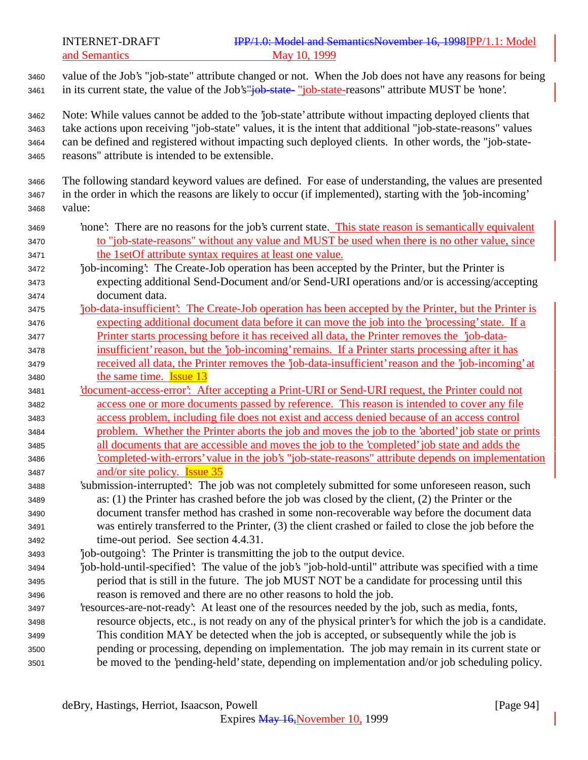and Semantics May 10, 1999

 value of the Job's "job-state" attribute changed or not. When the Job does not have any reasons for being 3461 in its current state, the value of the Job's"job-state-"job-state-reasons" attribute MUST be 'none'.

 Note: While values cannot be added to the 'job-state' attribute without impacting deployed clients that take actions upon receiving "job-state" values, it is the intent that additional "job-state-reasons" values can be defined and registered without impacting such deployed clients. In other words, the "job-state-reasons" attribute is intended to be extensible.

- The following standard keyword values are defined. For ease of understanding, the values are presented in the order in which the reasons are likely to occur (if implemented), starting with the 'job-incoming' value:
- 'none': There are no reasons for the job's current state. This state reason is semantically equivalent to "job-state-reasons" without any value and MUST be used when there is no other value, since the 1setOf attribute syntax requires at least one value.
- 'job-incoming': The Create-Job operation has been accepted by the Printer, but the Printer is expecting additional Send-Document and/or Send-URI operations and/or is accessing/accepting document data.
- 'job-data-insufficient': The Create-Job operation has been accepted by the Printer, but the Printer is expecting additional document data before it can move the job into the 'processing' state. If a Printer starts processing before it has received all data, the Printer removes the 'job-data- insufficient' reason, but the 'job-incoming' remains. If a Printer starts processing after it has received all data, the Printer removes the 'job-data-insufficient' reason and the 'job-incoming' at
- the same time. Issue 13 'document-access-error': After accepting a Print-URI or Send-URI request, the Printer could not access one or more documents passed by reference. This reason is intended to cover any file access problem, including file does not exist and access denied because of an access control problem. Whether the Printer aborts the job and moves the job to the 'aborted' job state or prints all documents that are accessible and moves the job to the 'completed' job state and adds the 'completed-with-errors' value in the job's "job-state-reasons" attribute depends on implementation
- and/or site policy. Issue 35 'submission-interrupted': The job was not completely submitted for some unforeseen reason, such as: (1) the Printer has crashed before the job was closed by the client, (2) the Printer or the document transfer method has crashed in some non-recoverable way before the document data
- was entirely transferred to the Printer, (3) the client crashed or failed to close the job before the time-out period. See section 4.4.31.
- 'job-outgoing': The Printer is transmitting the job to the output device.
- 'job-hold-until-specified': The value of the job's "job-hold-until" attribute was specified with a time period that is still in the future. The job MUST NOT be a candidate for processing until this reason is removed and there are no other reasons to hold the job.
- 'resources-are-not-ready': At least one of the resources needed by the job, such as media, fonts, resource objects, etc., is not ready on any of the physical printer's for which the job is a candidate. This condition MAY be detected when the job is accepted, or subsequently while the job is pending or processing, depending on implementation. The job may remain in its current state or be moved to the 'pending-held' state, depending on implementation and/or job scheduling policy.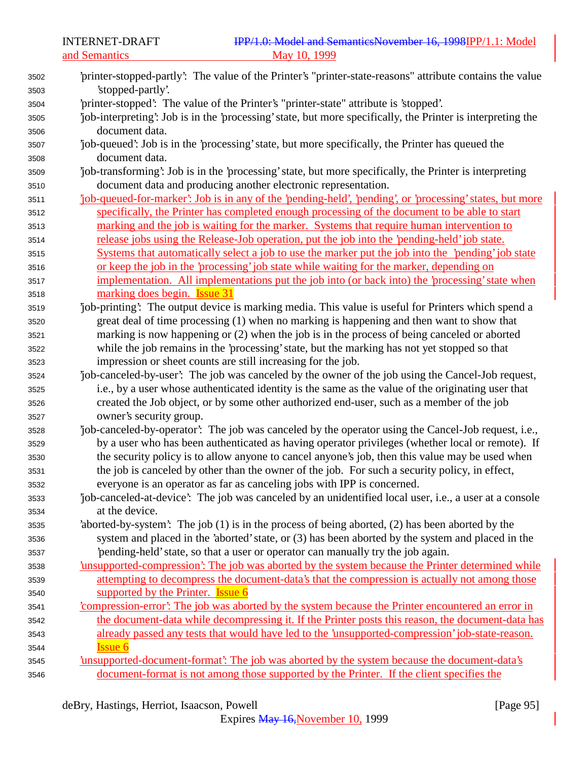and Semantics

| 3502 | 'printer-stopped-partly': The value of the Printer's "printer-state-reasons" attribute contains the value   |
|------|-------------------------------------------------------------------------------------------------------------|
| 3503 | 'stopped-partly'.                                                                                           |
| 3504 | 'printer-stopped': The value of the Printer's "printer-state" attribute is 'stopped'.                       |
| 3505 | job-interpreting': Job is in the 'processing' state, but more specifically, the Printer is interpreting the |
| 3506 | document data.                                                                                              |
| 3507 | job-queued: Job is in the 'processing' state, but more specifically, the Printer has queued the             |
| 3508 | document data.                                                                                              |
| 3509 | job-transforming: Job is in the 'processing' state, but more specifically, the Printer is interpreting      |
| 3510 | document data and producing another electronic representation.                                              |
| 3511 | job-queued-for-marker': Job is in any of the 'pending-held', 'pending', or 'processing' states, but more    |
| 3512 | specifically, the Printer has completed enough processing of the document to be able to start               |
| 3513 | marking and the job is waiting for the marker. Systems that require human intervention to                   |
| 3514 | release jobs using the Release-Job operation, put the job into the 'pending-held' job state.                |
| 3515 | Systems that automatically select a job to use the marker put the job into the 'pending' job state          |
| 3516 | or keep the job in the 'processing' job state while waiting for the marker, depending on                    |
| 3517 | implementation. All implementations put the job into (or back into) the 'processing' state when             |
| 3518 | marking does begin. <b>Issue 31</b>                                                                         |
| 3519 | job-printing: The output device is marking media. This value is useful for Printers which spend a           |
| 3520 | great deal of time processing (1) when no marking is happening and then want to show that                   |
| 3521 | marking is now happening or (2) when the job is in the process of being canceled or aborted                 |
| 3522 | while the job remains in the 'processing' state, but the marking has not yet stopped so that                |
| 3523 | impression or sheet counts are still increasing for the job.                                                |
| 3524 | job-canceled-by-user': The job was canceled by the owner of the job using the Cancel-Job request,           |
| 3525 | i.e., by a user whose authenticated identity is the same as the value of the originating user that          |
| 3526 | created the Job object, or by some other authorized end-user, such as a member of the job                   |
| 3527 | owner's security group.                                                                                     |
| 3528 | job-canceled-by-operator: The job was canceled by the operator using the Cancel-Job request, i.e.,          |
| 3529 | by a user who has been authenticated as having operator privileges (whether local or remote). If            |
| 3530 | the security policy is to allow anyone to cancel anyone's job, then this value may be used when             |
| 3531 | the job is canceled by other than the owner of the job. For such a security policy, in effect,              |
| 3532 | everyone is an operator as far as canceling jobs with IPP is concerned.                                     |
| 3533 | job-canceled-at-device': The job was canceled by an unidentified local user, i.e., a user at a console      |
| 3534 | at the device.                                                                                              |
| 3535 | 'aborted-by-system': The job (1) is in the process of being aborted, (2) has been aborted by the            |
| 3536 | system and placed in the 'aborted' state, or (3) has been aborted by the system and placed in the           |
| 3537 | pending-held' state, so that a user or operator can manually try the job again.                             |
| 3538 | insupported-compression': The job was aborted by the system because the Printer determined while            |
| 3539 | attempting to decompress the document-data's that the compression is actually not among those               |
| 3540 | supported by the Printer. <b>Issue 6</b>                                                                    |
| 3541 | compression-error. The job was aborted by the system because the Printer encountered an error in            |
| 3542 | the document-data while decompressing it. If the Printer posts this reason, the document-data has           |
| 3543 | already passed any tests that would have led to the 'unsupported-compression' job-state-reason.             |
| 3544 | <b>Issue 6</b>                                                                                              |
| 3545 | insupported-document-format: The job was aborted by the system because the document-data's                  |
| 3546 | document-format is not among those supported by the Printer. If the client specifies the                    |
|      |                                                                                                             |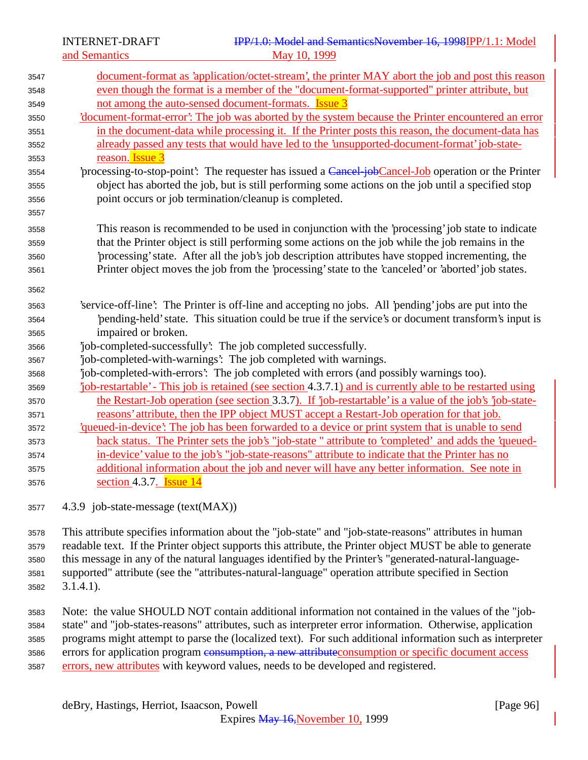| 3547 | document-format as 'application/octet-stream', the printer MAY abort the job and post this reason         |
|------|-----------------------------------------------------------------------------------------------------------|
| 3548 | even though the format is a member of the "document-format-supported" printer attribute, but              |
| 3549 | not among the auto-sensed document-formats. <b>Issue 3</b>                                                |
| 3550 | 'document-format-error': The job was aborted by the system because the Printer encountered an error       |
| 3551 | in the document-data while processing it. If the Printer posts this reason, the document-data has         |
| 3552 | already passed any tests that would have led to the 'unsupported-document-format' job-state-              |
| 3553 | reason. Issue 3                                                                                           |
| 3554 | processing-to-stop-point: The requester has issued a Cancel job Cancel-Job operation or the Printer       |
| 3555 | object has aborted the job, but is still performing some actions on the job until a specified stop        |
| 3556 | point occurs or job termination/cleanup is completed.                                                     |
| 3557 |                                                                                                           |
| 3558 | This reason is recommended to be used in conjunction with the 'processing' job state to indicate          |
| 3559 | that the Printer object is still performing some actions on the job while the job remains in the          |
| 3560 | 'processing' state. After all the job's job description attributes have stopped incrementing, the         |
| 3561 | Printer object moves the job from the 'processing' state to the 'canceled' or 'aborted' job states.       |
| 3562 |                                                                                                           |
| 3563 | 'service-off-line': The Printer is off-line and accepting no jobs. All 'pending' jobs are put into the    |
| 3564 | 'pending-held' state. This situation could be true if the service's or document transform's input is      |
| 3565 | impaired or broken.                                                                                       |
| 3566 | job-completed-successfully: The job completed successfully.                                               |
| 3567 | job-completed-with-warnings': The job completed with warnings.                                            |
| 3568 | 'job-completed-with-errors': The job completed with errors (and possibly warnings too).                   |
| 3569 | job-restartable' - This job is retained (see section 4.3.7.1) and is currently able to be restarted using |
| 3570 | the Restart-Job operation (see section 3.3.7). If 'job-restartable' is a value of the job's 'job-state-   |
| 3571 | reasons' attribute, then the IPP object MUST accept a Restart-Job operation for that job.                 |
| 3572 | <u>iqueued-in-device': The job has been forwarded to a device or print system that is unable to send</u>  |
| 3573 | back status. The Printer sets the job's "job-state" attribute to 'completed' and adds the 'queued-        |
| 3574 | in-device' value to the job's "job-state-reasons" attribute to indicate that the Printer has no           |
| 3575 | additional information about the job and never will have any better information. See note in              |
| 3576 | section 4.3.7. <b>Issue 14</b>                                                                            |
|      |                                                                                                           |

4.3.9 job-state-message (text(MAX))

 This attribute specifies information about the "job-state" and "job-state-reasons" attributes in human readable text. If the Printer object supports this attribute, the Printer object MUST be able to generate this message in any of the natural languages identified by the Printer's "generated-natural-language- supported" attribute (see the "attributes-natural-language" operation attribute specified in Section 3.1.4.1).

 Note: the value SHOULD NOT contain additional information not contained in the values of the "job- state" and "job-states-reasons" attributes, such as interpreter error information. Otherwise, application programs might attempt to parse the (localized text). For such additional information such as interpreter 3586 errors for application program consumption, a new attribute consumption or specific document access errors, new attributes with keyword values, needs to be developed and registered.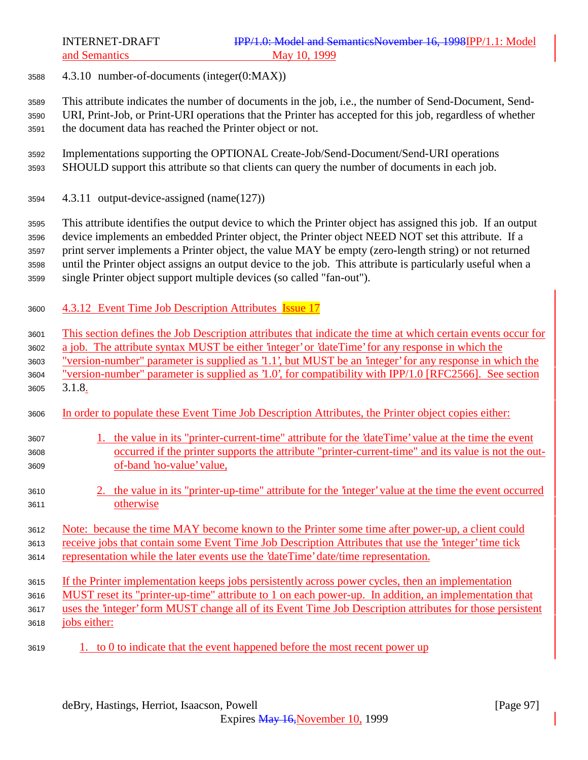4.3.10 number-of-documents (integer(0:MAX))

 This attribute indicates the number of documents in the job, i.e., the number of Send-Document, Send- URI, Print-Job, or Print-URI operations that the Printer has accepted for this job, regardless of whether the document data has reached the Printer object or not.

- Implementations supporting the OPTIONAL Create-Job/Send-Document/Send-URI operations SHOULD support this attribute so that clients can query the number of documents in each job.
- 4.3.11 output-device-assigned (name(127))

 This attribute identifies the output device to which the Printer object has assigned this job. If an output device implements an embedded Printer object, the Printer object NEED NOT set this attribute. If a print server implements a Printer object, the value MAY be empty (zero-length string) or not returned until the Printer object assigns an output device to the job. This attribute is particularly useful when a single Printer object support multiple devices (so called "fan-out").

- 4.3.12 Event Time Job Description Attributes Issue 17
- This section defines the Job Description attributes that indicate the time at which certain events occur for
- a job. The attribute syntax MUST be either 'integer' or 'dateTime' for any response in which the

"version-number" parameter is supplied as '1.1', but MUST be an 'integer' for any response in which the

- "version-number" parameter is supplied as '1.0', for compatibility with IPP/1.0 [RFC2566]. See section 3.1.8.
- In order to populate these Event Time Job Description Attributes, the Printer object copies either:

### 1. the value in its "printer-current-time" attribute for the 'dateTime' value at the time the event occurred if the printer supports the attribute "printer-current-time" and its value is not the out-of-band 'no-value' value,

 2. the value in its "printer-up-time" attribute for the 'integer' value at the time the event occurred otherwise

### Note: because the time MAY become known to the Printer some time after power-up, a client could receive jobs that contain some Event Time Job Description Attributes that use the 'integer' time tick representation while the later events use the 'dateTime' date/time representation.

- 
- If the Printer implementation keeps jobs persistently across power cycles, then an implementation
- MUST reset its "printer-up-time" attribute to 1 on each power-up. In addition, an implementation that uses the 'integer' form MUST change all of its Event Time Job Description attributes for those persistent
- jobs either:
- 1. to 0 to indicate that the event happened before the most recent power up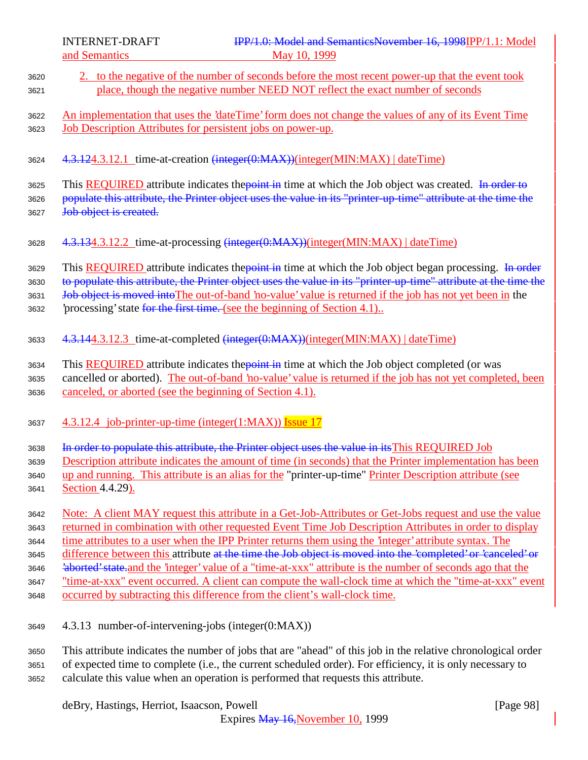- <sup>3620</sup> 2. to the negative of the number of seconds before the most recent power-up that the event took <sup>3621</sup> place, though the negative number NEED NOT reflect the exact number of seconds <sup>3622</sup> An implementation that uses the 'dateTime' form does not change the values of any of its Event Time <sup>3623</sup> Job Description Attributes for persistent jobs on power-up. <sup>3624</sup> 4.3.124.3.12.1 time-at-creation (integer(0:MAX))(integer(MIN:MAX) | dateTime) 3625 This REQUIRED attribute indicates the *point in* time at which the Job object was created. In order to 3626 populate this attribute, the Printer object uses the value in its "printer-up-time" attribute at the time the 3627 Job object is created. <sup>3628</sup> 4.3.134.3.12.2 time-at-processing (integer(0:MAX))(integer(MIN:MAX) | dateTime) 3629 This REQUIRED attribute indicates the point in time at which the Job object began processing. In order 3630 to populate this attribute, the Printer object uses the value in its "printer-up-time" attribute at the time the 3631 Job object is moved into The out-of-band 'no-value' value is returned if the job has not yet been in the 3632 brocessing' state for the first time. (see the beginning of Section 4.1).. <sup>3633</sup> 4.3.144.3.12.3 time-at-completed (integer(0:MAX))(integer(MIN:MAX) | dateTime) 3634 This REQUIRED attribute indicates the point in time at which the Job object completed (or was <sup>3635</sup> cancelled or aborted). The out-of-band 'no-value' value is returned if the job has not yet completed, been <sup>3636</sup> canceled, or aborted (see the beginning of Section 4.1). 3637  $\frac{4.3.12.4}{10}$  job-printer-up-time (integer(1:MAX)) Issue 17 3638 In order to populate this attribute, the Printer object uses the value in its This REQUIRED Job <sup>3639</sup> Description attribute indicates the amount of time (in seconds) that the Printer implementation has been 3640 up and running. This attribute is an alias for the "printer-up-time" Printer Description attribute (see <sup>3641</sup> Section 4.4.29). <sup>3642</sup> Note: A client MAY request this attribute in a Get-Job-Attributes or Get-Jobs request and use the value <sup>3643</sup> returned in combination with other requested Event Time Job Description Attributes in order to display <sup>3644</sup> time attributes to a user when the IPP Printer returns them using the 'integer' attribute syntax. The 3645 difference between this attribute at the time the Job object is moved into the 'completed' or 'canceled' or 3646 
<del>'aborted' state.</del> and the 'integer' value of a "time-at-xxx" attribute is the number of seconds ago that the <sup>3647</sup> "time-at-xxx" event occurred. A client can compute the wall-clock time at which the "time-at-xxx" event <sup>3648</sup> occurred by subtracting this difference from the client's wall-clock time. <sup>3649</sup> 4.3.13 number-of-intervening-jobs (integer(0:MAX)) <sup>3650</sup> This attribute indicates the number of jobs that are "ahead" of this job in the relative chronological order <sup>3651</sup> of expected time to complete (i.e., the current scheduled order). For efficiency, it is only necessary to
- <sup>3652</sup> calculate this value when an operation is performed that requests this attribute.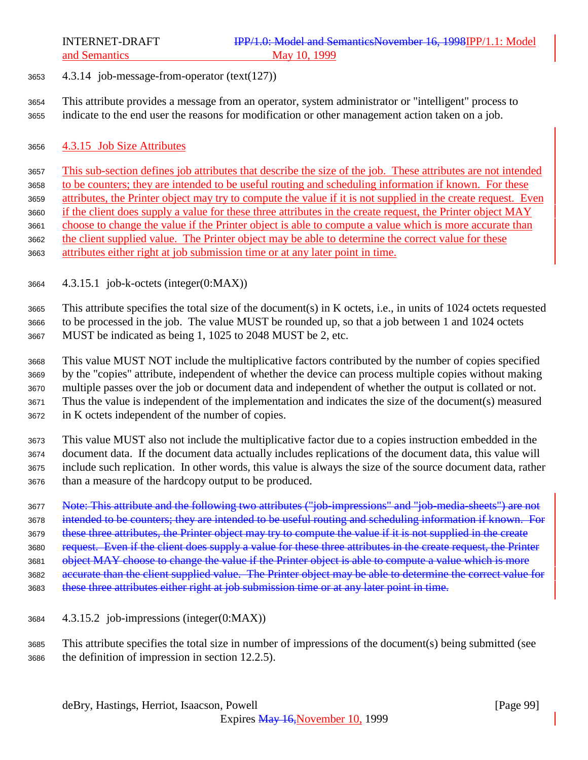- 4.3.14 job-message-from-operator (text(127))
- This attribute provides a message from an operator, system administrator or "intelligent" process to indicate to the end user the reasons for modification or other management action taken on a job.
- 4.3.15 Job Size Attributes

 This sub-section defines job attributes that describe the size of the job. These attributes are not intended to be counters; they are intended to be useful routing and scheduling information if known. For these attributes, the Printer object may try to compute the value if it is not supplied in the create request. Even if the client does supply a value for these three attributes in the create request, the Printer object MAY choose to change the value if the Printer object is able to compute a value which is more accurate than the client supplied value. The Printer object may be able to determine the correct value for these attributes either right at job submission time or at any later point in time.

4.3.15.1 job-k-octets (integer(0:MAX))

 This attribute specifies the total size of the document(s) in K octets, i.e., in units of 1024 octets requested to be processed in the job. The value MUST be rounded up, so that a job between 1 and 1024 octets MUST be indicated as being 1, 1025 to 2048 MUST be 2, etc.

 This value MUST NOT include the multiplicative factors contributed by the number of copies specified by the "copies" attribute, independent of whether the device can process multiple copies without making multiple passes over the job or document data and independent of whether the output is collated or not. Thus the value is independent of the implementation and indicates the size of the document(s) measured in K octets independent of the number of copies.

 This value MUST also not include the multiplicative factor due to a copies instruction embedded in the document data. If the document data actually includes replications of the document data, this value will include such replication. In other words, this value is always the size of the source document data, rather than a measure of the hardcopy output to be produced.

Note: This attribute and the following two attributes ("job-impressions" and "job-media-sheets") are not

intended to be counters; they are intended to be useful routing and scheduling information if known. For

3679 these three attributes, the Printer object may try to compute the value if it is not supplied in the create

3680 request. Even if the client does supply a value for these three attributes in the create request, the Printer

3681 object MAY choose to change the value if the Printer object is able to compute a value which is more

accurate than the client supplied value. The Printer object may be able to determine the correct value for

- 3683 these three attributes either right at job submission time or at any later point in time.
- 4.3.15.2 job-impressions (integer(0:MAX))

 This attribute specifies the total size in number of impressions of the document(s) being submitted (see the definition of impression in section 12.2.5).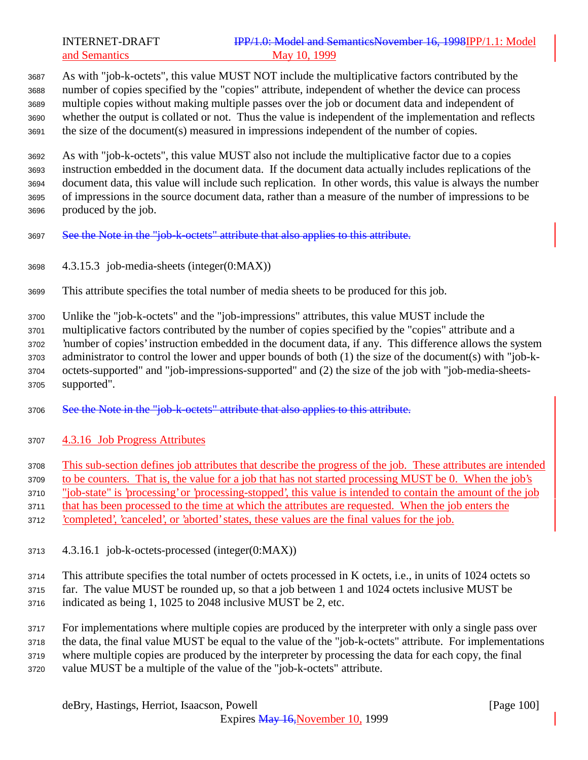As with "job-k-octets", this value MUST NOT include the multiplicative factors contributed by the number of copies specified by the "copies" attribute, independent of whether the device can process multiple copies without making multiple passes over the job or document data and independent of whether the output is collated or not. Thus the value is independent of the implementation and reflects the size of the document(s) measured in impressions independent of the number of copies.

 As with "job-k-octets", this value MUST also not include the multiplicative factor due to a copies instruction embedded in the document data. If the document data actually includes replications of the document data, this value will include such replication. In other words, this value is always the number of impressions in the source document data, rather than a measure of the number of impressions to be produced by the job.

- 3697 See the Note in the "job-k-octets" attribute that also applies to this attribute.
- 4.3.15.3 job-media-sheets (integer(0:MAX))
- This attribute specifies the total number of media sheets to be produced for this job.
- Unlike the "job-k-octets" and the "job-impressions" attributes, this value MUST include the
- multiplicative factors contributed by the number of copies specified by the "copies" attribute and a
- 'number of copies' instruction embedded in the document data, if any. This difference allows the system administrator to control the lower and upper bounds of both (1) the size of the document(s) with "job-k-
- octets-supported" and "job-impressions-supported" and (2) the size of the job with "job-media-sheets-supported".
- 3706 See the Note in the "job-k-octets" attribute that also applies to this attribute.
- 4.3.16 Job Progress Attributes
- This sub-section defines job attributes that describe the progress of the job. These attributes are intended
- to be counters. That is, the value for a job that has not started processing MUST be 0. When the job's
- "job-state" is 'processing' or 'processing-stopped', this value is intended to contain the amount of the job
- that has been processed to the time at which the attributes are requested. When the job enters the
- 'completed', 'canceled', or 'aborted' states, these values are the final values for the job.
- 4.3.16.1 job-k-octets-processed (integer(0:MAX))

This attribute specifies the total number of octets processed in K octets, i.e., in units of 1024 octets so

- far. The value MUST be rounded up, so that a job between 1 and 1024 octets inclusive MUST be
- indicated as being 1, 1025 to 2048 inclusive MUST be 2, etc.

 For implementations where multiple copies are produced by the interpreter with only a single pass over the data, the final value MUST be equal to the value of the "job-k-octets" attribute. For implementations where multiple copies are produced by the interpreter by processing the data for each copy, the final

value MUST be a multiple of the value of the "job-k-octets" attribute.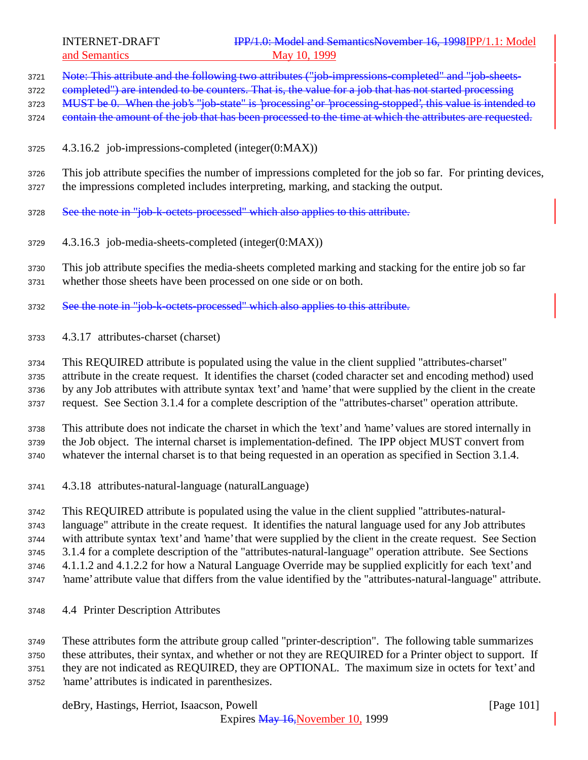3721 Note: This attribute and the following two attributes ("job-impressions-completed" and "job-sheets-

3722 completed") are intended to be counters. That is, the value for a job that has not started processing

3723 MUST be 0. When the job's "job-state" is 'processing' or 'processing-stopped', this value is intended to

3724 contain the amount of the job that has been processed to the time at which the attributes are requested.

- 4.3.16.2 job-impressions-completed (integer(0:MAX))
- This job attribute specifies the number of impressions completed for the job so far. For printing devices, the impressions completed includes interpreting, marking, and stacking the output.
- 3728 See the note in "job-k-octets-processed" which also applies to this attribute.
- 4.3.16.3 job-media-sheets-completed (integer(0:MAX))

 This job attribute specifies the media-sheets completed marking and stacking for the entire job so far whether those sheets have been processed on one side or on both.

- See the note in "job-k-octets-processed" which also applies to this attribute.
- 4.3.17 attributes-charset (charset)

This REQUIRED attribute is populated using the value in the client supplied "attributes-charset"

attribute in the create request. It identifies the charset (coded character set and encoding method) used

by any Job attributes with attribute syntax 'text' and 'name' that were supplied by the client in the create

request. See Section 3.1.4 for a complete description of the "attributes-charset" operation attribute.

 This attribute does not indicate the charset in which the 'text' and 'name' values are stored internally in the Job object. The internal charset is implementation-defined. The IPP object MUST convert from whatever the internal charset is to that being requested in an operation as specified in Section 3.1.4.

4.3.18 attributes-natural-language (naturalLanguage)

 This REQUIRED attribute is populated using the value in the client supplied "attributes-natural- language" attribute in the create request. It identifies the natural language used for any Job attributes with attribute syntax 'text' and 'name' that were supplied by the client in the create request. See Section 3.1.4 for a complete description of the "attributes-natural-language" operation attribute. See Sections 4.1.1.2 and 4.1.2.2 for how a Natural Language Override may be supplied explicitly for each 'text' and 'name' attribute value that differs from the value identified by the "attributes-natural-language" attribute.

4.4 Printer Description Attributes

 These attributes form the attribute group called "printer-description". The following table summarizes these attributes, their syntax, and whether or not they are REQUIRED for a Printer object to support. If they are not indicated as REQUIRED, they are OPTIONAL. The maximum size in octets for 'text' and 'name' attributes is indicated in parenthesizes.

deBry, Hastings, Herriot, Isaacson, Powell [Page 101]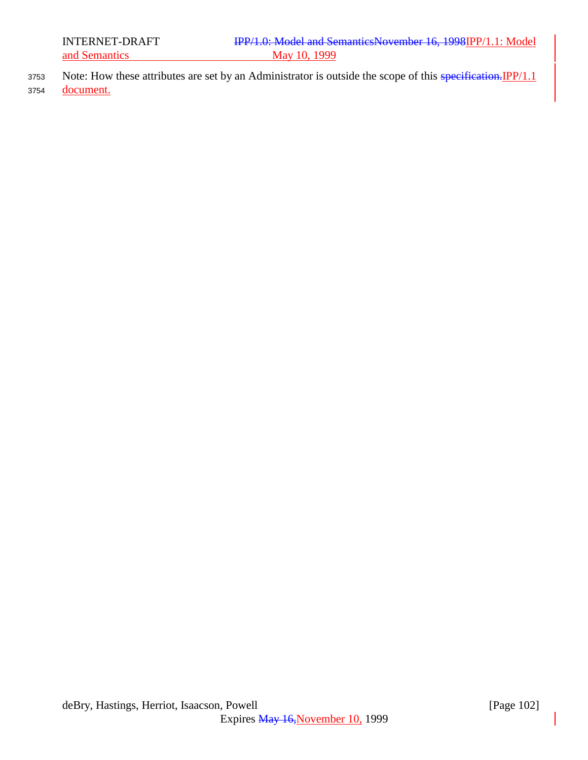- 3753 Note: How these attributes are set by an Administrator is outside the scope of this specification. IPP/1.1
- <sup>3754</sup> document.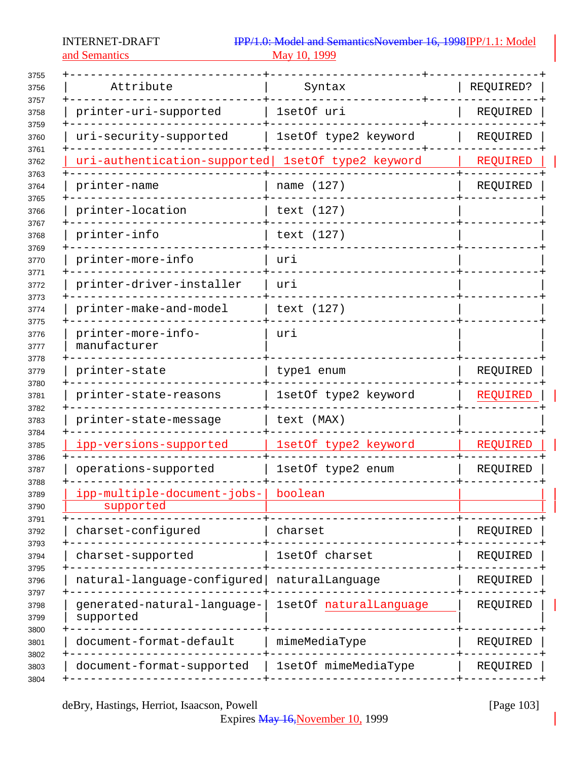and Semantics

| Attribute                                | Syntax                 | REQUIRED? |
|------------------------------------------|------------------------|-----------|
| printer-uri-supported                    | 1setOf uri             | REQUIRED  |
| uri-security-supported                   | 1setOf type2 keyword   | REQUIRED  |
| uri-authentication-supported             | 1setOf type2 keyword   | REQUIRED  |
| printer-name                             | name (127)             | REQUIRED  |
| printer-location                         | text (127)             |           |
| printer-info                             | text (127)             |           |
| printer-more-info                        | urı                    |           |
| printer-driver-installer                 | uri                    |           |
| printer-make-and-model                   | text (127)             |           |
| printer-more-info-<br>manufacturer       | uri                    |           |
| printer-state                            | type1 enum             | REQUIRED  |
| printer-state-reasons                    | 1setOf type2 keyword   | REQUIRED  |
| printer-state-message                    | text (MAX)             |           |
| ipp-versions-supported                   | 1setOf type2 keyword   | REQUIRED  |
| operations-supported                     | 1setOf type2 enum      | REQUIRED  |
| ipp-multiple-document-jobs-<br>supported | boolean                |           |
| charset-configured                       | charset                | REQUIRED  |
| charset-supported                        | 1setOf charset         | REQUIRED  |
| natural-language-configured              | naturalLanguage        | REQUIRED  |
| generated-natural-language-<br>supported | 1setOf naturalLanguage | REQUIRED  |
| document-format-default                  | mimeMediaType          | REQUIRED  |
| document-format-supported                | 1setOf mimeMediaType   | REQUIRED  |

deBry, Hastings, Herriot, Isaacson, Powell [Page 103]

Expires May 16, November 10, 1999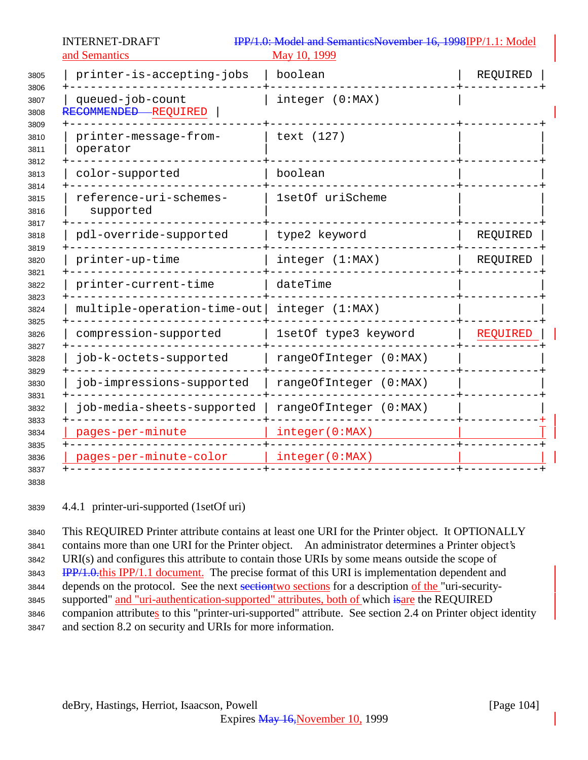| 3805<br>3806         | printer-is-accepting-jobs                | boolean                | REQUIRED |
|----------------------|------------------------------------------|------------------------|----------|
| 3807<br>3808         | queued-job-count<br>RECOMMENDED REQUIRED | integer (0:MAX)        |          |
| 3809<br>3810<br>3811 | printer-message-from-<br>operator        | text (127)             |          |
| 3812<br>3813         | color-supported                          | boolean                |          |
| 3814<br>3815<br>3816 | reference-uri-schemes-<br>supported      | 1setOf uriScheme       |          |
| 3817<br>3818         | pdl-override-supported                   | type2 keyword          | REQUIRED |
| 3819<br>3820         | printer-up-time                          | integer (1:MAX)        | REQUIRED |
| 3821<br>3822         | printer-current-time                     | dateTime               |          |
| 3823<br>3824         | multiple-operation-time-out              | integer (1:MAX)        |          |
| 3825<br>3826         | compression-supported                    | 1setOf type3 keyword   | REQUIRED |
| 3827<br>3828         | job-k-octets-supported                   | rangeOfInteger (0:MAX) |          |
| 3829<br>3830         | job-impressions-supported                | rangeOfInteger (0:MAX) |          |
| 3831<br>3832         | job-media-sheets-supported               | rangeOfInteger (0:MAX) |          |
| 3833<br>3834         | pages-per-minute                         | integer(0:MAX)         |          |
| 3835<br>3836<br>3837 | pages-per-minute-color                   | integer(0:MAX)         |          |

4.4.1 printer-uri-supported (1setOf uri)

 This REQUIRED Printer attribute contains at least one URI for the Printer object. It OPTIONALLY contains more than one URI for the Printer object. An administrator determines a Printer object's URI(s) and configures this attribute to contain those URIs by some means outside the scope of **IPP/1.0.this IPP/1.1 document.** The precise format of this URI is implementation dependent and 3844 depends on the protocol. See the next sections of a description of the "uri-security-3845 supported" and "uri-authentication-supported" attributes, both of which isare the REQUIRED companion attributes to this "printer-uri-supported" attribute. See section 2.4 on Printer object identity and section 8.2 on security and URIs for more information.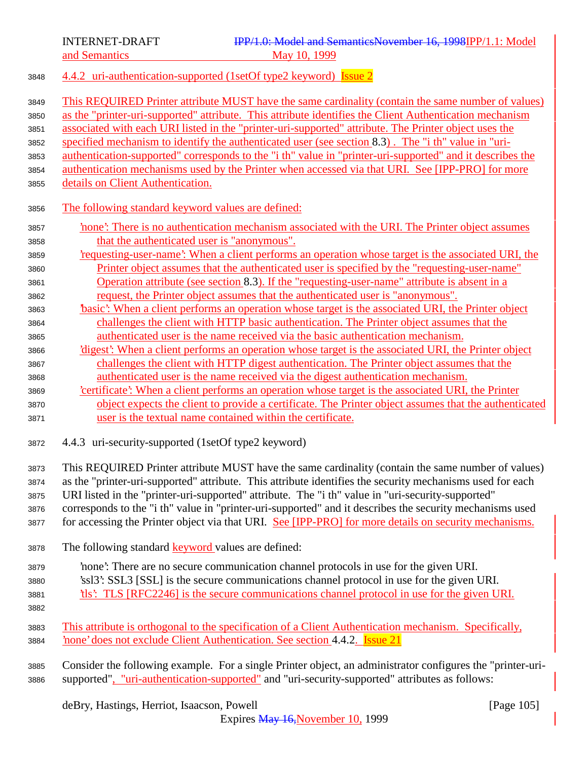<sup>3848</sup> 4.4.2 uri-authentication-supported (1setOf type2 keyword) Issue 2

| 3849<br>3850<br>3851<br>3852<br>3853<br>3854<br>3855 | This REQUIRED Printer attribute MUST have the same cardinality (contain the same number of values)<br>as the "printer-uri-supported" attribute. This attribute identifies the Client Authentication mechanism<br>associated with each URI listed in the "printer-uri-supported" attribute. The Printer object uses the<br>specified mechanism to identify the authenticated user (see section 8.3). The "i th" value in "uri-<br>authentication-supported" corresponds to the "i th" value in "printer-uri-supported" and it describes the<br>authentication mechanisms used by the Printer when accessed via that URI. See [IPP-PRO] for more<br>details on Client Authentication. |
|------------------------------------------------------|-------------------------------------------------------------------------------------------------------------------------------------------------------------------------------------------------------------------------------------------------------------------------------------------------------------------------------------------------------------------------------------------------------------------------------------------------------------------------------------------------------------------------------------------------------------------------------------------------------------------------------------------------------------------------------------|
| 3856                                                 | The following standard keyword values are defined:                                                                                                                                                                                                                                                                                                                                                                                                                                                                                                                                                                                                                                  |
| 3857                                                 | none': There is no authentication mechanism associated with the URI. The Printer object assumes                                                                                                                                                                                                                                                                                                                                                                                                                                                                                                                                                                                     |
| 3858                                                 | that the authenticated user is "anonymous".                                                                                                                                                                                                                                                                                                                                                                                                                                                                                                                                                                                                                                         |
| 3859                                                 | requesting-user-name? When a client performs an operation whose target is the associated URI, the                                                                                                                                                                                                                                                                                                                                                                                                                                                                                                                                                                                   |
| 3860                                                 | Printer object assumes that the authenticated user is specified by the "requesting-user-name"                                                                                                                                                                                                                                                                                                                                                                                                                                                                                                                                                                                       |
| 3861                                                 | Operation attribute (see section 8.3). If the "requesting-user-name" attribute is absent in a                                                                                                                                                                                                                                                                                                                                                                                                                                                                                                                                                                                       |
| 3862                                                 | request, the Printer object assumes that the authenticated user is "anonymous".                                                                                                                                                                                                                                                                                                                                                                                                                                                                                                                                                                                                     |
| 3863                                                 | basic': When a client performs an operation whose target is the associated URI, the Printer object                                                                                                                                                                                                                                                                                                                                                                                                                                                                                                                                                                                  |
| 3864                                                 | challenges the client with HTTP basic authentication. The Printer object assumes that the                                                                                                                                                                                                                                                                                                                                                                                                                                                                                                                                                                                           |
| 3865                                                 | authenticated user is the name received via the basic authentication mechanism.                                                                                                                                                                                                                                                                                                                                                                                                                                                                                                                                                                                                     |
| 3866                                                 | 'digest': When a client performs an operation whose target is the associated URI, the Printer object                                                                                                                                                                                                                                                                                                                                                                                                                                                                                                                                                                                |
| 3867                                                 | challenges the client with HTTP digest authentication. The Printer object assumes that the                                                                                                                                                                                                                                                                                                                                                                                                                                                                                                                                                                                          |
| 3868                                                 | authenticated user is the name received via the digest authentication mechanism.                                                                                                                                                                                                                                                                                                                                                                                                                                                                                                                                                                                                    |
| 3869                                                 | certificate': When a client performs an operation whose target is the associated URI, the Printer                                                                                                                                                                                                                                                                                                                                                                                                                                                                                                                                                                                   |
| 3870                                                 | object expects the client to provide a certificate. The Printer object assumes that the authenticated                                                                                                                                                                                                                                                                                                                                                                                                                                                                                                                                                                               |
| 3871                                                 | user is the textual name contained within the certificate.                                                                                                                                                                                                                                                                                                                                                                                                                                                                                                                                                                                                                          |
| 3872                                                 | 4.4.3 uri-security-supported (1setOf type2 keyword)                                                                                                                                                                                                                                                                                                                                                                                                                                                                                                                                                                                                                                 |
| 3873                                                 | This REQUIRED Printer attribute MUST have the same cardinality (contain the same number of values)                                                                                                                                                                                                                                                                                                                                                                                                                                                                                                                                                                                  |
| 3874                                                 | as the "printer-uri-supported" attribute. This attribute identifies the security mechanisms used for each                                                                                                                                                                                                                                                                                                                                                                                                                                                                                                                                                                           |
| 3875                                                 | URI listed in the "printer-uri-supported" attribute. The "i th" value in "uri-security-supported"                                                                                                                                                                                                                                                                                                                                                                                                                                                                                                                                                                                   |
| 3876                                                 | corresponds to the "i th" value in "printer-uri-supported" and it describes the security mechanisms used                                                                                                                                                                                                                                                                                                                                                                                                                                                                                                                                                                            |
| 3877                                                 | for accessing the Printer object via that URI. See [IPP-PRO] for more details on security mechanisms.                                                                                                                                                                                                                                                                                                                                                                                                                                                                                                                                                                               |
| 3878                                                 | The following standard <b>keyword</b> values are defined:                                                                                                                                                                                                                                                                                                                                                                                                                                                                                                                                                                                                                           |
| 3879                                                 | 'hone': There are no secure communication channel protocols in use for the given URI.                                                                                                                                                                                                                                                                                                                                                                                                                                                                                                                                                                                               |
| 3880                                                 | 'ssl3': SSL3 [SSL] is the secure communications channel protocol in use for the given URI.                                                                                                                                                                                                                                                                                                                                                                                                                                                                                                                                                                                          |
| 3881                                                 | the this? TLS [RFC2246] is the secure communications channel protocol in use for the given URI.                                                                                                                                                                                                                                                                                                                                                                                                                                                                                                                                                                                     |
| 3882                                                 |                                                                                                                                                                                                                                                                                                                                                                                                                                                                                                                                                                                                                                                                                     |
| 3883                                                 | This attribute is orthogonal to the specification of a Client Authentication mechanism. Specifically,                                                                                                                                                                                                                                                                                                                                                                                                                                                                                                                                                                               |
| 3884                                                 | none' does not exclude Client Authentication. See section 4.4.2. Issue 21                                                                                                                                                                                                                                                                                                                                                                                                                                                                                                                                                                                                           |
|                                                      |                                                                                                                                                                                                                                                                                                                                                                                                                                                                                                                                                                                                                                                                                     |
| 3885                                                 | Consider the following example. For a single Printer object, an administrator configures the "printer-uri-                                                                                                                                                                                                                                                                                                                                                                                                                                                                                                                                                                          |
| 3886                                                 | supported", "uri-authentication-supported" and "uri-security-supported" attributes as follows:                                                                                                                                                                                                                                                                                                                                                                                                                                                                                                                                                                                      |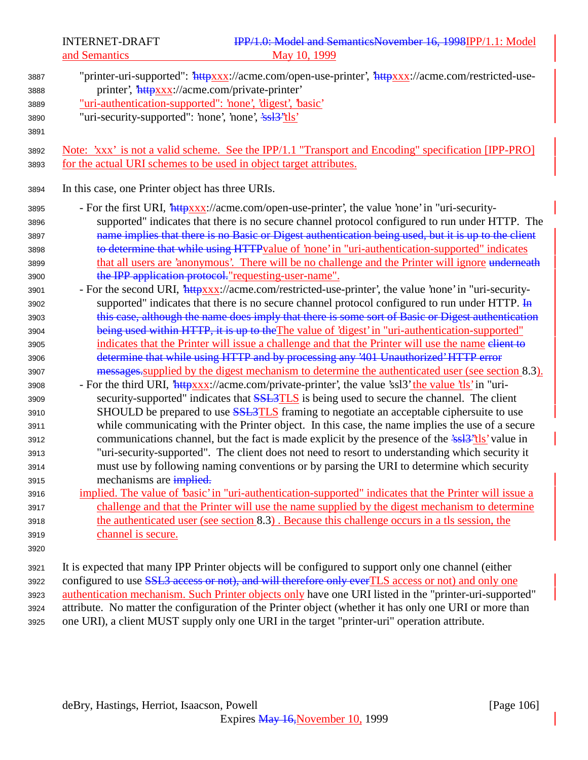| 3887<br>3888<br>3889<br>3890<br>3891                                                                                                                 | "printer-uri-supported": 'httpxxx://acme.com/open-use-printer', 'httpxxx://acme.com/restricted-use-<br>printer', 'httpxxx://acme.com/private-printer'<br>"uri-authentication-supported": 'none', 'digest', 'basic'<br>"uri-security-supported": 'none', 'none', 'ssl <sup>3"</sup> tls'                                                                                                                                                                                                                                                                                                                                                                                                                                                                                                                                                                                                                                                                                                                                                                                                                                                                                                                                                                                                                                                                                                                                                                                                                                                                                                                                                                                                                                                                                                                                                                                                                                                                |
|------------------------------------------------------------------------------------------------------------------------------------------------------|--------------------------------------------------------------------------------------------------------------------------------------------------------------------------------------------------------------------------------------------------------------------------------------------------------------------------------------------------------------------------------------------------------------------------------------------------------------------------------------------------------------------------------------------------------------------------------------------------------------------------------------------------------------------------------------------------------------------------------------------------------------------------------------------------------------------------------------------------------------------------------------------------------------------------------------------------------------------------------------------------------------------------------------------------------------------------------------------------------------------------------------------------------------------------------------------------------------------------------------------------------------------------------------------------------------------------------------------------------------------------------------------------------------------------------------------------------------------------------------------------------------------------------------------------------------------------------------------------------------------------------------------------------------------------------------------------------------------------------------------------------------------------------------------------------------------------------------------------------------------------------------------------------------------------------------------------------|
| 3892<br>3893                                                                                                                                         | Note: 'xxx' is not a valid scheme. See the IPP/1.1 "Transport and Encoding" specification [IPP-PRO]<br>for the actual URI schemes to be used in object target attributes.                                                                                                                                                                                                                                                                                                                                                                                                                                                                                                                                                                                                                                                                                                                                                                                                                                                                                                                                                                                                                                                                                                                                                                                                                                                                                                                                                                                                                                                                                                                                                                                                                                                                                                                                                                              |
| 3894                                                                                                                                                 | In this case, one Printer object has three URIs.                                                                                                                                                                                                                                                                                                                                                                                                                                                                                                                                                                                                                                                                                                                                                                                                                                                                                                                                                                                                                                                                                                                                                                                                                                                                                                                                                                                                                                                                                                                                                                                                                                                                                                                                                                                                                                                                                                       |
| 3895<br>3896<br>3897<br>3898<br>3899<br>3900<br>3901<br>3902<br>3903<br>3904<br>3905<br>3906<br>3907<br>3908<br>3909<br>3910<br>3911<br>3912<br>3913 | - For the first URI, <i>httpxxx://acme.com/open-use-printer'</i> , the value 'none' in "uri-security-<br>supported" indicates that there is no secure channel protocol configured to run under HTTP. The<br>name implies that there is no Basic or Digest authentication being used, but it is up to the client<br>to determine that while using HTTPvalue of 'none' in "uri-authentication-supported" indicates<br>that all users are 'anonymous'. There will be no challenge and the Printer will ignore underneath<br>the IPP application protocol."requesting-user-name".<br>- For the second URI, <i>httpxxx://acme.com/restricted-use-printer'</i> , the value 'none' in "uri-security-<br>supported" indicates that there is no secure channel protocol configured to run under HTTP. In<br>this case, although the name does imply that there is some sort of Basic or Digest authentication<br>being used within HTTP, it is up to the The value of 'digest' in "uri-authentication-supported"<br>indicates that the Printer will issue a challenge and that the Printer will use the name elient to<br>determine that while using HTTP and by processing any '401 Unauthorized' HTTP error<br>messages supplied by the digest mechanism to determine the authenticated user (see section 8.3).<br>- For the third URI, <i>'httpxxx</i> ://acme.com/private-printer', the value 'ssl3' the value 'tls' in "uri-<br>security-supported" indicates that <b>SSL3TLS</b> is being used to secure the channel. The client<br>SHOULD be prepared to use <b>SSL3TLS</b> framing to negotiate an acceptable ciphersuite to use<br>while communicating with the Printer object. In this case, the name implies the use of a secure<br>communications channel, but the fact is made explicit by the presence of the 'ssl <sup>3"</sup> tls' value in<br>"uri-security-supported". The client does not need to resort to understanding which security it |
| 3914                                                                                                                                                 | must use by following naming conventions or by parsing the URI to determine which security                                                                                                                                                                                                                                                                                                                                                                                                                                                                                                                                                                                                                                                                                                                                                                                                                                                                                                                                                                                                                                                                                                                                                                                                                                                                                                                                                                                                                                                                                                                                                                                                                                                                                                                                                                                                                                                             |
| 3915                                                                                                                                                 | mechanisms are implied.                                                                                                                                                                                                                                                                                                                                                                                                                                                                                                                                                                                                                                                                                                                                                                                                                                                                                                                                                                                                                                                                                                                                                                                                                                                                                                                                                                                                                                                                                                                                                                                                                                                                                                                                                                                                                                                                                                                                |
| 3916                                                                                                                                                 | implied. The value of 'basic' in "uri-authentication-supported" indicates that the Printer will issue a                                                                                                                                                                                                                                                                                                                                                                                                                                                                                                                                                                                                                                                                                                                                                                                                                                                                                                                                                                                                                                                                                                                                                                                                                                                                                                                                                                                                                                                                                                                                                                                                                                                                                                                                                                                                                                                |
| 3917                                                                                                                                                 | challenge and that the Printer will use the name supplied by the digest mechanism to determine                                                                                                                                                                                                                                                                                                                                                                                                                                                                                                                                                                                                                                                                                                                                                                                                                                                                                                                                                                                                                                                                                                                                                                                                                                                                                                                                                                                                                                                                                                                                                                                                                                                                                                                                                                                                                                                         |
| 3918                                                                                                                                                 | the authenticated user (see section 8.3). Because this challenge occurs in a tls session, the                                                                                                                                                                                                                                                                                                                                                                                                                                                                                                                                                                                                                                                                                                                                                                                                                                                                                                                                                                                                                                                                                                                                                                                                                                                                                                                                                                                                                                                                                                                                                                                                                                                                                                                                                                                                                                                          |
| 3919                                                                                                                                                 | channel is secure.                                                                                                                                                                                                                                                                                                                                                                                                                                                                                                                                                                                                                                                                                                                                                                                                                                                                                                                                                                                                                                                                                                                                                                                                                                                                                                                                                                                                                                                                                                                                                                                                                                                                                                                                                                                                                                                                                                                                     |
| 3920                                                                                                                                                 |                                                                                                                                                                                                                                                                                                                                                                                                                                                                                                                                                                                                                                                                                                                                                                                                                                                                                                                                                                                                                                                                                                                                                                                                                                                                                                                                                                                                                                                                                                                                                                                                                                                                                                                                                                                                                                                                                                                                                        |
| 3921<br>3922<br>3923<br>3924<br>3925                                                                                                                 | It is expected that many IPP Printer objects will be configured to support only one channel (either<br>configured to use SSL3 access or not), and will therefore only everTLS access or not) and only one<br>authentication mechanism. Such Printer objects only have one URI listed in the "printer-uri-supported"<br>attribute. No matter the configuration of the Printer object (whether it has only one URI or more than<br>one URI), a client MUST supply only one URI in the target "printer-uri" operation attribute.                                                                                                                                                                                                                                                                                                                                                                                                                                                                                                                                                                                                                                                                                                                                                                                                                                                                                                                                                                                                                                                                                                                                                                                                                                                                                                                                                                                                                          |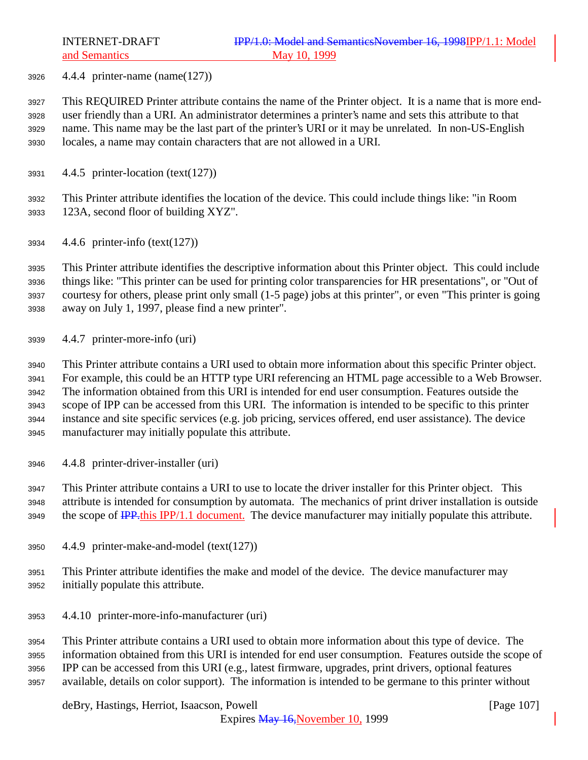4.4.4 printer-name (name(127))

 This REQUIRED Printer attribute contains the name of the Printer object. It is a name that is more end- user friendly than a URI. An administrator determines a printer's name and sets this attribute to that name. This name may be the last part of the printer's URI or it may be unrelated. In non-US-English locales, a name may contain characters that are not allowed in a URI.

4.4.5 printer-location (text(127))

 This Printer attribute identifies the location of the device. This could include things like: "in Room 123A, second floor of building XYZ".

4.4.6 printer-info (text(127))

 This Printer attribute identifies the descriptive information about this Printer object. This could include things like: "This printer can be used for printing color transparencies for HR presentations", or "Out of courtesy for others, please print only small (1-5 page) jobs at this printer", or even "This printer is going away on July 1, 1997, please find a new printer".

4.4.7 printer-more-info (uri)

 This Printer attribute contains a URI used to obtain more information about this specific Printer object. For example, this could be an HTTP type URI referencing an HTML page accessible to a Web Browser. The information obtained from this URI is intended for end user consumption. Features outside the scope of IPP can be accessed from this URI. The information is intended to be specific to this printer instance and site specific services (e.g. job pricing, services offered, end user assistance). The device manufacturer may initially populate this attribute.

4.4.8 printer-driver-installer (uri)

 This Printer attribute contains a URI to use to locate the driver installer for this Printer object. This attribute is intended for consumption by automata. The mechanics of print driver installation is outside 3949 the scope of **IPP**<sub>this</sub> IPP/1.1 document. The device manufacturer may initially populate this attribute.

- 4.4.9 printer-make-and-model (text(127))
- This Printer attribute identifies the make and model of the device. The device manufacturer may initially populate this attribute.
- 4.4.10 printer-more-info-manufacturer (uri)

 This Printer attribute contains a URI used to obtain more information about this type of device. The information obtained from this URI is intended for end user consumption. Features outside the scope of IPP can be accessed from this URI (e.g., latest firmware, upgrades, print drivers, optional features available, details on color support). The information is intended to be germane to this printer without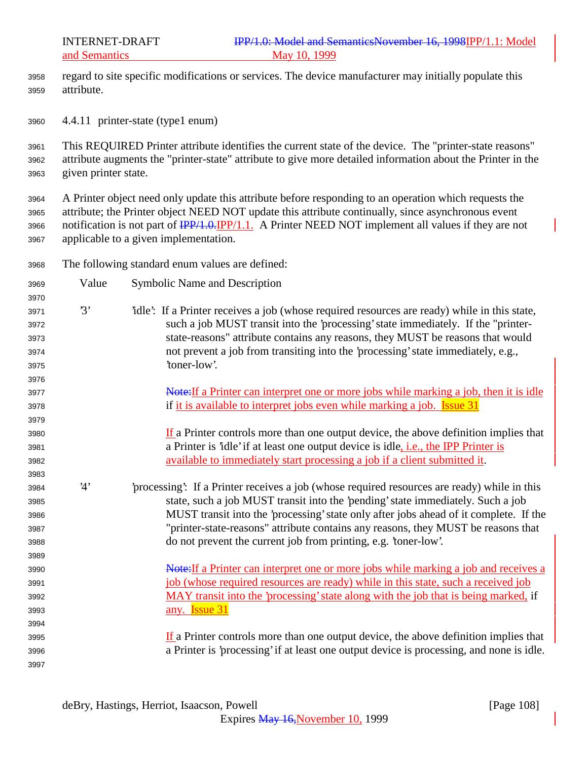- regard to site specific modifications or services. The device manufacturer may initially populate this attribute.
- 4.4.11 printer-state (type1 enum)

 This REQUIRED Printer attribute identifies the current state of the device. The "printer-state reasons" attribute augments the "printer-state" attribute to give more detailed information about the Printer in the given printer state.

 A Printer object need only update this attribute before responding to an operation which requests the attribute; the Printer object NEED NOT update this attribute continually, since asynchronous event 3966 notification is not part of  $\frac{IPP}{1.0}$ . [PP/1.1.] A Printer NEED NOT implement all values if they are not applicable to a given implementation.

- The following standard enum values are defined:
- Value Symbolic Name and Description '3' 'idle': If a Printer receives a job (whose required resources are ready) while in this state, such a job MUST transit into the 'processing' state immediately. If the "printer- state-reasons" attribute contains any reasons, they MUST be reasons that would not prevent a job from transiting into the 'processing' state immediately, e.g., 'toner-low'. 3977 Note:If a Printer can interpret one or more jobs while marking a job, then it is idle 3978 if it is available to interpret jobs even while marking a job. **Issue 31**  If a Printer controls more than one output device, the above definition implies that a Printer is 'idle' if at least one output device is idle, i.e., the IPP Printer is available to immediately start processing a job if a client submitted it. '4' 'processing': If a Printer receives a job (whose required resources are ready) while in this state, such a job MUST transit into the 'pending' state immediately. Such a job MUST transit into the 'processing' state only after jobs ahead of it complete. If the "printer-state-reasons" attribute contains any reasons, they MUST be reasons that do not prevent the current job from printing, e.g. 'toner-low'. **Note:** If a Printer can interpret one or more jobs while marking a job and receives a job (whose required resources are ready) while in this state, such a received job MAY transit into the 'processing' state along with the job that is being marked, if any. Issue 31  $\frac{If}{f}$  a Printer controls more than one output device, the above definition implies that a Printer is 'processing' if at least one output device is processing, and none is idle.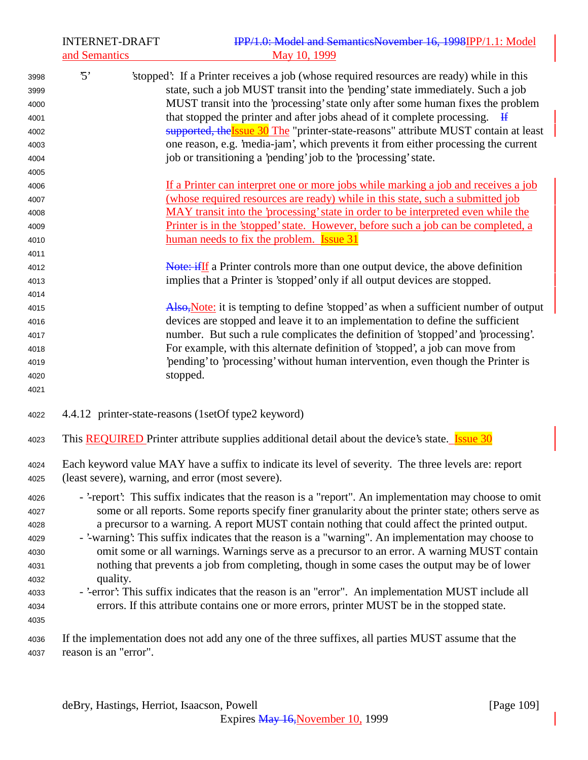|              | <b>INTERNET-DRAFT</b>                                                                                | IPP/1.0: Model and SemanticsNovember 16, 1998IPP/1.1: Model                                                                                                                  |
|--------------|------------------------------------------------------------------------------------------------------|------------------------------------------------------------------------------------------------------------------------------------------------------------------------------|
|              | and Semantics                                                                                        | May 10, 1999                                                                                                                                                                 |
| 3998         | $\cdot$ 5'                                                                                           | 'stopped': If a Printer receives a job (whose required resources are ready) while in this<br>state, such a job MUST transit into the 'pending' state immediately. Such a job |
| 3999         |                                                                                                      | MUST transit into the 'processing' state only after some human fixes the problem                                                                                             |
| 4000         |                                                                                                      | that stopped the printer and after jobs ahead of it complete processing.                                                                                                     |
| 4001         |                                                                                                      | supported, the Issue 30 The "printer-state-reasons" attribute MUST contain at least                                                                                          |
| 4002         |                                                                                                      | one reason, e.g. 'media-jam', which prevents it from either processing the current                                                                                           |
| 4003         |                                                                                                      | job or transitioning a 'pending' job to the 'processing' state.                                                                                                              |
| 4004<br>4005 |                                                                                                      |                                                                                                                                                                              |
| 4006         |                                                                                                      | If a Printer can interpret one or more jobs while marking a job and receives a job                                                                                           |
| 4007         |                                                                                                      | (whose required resources are ready) while in this state, such a submitted job                                                                                               |
| 4008         |                                                                                                      | MAY transit into the 'processing' state in order to be interpreted even while the                                                                                            |
| 4009         |                                                                                                      | Printer is in the 'stopped' state. However, before such a job can be completed, a                                                                                            |
| 4010         |                                                                                                      | human needs to fix the problem. <b>Issue 31</b>                                                                                                                              |
| 4011         |                                                                                                      |                                                                                                                                                                              |
| 4012         |                                                                                                      | <b>Note: if If</b> a Printer controls more than one output device, the above definition                                                                                      |
| 4013         |                                                                                                      | implies that a Printer is 'stopped' only if all output devices are stopped.                                                                                                  |
| 4014         |                                                                                                      |                                                                                                                                                                              |
| 4015         |                                                                                                      | Also, Note: it is tempting to define 'stopped' as when a sufficient number of output                                                                                         |
| 4016         |                                                                                                      | devices are stopped and leave it to an implementation to define the sufficient                                                                                               |
| 4017         |                                                                                                      | number. But such a rule complicates the definition of 'stopped' and 'processing'.                                                                                            |
| 4018         |                                                                                                      | For example, with this alternate definition of 'stopped', a job can move from                                                                                                |
| 4019         |                                                                                                      | 'pending' to 'processing' without human intervention, even though the Printer is                                                                                             |
| 4020         |                                                                                                      | stopped.                                                                                                                                                                     |
| 4021         |                                                                                                      |                                                                                                                                                                              |
| 4022         |                                                                                                      | 4.4.12 printer-state-reasons (1setOf type2 keyword)                                                                                                                          |
| 4023         |                                                                                                      | This <b>REQUIRED</b> Printer attribute supplies additional detail about the device's state. <b>Issue 30</b>                                                                  |
| 4024         |                                                                                                      | Each keyword value MAY have a suffix to indicate its level of severity. The three levels are: report                                                                         |
| 4025         |                                                                                                      | (least severe), warning, and error (most severe).                                                                                                                            |
| 4026         |                                                                                                      | - '-report': This suffix indicates that the reason is a "report". An implementation may choose to omit                                                                       |
| 4027         | some or all reports. Some reports specify finer granularity about the printer state; others serve as |                                                                                                                                                                              |
| 4028         |                                                                                                      | a precursor to a warning. A report MUST contain nothing that could affect the printed output.                                                                                |
| 4029         |                                                                                                      | - '-warning': This suffix indicates that the reason is a "warning". An implementation may choose to                                                                          |
| 4030         |                                                                                                      | omit some or all warnings. Warnings serve as a precursor to an error. A warning MUST contain                                                                                 |
| 4031         |                                                                                                      | nothing that prevents a job from completing, though in some cases the output may be of lower                                                                                 |
| 4032         | quality.                                                                                             |                                                                                                                                                                              |
| 4033         |                                                                                                      | - '-error': This suffix indicates that the reason is an "error". An implementation MUST include all                                                                          |
| 4034         |                                                                                                      | errors. If this attribute contains one or more errors, printer MUST be in the stopped state.                                                                                 |
| 4035         |                                                                                                      |                                                                                                                                                                              |
| 4036<br>4037 | reason is an "error".                                                                                | If the implementation does not add any one of the three suffixes, all parties MUST assume that the                                                                           |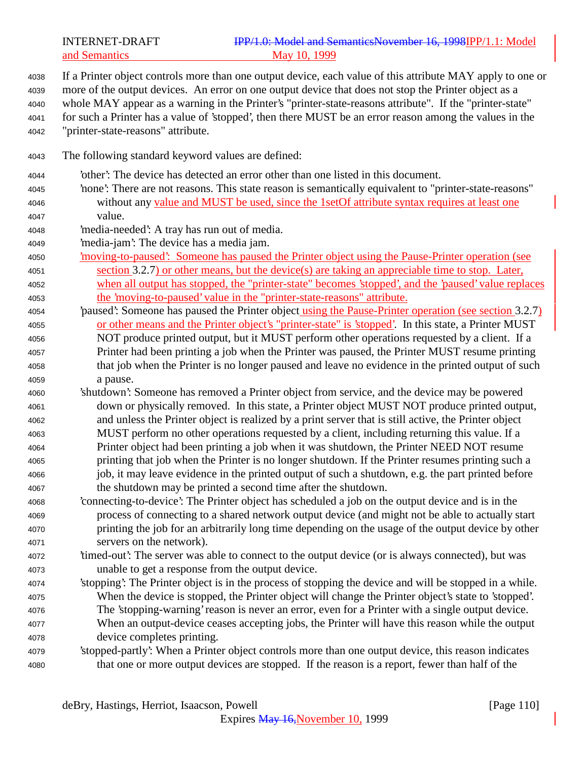## INTERNET-DRAFT **IPP/1.0: Model and SemanticsNovember 16, 1998IPP/1.1: Model** and Semantics May 10, 1999

 If a Printer object controls more than one output device, each value of this attribute MAY apply to one or more of the output devices. An error on one output device that does not stop the Printer object as a whole MAY appear as a warning in the Printer's "printer-state-reasons attribute". If the "printer-state" for such a Printer has a value of 'stopped', then there MUST be an error reason among the values in the "printer-state-reasons" attribute. The following standard keyword values are defined: 'other': The device has detected an error other than one listed in this document. 'none': There are not reasons. This state reason is semantically equivalent to "printer-state-reasons" without any value and MUST be used, since the 1setOf attribute syntax requires at least one value. 'media-needed': A tray has run out of media. 'media-jam': The device has a media jam. 'moving-to-paused': Someone has paused the Printer object using the Pause-Printer operation (see section 3.2.7) or other means, but the device(s) are taking an appreciable time to stop. Later, when all output has stopped, the "printer-state" becomes 'stopped', and the 'paused' value replaces the 'moving-to-paused' value in the "printer-state-reasons" attribute. <sup>4054</sup> 'paused': Someone has paused the Printer object using the Pause-Printer operation (see section 3.2.7) or other means and the Printer object's "printer-state" is 'stopped'. In this state, a Printer MUST NOT produce printed output, but it MUST perform other operations requested by a client. If a Printer had been printing a job when the Printer was paused, the Printer MUST resume printing that job when the Printer is no longer paused and leave no evidence in the printed output of such a pause. 'shutdown': Someone has removed a Printer object from service, and the device may be powered down or physically removed. In this state, a Printer object MUST NOT produce printed output, and unless the Printer object is realized by a print server that is still active, the Printer object MUST perform no other operations requested by a client, including returning this value. If a Printer object had been printing a job when it was shutdown, the Printer NEED NOT resume printing that job when the Printer is no longer shutdown. If the Printer resumes printing such a job, it may leave evidence in the printed output of such a shutdown, e.g. the part printed before the shutdown may be printed a second time after the shutdown. 'connecting-to-device': The Printer object has scheduled a job on the output device and is in the process of connecting to a shared network output device (and might not be able to actually start printing the job for an arbitrarily long time depending on the usage of the output device by other servers on the network). 'timed-out': The server was able to connect to the output device (or is always connected), but was unable to get a response from the output device. 'stopping': The Printer object is in the process of stopping the device and will be stopped in a while. When the device is stopped, the Printer object will change the Printer object's state to 'stopped'. The 'stopping-warning' reason is never an error, even for a Printer with a single output device. When an output-device ceases accepting jobs, the Printer will have this reason while the output device completes printing. 'stopped-partly': When a Printer object controls more than one output device, this reason indicates that one or more output devices are stopped. If the reason is a report, fewer than half of the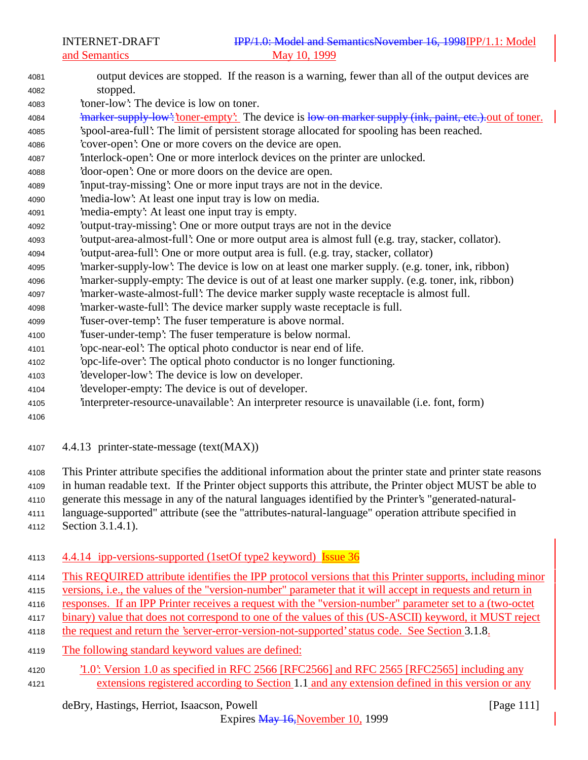- output devices are stopped. If the reason is a warning, fewer than all of the output devices are stopped. 'toner-low': The device is low on toner. 4084 'marker-supply-low': 'toner-empty': The device is low on marker supply (ink, paint, etc.). out of toner. 'spool-area-full': The limit of persistent storage allocated for spooling has been reached. 'cover-open': One or more covers on the device are open. 'interlock-open': One or more interlock devices on the printer are unlocked. 'door-open': One or more doors on the device are open. 'input-tray-missing': One or more input trays are not in the device. 'media-low': At least one input tray is low on media. 'media-empty': At least one input tray is empty. 'output-tray-missing': One or more output trays are not in the device 'output-area-almost-full': One or more output area is almost full (e.g. tray, stacker, collator). 'output-area-full': One or more output area is full. (e.g. tray, stacker, collator) 'marker-supply-low': The device is low on at least one marker supply. (e.g. toner, ink, ribbon) 'marker-supply-empty: The device is out of at least one marker supply. (e.g. toner, ink, ribbon) 'marker-waste-almost-full': The device marker supply waste receptacle is almost full. 'marker-waste-full': The device marker supply waste receptacle is full. 'fuser-over-temp': The fuser temperature is above normal. 'fuser-under-temp': The fuser temperature is below normal. 'opc-near-eol': The optical photo conductor is near end of life. 'opc-life-over': The optical photo conductor is no longer functioning. 'developer-low': The device is low on developer. 'developer-empty: The device is out of developer. 'interpreter-resource-unavailable': An interpreter resource is unavailable (i.e. font, form)
- 4.4.13 printer-state-message (text(MAX))
- This Printer attribute specifies the additional information about the printer state and printer state reasons
- in human readable text. If the Printer object supports this attribute, the Printer object MUST be able to
- generate this message in any of the natural languages identified by the Printer's "generated-natural-
- language-supported" attribute (see the "attributes-natural-language" operation attribute specified in Section 3.1.4.1).
- 4113 4.4.14 ipp-versions-supported (1setOf type2 keyword) Issue 36
- This REQUIRED attribute identifies the IPP protocol versions that this Printer supports, including minor
- versions, i.e., the values of the "version-number" parameter that it will accept in requests and return in
- responses. If an IPP Printer receives a request with the "version-number" parameter set to a (two-octet
- binary) value that does not correspond to one of the values of this (US-ASCII) keyword, it MUST reject
- 4118 the request and return the 'server-error-version-not-supported' status code. See Section 3.1.8.
- The following standard keyword values are defined:
- '1.0': Version 1.0 as specified in RFC 2566 [RFC2566] and RFC 2565 [RFC2565] including any extensions registered according to Section 1.1 and any extension defined in this version or any

# deBry, Hastings, Herriot, Isaacson, Powell [Page 111]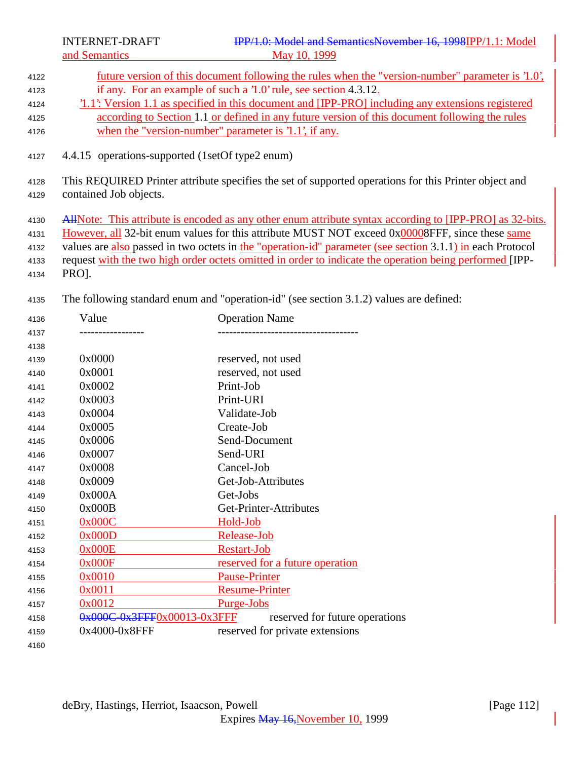future version of this document following the rules when the "version-number" parameter is '1.0', if any. For an example of such a '1.0' rule, see section 4.3.12.

- '1.1': Version 1.1 as specified in this document and [IPP-PRO] including any extensions registered according to Section 1.1 or defined in any future version of this document following the rules when the "version-number" parameter is '1.1', if any.
- 4.4.15 operations-supported (1setOf type2 enum)
- This REQUIRED Printer attribute specifies the set of supported operations for this Printer object and contained Job objects.
- 4130 AllNote: This attribute is encoded as any other enum attribute syntax according to [IPP-PRO] as 32-bits.
- However, all 32-bit enum values for this attribute MUST NOT exceed 0x00008FFF, since these same
- values are also passed in two octets in the "operation-id" parameter (see section 3.1.1) in each Protocol
- request with the two high order octets omitted in order to indicate the operation being performed [IPP-
- PRO].
- The following standard enum and "operation-id" (see section 3.1.2) values are defined:

| 4136 | Value                       | <b>Operation Name</b>           |
|------|-----------------------------|---------------------------------|
| 4137 |                             |                                 |
| 4138 |                             |                                 |
| 4139 | 0x0000                      | reserved, not used              |
| 4140 | 0x0001                      | reserved, not used              |
| 4141 | 0x0002                      | Print-Job                       |
| 4142 | 0x0003                      | Print-URI                       |
| 4143 | 0x0004                      | Validate-Job                    |
| 4144 | 0x0005                      | Create-Job                      |
| 4145 | 0x0006                      | Send-Document                   |
| 4146 | 0x0007                      | Send-URI                        |
| 4147 | 0x0008                      | Cancel-Job                      |
| 4148 | 0x0009                      | Get-Job-Attributes              |
| 4149 | 0x000A                      | Get-Jobs                        |
| 4150 | 0x000B                      | Get-Printer-Attributes          |
| 4151 | 0x000C                      | Hold-Job                        |
| 4152 | 0x000D                      | Release-Job                     |
| 4153 | 0x000E                      | <b>Restart-Job</b>              |
| 4154 | 0x000F                      | reserved for a future operation |
| 4155 | 0x0010                      | <b>Pause-Printer</b>            |
| 4156 | 0x0011                      | <b>Resume-Printer</b>           |
| 4157 | 0x0012                      | Purge-Jobs                      |
| 4158 | 0x000C-0x3FFF0x00013-0x3FFF | reserved for future operations  |
| 4159 | 0x4000-0x8FFF               | reserved for private extensions |
| 4160 |                             |                                 |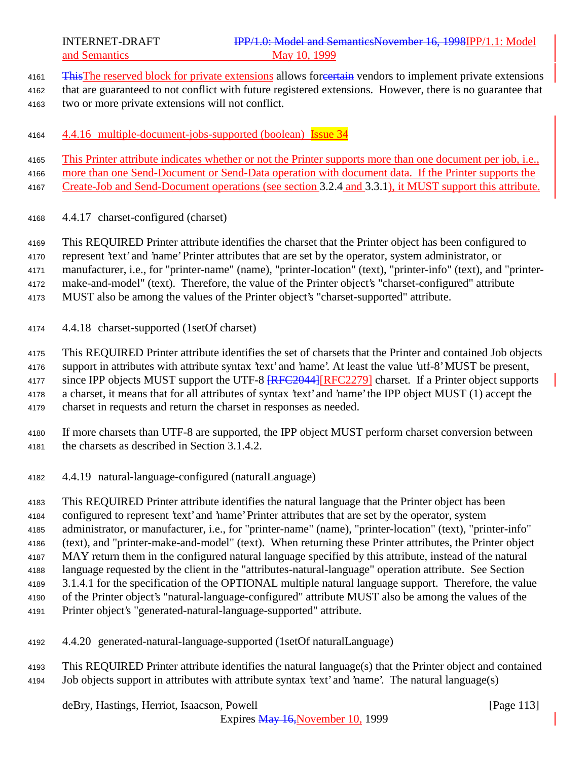- 4161 This The reserved block for private extensions allows foreertain vendors to implement private extensions
- that are guaranteed to not conflict with future registered extensions. However, there is no guarantee that two or more private extensions will not conflict.
- 4164 4.4.16 multiple-document-jobs-supported (boolean) Issue 34
- This Printer attribute indicates whether or not the Printer supports more than one document per job, i.e.,
- more than one Send-Document or Send-Data operation with document data. If the Printer supports the
- Create-Job and Send-Document operations (see section 3.2.4 and 3.3.1), it MUST support this attribute.
- 4.4.17 charset-configured (charset)
- This REQUIRED Printer attribute identifies the charset that the Printer object has been configured to
- represent 'text' and 'name' Printer attributes that are set by the operator, system administrator, or
- manufacturer, i.e., for "printer-name" (name), "printer-location" (text), "printer-info" (text), and "printer-
- make-and-model" (text). Therefore, the value of the Printer object's "charset-configured" attribute
- MUST also be among the values of the Printer object's "charset-supported" attribute.
- 4.4.18 charset-supported (1setOf charset)
- This REQUIRED Printer attribute identifies the set of charsets that the Printer and contained Job objects
- support in attributes with attribute syntax 'text' and 'name'. At least the value 'utf-8' MUST be present,
- 4177 since IPP objects MUST support the UTF-8  $RFC2044 | RFC2279$  charset. If a Printer object supports
- a charset, it means that for all attributes of syntax 'text' and 'name' the IPP object MUST (1) accept the
- charset in requests and return the charset in responses as needed.
- If more charsets than UTF-8 are supported, the IPP object MUST perform charset conversion between the charsets as described in Section 3.1.4.2.
- 4.4.19 natural-language-configured (naturalLanguage)
- This REQUIRED Printer attribute identifies the natural language that the Printer object has been
- configured to represent 'text' and 'name' Printer attributes that are set by the operator, system
- administrator, or manufacturer, i.e., for "printer-name" (name), "printer-location" (text), "printer-info"
- (text), and "printer-make-and-model" (text). When returning these Printer attributes, the Printer object
- MAY return them in the configured natural language specified by this attribute, instead of the natural
- language requested by the client in the "attributes-natural-language" operation attribute. See Section
- 3.1.4.1 for the specification of the OPTIONAL multiple natural language support. Therefore, the value
- of the Printer object's "natural-language-configured" attribute MUST also be among the values of the
- Printer object's "generated-natural-language-supported" attribute.
- 4.4.20 generated-natural-language-supported (1setOf naturalLanguage)
- This REQUIRED Printer attribute identifies the natural language(s) that the Printer object and contained Job objects support in attributes with attribute syntax 'text' and 'name'. The natural language(s)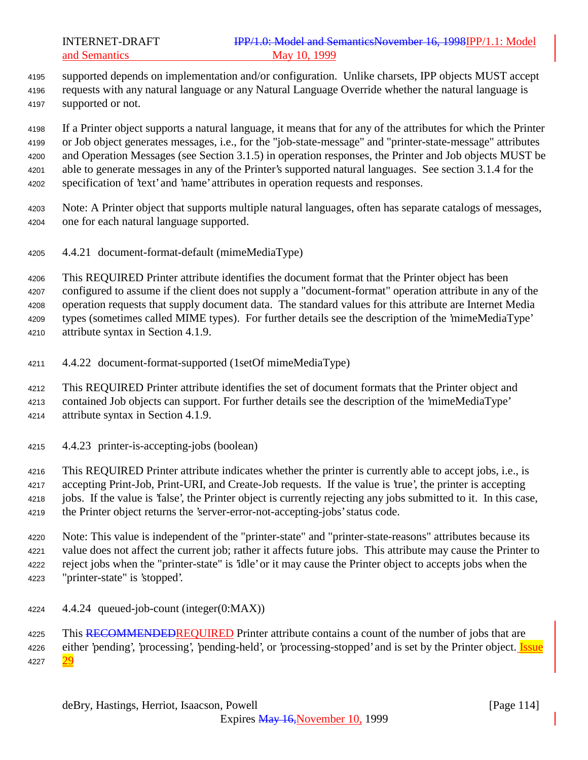supported depends on implementation and/or configuration. Unlike charsets, IPP objects MUST accept requests with any natural language or any Natural Language Override whether the natural language is supported or not.

 If a Printer object supports a natural language, it means that for any of the attributes for which the Printer or Job object generates messages, i.e., for the "job-state-message" and "printer-state-message" attributes and Operation Messages (see Section 3.1.5) in operation responses, the Printer and Job objects MUST be able to generate messages in any of the Printer's supported natural languages. See section 3.1.4 for the specification of 'text' and 'name' attributes in operation requests and responses.

- Note: A Printer object that supports multiple natural languages, often has separate catalogs of messages, one for each natural language supported.
- 4.4.21 document-format-default (mimeMediaType)

 This REQUIRED Printer attribute identifies the document format that the Printer object has been configured to assume if the client does not supply a "document-format" operation attribute in any of the operation requests that supply document data. The standard values for this attribute are Internet Media types (sometimes called MIME types). For further details see the description of the 'mimeMediaType' attribute syntax in Section 4.1.9.

- 4.4.22 document-format-supported (1setOf mimeMediaType)
- This REQUIRED Printer attribute identifies the set of document formats that the Printer object and contained Job objects can support. For further details see the description of the 'mimeMediaType' attribute syntax in Section 4.1.9.
- 4.4.23 printer-is-accepting-jobs (boolean)

 This REQUIRED Printer attribute indicates whether the printer is currently able to accept jobs, i.e., is accepting Print-Job, Print-URI, and Create-Job requests. If the value is 'true', the printer is accepting jobs. If the value is 'false', the Printer object is currently rejecting any jobs submitted to it. In this case, the Printer object returns the 'server-error-not-accepting-jobs' status code.

 Note: This value is independent of the "printer-state" and "printer-state-reasons" attributes because its value does not affect the current job; rather it affects future jobs. This attribute may cause the Printer to reject jobs when the "printer-state" is 'idle' or it may cause the Printer object to accepts jobs when the "printer-state" is 'stopped'.

4.4.24 queued-job-count (integer(0:MAX))

4225 This RECOMMENDEDREQUIRED Printer attribute contains a count of the number of jobs that are 4226 either 'pending', 'processing', 'pending-held', or 'processing-stopped' and is set by the Printer object. Issue 4227 29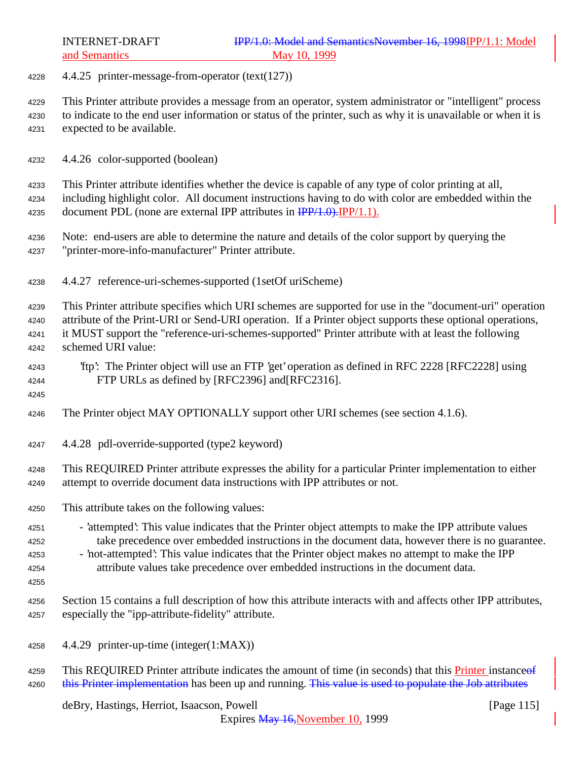4.4.25 printer-message-from-operator (text(127))

 This Printer attribute provides a message from an operator, system administrator or "intelligent" process to indicate to the end user information or status of the printer, such as why it is unavailable or when it is expected to be available.

4.4.26 color-supported (boolean)

 This Printer attribute identifies whether the device is capable of any type of color printing at all, including highlight color. All document instructions having to do with color are embedded within the 4235 document PDL (none are external IPP attributes in  $\frac{IPP}{1.0}$ . IPP/1.1).

- Note: end-users are able to determine the nature and details of the color support by querying the "printer-more-info-manufacturer" Printer attribute.
- 4.4.27 reference-uri-schemes-supported (1setOf uriScheme)

 This Printer attribute specifies which URI schemes are supported for use in the "document-uri" operation attribute of the Print-URI or Send-URI operation. If a Printer object supports these optional operations, it MUST support the "reference-uri-schemes-supported" Printer attribute with at least the following schemed URI value:

 'ftp': The Printer object will use an FTP 'get' operation as defined in RFC 2228 [RFC2228] using FTP URLs as defined by [RFC2396] and[RFC2316].

- The Printer object MAY OPTIONALLY support other URI schemes (see section 4.1.6).
- 4.4.28 pdl-override-supported (type2 keyword)

 This REQUIRED Printer attribute expresses the ability for a particular Printer implementation to either attempt to override document data instructions with IPP attributes or not.

- This attribute takes on the following values:
- 'attempted': This value indicates that the Printer object attempts to make the IPP attribute values take precedence over embedded instructions in the document data, however there is no guarantee. - 'not-attempted': This value indicates that the Printer object makes no attempt to make the IPP
- attribute values take precedence over embedded instructions in the document data.
- 

 Section 15 contains a full description of how this attribute interacts with and affects other IPP attributes, especially the "ipp-attribute-fidelity" attribute.

- 4.4.29 printer-up-time (integer(1:MAX))
- 4259 This REQUIRED Printer attribute indicates the amount of time (in seconds) that this Printer instance of 4260 this Printer implementation has been up and running. This value is used to populate the Job attributes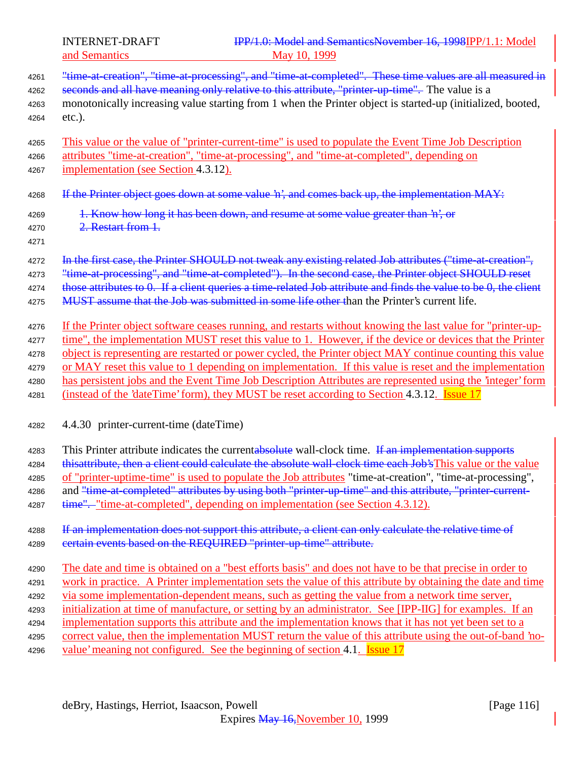and Semantics

| 4261                 | "time-at-creation", "time-at-processing", and "time-at-completed". These time values are all measured in        |
|----------------------|-----------------------------------------------------------------------------------------------------------------|
| 4262                 | seconds and all have meaning only relative to this attribute, "printer-up-time". The value is a                 |
| 4263                 | monotonically increasing value starting from 1 when the Printer object is started-up (initialized, booted,      |
| 4264                 | etc.).                                                                                                          |
| 4265                 | This value or the value of "printer-current-time" is used to populate the Event Time Job Description            |
| 4266                 | attributes "time-at-creation", "time-at-processing", and "time-at-completed", depending on                      |
| 4267                 | implementation (see Section 4.3.12).                                                                            |
| 4268                 | If the Printer object goes down at some value 'n', and comes back up, the implementation MAY:                   |
| 4269<br>4270<br>4271 | 1. Know how long it has been down, and resume at some value greater than 'n', or<br>2. Restart from 1.          |
| 4272                 | In the first case, the Printer SHOULD not tweak any existing related Job attributes ("time-at-creation",        |
| 4273                 | "time at processing", and "time at completed"). In the second case, the Printer object SHOULD reset             |
| 4274                 | those attributes to 0. If a client queries a time-related Job attribute and finds the value to be 0, the client |
| 4275                 | MUST assume that the Job was submitted in some life other than the Printer's current life.                      |
| 4276                 | If the Printer object software ceases running, and restarts without knowing the last value for "printer-up-     |
| 4277                 | time", the implementation MUST reset this value to 1. However, if the device or devices that the Printer        |
| 4278                 | object is representing are restarted or power cycled, the Printer object MAY continue counting this value       |
| 4279                 | or MAY reset this value to 1 depending on implementation. If this value is reset and the implementation         |
| 4280                 | has persistent jobs and the Event Time Job Description Attributes are represented using the 'integer' form      |
| 4281                 | (instead of the 'dateTime' form), they MUST be reset according to Section 4.3.12. Issue 17                      |
| 4282                 | 4.4.30 printer-current-time (dateTime)                                                                          |
| 4283                 | This Printer attribute indicates the currentabsolute wall-clock time. If an implementation supports             |
| 4284                 | thisattribute, then a client could calculate the absolute wall-clock time each Job's This value or the value    |
| 4285                 | of "printer-uptime-time" is used to populate the Job attributes "time-at-creation", "time-at-processing",       |
| 4286                 | and "time-at-completed" attributes by using both "printer-up-time" and this attribute, "printer-current-        |
| 4287                 | time", "time-at-completed", depending on implementation (see Section 4.3.12).                                   |
| 4288                 | If an implementation does not support this attribute, a client can only calculate the relative time of          |
| 4289                 | eertain events based on the REQUIRED "printer-up-time" attribute.                                               |
| 4290                 | The date and time is obtained on a "best efforts basis" and does not have to be that precise in order to        |
| 4291                 | work in practice. A Printer implementation sets the value of this attribute by obtaining the date and time      |
| 4292                 | via some implementation-dependent means, such as getting the value from a network time server,                  |
| 4293                 | initialization at time of manufacture, or setting by an administrator. See [IPP-IIG] for examples. If an        |
| 4294                 | implementation supports this attribute and the implementation knows that it has not yet been set to a           |
| 4295                 | correct value, then the implementation MUST return the value of this attribute using the out-of-band 'no-       |
| 4296                 | value' meaning not configured. See the beginning of section 4.1. Issue 17                                       |
|                      |                                                                                                                 |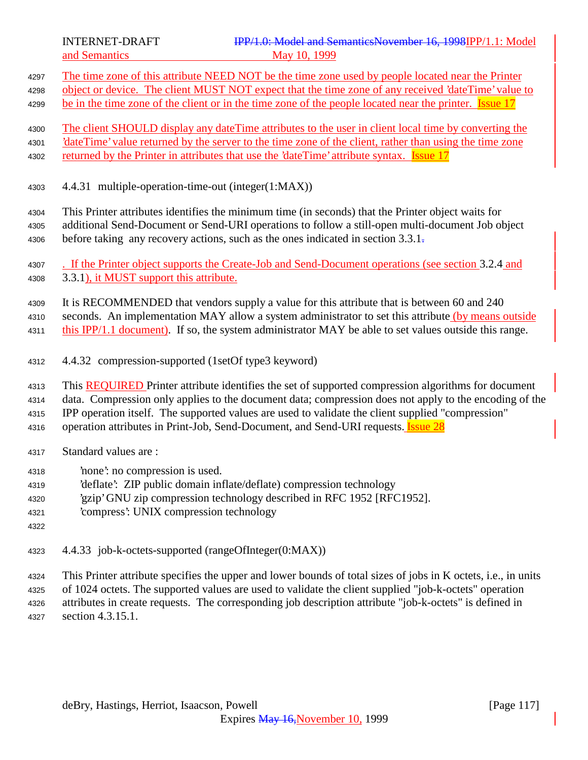- The time zone of this attribute NEED NOT be the time zone used by people located near the Printer object or device. The client MUST NOT expect that the time zone of any received 'dateTime' value to 4299 be in the time zone of the client or in the time zone of the people located near the printer. Issue 17 The client SHOULD display any dateTime attributes to the user in client local time by converting the 'dateTime' value returned by the server to the time zone of the client, rather than using the time zone 4302 returned by the Printer in attributes that use the 'dateTime' attribute syntax. **Issue 17**  4.4.31 multiple-operation-time-out (integer(1:MAX)) This Printer attributes identifies the minimum time (in seconds) that the Printer object waits for additional Send-Document or Send-URI operations to follow a still-open multi-document Job object 4306 before taking any recovery actions, such as the ones indicated in section 3.3.1. 4307 . If the Printer object supports the Create-Job and Send-Document operations (see section 3.2.4 and 3.3.1), it MUST support this attribute. It is RECOMMENDED that vendors supply a value for this attribute that is between 60 and 240 4310 seconds. An implementation MAY allow a system administrator to set this attribute (by means outside 4311 this IPP/1.1 document). If so, the system administrator MAY be able to set values outside this range. 4.4.32 compression-supported (1setOf type3 keyword) This REQUIRED Printer attribute identifies the set of supported compression algorithms for document data. Compression only applies to the document data; compression does not apply to the encoding of the IPP operation itself. The supported values are used to validate the client supplied "compression" 4316 operation attributes in Print-Job, Send-Document, and Send-URI requests. **Issue 28**  Standard values are : 'none': no compression is used. 'deflate': ZIP public domain inflate/deflate) compression technology 'gzip' GNU zip compression technology described in RFC 1952 [RFC1952]. 'compress': UNIX compression technology 4.4.33 job-k-octets-supported (rangeOfInteger(0:MAX)) This Printer attribute specifies the upper and lower bounds of total sizes of jobs in K octets, i.e., in units of 1024 octets. The supported values are used to validate the client supplied "job-k-octets" operation attributes in create requests. The corresponding job description attribute "job-k-octets" is defined in
- section 4.3.15.1.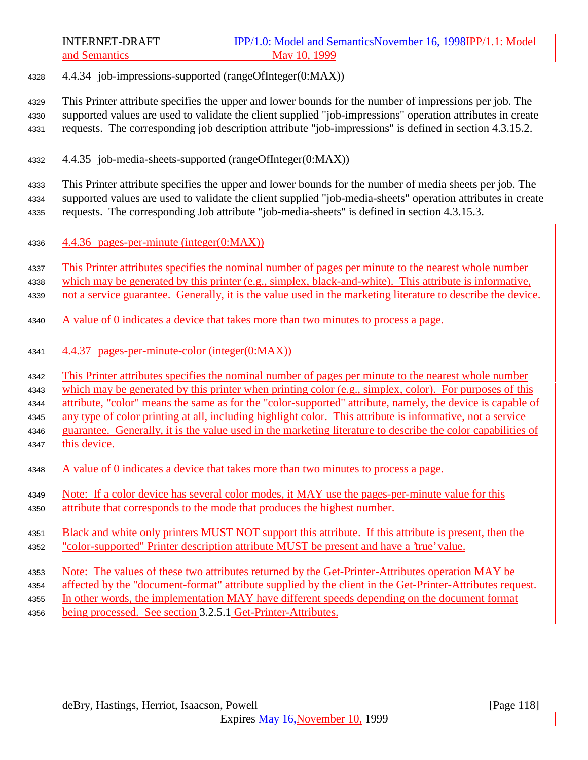4.4.34 job-impressions-supported (rangeOfInteger(0:MAX))

 This Printer attribute specifies the upper and lower bounds for the number of impressions per job. The supported values are used to validate the client supplied "job-impressions" operation attributes in create requests. The corresponding job description attribute "job-impressions" is defined in section 4.3.15.2.

4.4.35 job-media-sheets-supported (rangeOfInteger(0:MAX))

 This Printer attribute specifies the upper and lower bounds for the number of media sheets per job. The supported values are used to validate the client supplied "job-media-sheets" operation attributes in create requests. The corresponding Job attribute "job-media-sheets" is defined in section 4.3.15.3.

4336  $\frac{4.4.36 \text{ pages-per-minute (integer}(0:MAX))}{4.4.36 \text{ pages-per-minute (integer}(0:MAX))}$ 

4337 This Printer attributes specifies the nominal number of pages per minute to the nearest whole number

which may be generated by this printer (e.g., simplex, black-and-white). This attribute is informative,

not a service guarantee. Generally, it is the value used in the marketing literature to describe the device.

- A value of 0 indicates a device that takes more than two minutes to process a page.
- 4.4.37 pages-per-minute-color (integer(0:MAX))

This Printer attributes specifies the nominal number of pages per minute to the nearest whole number

which may be generated by this printer when printing color (e.g., simplex, color). For purposes of this

attribute, "color" means the same as for the "color-supported" attribute, namely, the device is capable of

any type of color printing at all, including highlight color. This attribute is informative, not a service

guarantee. Generally, it is the value used in the marketing literature to describe the color capabilities of

- this device.
- 4348 A value of 0 indicates a device that takes more than two minutes to process a page.
- Note: If a color device has several color modes, it MAY use the pages-per-minute value for this
- attribute that corresponds to the mode that produces the highest number.
- Black and white only printers MUST NOT support this attribute. If this attribute is present, then the "color-supported" Printer description attribute MUST be present and have a 'true' value.
- Note: The values of these two attributes returned by the Get-Printer-Attributes operation MAY be
- affected by the "document-format" attribute supplied by the client in the Get-Printer-Attributes request.
- In other words, the implementation MAY have different speeds depending on the document format
- being processed. See section 3.2.5.1 Get-Printer-Attributes.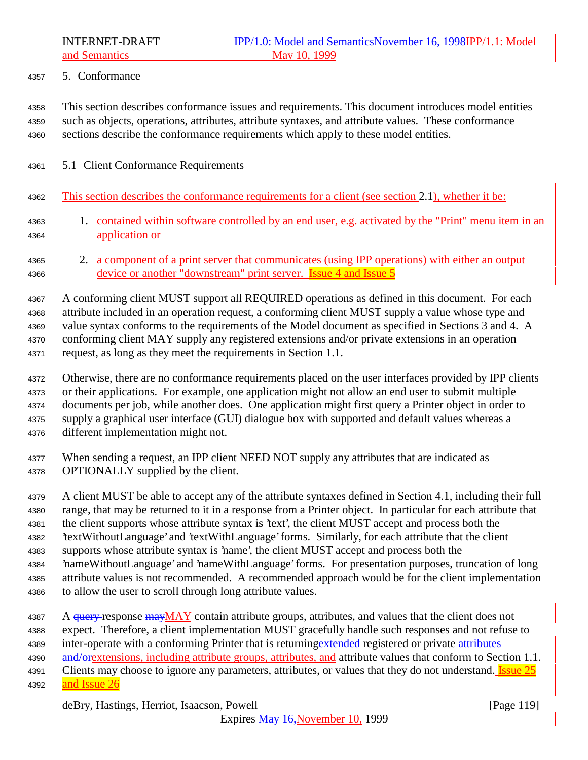5. Conformance

 This section describes conformance issues and requirements. This document introduces model entities such as objects, operations, attributes, attribute syntaxes, and attribute values. These conformance sections describe the conformance requirements which apply to these model entities.

- 5.1 Client Conformance Requirements
- This section describes the conformance requirements for a client (see section 2.1), whether it be:
- 1. contained within software controlled by an end user, e.g. activated by the "Print" menu item in an application or

 2. a component of a print server that communicates (using IPP operations) with either an output 4366 device or another "downstream" print server. Issue 4 and Issue 5

 A conforming client MUST support all REQUIRED operations as defined in this document. For each attribute included in an operation request, a conforming client MUST supply a value whose type and value syntax conforms to the requirements of the Model document as specified in Sections 3 and 4. A conforming client MAY supply any registered extensions and/or private extensions in an operation request, as long as they meet the requirements in Section 1.1.

- Otherwise, there are no conformance requirements placed on the user interfaces provided by IPP clients or their applications. For example, one application might not allow an end user to submit multiple documents per job, while another does. One application might first query a Printer object in order to supply a graphical user interface (GUI) dialogue box with supported and default values whereas a different implementation might not.
- When sending a request, an IPP client NEED NOT supply any attributes that are indicated as OPTIONALLY supplied by the client.
- A client MUST be able to accept any of the attribute syntaxes defined in Section 4.1, including their full range, that may be returned to it in a response from a Printer object. In particular for each attribute that the client supports whose attribute syntax is 'text', the client MUST accept and process both the 'textWithoutLanguage' and 'textWithLanguage' forms. Similarly, for each attribute that the client
- supports whose attribute syntax is 'name', the client MUST accept and process both the
- 'nameWithoutLanguage' and 'nameWithLanguage' forms. For presentation purposes, truncation of long
- attribute values is not recommended. A recommended approach would be for the client implementation
- to allow the user to scroll through long attribute values.
- 4387 A <del>query r</del>esponse may MAY contain attribute groups, attributes, and values that the client does not expect. Therefore, a client implementation MUST gracefully handle such responses and not refuse to
- 4389 inter-operate with a conforming Printer that is returning extended registered or private attributes
- 4390 and/orextensions, including attribute groups, attributes, and attribute values that conform to Section 1.1.
- 4391 Clients may choose to ignore any parameters, attributes, or values that they do not understand. **Issue 25**
- **and Issue 26**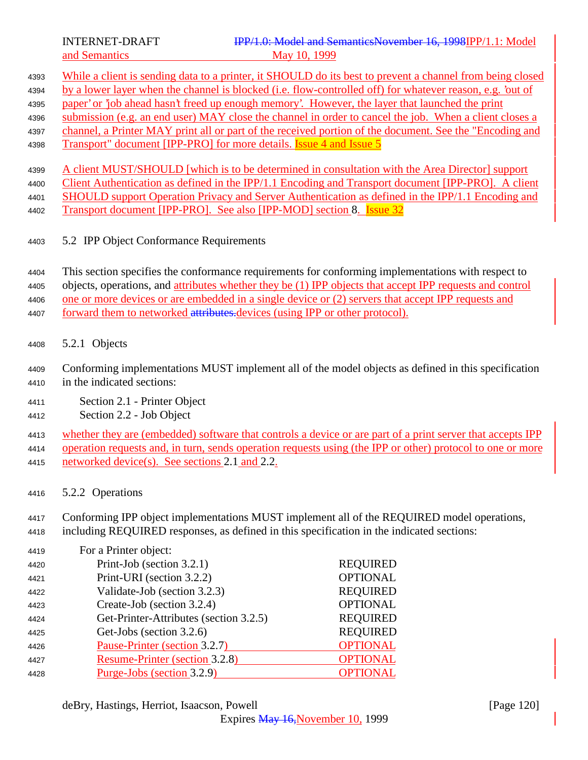- While a client is sending data to a printer, it SHOULD do its best to prevent a channel from being closed by a lower layer when the channel is blocked (i.e. flow-controlled off) for whatever reason, e.g. 'out of paper' or 'job ahead hasn't freed up enough memory'. However, the layer that launched the print submission (e.g. an end user) MAY close the channel in order to cancel the job. When a client closes a channel, a Printer MAY print all or part of the received portion of the document. See the "Encoding and
- 4398 Transport" document [IPP-PRO] for more details. **Issue 4 and Issue 5**

 A client MUST/SHOULD [which is to be determined in consultation with the Area Director] support 4400 Client Authentication as defined in the IPP/1.1 Encoding and Transport document [IPP-PRO]. A client SHOULD support Operation Privacy and Server Authentication as defined in the IPP/1.1 Encoding and

- 4402 Transport document [IPP-PRO]. See also [IPP-MOD] section 8. **Issue 32**
- 5.2 IPP Object Conformance Requirements

 This section specifies the conformance requirements for conforming implementations with respect to objects, operations, and attributes whether they be (1) IPP objects that accept IPP requests and control one or more devices or are embedded in a single device or (2) servers that accept IPP requests and 4407 forward them to networked attributes. devices (using IPP or other protocol).

- 5.2.1 Objects
- Conforming implementations MUST implement all of the model objects as defined in this specification in the indicated sections:
- Section 2.1 Printer Object
- Section 2.2 Job Object

whether they are (embedded) software that controls a device or are part of a print server that accepts IPP

operation requests and, in turn, sends operation requests using (the IPP or other) protocol to one or more

- networked device(s). See sections 2.1 and 2.2.
- 5.2.2 Operations

Conforming IPP object implementations MUST implement all of the REQUIRED model operations,

including REQUIRED responses, as defined in this specification in the indicated sections:

| 4419 | For a Printer object:                  |                 |
|------|----------------------------------------|-----------------|
| 4420 | Print-Job (section 3.2.1)              | <b>REQUIRED</b> |
| 4421 | Print-URI (section 3.2.2)              | <b>OPTIONAL</b> |
| 4422 | Validate-Job (section 3.2.3)           | <b>REQUIRED</b> |
| 4423 | Create-Job (section 3.2.4)             | <b>OPTIONAL</b> |
| 4424 | Get-Printer-Attributes (section 3.2.5) | <b>REQUIRED</b> |
| 4425 | Get-Jobs (section 3.2.6)               | <b>REQUIRED</b> |
| 4426 | Pause-Printer (section 3.2.7)          | <b>OPTIONAL</b> |
| 4427 | Resume-Printer (section 3.2.8)         | <b>OPTIONAL</b> |
| 4428 | Purge-Jobs (section 3.2.9)             | <b>OPTIONAL</b> |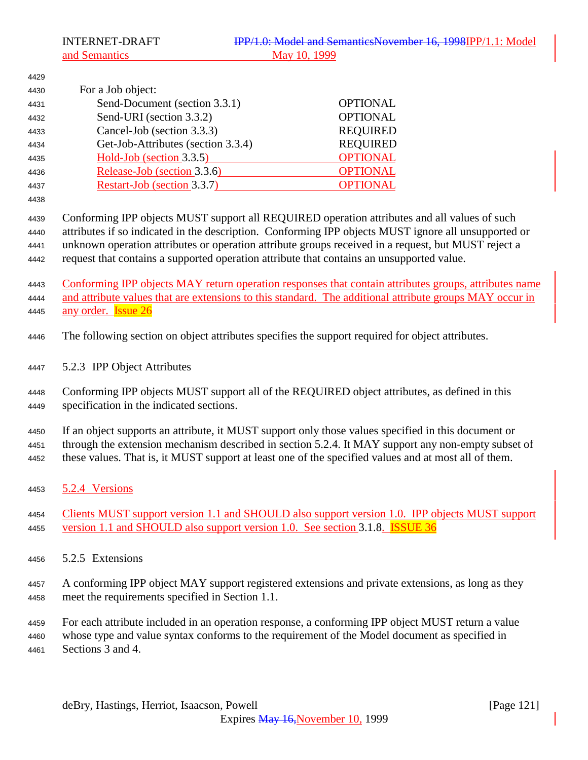and Semantics

| 4429 |                                                                                                      |                                                                                                         |
|------|------------------------------------------------------------------------------------------------------|---------------------------------------------------------------------------------------------------------|
| 4430 | For a Job object:                                                                                    |                                                                                                         |
| 4431 | Send-Document (section 3.3.1)                                                                        | <b>OPTIONAL</b>                                                                                         |
| 4432 | Send-URI (section 3.3.2)                                                                             | <b>OPTIONAL</b>                                                                                         |
| 4433 | Cancel-Job (section 3.3.3)                                                                           | <b>REQUIRED</b>                                                                                         |
| 4434 | Get-Job-Attributes (section 3.3.4)                                                                   | <b>REQUIRED</b>                                                                                         |
| 4435 | Hold-Job (section 3.3.5)                                                                             | <b>OPTIONAL</b>                                                                                         |
| 4436 | Release-Job (section 3.3.6)                                                                          | <b>OPTIONAL</b>                                                                                         |
| 4437 | Restart-Job (section 3.3.7)                                                                          | <b>OPTIONAL</b>                                                                                         |
| 4438 |                                                                                                      |                                                                                                         |
| 4439 | Conforming IPP objects MUST support all REQUIRED operation attributes and all values of such         |                                                                                                         |
| 4440 |                                                                                                      | attributes if so indicated in the description. Conforming IPP objects MUST ignore all unsupported or    |
| 4441 | unknown operation attributes or operation attribute groups received in a request, but MUST reject a  |                                                                                                         |
| 4442 | request that contains a supported operation attribute that contains an unsupported value.            |                                                                                                         |
|      |                                                                                                      |                                                                                                         |
| 4443 |                                                                                                      | Conforming IPP objects MAY return operation responses that contain attributes groups, attributes name   |
| 4444 |                                                                                                      | and attribute values that are extensions to this standard. The additional attribute groups MAY occur in |
| 4445 | any order. <b>Issue 26</b>                                                                           |                                                                                                         |
| 4446 | The following section on object attributes specifies the support required for object attributes.     |                                                                                                         |
| 4447 | 5.2.3 IPP Object Attributes                                                                          |                                                                                                         |
| 4448 | Conforming IPP objects MUST support all of the REQUIRED object attributes, as defined in this        |                                                                                                         |
| 4449 | specification in the indicated sections.                                                             |                                                                                                         |
|      |                                                                                                      |                                                                                                         |
| 4450 | If an object supports an attribute, it MUST support only those values specified in this document or  |                                                                                                         |
| 4451 |                                                                                                      | through the extension mechanism described in section 5.2.4. It MAY support any non-empty subset of      |
| 4452 | these values. That is, it MUST support at least one of the specified values and at most all of them. |                                                                                                         |
| 4453 | 5.2.4 Versions                                                                                       |                                                                                                         |
|      |                                                                                                      |                                                                                                         |
| 4454 |                                                                                                      | Clients MUST support version 1.1 and SHOULD also support version 1.0. IPP objects MUST support          |
| 4455 | version 1.1 and SHOULD also support version 1.0. See section 3.1.8. <b>ISSUE 36</b>                  |                                                                                                         |
|      |                                                                                                      |                                                                                                         |
| 4456 | 5.2.5 Extensions                                                                                     |                                                                                                         |
| 4457 | A conforming IPP object MAY support registered extensions and private extensions, as long as they    |                                                                                                         |
| 4458 | meet the requirements specified in Section 1.1.                                                      |                                                                                                         |
|      |                                                                                                      |                                                                                                         |
|      |                                                                                                      |                                                                                                         |

 For each attribute included in an operation response, a conforming IPP object MUST return a value whose type and value syntax conforms to the requirement of the Model document as specified in Sections 3 and 4.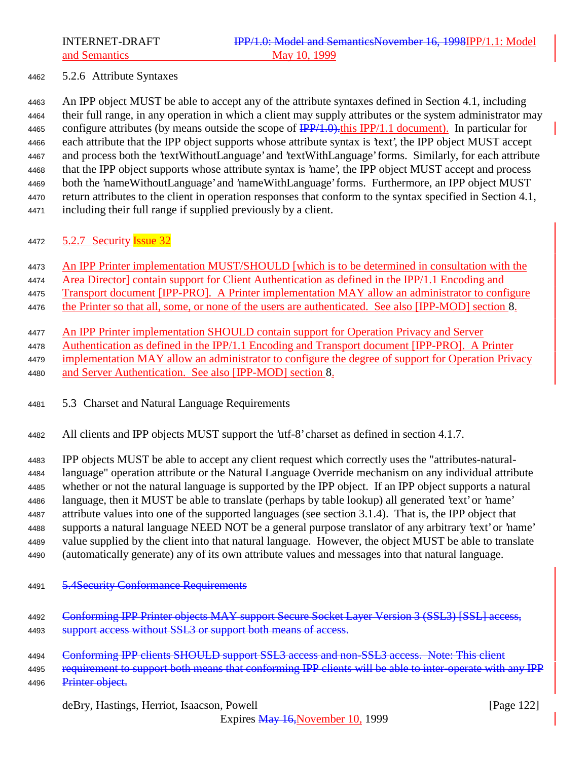## 5.2.6 Attribute Syntaxes

 An IPP object MUST be able to accept any of the attribute syntaxes defined in Section 4.1, including their full range, in any operation in which a client may supply attributes or the system administrator may 4465 configure attributes (by means outside the scope of  $\frac{IPP}{1.0}$ ). This IPP/1.1 document). In particular for each attribute that the IPP object supports whose attribute syntax is 'text', the IPP object MUST accept and process both the 'textWithoutLanguage' and 'textWithLanguage' forms. Similarly, for each attribute that the IPP object supports whose attribute syntax is 'name', the IPP object MUST accept and process both the 'nameWithoutLanguage' and 'nameWithLanguage' forms. Furthermore, an IPP object MUST return attributes to the client in operation responses that conform to the syntax specified in Section 4.1, including their full range if supplied previously by a client.

## 4472 5.2.7 Security **Issue 32**

An IPP Printer implementation MUST/SHOULD [which is to be determined in consultation with the

4474 Area Director] contain support for Client Authentication as defined in the IPP/1.1 Encoding and

Transport document [IPP-PRO]. A Printer implementation MAY allow an administrator to configure

the Printer so that all, some, or none of the users are authenticated. See also [IPP-MOD] section 8.

- An IPP Printer implementation SHOULD contain support for Operation Privacy and Server
- Authentication as defined in the IPP/1.1 Encoding and Transport document [IPP-PRO]. A Printer
- implementation MAY allow an administrator to configure the degree of support for Operation Privacy
- and Server Authentication. See also [IPP-MOD] section 8.

5.3 Charset and Natural Language Requirements

All clients and IPP objects MUST support the 'utf-8' charset as defined in section 4.1.7.

 IPP objects MUST be able to accept any client request which correctly uses the "attributes-natural- language" operation attribute or the Natural Language Override mechanism on any individual attribute whether or not the natural language is supported by the IPP object. If an IPP object supports a natural language, then it MUST be able to translate (perhaps by table lookup) all generated 'text' or 'name' attribute values into one of the supported languages (see section 3.1.4). That is, the IPP object that supports a natural language NEED NOT be a general purpose translator of any arbitrary 'text' or 'name' value supplied by the client into that natural language. However, the object MUST be able to translate (automatically generate) any of its own attribute values and messages into that natural language.

- 5.4Security Conformance Requirements
- 4492 Conforming IPP Printer objects MAY support Secure Socket Layer Version 3 (SSL3) [SSL] access, 4493 support access without SSL3 or support both means of access.
- 4494 Conforming IPP clients SHOULD support SSL3 access and non-SSL3 access. Note: This client

4495 requirement to support both means that conforming IPP clients will be able to inter-operate with any IPP 4496 Printer object.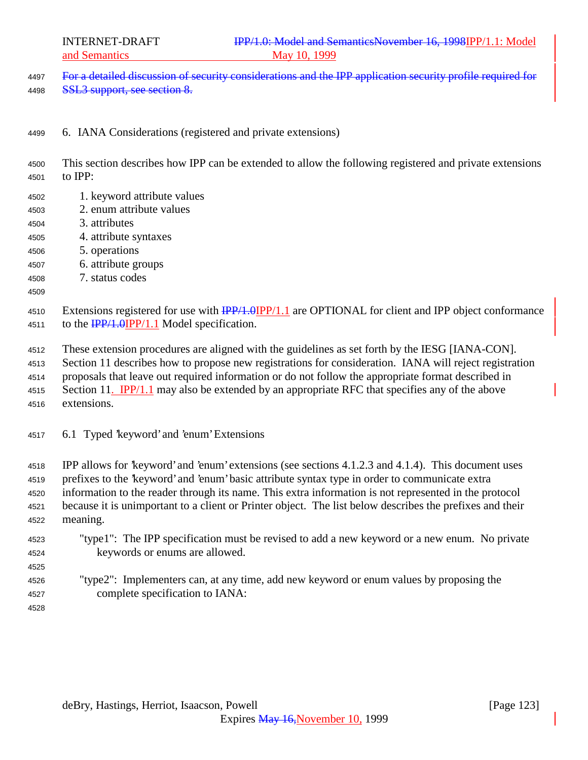4497 For a detailed discussion of security considerations and the IPP application security profile required for SSL3 support, see section 8.

- 6. IANA Considerations (registered and private extensions)
- This section describes how IPP can be extended to allow the following registered and private extensions to IPP:
- 1. keyword attribute values
- 2. enum attribute values
- 3. attributes
- 4. attribute syntaxes
- 5. operations
- 6. attribute groups
- 7. status codes
- 

4510 Extensions registered for use with  $\frac{IPP}{1.0}$   $IPP/1.1$  are OPTIONAL for client and IPP object conformance 4511 to the  $\frac{IPP}{1.0}IPP/1.1$  Model specification.

These extension procedures are aligned with the guidelines as set forth by the IESG [IANA-CON].

Section 11 describes how to propose new registrations for consideration. IANA will reject registration

proposals that leave out required information or do not follow the appropriate format described in

4515 Section 11. IPP/1.1 may also be extended by an appropriate RFC that specifies any of the above extensions.

6.1 Typed 'keyword' and 'enum' Extensions

 IPP allows for 'keyword' and 'enum' extensions (see sections 4.1.2.3 and 4.1.4). This document uses prefixes to the 'keyword' and 'enum' basic attribute syntax type in order to communicate extra information to the reader through its name. This extra information is not represented in the protocol because it is unimportant to a client or Printer object. The list below describes the prefixes and their meaning.

 "type1": The IPP specification must be revised to add a new keyword or a new enum. No private keywords or enums are allowed.

## "type2": Implementers can, at any time, add new keyword or enum values by proposing the complete specification to IANA: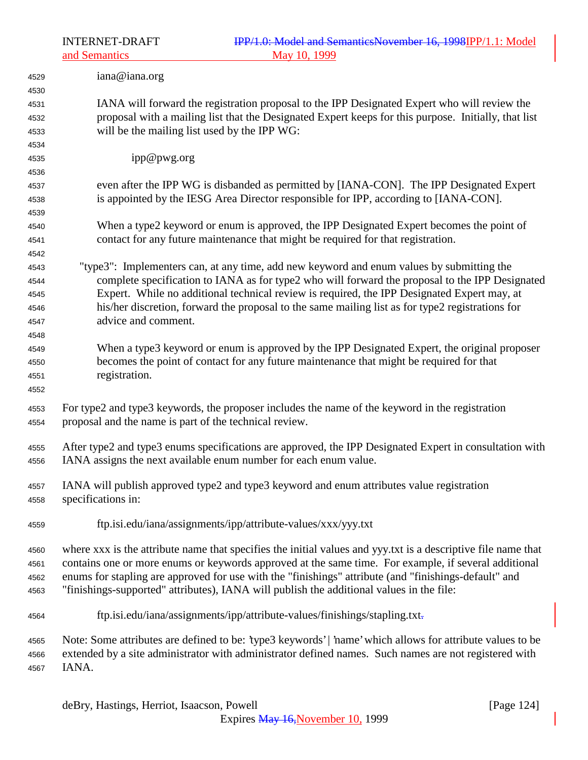and Semantics

| 4529                 | iana@iana.org                                                                                                                                                                                                                |
|----------------------|------------------------------------------------------------------------------------------------------------------------------------------------------------------------------------------------------------------------------|
| 4530                 |                                                                                                                                                                                                                              |
| 4531<br>4532         | IANA will forward the registration proposal to the IPP Designated Expert who will review the<br>proposal with a mailing list that the Designated Expert keeps for this purpose. Initially, that list                         |
| 4533                 | will be the mailing list used by the IPP WG:                                                                                                                                                                                 |
| 4534                 |                                                                                                                                                                                                                              |
| 4535                 | ipp@pwg.org                                                                                                                                                                                                                  |
| 4536                 |                                                                                                                                                                                                                              |
| 4537                 | even after the IPP WG is disbanded as permitted by [IANA-CON]. The IPP Designated Expert                                                                                                                                     |
| 4538                 | is appointed by the IESG Area Director responsible for IPP, according to [IANA-CON].                                                                                                                                         |
| 4539                 |                                                                                                                                                                                                                              |
| 4540                 | When a type2 keyword or enum is approved, the IPP Designated Expert becomes the point of                                                                                                                                     |
| 4541                 | contact for any future maintenance that might be required for that registration.                                                                                                                                             |
| 4542                 |                                                                                                                                                                                                                              |
| 4543                 | "type3": Implementers can, at any time, add new keyword and enum values by submitting the                                                                                                                                    |
| 4544                 | complete specification to IANA as for type2 who will forward the proposal to the IPP Designated                                                                                                                              |
| 4545                 | Expert. While no additional technical review is required, the IPP Designated Expert may, at                                                                                                                                  |
| 4546                 | his/her discretion, forward the proposal to the same mailing list as for type2 registrations for                                                                                                                             |
| 4547                 | advice and comment.                                                                                                                                                                                                          |
| 4548                 |                                                                                                                                                                                                                              |
| 4549                 | When a type3 keyword or enum is approved by the IPP Designated Expert, the original proposer                                                                                                                                 |
| 4550                 | becomes the point of contact for any future maintenance that might be required for that                                                                                                                                      |
| 4551                 | registration.                                                                                                                                                                                                                |
| 4552                 |                                                                                                                                                                                                                              |
| 4553<br>4554         | For type2 and type3 keywords, the proposer includes the name of the keyword in the registration<br>proposal and the name is part of the technical review.                                                                    |
| 4555<br>4556         | After type2 and type3 enums specifications are approved, the IPP Designated Expert in consultation with<br>IANA assigns the next available enum number for each enum value.                                                  |
| 4557<br>4558         | IANA will publish approved type2 and type3 keyword and enum attributes value registration<br>specifications in:                                                                                                              |
| 4559                 | ftp.isi.edu/iana/assignments/ipp/attribute-values/xxx/yyy.txt                                                                                                                                                                |
| 4560                 | where xxx is the attribute name that specifies the initial values and yyy.txt is a descriptive file name that                                                                                                                |
| 4561                 | contains one or more enums or keywords approved at the same time. For example, if several additional                                                                                                                         |
| 4562                 | enums for stapling are approved for use with the "finishings" attribute (and "finishings-default" and                                                                                                                        |
| 4563                 | "finishings-supported" attributes), IANA will publish the additional values in the file:                                                                                                                                     |
| 4564                 | ftp.isi.edu/iana/assignments/ipp/attribute-values/finishings/stapling.txt-                                                                                                                                                   |
| 4565<br>4566<br>4567 | Note: Some attributes are defined to be: 'type3 keywords'   'name' which allows for attribute values to be<br>extended by a site administrator with administrator defined names. Such names are not registered with<br>IANA. |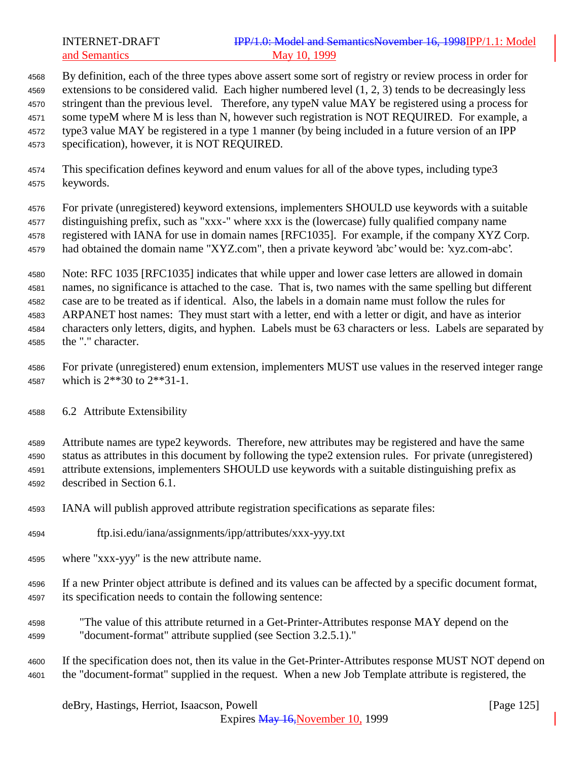## INTERNET-DRAFT **IPP/1.0: Model and SemanticsNovember 16, 1998IPP/1.1: Model** and Semantics May 10, 1999

 By definition, each of the three types above assert some sort of registry or review process in order for extensions to be considered valid. Each higher numbered level (1, 2, 3) tends to be decreasingly less stringent than the previous level. Therefore, any typeN value MAY be registered using a process for some typeM where M is less than N, however such registration is NOT REQUIRED. For example, a type3 value MAY be registered in a type 1 manner (by being included in a future version of an IPP specification), however, it is NOT REQUIRED.

 This specification defines keyword and enum values for all of the above types, including type3 keywords.

 For private (unregistered) keyword extensions, implementers SHOULD use keywords with a suitable distinguishing prefix, such as "xxx-" where xxx is the (lowercase) fully qualified company name registered with IANA for use in domain names [RFC1035]. For example, if the company XYZ Corp. had obtained the domain name "XYZ.com", then a private keyword 'abc' would be: 'xyz.com-abc'.

 Note: RFC 1035 [RFC1035] indicates that while upper and lower case letters are allowed in domain names, no significance is attached to the case. That is, two names with the same spelling but different case are to be treated as if identical. Also, the labels in a domain name must follow the rules for ARPANET host names: They must start with a letter, end with a letter or digit, and have as interior characters only letters, digits, and hyphen. Labels must be 63 characters or less. Labels are separated by the "." character.

 For private (unregistered) enum extension, implementers MUST use values in the reserved integer range which is 2\*\*30 to 2\*\*31-1.

6.2 Attribute Extensibility

 Attribute names are type2 keywords. Therefore, new attributes may be registered and have the same status as attributes in this document by following the type2 extension rules. For private (unregistered) attribute extensions, implementers SHOULD use keywords with a suitable distinguishing prefix as described in Section 6.1.

- IANA will publish approved attribute registration specifications as separate files:
- ftp.isi.edu/iana/assignments/ipp/attributes/xxx-yyy.txt
- where "xxx-yyy" is the new attribute name.
- If a new Printer object attribute is defined and its values can be affected by a specific document format, its specification needs to contain the following sentence:
- "The value of this attribute returned in a Get-Printer-Attributes response MAY depend on the "document-format" attribute supplied (see Section 3.2.5.1)."
- If the specification does not, then its value in the Get-Printer-Attributes response MUST NOT depend on the "document-format" supplied in the request. When a new Job Template attribute is registered, the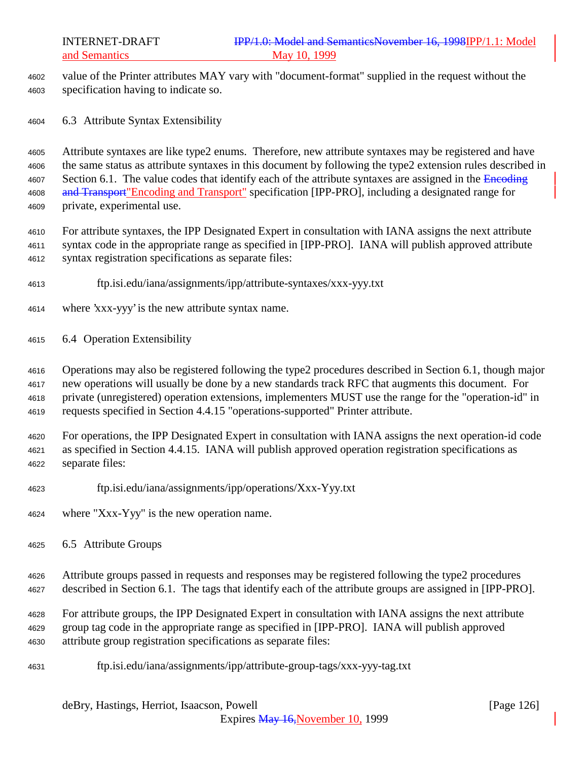value of the Printer attributes MAY vary with "document-format" supplied in the request without the specification having to indicate so.

6.3 Attribute Syntax Extensibility

 Attribute syntaxes are like type2 enums. Therefore, new attribute syntaxes may be registered and have the same status as attribute syntaxes in this document by following the type2 extension rules described in 4607 Section 6.1. The value codes that identify each of the attribute syntaxes are assigned in the Encoding 4608 and Transport"Encoding and Transport" specification [IPP-PRO], including a designated range for private, experimental use.

 For attribute syntaxes, the IPP Designated Expert in consultation with IANA assigns the next attribute syntax code in the appropriate range as specified in [IPP-PRO]. IANA will publish approved attribute syntax registration specifications as separate files:

- ftp.isi.edu/iana/assignments/ipp/attribute-syntaxes/xxx-yyy.txt
- where 'xxx-yyy' is the new attribute syntax name.
- 6.4 Operation Extensibility

 Operations may also be registered following the type2 procedures described in Section 6.1, though major new operations will usually be done by a new standards track RFC that augments this document. For private (unregistered) operation extensions, implementers MUST use the range for the "operation-id" in requests specified in Section 4.4.15 "operations-supported" Printer attribute.

 For operations, the IPP Designated Expert in consultation with IANA assigns the next operation-id code as specified in Section 4.4.15. IANA will publish approved operation registration specifications as separate files:

- ftp.isi.edu/iana/assignments/ipp/operations/Xxx-Yyy.txt
- where "Xxx-Yyy" is the new operation name.
- 6.5 Attribute Groups

 Attribute groups passed in requests and responses may be registered following the type2 procedures described in Section 6.1. The tags that identify each of the attribute groups are assigned in [IPP-PRO].

 For attribute groups, the IPP Designated Expert in consultation with IANA assigns the next attribute group tag code in the appropriate range as specified in [IPP-PRO]. IANA will publish approved attribute group registration specifications as separate files:

ftp.isi.edu/iana/assignments/ipp/attribute-group-tags/xxx-yyy-tag.txt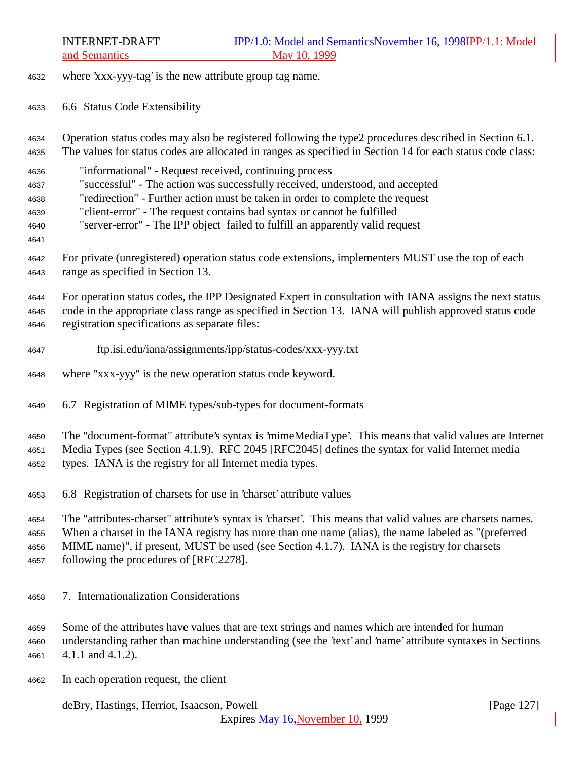where 'xxx-yyy-tag' is the new attribute group tag name.

6.6 Status Code Extensibility

 Operation status codes may also be registered following the type2 procedures described in Section 6.1. The values for status codes are allocated in ranges as specified in Section 14 for each status code class:

- "informational" Request received, continuing process "successful" - The action was successfully received, understood, and accepted "redirection" - Further action must be taken in order to complete the request
- "client-error" The request contains bad syntax or cannot be fulfilled
- "server-error" The IPP object failed to fulfill an apparently valid request
- 
- For private (unregistered) operation status code extensions, implementers MUST use the top of each range as specified in Section 13.

 For operation status codes, the IPP Designated Expert in consultation with IANA assigns the next status code in the appropriate class range as specified in Section 13. IANA will publish approved status code registration specifications as separate files:

- ftp.isi.edu/iana/assignments/ipp/status-codes/xxx-yyy.txt
- where "xxx-yyy" is the new operation status code keyword.
- 6.7 Registration of MIME types/sub-types for document-formats

The "document-format" attribute's syntax is 'mimeMediaType'. This means that valid values are Internet

Media Types (see Section 4.1.9). RFC 2045 [RFC2045] defines the syntax for valid Internet media

types. IANA is the registry for all Internet media types.

6.8 Registration of charsets for use in 'charset' attribute values

 The "attributes-charset" attribute's syntax is 'charset'. This means that valid values are charsets names. When a charset in the IANA registry has more than one name (alias), the name labeled as "(preferred MIME name)", if present, MUST be used (see Section 4.1.7). IANA is the registry for charsets following the procedures of [RFC2278].

7. Internationalization Considerations

 Some of the attributes have values that are text strings and names which are intended for human understanding rather than machine understanding (see the 'text' and 'name' attribute syntaxes in Sections 4.1.1 and 4.1.2).

In each operation request, the client

deBry, Hastings, Herriot, Isaacson, Powell [Page 127]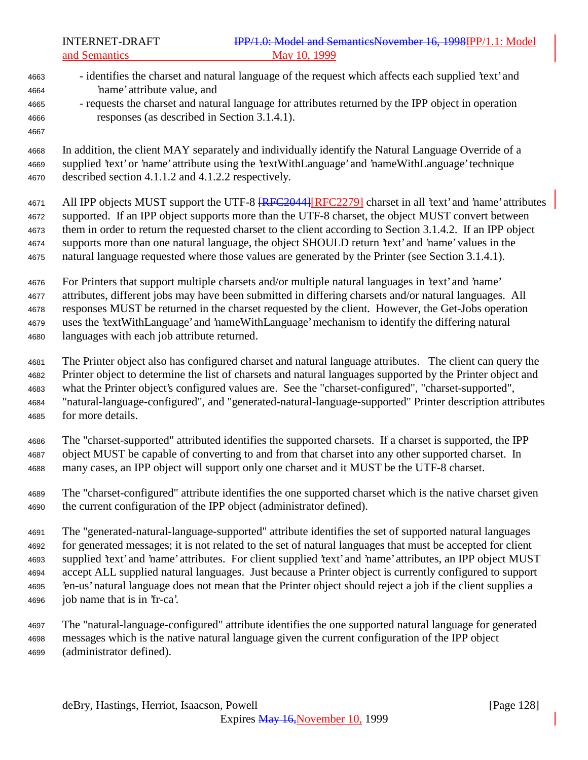- identifies the charset and natural language of the request which affects each supplied 'text' and 'name' attribute value, and - requests the charset and natural language for attributes returned by the IPP object in operation responses (as described in Section 3.1.4.1). In addition, the client MAY separately and individually identify the Natural Language Override of a supplied 'text' or 'name' attribute using the 'textWithLanguage' and 'nameWithLanguage' technique described section 4.1.1.2 and 4.1.2.2 respectively. 4671 All IPP objects MUST support the UTF-8  $RFC2044$ [RFC2279] charset in all 'text' and 'name' attributes supported. If an IPP object supports more than the UTF-8 charset, the object MUST convert between them in order to return the requested charset to the client according to Section 3.1.4.2. If an IPP object supports more than one natural language, the object SHOULD return 'text' and 'name' values in the natural language requested where those values are generated by the Printer (see Section 3.1.4.1). For Printers that support multiple charsets and/or multiple natural languages in 'text' and 'name' attributes, different jobs may have been submitted in differing charsets and/or natural languages. All responses MUST be returned in the charset requested by the client. However, the Get-Jobs operation uses the 'textWithLanguage' and 'nameWithLanguage' mechanism to identify the differing natural languages with each job attribute returned. The Printer object also has configured charset and natural language attributes. The client can query the Printer object to determine the list of charsets and natural languages supported by the Printer object and what the Printer object's configured values are. See the "charset-configured", "charset-supported", "natural-language-configured", and "generated-natural-language-supported" Printer description attributes for more details. The "charset-supported" attributed identifies the supported charsets. If a charset is supported, the IPP object MUST be capable of converting to and from that charset into any other supported charset. In many cases, an IPP object will support only one charset and it MUST be the UTF-8 charset. The "charset-configured" attribute identifies the one supported charset which is the native charset given the current configuration of the IPP object (administrator defined). The "generated-natural-language-supported" attribute identifies the set of supported natural languages for generated messages; it is not related to the set of natural languages that must be accepted for client supplied 'text' and 'name' attributes. For client supplied 'text' and 'name' attributes, an IPP object MUST
- accept ALL supplied natural languages. Just because a Printer object is currently configured to support 'en-us' natural language does not mean that the Printer object should reject a job if the client supplies a job name that is in 'fr-ca'.
- The "natural-language-configured" attribute identifies the one supported natural language for generated messages which is the native natural language given the current configuration of the IPP object (administrator defined).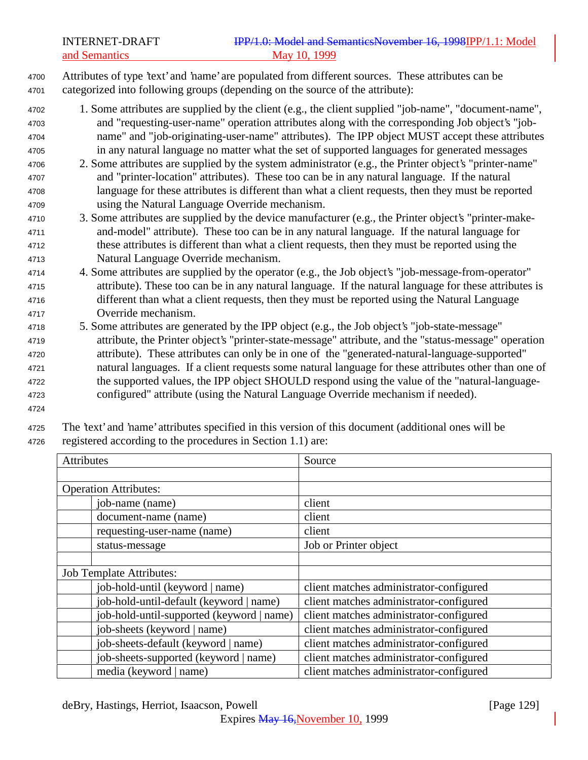<sup>4700</sup> Attributes of type 'text' and 'name' are populated from different sources. These attributes can be <sup>4701</sup> categorized into following groups (depending on the source of the attribute):

- <sup>4702</sup> 1. Some attributes are supplied by the client (e.g., the client supplied "job-name", "document-name", <sup>4703</sup> and "requesting-user-name" operation attributes along with the corresponding Job object's "job-<sup>4704</sup> name" and "job-originating-user-name" attributes). The IPP object MUST accept these attributes <sup>4705</sup> in any natural language no matter what the set of supported languages for generated messages
- <sup>4706</sup> 2. Some attributes are supplied by the system administrator (e.g., the Printer object's "printer-name" <sup>4707</sup> and "printer-location" attributes). These too can be in any natural language. If the natural <sup>4708</sup> language for these attributes is different than what a client requests, then they must be reported <sup>4709</sup> using the Natural Language Override mechanism.
- <sup>4710</sup> 3. Some attributes are supplied by the device manufacturer (e.g., the Printer object's "printer-make-<sup>4711</sup> and-model" attribute). These too can be in any natural language. If the natural language for <sup>4712</sup> these attributes is different than what a client requests, then they must be reported using the <sup>4713</sup> Natural Language Override mechanism.
- <sup>4714</sup> 4. Some attributes are supplied by the operator (e.g., the Job object's "job-message-from-operator" <sup>4715</sup> attribute). These too can be in any natural language. If the natural language for these attributes is <sup>4716</sup> different than what a client requests, then they must be reported using the Natural Language <sup>4717</sup> Override mechanism.
- <sup>4718</sup> 5. Some attributes are generated by the IPP object (e.g., the Job object's "job-state-message" <sup>4719</sup> attribute, the Printer object's "printer-state-message" attribute, and the "status-message" operation <sup>4720</sup> attribute). These attributes can only be in one of the "generated-natural-language-supported" <sup>4721</sup> natural languages. If a client requests some natural language for these attributes other than one of <sup>4722</sup> the supported values, the IPP object SHOULD respond using the value of the "natural-language-<sup>4723</sup> configured" attribute (using the Natural Language Override mechanism if needed).
- 4724
- <sup>4725</sup> The 'text' and 'name' attributes specified in this version of this document (additional ones will be <sup>4726</sup> registered according to the procedures in Section 1.1) are:

| <b>Attributes</b>                         |  | Source                                  |
|-------------------------------------------|--|-----------------------------------------|
|                                           |  |                                         |
| <b>Operation Attributes:</b>              |  |                                         |
| job-name (name)                           |  | client                                  |
| document-name (name)                      |  | client                                  |
| requesting-user-name (name)               |  | client                                  |
| status-message                            |  | Job or Printer object                   |
|                                           |  |                                         |
| <b>Job Template Attributes:</b>           |  |                                         |
| job-hold-until (keyword   name)           |  | client matches administrator-configured |
| job-hold-until-default (keyword   name)   |  | client matches administrator-configured |
| job-hold-until-supported (keyword   name) |  | client matches administrator-configured |
| job-sheets (keyword   name)               |  | client matches administrator-configured |
| job-sheets-default (keyword   name)       |  | client matches administrator-configured |
| job-sheets-supported (keyword   name)     |  | client matches administrator-configured |
| media (keyword   name)                    |  | client matches administrator-configured |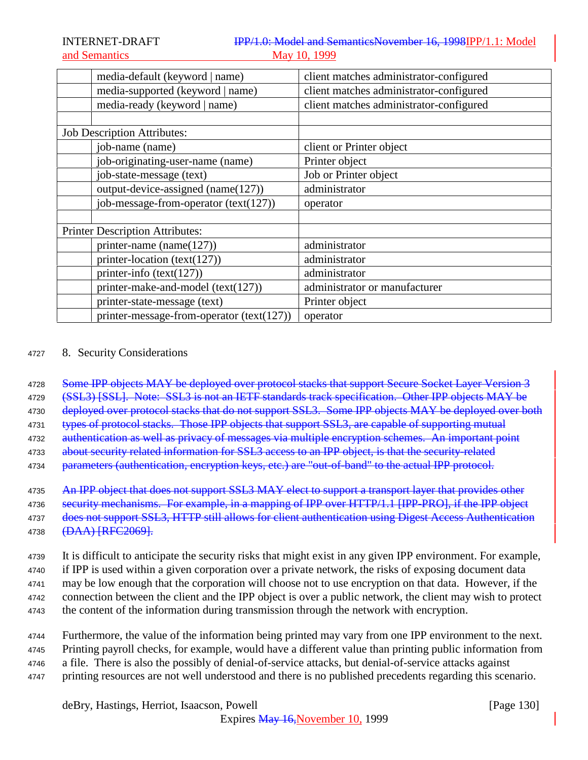| media-default (keyword   name)              | client matches administrator-configured |
|---------------------------------------------|-----------------------------------------|
| media-supported (keyword   name)            | client matches administrator-configured |
| media-ready (keyword   name)                | client matches administrator-configured |
|                                             |                                         |
| <b>Job Description Attributes:</b>          |                                         |
| job-name (name)                             | client or Printer object                |
| job-originating-user-name (name)            | Printer object                          |
| job-state-message (text)                    | Job or Printer object                   |
| output-device-assigned (name(127))          | administrator                           |
| job-message-from-operator (text(127))       | operator                                |
|                                             |                                         |
| <b>Printer Description Attributes:</b>      |                                         |
| printer-name (name $(127)$ )                | administrator                           |
| printer-location (text(127))                | administrator                           |
| printer-info $(text(127))$                  | administrator                           |
| printer-make-and-model (text(127))          | administrator or manufacturer           |
| printer-state-message (text)                | Printer object                          |
| printer-message-from-operator $(text(127))$ | operator                                |

## <sup>4727</sup> 8. Security Considerations

4728 Some IPP objects MAY be deployed over protocol stacks that support Secure Socket Layer Version 3

4729 (SSL3) [SSL]. Note: SSL3 is not an IETF standards track specification. Other IPP objects MAY be

4730 deployed over protocol stacks that do not support SSL3. Some IPP objects MAY be deployed over both

4731 types of protocol stacks. Those IPP objects that support SSL3, are capable of supporting mutual

4732 authentication as well as privacy of messages via multiple encryption schemes. An important point

4733 about security related information for SSL3 access to an IPP object, is that the security-related

4734 parameters (authentication, encryption keys, etc.) are "out-of-band" to the actual IPP protocol.

4735 An IPP object that does not support SSL3 MAY elect to support a transport layer that provides other

4736 security mechanisms. For example, in a mapping of IPP over HTTP/1.1 [IPP-PRO], if the IPP object

4737 does not support SSL3, HTTP still allows for client authentication using Digest Access Authentication 4738 <del>(DAA) [RFC2069].</del>

<sup>4739</sup> It is difficult to anticipate the security risks that might exist in any given IPP environment. For example,

<sup>4740</sup> if IPP is used within a given corporation over a private network, the risks of exposing document data

<sup>4741</sup> may be low enough that the corporation will choose not to use encryption on that data. However, if the

<sup>4742</sup> connection between the client and the IPP object is over a public network, the client may wish to protect

- <sup>4743</sup> the content of the information during transmission through the network with encryption.
- <sup>4744</sup> Furthermore, the value of the information being printed may vary from one IPP environment to the next. <sup>4745</sup> Printing payroll checks, for example, would have a different value than printing public information from
- <sup>4746</sup> a file. There is also the possibly of denial-of-service attacks, but denial-of-service attacks against
- <sup>4747</sup> printing resources are not well understood and there is no published precedents regarding this scenario.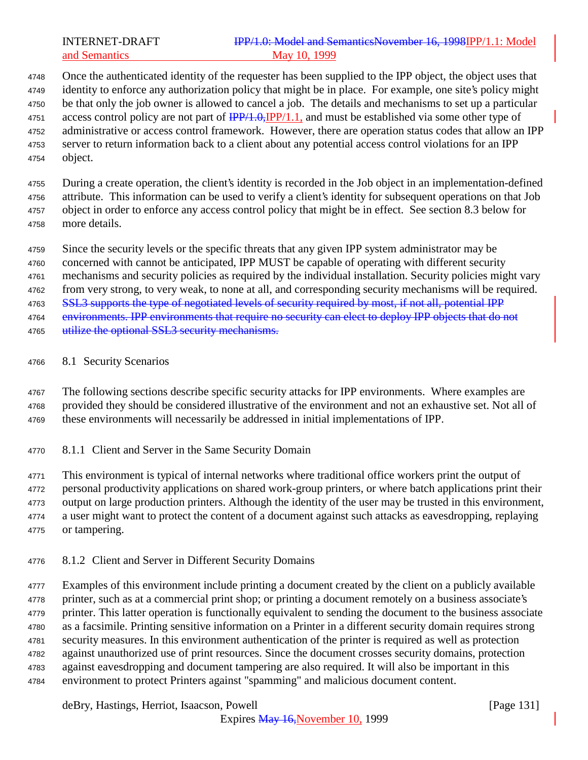## INTERNET-DRAFT **IPP/1.0: Model and SemanticsNovember 16, 1998IPP/1.1: Model** and Semantics May 10, 1999

 Once the authenticated identity of the requester has been supplied to the IPP object, the object uses that identity to enforce any authorization policy that might be in place. For example, one site's policy might be that only the job owner is allowed to cancel a job. The details and mechanisms to set up a particular 4751 access control policy are not part of  $\frac{IPP}{1.0}$ ,  $IPP/1.1$ , and must be established via some other type of administrative or access control framework. However, there are operation status codes that allow an IPP server to return information back to a client about any potential access control violations for an IPP object.

 During a create operation, the client's identity is recorded in the Job object in an implementation-defined attribute. This information can be used to verify a client's identity for subsequent operations on that Job object in order to enforce any access control policy that might be in effect. See section 8.3 below for more details.

Since the security levels or the specific threats that any given IPP system administrator may be

concerned with cannot be anticipated, IPP MUST be capable of operating with different security

mechanisms and security policies as required by the individual installation. Security policies might vary

from very strong, to very weak, to none at all, and corresponding security mechanisms will be required.

4763 SSL3 supports the type of negotiated levels of security required by most, if not all, potential IPP

environments. IPP environments that require no security can elect to deploy IPP objects that do not

4765 utilize the optional SSL3 security mechanisms.

8.1 Security Scenarios

 The following sections describe specific security attacks for IPP environments. Where examples are provided they should be considered illustrative of the environment and not an exhaustive set. Not all of these environments will necessarily be addressed in initial implementations of IPP.

8.1.1 Client and Server in the Same Security Domain

This environment is typical of internal networks where traditional office workers print the output of

personal productivity applications on shared work-group printers, or where batch applications print their

output on large production printers. Although the identity of the user may be trusted in this environment,

 a user might want to protect the content of a document against such attacks as eavesdropping, replaying or tampering.

8.1.2 Client and Server in Different Security Domains

 Examples of this environment include printing a document created by the client on a publicly available printer, such as at a commercial print shop; or printing a document remotely on a business associate's printer. This latter operation is functionally equivalent to sending the document to the business associate as a facsimile. Printing sensitive information on a Printer in a different security domain requires strong security measures. In this environment authentication of the printer is required as well as protection against unauthorized use of print resources. Since the document crosses security domains, protection against eavesdropping and document tampering are also required. It will also be important in this environment to protect Printers against "spamming" and malicious document content.

deBry, Hastings, Herriot, Isaacson, Powell **company** and the same of the same of the same of the same of the same of the same of the same of the same of the same of the same of the same of the same of the same of the same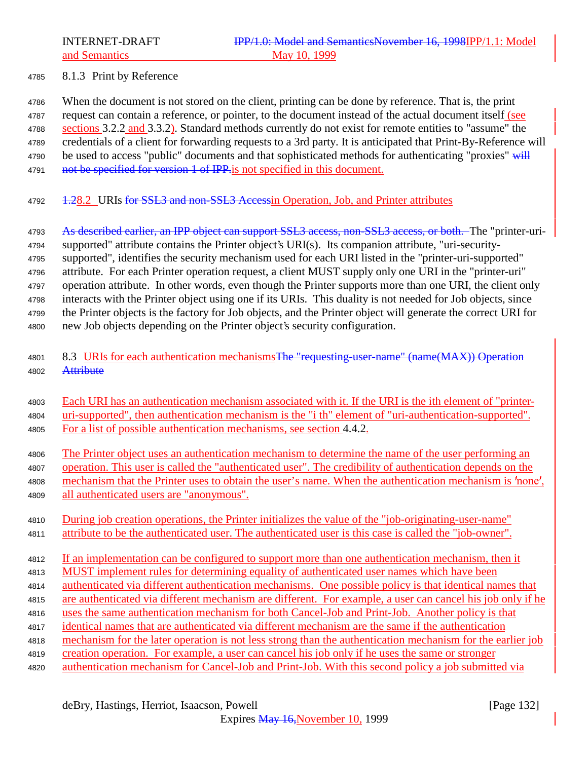### 8.1.3 Print by Reference

 When the document is not stored on the client, printing can be done by reference. That is, the print request can contain a reference, or pointer, to the document instead of the actual document itself (see 4788 sections 3.2.2 and 3.3.2). Standard methods currently do not exist for remote entities to "assume" the credentials of a client for forwarding requests to a 3rd party. It is anticipated that Print-By-Reference will 4790 be used to access "public" documents and that sophisticated methods for authenticating "proxies" will 4791 not be specified for version 1 of IPP is not specified in this document.

4792 1.28.2 URIs for SSL3 and non-SSL3 Accessin Operation, Job, and Printer attributes

4793 As described earlier, an IPP object can support SSL3 access, non-SSL3 access, or both. The "printer-uri- supported" attribute contains the Printer object's URI(s). Its companion attribute, "uri-security- supported", identifies the security mechanism used for each URI listed in the "printer-uri-supported" attribute. For each Printer operation request, a client MUST supply only one URI in the "printer-uri" operation attribute. In other words, even though the Printer supports more than one URI, the client only interacts with the Printer object using one if its URIs. This duality is not needed for Job objects, since the Printer objects is the factory for Job objects, and the Printer object will generate the correct URI for new Job objects depending on the Printer object's security configuration.

- 4801 8.3 URIs for each authentication mechanisms The "requesting-user-name" (name(MAX)) Operation 4802 Attribute
- Each URI has an authentication mechanism associated with it. If the URI is the ith element of "printer- uri-supported", then authentication mechanism is the "i th" element of "uri-authentication-supported". For a list of possible authentication mechanisms, see section 4.4.2.
- 4806 The Printer object uses an authentication mechanism to determine the name of the user performing an operation. This user is called the "authenticated user". The credibility of authentication depends on the 4808 mechanism that the Printer uses to obtain the user's name. When the authentication mechanism is 'none',
- all authenticated users are "anonymous".
- During job creation operations, the Printer initializes the value of the "job-originating-user-name" attribute to be the authenticated user. The authenticated user is this case is called the "job-owner".

 If an implementation can be configured to support more than one authentication mechanism, then it MUST implement rules for determining equality of authenticated user names which have been

- 
- authenticated via different authentication mechanisms. One possible policy is that identical names that are authenticated via different mechanism are different. For example, a user can cancel his job only if he
- uses the same authentication mechanism for both Cancel-Job and Print-Job. Another policy is that
- identical names that are authenticated via different mechanism are the same if the authentication
- mechanism for the later operation is not less strong than the authentication mechanism for the earlier job
- creation operation. For example, a user can cancel his job only if he uses the same or stronger
- authentication mechanism for Cancel-Job and Print-Job. With this second policy a job submitted via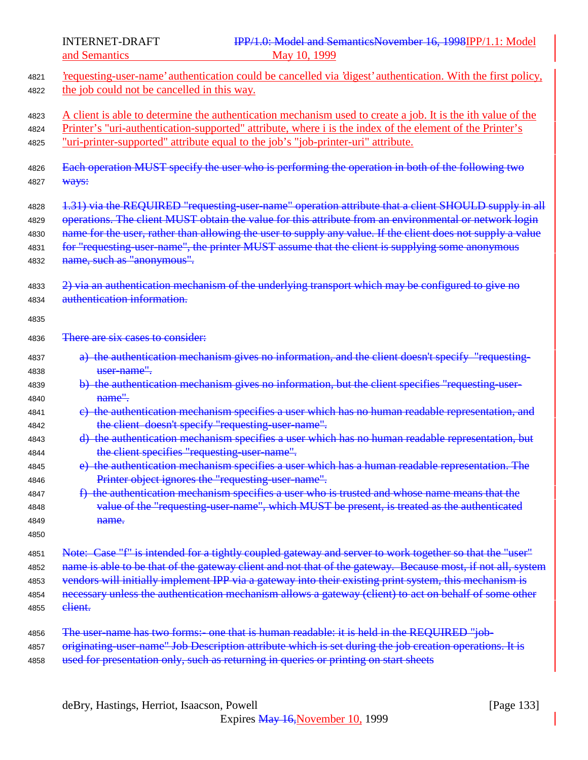4821 <u>'requesting-user-name' authentication could be cancelled via 'digest' authentication. With the first policy,</u> <sup>4822</sup> the job could not be cancelled in this way. 4823 A client is able to determine the authentication mechanism used to create a job. It is the ith value of the <sup>4824</sup> Printer's "uri-authentication-supported" attribute, where i is the index of the element of the Printer's <sup>4825</sup> "uri-printer-supported" attribute equal to the job's "job-printer-uri" attribute. <sup>4826</sup> Each operation MUST specify the user who is performing the operation in both of the following two 4827 <del>Ways:</del> 4828 1.31) via the REQUIRED "requesting-user-name" operation attribute that a client SHOULD supply in all 4829 operations. The client MUST obtain the value for this attribute from an environmental or network login 4830 name for the user, rather than allowing the user to supply any value. If the client does not supply a value 4831 for "requesting-user-name", the printer MUST assume that the client is supplying some anonymous 4832 name, such as "anonymous". 4833 2) via an authentication mechanism of the underlying transport which may be configured to give no <sup>4834</sup> authentication information. 4835 4836 There are six cases to consider: 4837 a) the authentication mechanism gives no information, and the client doesn't specify "requesting-4838 **user-name".** 4839 b) the authentication mechanism gives no information, but the client specifies "requesting-user-4840 **name"** 4841 e) the authentication mechanism specifies a user which has no human readable representation, and 4842 the client doesn't specify "requesting-user-name". 4843 d) the authentication mechanism specifies a user which has no human readable representation, but <sup>4844</sup> the client specifies "requesting-user-name". 4845 e) the authentication mechanism specifies a user which has a human readable representation. The <sup>4846</sup> Printer object ignores the "requesting-user-name". 4847 f) the authentication mechanism specifies a user who is trusted and whose name means that the <sup>4848</sup> value of the "requesting-user-name", which MUST be present, is treated as the authenticated 4849 **name.** 4850 4851 Note: Case "f" is intended for a tightly coupled gateway and server to work together so that the "user" 4852 name is able to be that of the gateway client and not that of the gateway. Because most, if not all, system 4853 vendors will initially implement IPP via a gateway into their existing print system, this mechanism is 4854 necessary unless the authentication mechanism allows a gateway (client) to act on behalf of some other 4855 **client.** 4856 The user-name has two forms:- one that is human readable: it is held in the REQUIRED "job-4857 originating-user-name" Job Description attribute which is set during the job creation operations. It is 4858 used for presentation only, such as returning in queries or printing on start sheets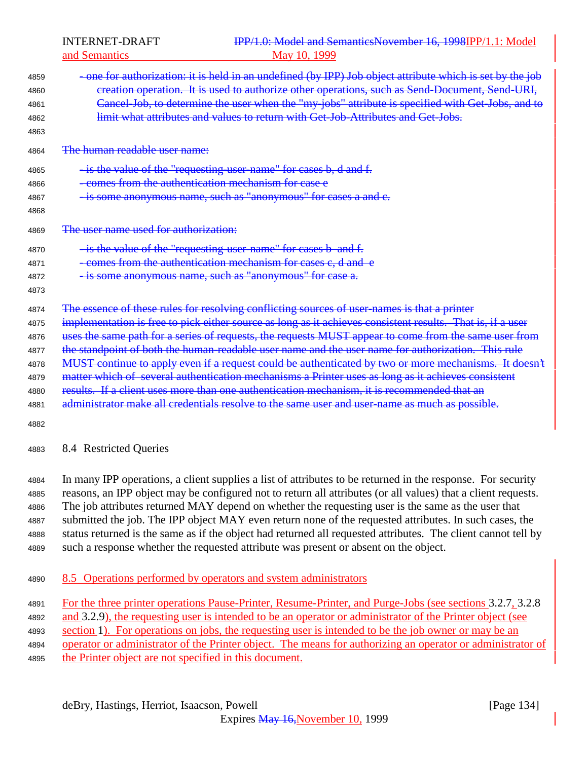| 4859<br>4860<br>4861<br>4862<br>4863                         | -one for authorization: it is held in an undefined (by IPP) Job object attribute which is set by the job<br>creation operation. It is used to authorize other operations, such as Send-Document, Send-URI,<br>Cancel-Job, to determine the user when the "my-jobs" attribute is specified with Get-Jobs, and to<br>limit what attributes and values to return with Get Job Attributes and Get Jobs.                                                                                                                                                                                                                                                                                                                                                                                                                                       |
|--------------------------------------------------------------|-------------------------------------------------------------------------------------------------------------------------------------------------------------------------------------------------------------------------------------------------------------------------------------------------------------------------------------------------------------------------------------------------------------------------------------------------------------------------------------------------------------------------------------------------------------------------------------------------------------------------------------------------------------------------------------------------------------------------------------------------------------------------------------------------------------------------------------------|
| 4864                                                         | The human readable user name:                                                                                                                                                                                                                                                                                                                                                                                                                                                                                                                                                                                                                                                                                                                                                                                                             |
| 4865<br>4866<br>4867<br>4868                                 | - is the value of the "requesting-user-name" for cases b, d and f.<br>comes from the authentication mechanism for case e<br>- is some anonymous name, such as "anonymous" for cases a and e.                                                                                                                                                                                                                                                                                                                                                                                                                                                                                                                                                                                                                                              |
| 4869                                                         | The user name used for authorization:                                                                                                                                                                                                                                                                                                                                                                                                                                                                                                                                                                                                                                                                                                                                                                                                     |
| 4870<br>4871<br>4872<br>4873                                 | - is the value of the "requesting-user-name" for cases b and f.<br>-comes from the authentication mechanism for cases c, d and e<br>- is some anonymous name, such as "anonymous" for case a.                                                                                                                                                                                                                                                                                                                                                                                                                                                                                                                                                                                                                                             |
| 4874<br>4875<br>4876<br>4877<br>4878<br>4879<br>4880<br>4881 | The essence of these rules for resolving conflicting sources of user-names is that a printer<br>implementation is free to pick either source as long as it achieves consistent results. That is, if a user<br>uses the same path for a series of requests, the requests MUST appear to come from the same user from<br>the standpoint of both the human-readable user name and the user name for authorization. This rule<br>MUST continue to apply even if a request could be authenticated by two or more mechanisms. It doesn't<br>matter which of several authentication mechanisms a Printer uses as long as it achieves consistent<br>results. If a client uses more than one authentication mechanism, it is recommended that an<br>administrator make all credentials resolve to the same user and user-name as much as possible. |
| 4882<br>4883                                                 | 8.4 Restricted Queries                                                                                                                                                                                                                                                                                                                                                                                                                                                                                                                                                                                                                                                                                                                                                                                                                    |

 In many IPP operations, a client supplies a list of attributes to be returned in the response. For security reasons, an IPP object may be configured not to return all attributes (or all values) that a client requests. The job attributes returned MAY depend on whether the requesting user is the same as the user that submitted the job. The IPP object MAY even return none of the requested attributes. In such cases, the status returned is the same as if the object had returned all requested attributes. The client cannot tell by such a response whether the requested attribute was present or absent on the object.

4890 8.5 Operations performed by operators and system administrators

 For the three printer operations Pause-Printer, Resume-Printer, and Purge-Jobs (see sections 3.2.7, 3.2.8 4892 and 3.2.9), the requesting user is intended to be an operator or administrator of the Printer object (see section 1). For operations on jobs, the requesting user is intended to be the job owner or may be an operator or administrator of the Printer object. The means for authorizing an operator or administrator of the Printer object are not specified in this document.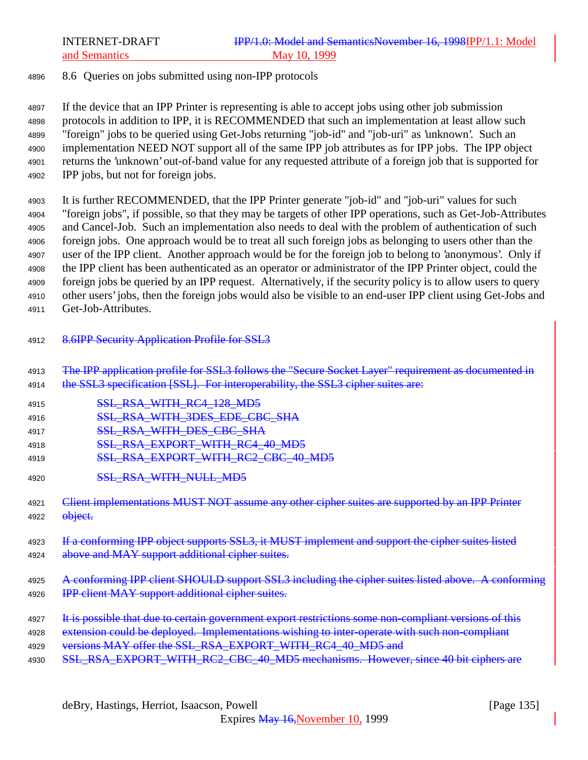## <sup>4896</sup> 8.6 Queries on jobs submitted using non-IPP protocols

 If the device that an IPP Printer is representing is able to accept jobs using other job submission protocols in addition to IPP, it is RECOMMENDED that such an implementation at least allow such "foreign" jobs to be queried using Get-Jobs returning "job-id" and "job-uri" as 'unknown'. Such an implementation NEED NOT support all of the same IPP job attributes as for IPP jobs. The IPP object returns the 'unknown' out-of-band value for any requested attribute of a foreign job that is supported for IPP jobs, but not for foreign jobs.

 It is further RECOMMENDED, that the IPP Printer generate "job-id" and "job-uri" values for such "foreign jobs", if possible, so that they may be targets of other IPP operations, such as Get-Job-Attributes and Cancel-Job. Such an implementation also needs to deal with the problem of authentication of such foreign jobs. One approach would be to treat all such foreign jobs as belonging to users other than the user of the IPP client. Another approach would be for the foreign job to belong to 'anonymous'. Only if the IPP client has been authenticated as an operator or administrator of the IPP Printer object, could the foreign jobs be queried by an IPP request. Alternatively, if the security policy is to allow users to query other users' jobs, then the foreign jobs would also be visible to an end-user IPP client using Get-Jobs and Get-Job-Attributes.

- 4912 8.6IPP Security Application Profile for SSL3
- <sup>4913</sup> The IPP application profile for SSL3 follows the "Secure Socket Layer" requirement as documented in
- 4914 the SSL3 specification [SSL]. For interoperability, the SSL3 cipher suites are:
- 4915 **SSL RSA WITH RC4 128 MD5**
- 4916 SSL\_RSA\_WITH\_3DES\_EDE\_CBC\_SHA
- 4917 **SSL\_RSA\_WITH\_DES\_CBC\_SHA**
- 4918 SSL RSA EXPORT WITH RC4 40 MD5
- 4919 **SSL RSA EXPORT WITH RC2 CBC 40 MD5**
- 4920 **SSL RSA WITH NULL MD5**
- 4921 Client implementations MUST NOT assume any other cipher suites are supported by an IPP Printer 4922 **object.**
- 4923 If a conforming IPP object supports SSL3, it MUST implement and support the cipher suites listed 4924 above and MAY support additional cipher suites.
- 4925 A conforming IPP client SHOULD support SSL3 including the cipher suites listed above. A conforming 4926 **IPP client MAY support additional cipher suites.**
- 4927 It is possible that due to certain government export restrictions some non-compliant versions of this
- 4928 extension could be deployed. Implementations wishing to inter-operate with such non-compliant
- 4929 versions MAY offer the SSL\_RSA\_EXPORT\_WITH\_RC4\_40\_MD5 and
- 4930 SSL RSA EXPORT WITH RC2 CBC 40 MD5 mechanisms. However, since 40 bit ciphers are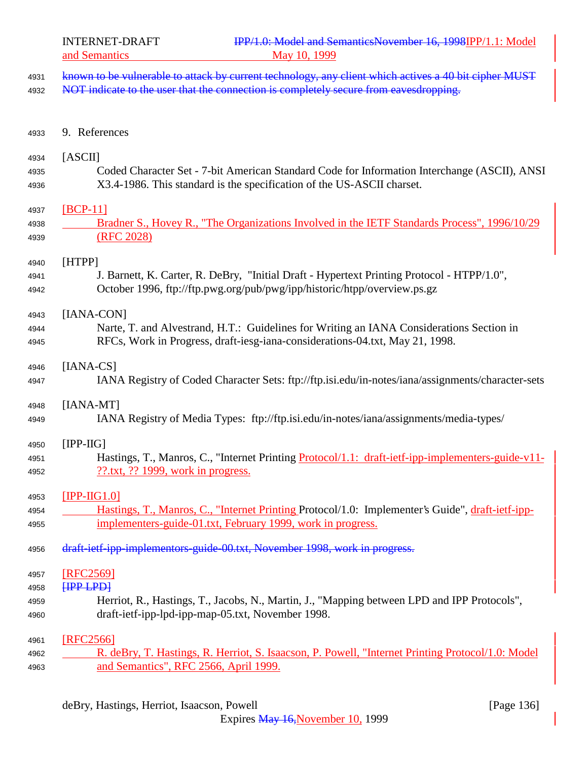| 4931 <del>known to be vulnerable to attack by current technology, any client which actives a 40 bit cipher MUST</del> |  |
|-----------------------------------------------------------------------------------------------------------------------|--|
| 1999 MOT indicate to the wear that the connection is completely seems from covered naming                             |  |

4932 NOT indicate to the user that the connection is completely secure from eavesdropping.

9. References

| 4934 | <b>TASCIII</b>                                                                               |
|------|----------------------------------------------------------------------------------------------|
| 4935 | Coded Character Set - 7-bit American Standard Code for Information Interchange (ASCII), ANSI |
| 4936 | X3.4-1986. This standard is the specification of the US-ASCII charset.                       |

[BCP-11]

| 4938 | Bradner S., Hovey R., "The Organizations Involved in the IETF Standards Process", 1996/10/29 |
|------|----------------------------------------------------------------------------------------------|
| 4939 | $($ RFC 2028)                                                                                |

[HTPP]

 J. Barnett, K. Carter, R. DeBry, "Initial Draft - Hypertext Printing Protocol - HTPP/1.0", October 1996, ftp://ftp.pwg.org/pub/pwg/ipp/historic/htpp/overview.ps.gz

[IANA-CON]

 Narte, T. and Alvestrand, H.T.: Guidelines for Writing an IANA Considerations Section in RFCs, Work in Progress, draft-iesg-iana-considerations-04.txt, May 21, 1998.

[IANA-CS]

IANA Registry of Coded Character Sets: ftp://ftp.isi.edu/in-notes/iana/assignments/character-sets

[IANA-MT]

IANA Registry of Media Types: ftp://ftp.isi.edu/in-notes/iana/assignments/media-types/

## [IPP-IIG]

4951 Hastings, T., Manros, C., "Internet Printing Protocol/1.1: draft-ietf-ipp-implementers-guide-v11-??.txt, ?? 1999, work in progress.

## [IPP-IIG1.0]

- Hastings, T., Manros, C., "Internet Printing Protocol/1.0: Implementer's Guide", draft-ietf-ipp-implementers-guide-01.txt, February 1999, work in progress.
- 4956 draft-ietf-ipp-implementors-guide-00.txt, November 1998, work in progress.

 [RFC2569] **[IPP LPD]** 

- Herriot, R., Hastings, T., Jacobs, N., Martin, J., "Mapping between LPD and IPP Protocols", draft-ietf-ipp-lpd-ipp-map-05.txt, November 1998.
- [RFC2566] R. deBry, T. Hastings, R. Herriot, S. Isaacson, P. Powell, "Internet Printing Protocol/1.0: Model

and Semantics", RFC 2566, April 1999.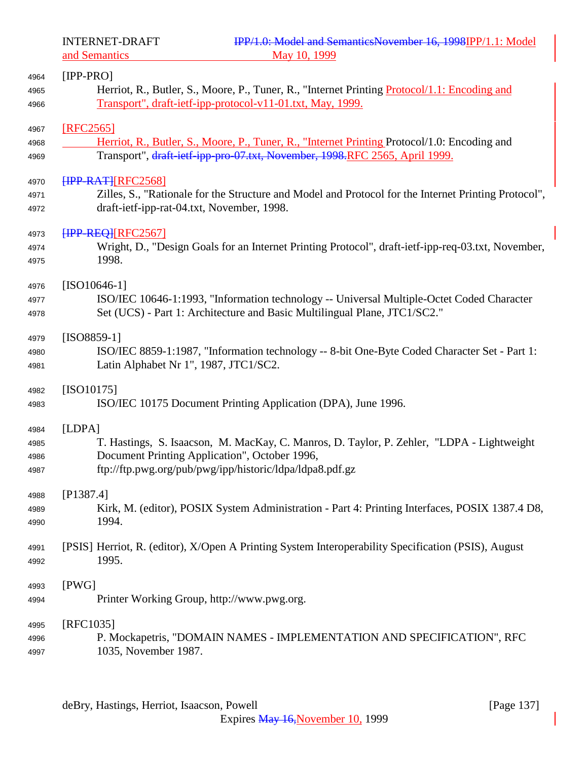and Semantics

| 4964         | $[IPP-PRO]$                                                                                          |
|--------------|------------------------------------------------------------------------------------------------------|
| 4965         | Herriot, R., Butler, S., Moore, P., Tuner, R., "Internet Printing <i>Protocol</i> /1.1: Encoding and |
| 4966         | Transport", draft-ietf-ipp-protocol-v11-01.txt, May, 1999.                                           |
|              |                                                                                                      |
| 4967         | [RFC2565]                                                                                            |
| 4968         | Herriot, R., Butler, S., Moore, P., Tuner, R., "Internet Printing Protocol/1.0: Encoding and         |
| 4969         | Transport", draft-ietf-ipp-pro-07.txt, November, 1998, RFC 2565, April 1999.                         |
| 4970         | <b>FIPP-RATHRFC25681</b>                                                                             |
| 4971         | Zilles, S., "Rationale for the Structure and Model and Protocol for the Internet Printing Protocol", |
| 4972         | draft-ietf-ipp-rat-04.txt, November, 1998.                                                           |
| 4973         | <b>FIPP-REQ][RFC2567]</b>                                                                            |
| 4974         | Wright, D., "Design Goals for an Internet Printing Protocol", draft-ietf-ipp-req-03.txt, November,   |
| 4975         | 1998.                                                                                                |
|              |                                                                                                      |
| 4976         | $[ISO10646-1]$                                                                                       |
| 4977         | ISO/IEC 10646-1:1993, "Information technology -- Universal Multiple-Octet Coded Character            |
| 4978         | Set (UCS) - Part 1: Architecture and Basic Multilingual Plane, JTC1/SC2."                            |
| 4979         | $[ISO8859-1]$                                                                                        |
| 4980         | ISO/IEC 8859-1:1987, "Information technology -- 8-bit One-Byte Coded Character Set - Part 1:         |
| 4981         | Latin Alphabet Nr 1", 1987, JTC1/SC2.                                                                |
|              |                                                                                                      |
| 4982         | $[ISO10175]$                                                                                         |
| 4983         | ISO/IEC 10175 Document Printing Application (DPA), June 1996.                                        |
|              | [LDPA]                                                                                               |
| 4984         | T. Hastings, S. Isaacson, M. MacKay, C. Manros, D. Taylor, P. Zehler, "LDPA - Lightweight            |
| 4985         | Document Printing Application", October 1996,                                                        |
| 4986<br>4987 | ftp://ftp.pwg.org/pub/pwg/ipp/historic/ldpa/ldpa8.pdf.gz                                             |
|              |                                                                                                      |
| 4988         | [P1387.4]                                                                                            |
| 4989         | Kirk, M. (editor), POSIX System Administration - Part 4: Printing Interfaces, POSIX 1387.4 D8,       |
| 4990         | 1994.                                                                                                |
|              |                                                                                                      |
| 4991         | [PSIS] Herriot, R. (editor), X/Open A Printing System Interoperability Specification (PSIS), August  |
| 4992         | 1995.                                                                                                |
| 4993         | [PWG]                                                                                                |
| 4994         | Printer Working Group, http://www.pwg.org.                                                           |
|              |                                                                                                      |
| 4995         | [RFC1035]                                                                                            |
| 4996         | P. Mockapetris, "DOMAIN NAMES - IMPLEMENTATION AND SPECIFICATION", RFC                               |
| 4997         | 1035, November 1987.                                                                                 |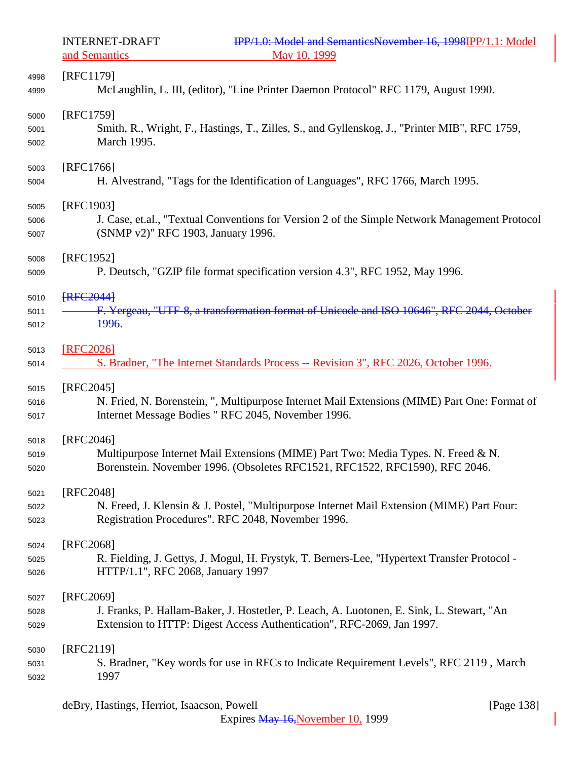and Semantics

| 4998 | [RFC1179]                                                                                     |
|------|-----------------------------------------------------------------------------------------------|
| 4999 | McLaughlin, L. III, (editor), "Line Printer Daemon Protocol" RFC 1179, August 1990.           |
| 5000 | [RFC1759]                                                                                     |
| 5001 | Smith, R., Wright, F., Hastings, T., Zilles, S., and Gyllenskog, J., "Printer MIB", RFC 1759, |
| 5002 | March 1995.                                                                                   |
| 5003 | [RFC1766]                                                                                     |
| 5004 | H. Alvestrand, "Tags for the Identification of Languages", RFC 1766, March 1995.              |
| 5005 | [RFC1903]                                                                                     |
| 5006 | J. Case, et.al., "Textual Conventions for Version 2 of the Simple Network Management Protocol |
| 5007 | (SNMP v2)" RFC 1903, January 1996.                                                            |
| 5008 | [RFC1952]                                                                                     |
| 5009 | P. Deutsch, "GZIP file format specification version 4.3", RFC 1952, May 1996.                 |
| 5010 | <b>FRFC20441</b>                                                                              |
| 5011 | F. Yergeau, "UTF-8, a transformation format of Unicode and ISO 10646", RFC 2044, October      |
| 5012 | <del>1996.</del>                                                                              |
| 5013 | [RFC2026]                                                                                     |
| 5014 | S. Bradner, "The Internet Standards Process -- Revision 3", RFC 2026, October 1996.           |
| 5015 | $[RFC2045]$                                                                                   |
| 5016 | N. Fried, N. Borenstein, ", Multipurpose Internet Mail Extensions (MIME) Part One: Format of  |
| 5017 | Internet Message Bodies " RFC 2045, November 1996.                                            |
| 5018 | $[RFC2046]$                                                                                   |
| 5019 | Multipurpose Internet Mail Extensions (MIME) Part Two: Media Types. N. Freed & N.             |
| 5020 | Borenstein. November 1996. (Obsoletes RFC1521, RFC1522, RFC1590), RFC 2046.                   |
| 5021 | RFC2048]                                                                                      |
| 5022 | N. Freed, J. Klensin & J. Postel, "Multipurpose Internet Mail Extension (MIME) Part Four:     |
| 5023 | Registration Procedures". RFC 2048, November 1996.                                            |
| 5024 | [RFC2068]                                                                                     |
| 5025 | R. Fielding, J. Gettys, J. Mogul, H. Frystyk, T. Berners-Lee, "Hypertext Transfer Protocol -  |
| 5026 | HTTP/1.1", RFC 2068, January 1997                                                             |
| 5027 | [RFC2069]                                                                                     |
| 5028 | J. Franks, P. Hallam-Baker, J. Hostetler, P. Leach, A. Luotonen, E. Sink, L. Stewart, "An     |
| 5029 | Extension to HTTP: Digest Access Authentication", RFC-2069, Jan 1997.                         |
| 5030 | [RFC2119]                                                                                     |
| 5031 | S. Bradner, "Key words for use in RFCs to Indicate Requirement Levels", RFC 2119, March       |
| 5032 | 1997                                                                                          |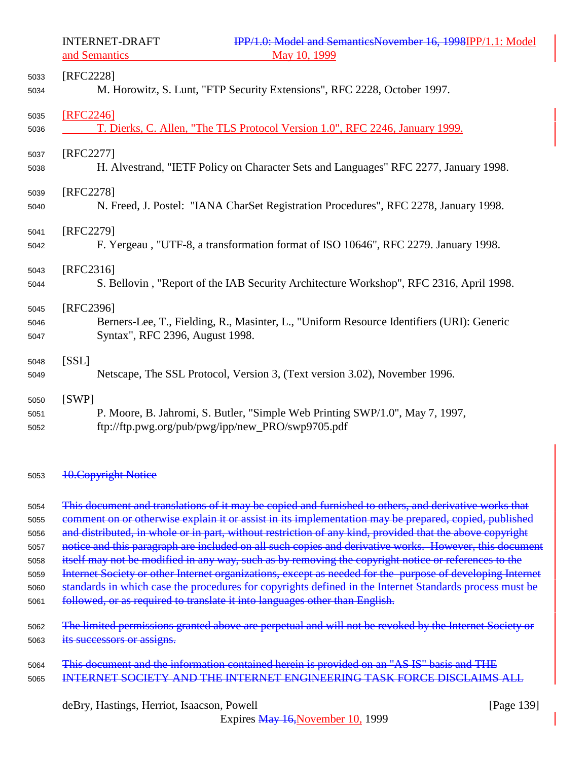| 5033 | [RFC2228]                                                                                 |
|------|-------------------------------------------------------------------------------------------|
| 5034 | M. Horowitz, S. Lunt, "FTP Security Extensions", RFC 2228, October 1997.                  |
| 5035 | [RFC2246]                                                                                 |
| 5036 | T. Dierks, C. Allen, "The TLS Protocol Version 1.0", RFC 2246, January 1999.              |
| 5037 | [RFC2277]                                                                                 |
| 5038 | H. Alvestrand, "IETF Policy on Character Sets and Languages" RFC 2277, January 1998.      |
| 5039 | [RFC2278]                                                                                 |
| 5040 | N. Freed, J. Postel: "IANA CharSet Registration Procedures", RFC 2278, January 1998.      |
| 5041 | [RFC2279]                                                                                 |
| 5042 | F. Yergeau, "UTF-8, a transformation format of ISO 10646", RFC 2279. January 1998.        |
| 5043 | [RFC2316]                                                                                 |
| 5044 | S. Bellovin, "Report of the IAB Security Architecture Workshop", RFC 2316, April 1998.    |
| 5045 | [RFC2396]                                                                                 |
| 5046 | Berners-Lee, T., Fielding, R., Masinter, L., "Uniform Resource Identifiers (URI): Generic |
| 5047 | Syntax", RFC 2396, August 1998.                                                           |
| 5048 | [SSL]                                                                                     |
| 5049 | Netscape, The SSL Protocol, Version 3, (Text version 3.02), November 1996.                |
| 5050 | [SWP]                                                                                     |
| 5051 | P. Moore, B. Jahromi, S. Butler, "Simple Web Printing SWP/1.0", May 7, 1997,              |
| 5052 | ftp://ftp.pwg.org/pub/pwg/ipp/new_PRO/swp9705.pdf                                         |

#### 5053 10. Copyright Notice

5054 This document and translations of it may be copied and furnished to others, and derivative works that comment on or otherwise explain it or assist in its implementation may be prepared, copied, published 5056 and distributed, in whole or in part, without restriction of any kind, provided that the above copyright 5057 notice and this paragraph are included on all such copies and derivative works. However, this document itself may not be modified in any way, such as by removing the copyright notice or references to the Internet Society or other Internet organizations, except as needed for the purpose of developing Internet standards in which case the procedures for copyrights defined in the Internet Standards process must be followed, or as required to translate it into languages other than English. The limited permissions granted above are perpetual and will not be revoked by the Internet Society or its successors or assigns.

| 5064 | This document and the information contained herein is provided on an "AS IS" basis and THE |  |
|------|--------------------------------------------------------------------------------------------|--|
| 5065 | INTERNET SOCIETY AND THE INTERNET ENGINEERING TASK FORCE DISCLAIMS ALL                     |  |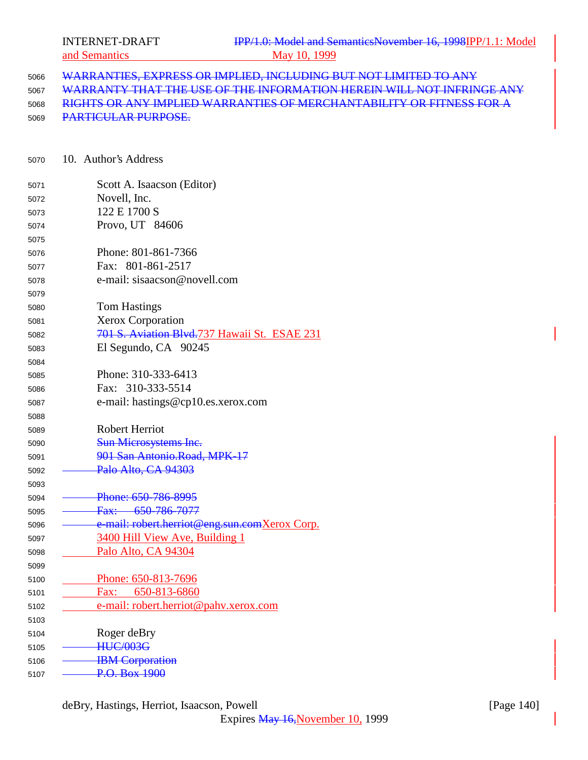WARRANTIES, EXPRESS OR IMPLIED, INCLUDING BUT NOT LIMITED TO ANY WARRANTY THAT THE USE OF THE INFORMATION HEREIN WILL NOT INFRINGE ANY RIGHTS OR ANY IMPLIED WARRANTIES OF MERCHANTABILITY OR FITNESS FOR A PARTICULAR PURPOSE.

10. Author's Address

| 5071 | Scott A. Isaacson (Editor)                    |
|------|-----------------------------------------------|
| 5072 | Novell, Inc.                                  |
| 5073 | 122 E 1700 S                                  |
| 5074 | Provo, UT 84606                               |
| 5075 |                                               |
| 5076 | Phone: 801-861-7366                           |
| 5077 | Fax: 801-861-2517                             |
| 5078 | e-mail: sisaacson@novell.com                  |
| 5079 |                                               |
| 5080 | <b>Tom Hastings</b>                           |
| 5081 | <b>Xerox Corporation</b>                      |
| 5082 | 701 S. Aviation Blvd. 737 Hawaii St. ESAE 231 |
| 5083 | El Segundo, CA 90245                          |
| 5084 |                                               |
| 5085 | Phone: 310-333-6413                           |
| 5086 | Fax: 310-333-5514                             |
| 5087 | e-mail: hastings@cp10.es.xerox.com            |
| 5088 |                                               |
| 5089 | <b>Robert Herriot</b>                         |
| 5090 | Sun Microsystems Inc.                         |
| 5091 | 901 San Antonio.Road, MPK-17                  |
| 5092 | Palo Alto, CA 94303                           |
| 5093 |                                               |
| 5094 | Phone: 650-786-8995                           |
| 5095 | Fax: 650 786 7077                             |
| 5096 | e-mail: robert.herriot@eng.sun.comXerox Corp. |
| 5097 | <b>3400 Hill View Ave, Building 1</b>         |
| 5098 | Palo Alto, CA 94304                           |
| 5099 |                                               |
| 5100 | Phone: 650-813-7696                           |
| 5101 | Fax: 650-813-6860                             |
| 5102 | e-mail: robert.herriot@pahv.xerox.com         |
| 5103 |                                               |
| 5104 | Roger deBry                                   |
| 5105 | <b>HUC/003G</b>                               |
| 5106 | <b>IBM</b> Corporation                        |
| 5107 | P.O. Box 1900                                 |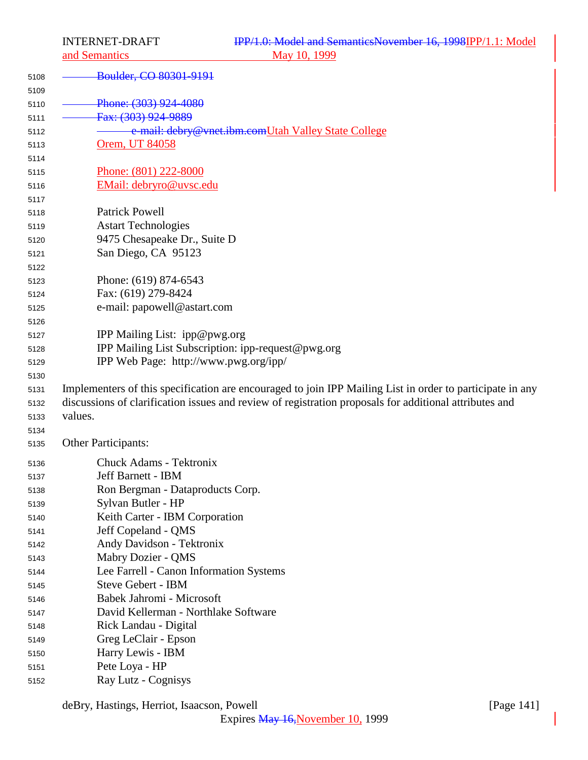and Semantics

| 5108 | Boulder, CO 80301-9191                                                                                    |
|------|-----------------------------------------------------------------------------------------------------------|
| 5109 |                                                                                                           |
| 5110 | Phone: (303) 924-4080                                                                                     |
| 5111 | Fax: (303) 924-9889                                                                                       |
| 5112 | e-mail: debry@vnet.ibm.comUtah Valley State College                                                       |
| 5113 | Orem, UT 84058                                                                                            |
| 5114 |                                                                                                           |
| 5115 | Phone: (801) 222-8000                                                                                     |
| 5116 | EMail: debryro@uvsc.edu                                                                                   |
| 5117 |                                                                                                           |
| 5118 | <b>Patrick Powell</b>                                                                                     |
| 5119 | <b>Astart Technologies</b>                                                                                |
| 5120 | 9475 Chesapeake Dr., Suite D                                                                              |
| 5121 | San Diego, CA 95123                                                                                       |
| 5122 |                                                                                                           |
| 5123 | Phone: (619) 874-6543                                                                                     |
| 5124 | Fax: (619) 279-8424                                                                                       |
| 5125 | e-mail: papowell@astart.com                                                                               |
| 5126 |                                                                                                           |
| 5127 | IPP Mailing List: ipp@pwg.org                                                                             |
| 5128 | IPP Mailing List Subscription: ipp-request@pwg.org                                                        |
| 5129 | IPP Web Page: http://www.pwg.org/ipp/                                                                     |
| 5130 |                                                                                                           |
| 5131 | Implementers of this specification are encouraged to join IPP Mailing List in order to participate in any |
| 5132 | discussions of clarification issues and review of registration proposals for additional attributes and    |
| 5133 | values.                                                                                                   |
| 5134 |                                                                                                           |
| 5135 | <b>Other Participants:</b>                                                                                |
| 5136 | Chuck Adams - Tektronix                                                                                   |
| 5137 | Jeff Barnett - IBM                                                                                        |
| 5138 | Ron Bergman - Dataproducts Corp.                                                                          |
| 5139 | Sylvan Butler - HP                                                                                        |
| 5140 | Keith Carter - IBM Corporation                                                                            |
| 5141 | Jeff Copeland - QMS                                                                                       |
| 5142 | Andy Davidson - Tektronix                                                                                 |
| 5143 | Mabry Dozier - QMS                                                                                        |
| 5144 | Lee Farrell - Canon Information Systems                                                                   |
| 5145 | <b>Steve Gebert - IBM</b>                                                                                 |
| 5146 | Babek Jahromi - Microsoft                                                                                 |
| 5147 | David Kellerman - Northlake Software                                                                      |
| 5148 | Rick Landau - Digital                                                                                     |
| 5149 | Greg LeClair - Epson                                                                                      |
| 5150 | Harry Lewis - IBM                                                                                         |
| 5151 | Pete Loya - HP                                                                                            |
| 5152 | Ray Lutz - Cognisys                                                                                       |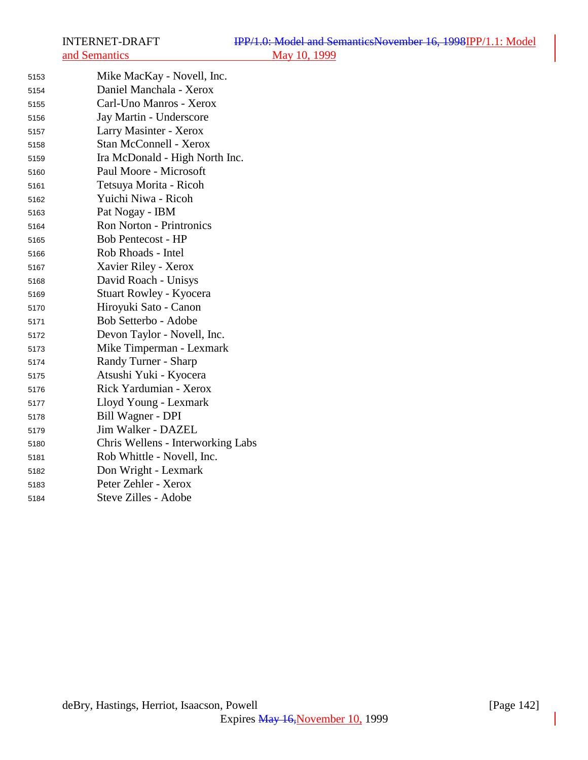| 5153 | Mike MacKay - Novell, Inc.        |
|------|-----------------------------------|
| 5154 | Daniel Manchala - Xerox           |
| 5155 | Carl-Uno Manros - Xerox           |
| 5156 | Jay Martin - Underscore           |
| 5157 | Larry Masinter - Xerox            |
| 5158 | <b>Stan McConnell - Xerox</b>     |
| 5159 | Ira McDonald - High North Inc.    |
| 5160 | Paul Moore - Microsoft            |
| 5161 | Tetsuya Morita - Ricoh            |
| 5162 | Yuichi Niwa - Ricoh               |
| 5163 | Pat Nogay - IBM                   |
| 5164 | <b>Ron Norton - Printronics</b>   |
| 5165 | <b>Bob Pentecost - HP</b>         |
| 5166 | Rob Rhoads - Intel                |
| 5167 | Xavier Riley - Xerox              |
| 5168 | David Roach - Unisys              |
| 5169 | Stuart Rowley - Kyocera           |
| 5170 | Hiroyuki Sato - Canon             |
| 5171 | Bob Setterbo - Adobe              |
| 5172 | Devon Taylor - Novell, Inc.       |
| 5173 | Mike Timperman - Lexmark          |
| 5174 | Randy Turner - Sharp              |
| 5175 | Atsushi Yuki - Kyocera            |
| 5176 | Rick Yardumian - Xerox            |
| 5177 | Lloyd Young - Lexmark             |
| 5178 | Bill Wagner - DPI                 |
| 5179 | Jim Walker - DAZEL                |
| 5180 | Chris Wellens - Interworking Labs |
| 5181 | Rob Whittle - Novell, Inc.        |
| 5182 | Don Wright - Lexmark              |
| 5183 | Peter Zehler - Xerox              |
| 5184 | Steve Zilles - Adobe              |
|      |                                   |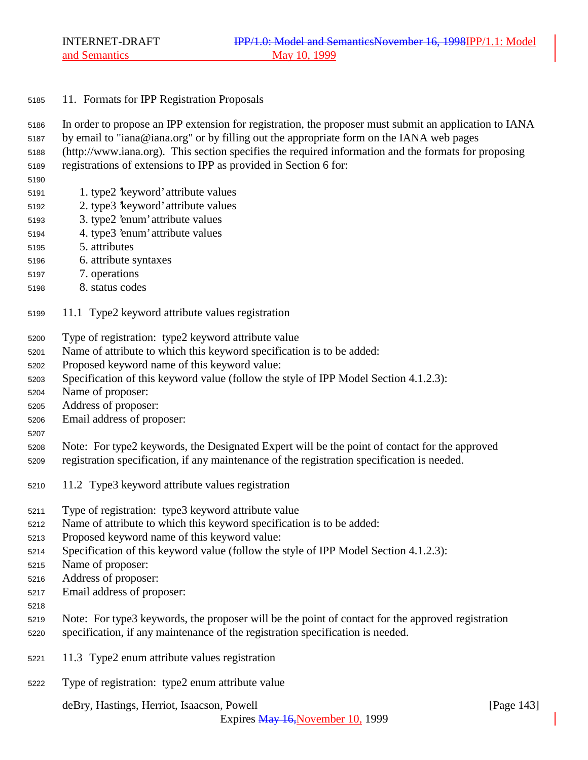## 11. Formats for IPP Registration Proposals

- In order to propose an IPP extension for registration, the proposer must submit an application to IANA
- by email to "iana@iana.org" or by filling out the appropriate form on the IANA web pages
- (http://www.iana.org). This section specifies the required information and the formats for proposing
- registrations of extensions to IPP as provided in Section 6 for:
- 
- 1. type2 'keyword' attribute values
- 2. type3 'keyword' attribute values
- 3. type2 'enum' attribute values
- 4. type3 'enum' attribute values
- 5. attributes
- 6. attribute syntaxes
- 7. operations
- 8. status codes
- 11.1 Type2 keyword attribute values registration
- Type of registration: type2 keyword attribute value
- Name of attribute to which this keyword specification is to be added:
- Proposed keyword name of this keyword value:
- Specification of this keyword value (follow the style of IPP Model Section 4.1.2.3):
- Name of proposer:
- Address of proposer:
- Email address of proposer:
- 
- Note: For type2 keywords, the Designated Expert will be the point of contact for the approved registration specification, if any maintenance of the registration specification is needed.
- 11.2 Type3 keyword attribute values registration
- Type of registration: type3 keyword attribute value
- Name of attribute to which this keyword specification is to be added:
- Proposed keyword name of this keyword value:
- Specification of this keyword value (follow the style of IPP Model Section 4.1.2.3):
- Name of proposer:
- Address of proposer:
- Email address of proposer:
- 
- Note: For type3 keywords, the proposer will be the point of contact for the approved registration specification, if any maintenance of the registration specification is needed.
- 11.3 Type2 enum attribute values registration
- Type of registration: type2 enum attribute value

deBry, Hastings, Herriot, Isaacson, Powell **company** and the company of the company of the company of the company of the company of the company of the company of the company of the company of the company of the company of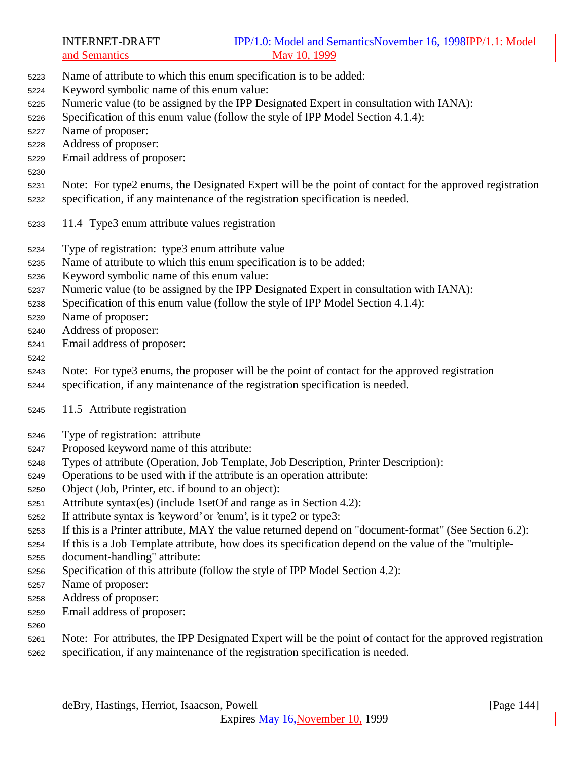| <b>INTERNET-DRAFT</b> |  |
|-----------------------|--|
| and Semantics         |  |

- Name of attribute to which this enum specification is to be added:
- Keyword symbolic name of this enum value:
- Numeric value (to be assigned by the IPP Designated Expert in consultation with IANA):
- Specification of this enum value (follow the style of IPP Model Section 4.1.4):
- Name of proposer:
- Address of proposer:
- Email address of proposer:
- 

Note: For type2 enums, the Designated Expert will be the point of contact for the approved registration

- specification, if any maintenance of the registration specification is needed.
- 11.4 Type3 enum attribute values registration
- Type of registration: type3 enum attribute value
- Name of attribute to which this enum specification is to be added:
- Keyword symbolic name of this enum value:
- Numeric value (to be assigned by the IPP Designated Expert in consultation with IANA):
- Specification of this enum value (follow the style of IPP Model Section 4.1.4):
- Name of proposer:
- Address of proposer:
- Email address of proposer:

## 

- Note: For type3 enums, the proposer will be the point of contact for the approved registration
- specification, if any maintenance of the registration specification is needed.
- 11.5 Attribute registration
- Type of registration: attribute
- Proposed keyword name of this attribute:
- Types of attribute (Operation, Job Template, Job Description, Printer Description):
- Operations to be used with if the attribute is an operation attribute:
- Object (Job, Printer, etc. if bound to an object):
- Attribute syntax(es) (include 1setOf and range as in Section 4.2):
- If attribute syntax is 'keyword' or 'enum', is it type2 or type3:
- If this is a Printer attribute, MAY the value returned depend on "document-format" (See Section 6.2):

If this is a Job Template attribute, how does its specification depend on the value of the "multiple-

- document-handling" attribute:
- Specification of this attribute (follow the style of IPP Model Section 4.2):
- Name of proposer:
- Address of proposer:
- Email address of proposer:
- 
- Note: For attributes, the IPP Designated Expert will be the point of contact for the approved registration specification, if any maintenance of the registration specification is needed.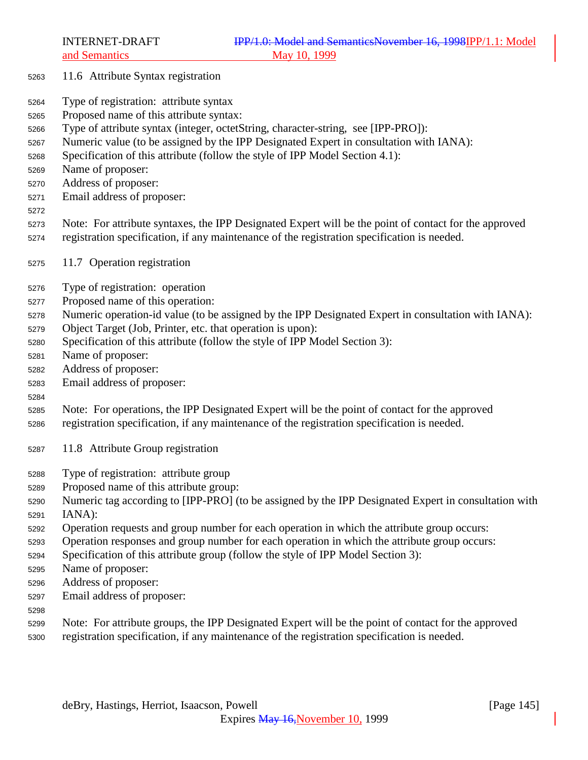- 11.6 Attribute Syntax registration
- Type of registration: attribute syntax
- Proposed name of this attribute syntax:
- Type of attribute syntax (integer, octetString, character-string, see [IPP-PRO]):
- Numeric value (to be assigned by the IPP Designated Expert in consultation with IANA):
- Specification of this attribute (follow the style of IPP Model Section 4.1):
- Name of proposer:
- Address of proposer:
- Email address of proposer:
- 
- Note: For attribute syntaxes, the IPP Designated Expert will be the point of contact for the approved registration specification, if any maintenance of the registration specification is needed.
- 11.7 Operation registration
- Type of registration: operation
- Proposed name of this operation:
- Numeric operation-id value (to be assigned by the IPP Designated Expert in consultation with IANA):
- Object Target (Job, Printer, etc. that operation is upon):
- Specification of this attribute (follow the style of IPP Model Section 3):
- Name of proposer:
- Address of proposer:
- Email address of proposer:
- 
- Note: For operations, the IPP Designated Expert will be the point of contact for the approved registration specification, if any maintenance of the registration specification is needed.
- 11.8 Attribute Group registration
- Type of registration: attribute group
- Proposed name of this attribute group:
- Numeric tag according to [IPP-PRO] (to be assigned by the IPP Designated Expert in consultation with IANA):
- Operation requests and group number for each operation in which the attribute group occurs:
- Operation responses and group number for each operation in which the attribute group occurs:
- Specification of this attribute group (follow the style of IPP Model Section 3):
- Name of proposer:
- Address of proposer:
- Email address of proposer:
- 
- Note: For attribute groups, the IPP Designated Expert will be the point of contact for the approved
- registration specification, if any maintenance of the registration specification is needed.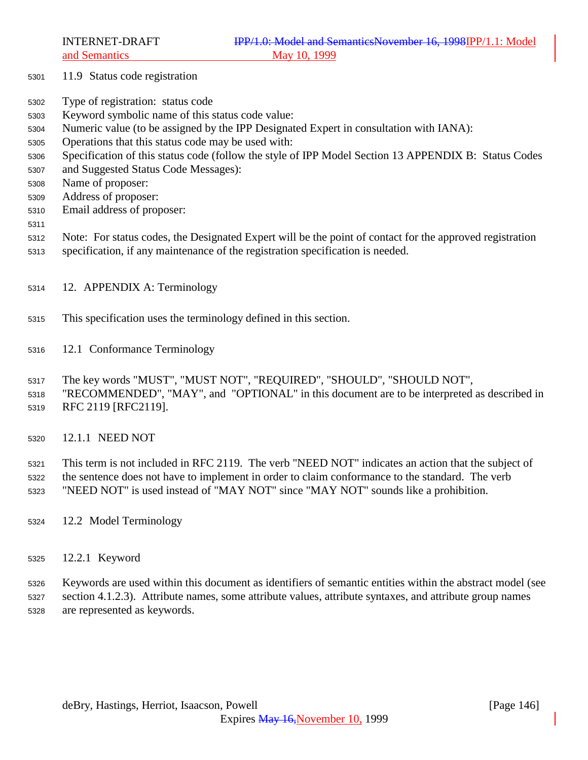- 11.9 Status code registration
- Type of registration: status code
- Keyword symbolic name of this status code value:
- Numeric value (to be assigned by the IPP Designated Expert in consultation with IANA):
- Operations that this status code may be used with:
- Specification of this status code (follow the style of IPP Model Section 13 APPENDIX B: Status Codes
- and Suggested Status Code Messages):
- Name of proposer:
- Address of proposer:
- Email address of proposer:
- 
- Note: For status codes, the Designated Expert will be the point of contact for the approved registration
- specification, if any maintenance of the registration specification is needed.
- 12. APPENDIX A: Terminology
- This specification uses the terminology defined in this section.
- 12.1 Conformance Terminology
- The key words "MUST", "MUST NOT", "REQUIRED", "SHOULD", "SHOULD NOT",
- "RECOMMENDED", "MAY", and "OPTIONAL" in this document are to be interpreted as described in RFC 2119 [RFC2119].
- 12.1.1 NEED NOT

 This term is not included in RFC 2119. The verb "NEED NOT" indicates an action that the subject of the sentence does not have to implement in order to claim conformance to the standard. The verb

- "NEED NOT" is used instead of "MAY NOT" since "MAY NOT" sounds like a prohibition.
- 12.2 Model Terminology
- 12.2.1 Keyword

 Keywords are used within this document as identifiers of semantic entities within the abstract model (see section 4.1.2.3). Attribute names, some attribute values, attribute syntaxes, and attribute group names are represented as keywords.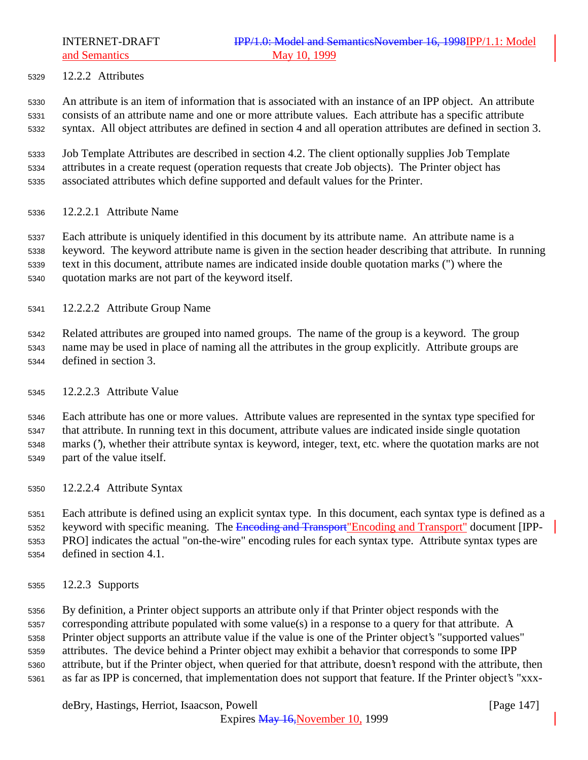12.2.2 Attributes

 An attribute is an item of information that is associated with an instance of an IPP object. An attribute consists of an attribute name and one or more attribute values. Each attribute has a specific attribute syntax. All object attributes are defined in section 4 and all operation attributes are defined in section 3.

 Job Template Attributes are described in section 4.2. The client optionally supplies Job Template attributes in a create request (operation requests that create Job objects). The Printer object has associated attributes which define supported and default values for the Printer.

12.2.2.1 Attribute Name

 Each attribute is uniquely identified in this document by its attribute name. An attribute name is a keyword. The keyword attribute name is given in the section header describing that attribute. In running text in this document, attribute names are indicated inside double quotation marks (") where the quotation marks are not part of the keyword itself.

12.2.2.2 Attribute Group Name

 Related attributes are grouped into named groups. The name of the group is a keyword. The group name may be used in place of naming all the attributes in the group explicitly. Attribute groups are defined in section 3.

12.2.2.3 Attribute Value

 Each attribute has one or more values. Attribute values are represented in the syntax type specified for that attribute. In running text in this document, attribute values are indicated inside single quotation marks ('), whether their attribute syntax is keyword, integer, text, etc. where the quotation marks are not part of the value itself.

12.2.2.4 Attribute Syntax

 Each attribute is defined using an explicit syntax type. In this document, each syntax type is defined as a 5352 keyword with specific meaning. The Encoding and Transport "Encoding and Transport" document [IPP- PRO] indicates the actual "on-the-wire" encoding rules for each syntax type. Attribute syntax types are defined in section 4.1.

12.2.3 Supports

 By definition, a Printer object supports an attribute only if that Printer object responds with the corresponding attribute populated with some value(s) in a response to a query for that attribute. A Printer object supports an attribute value if the value is one of the Printer object's "supported values" attributes. The device behind a Printer object may exhibit a behavior that corresponds to some IPP attribute, but if the Printer object, when queried for that attribute, doesn't respond with the attribute, then as far as IPP is concerned, that implementation does not support that feature. If the Printer object's "xxx-

deBry, Hastings, Herriot, Isaacson, Powell **company** and the same of the same of the same of the same of the same of the same of the same of the same of the same of the same of the same of the same of the same of the same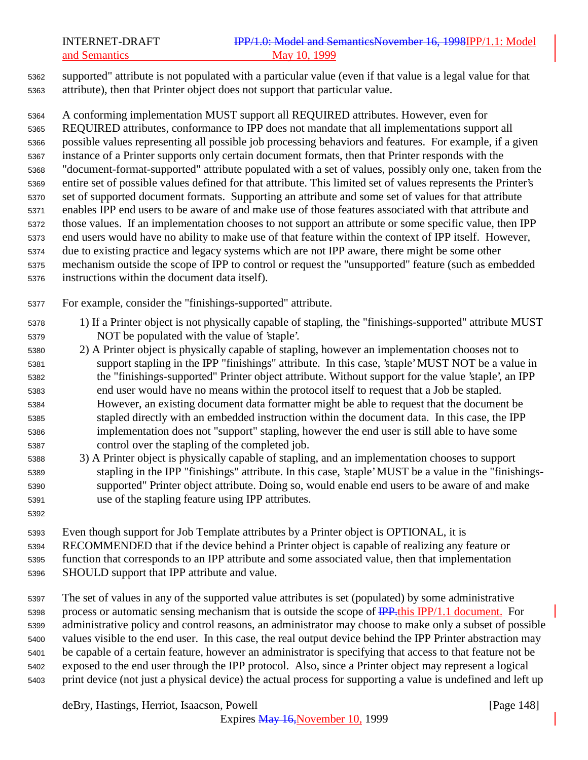supported" attribute is not populated with a particular value (even if that value is a legal value for that attribute), then that Printer object does not support that particular value.

 A conforming implementation MUST support all REQUIRED attributes. However, even for REQUIRED attributes, conformance to IPP does not mandate that all implementations support all possible values representing all possible job processing behaviors and features. For example, if a given instance of a Printer supports only certain document formats, then that Printer responds with the "document-format-supported" attribute populated with a set of values, possibly only one, taken from the entire set of possible values defined for that attribute. This limited set of values represents the Printer's set of supported document formats. Supporting an attribute and some set of values for that attribute enables IPP end users to be aware of and make use of those features associated with that attribute and those values. If an implementation chooses to not support an attribute or some specific value, then IPP end users would have no ability to make use of that feature within the context of IPP itself. However, due to existing practice and legacy systems which are not IPP aware, there might be some other mechanism outside the scope of IPP to control or request the "unsupported" feature (such as embedded

instructions within the document data itself).

For example, consider the "finishings-supported" attribute.

- 1) If a Printer object is not physically capable of stapling, the "finishings-supported" attribute MUST NOT be populated with the value of 'staple'.
- 2) A Printer object is physically capable of stapling, however an implementation chooses not to support stapling in the IPP "finishings" attribute. In this case, 'staple' MUST NOT be a value in the "finishings-supported" Printer object attribute. Without support for the value 'staple', an IPP end user would have no means within the protocol itself to request that a Job be stapled. However, an existing document data formatter might be able to request that the document be stapled directly with an embedded instruction within the document data. In this case, the IPP implementation does not "support" stapling, however the end user is still able to have some control over the stapling of the completed job.
- 3) A Printer object is physically capable of stapling, and an implementation chooses to support stapling in the IPP "finishings" attribute. In this case, 'staple' MUST be a value in the "finishings- supported" Printer object attribute. Doing so, would enable end users to be aware of and make use of the stapling feature using IPP attributes.
- 

 Even though support for Job Template attributes by a Printer object is OPTIONAL, it is RECOMMENDED that if the device behind a Printer object is capable of realizing any feature or function that corresponds to an IPP attribute and some associated value, then that implementation SHOULD support that IPP attribute and value.

 The set of values in any of the supported value attributes is set (populated) by some administrative 5398 process or automatic sensing mechanism that is outside the scope of **IPP**. this IPP/1.1 document. For administrative policy and control reasons, an administrator may choose to make only a subset of possible values visible to the end user. In this case, the real output device behind the IPP Printer abstraction may be capable of a certain feature, however an administrator is specifying that access to that feature not be exposed to the end user through the IPP protocol. Also, since a Printer object may represent a logical print device (not just a physical device) the actual process for supporting a value is undefined and left up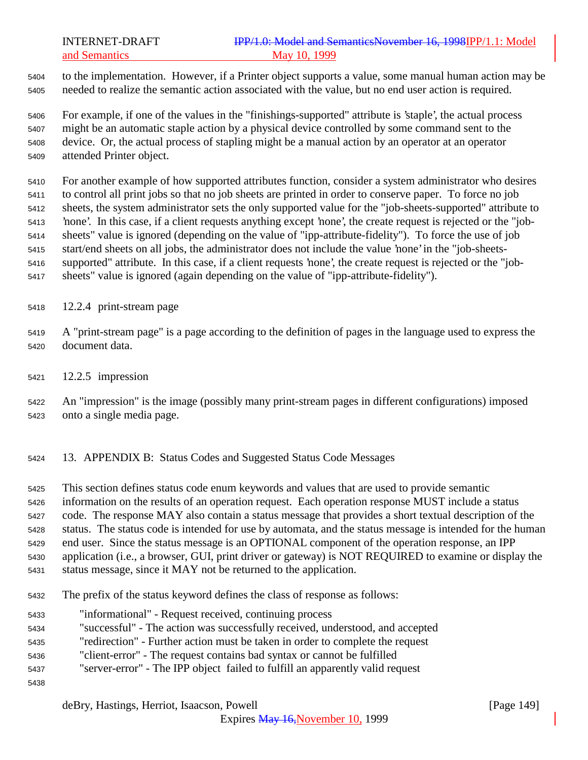to the implementation. However, if a Printer object supports a value, some manual human action may be needed to realize the semantic action associated with the value, but no end user action is required.

 For example, if one of the values in the "finishings-supported" attribute is 'staple', the actual process might be an automatic staple action by a physical device controlled by some command sent to the device. Or, the actual process of stapling might be a manual action by an operator at an operator attended Printer object.

 For another example of how supported attributes function, consider a system administrator who desires to control all print jobs so that no job sheets are printed in order to conserve paper. To force no job sheets, the system administrator sets the only supported value for the "job-sheets-supported" attribute to 'none'. In this case, if a client requests anything except 'none', the create request is rejected or the "job- sheets" value is ignored (depending on the value of "ipp-attribute-fidelity"). To force the use of job start/end sheets on all jobs, the administrator does not include the value 'none' in the "job-sheets- supported" attribute. In this case, if a client requests 'none', the create request is rejected or the "job-sheets" value is ignored (again depending on the value of "ipp-attribute-fidelity").

12.2.4 print-stream page

 A "print-stream page" is a page according to the definition of pages in the language used to express the document data.

12.2.5 impression

 An "impression" is the image (possibly many print-stream pages in different configurations) imposed onto a single media page.

13. APPENDIX B: Status Codes and Suggested Status Code Messages

 This section defines status code enum keywords and values that are used to provide semantic information on the results of an operation request. Each operation response MUST include a status code. The response MAY also contain a status message that provides a short textual description of the status. The status code is intended for use by automata, and the status message is intended for the human end user. Since the status message is an OPTIONAL component of the operation response, an IPP application (i.e., a browser, GUI, print driver or gateway) is NOT REQUIRED to examine or display the status message, since it MAY not be returned to the application.

- The prefix of the status keyword defines the class of response as follows:
- "informational" Request received, continuing process
- "successful" The action was successfully received, understood, and accepted
- "redirection" Further action must be taken in order to complete the request
- "client-error" The request contains bad syntax or cannot be fulfilled
- "server-error" The IPP object failed to fulfill an apparently valid request

deBry, Hastings, Herriot, Isaacson, Powell [Page 149]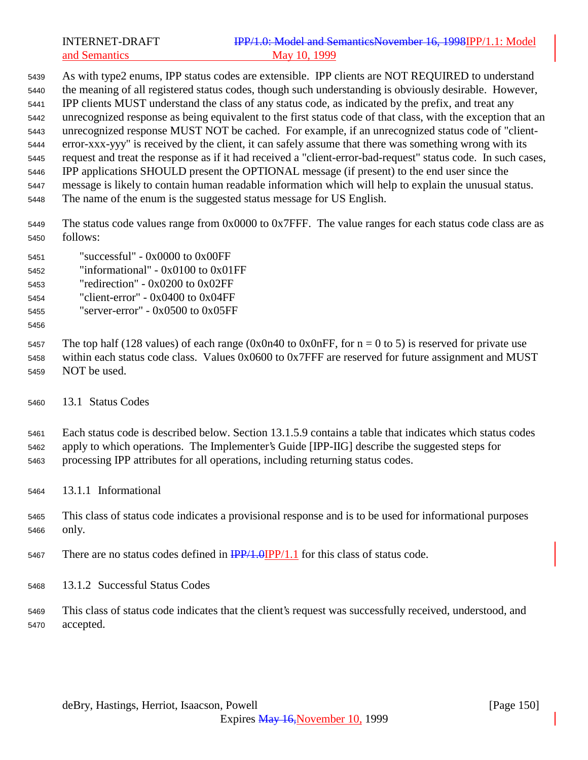As with type2 enums, IPP status codes are extensible. IPP clients are NOT REQUIRED to understand the meaning of all registered status codes, though such understanding is obviously desirable. However, IPP clients MUST understand the class of any status code, as indicated by the prefix, and treat any unrecognized response as being equivalent to the first status code of that class, with the exception that an unrecognized response MUST NOT be cached. For example, if an unrecognized status code of "client- error-xxx-yyy" is received by the client, it can safely assume that there was something wrong with its request and treat the response as if it had received a "client-error-bad-request" status code. In such cases, IPP applications SHOULD present the OPTIONAL message (if present) to the end user since the message is likely to contain human readable information which will help to explain the unusual status. The name of the enum is the suggested status message for US English.

- The status code values range from 0x0000 to 0x7FFF. The value ranges for each status code class are as follows:
- "successful" 0x0000 to 0x00FF "informational" - 0x0100 to 0x01FF "redirection" - 0x0200 to 0x02FF
- "client-error" 0x0400 to 0x04FF
- "server-error" 0x0500 to 0x05FF
- 

5457 The top half (128 values) of each range (0x0n40 to 0x0nFF, for  $n = 0$  to 5) is reserved for private use within each status code class. Values 0x0600 to 0x7FFF are reserved for future assignment and MUST NOT be used.

13.1 Status Codes

 Each status code is described below. Section 13.1.5.9 contains a table that indicates which status codes apply to which operations. The Implementer's Guide [IPP-IIG] describe the suggested steps for processing IPP attributes for all operations, including returning status codes.

- 13.1.1 Informational
- This class of status code indicates a provisional response and is to be used for informational purposes only.
- 5467 There are no status codes defined in  $\frac{IPP}{1.0}$  IPP/1.1 for this class of status code.
- 13.1.2 Successful Status Codes
- This class of status code indicates that the client's request was successfully received, understood, and accepted.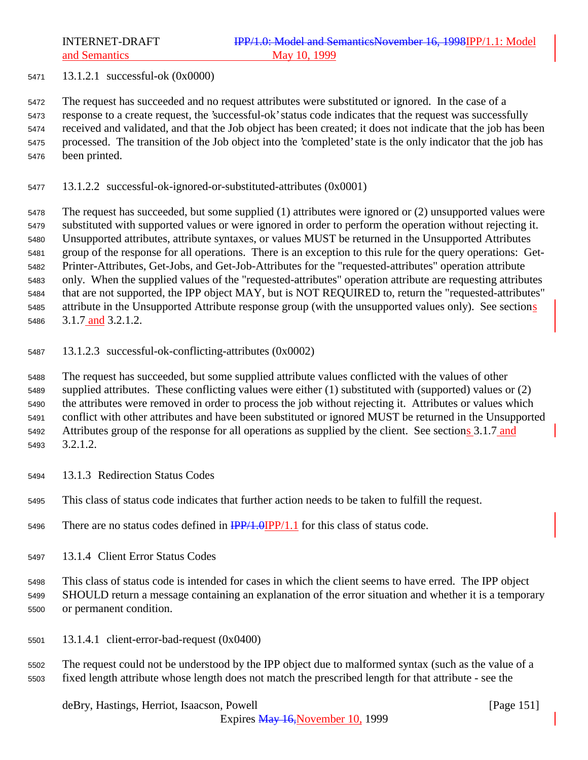13.1.2.1 successful-ok (0x0000)

 The request has succeeded and no request attributes were substituted or ignored. In the case of a response to a create request, the 'successful-ok' status code indicates that the request was successfully received and validated, and that the Job object has been created; it does not indicate that the job has been processed. The transition of the Job object into the 'completed' state is the only indicator that the job has been printed.

13.1.2.2 successful-ok-ignored-or-substituted-attributes (0x0001)

 The request has succeeded, but some supplied (1) attributes were ignored or (2) unsupported values were substituted with supported values or were ignored in order to perform the operation without rejecting it. Unsupported attributes, attribute syntaxes, or values MUST be returned in the Unsupported Attributes group of the response for all operations. There is an exception to this rule for the query operations: Get- Printer-Attributes, Get-Jobs, and Get-Job-Attributes for the "requested-attributes" operation attribute only. When the supplied values of the "requested-attributes" operation attribute are requesting attributes that are not supported, the IPP object MAY, but is NOT REQUIRED to, return the "requested-attributes" attribute in the Unsupported Attribute response group (with the unsupported values only). See sections 3.1.7 and 3.2.1.2.

13.1.2.3 successful-ok-conflicting-attributes (0x0002)

 The request has succeeded, but some supplied attribute values conflicted with the values of other supplied attributes. These conflicting values were either (1) substituted with (supported) values or (2) the attributes were removed in order to process the job without rejecting it. Attributes or values which conflict with other attributes and have been substituted or ignored MUST be returned in the Unsupported Attributes group of the response for all operations as supplied by the client. See sections 3.1.7 and 3.2.1.2.

- 13.1.3 Redirection Status Codes
- This class of status code indicates that further action needs to be taken to fulfill the request.
- 5496 There are no status codes defined in  $\frac{IPP}{1.0} \cdot \frac{IPP}{1.1}$  for this class of status code.
- 13.1.4 Client Error Status Codes

 This class of status code is intended for cases in which the client seems to have erred. The IPP object SHOULD return a message containing an explanation of the error situation and whether it is a temporary or permanent condition.

- 13.1.4.1 client-error-bad-request (0x0400)
- The request could not be understood by the IPP object due to malformed syntax (such as the value of a fixed length attribute whose length does not match the prescribed length for that attribute - see the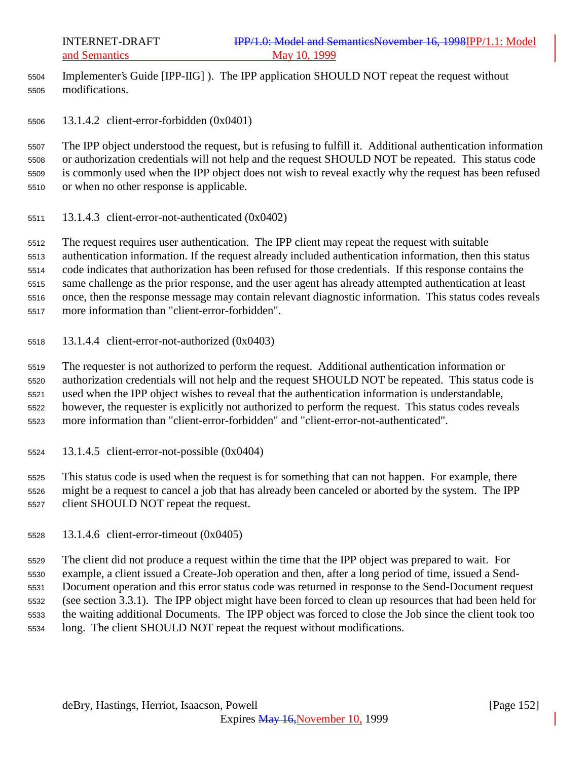Implementer's Guide [IPP-IIG] ). The IPP application SHOULD NOT repeat the request without modifications.

13.1.4.2 client-error-forbidden (0x0401)

 The IPP object understood the request, but is refusing to fulfill it. Additional authentication information or authorization credentials will not help and the request SHOULD NOT be repeated. This status code is commonly used when the IPP object does not wish to reveal exactly why the request has been refused or when no other response is applicable.

13.1.4.3 client-error-not-authenticated (0x0402)

 The request requires user authentication. The IPP client may repeat the request with suitable authentication information. If the request already included authentication information, then this status code indicates that authorization has been refused for those credentials. If this response contains the same challenge as the prior response, and the user agent has already attempted authentication at least once, then the response message may contain relevant diagnostic information. This status codes reveals

- more information than "client-error-forbidden".
- 13.1.4.4 client-error-not-authorized (0x0403)

 The requester is not authorized to perform the request. Additional authentication information or authorization credentials will not help and the request SHOULD NOT be repeated. This status code is used when the IPP object wishes to reveal that the authentication information is understandable, however, the requester is explicitly not authorized to perform the request. This status codes reveals more information than "client-error-forbidden" and "client-error-not-authenticated".

13.1.4.5 client-error-not-possible (0x0404)

 This status code is used when the request is for something that can not happen. For example, there might be a request to cancel a job that has already been canceled or aborted by the system. The IPP client SHOULD NOT repeat the request.

13.1.4.6 client-error-timeout (0x0405)

The client did not produce a request within the time that the IPP object was prepared to wait. For

example, a client issued a Create-Job operation and then, after a long period of time, issued a Send-

 Document operation and this error status code was returned in response to the Send-Document request (see section 3.3.1). The IPP object might have been forced to clean up resources that had been held for

- the waiting additional Documents. The IPP object was forced to close the Job since the client took too
- long. The client SHOULD NOT repeat the request without modifications.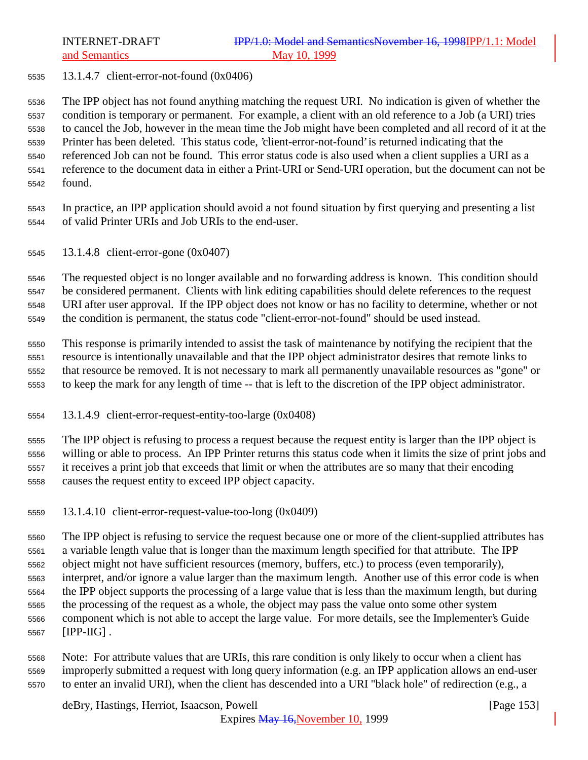13.1.4.7 client-error-not-found (0x0406)

 The IPP object has not found anything matching the request URI. No indication is given of whether the condition is temporary or permanent. For example, a client with an old reference to a Job (a URI) tries to cancel the Job, however in the mean time the Job might have been completed and all record of it at the Printer has been deleted. This status code, 'client-error-not-found' is returned indicating that the referenced Job can not be found. This error status code is also used when a client supplies a URI as a reference to the document data in either a Print-URI or Send-URI operation, but the document can not be found.

- In practice, an IPP application should avoid a not found situation by first querying and presenting a list of valid Printer URIs and Job URIs to the end-user.
- 13.1.4.8 client-error-gone (0x0407)

 The requested object is no longer available and no forwarding address is known. This condition should be considered permanent. Clients with link editing capabilities should delete references to the request URI after user approval. If the IPP object does not know or has no facility to determine, whether or not the condition is permanent, the status code "client-error-not-found" should be used instead.

 This response is primarily intended to assist the task of maintenance by notifying the recipient that the resource is intentionally unavailable and that the IPP object administrator desires that remote links to that resource be removed. It is not necessary to mark all permanently unavailable resources as "gone" or to keep the mark for any length of time -- that is left to the discretion of the IPP object administrator.

13.1.4.9 client-error-request-entity-too-large (0x0408)

 The IPP object is refusing to process a request because the request entity is larger than the IPP object is willing or able to process. An IPP Printer returns this status code when it limits the size of print jobs and it receives a print job that exceeds that limit or when the attributes are so many that their encoding causes the request entity to exceed IPP object capacity.

13.1.4.10 client-error-request-value-too-long (0x0409)

 The IPP object is refusing to service the request because one or more of the client-supplied attributes has a variable length value that is longer than the maximum length specified for that attribute. The IPP object might not have sufficient resources (memory, buffers, etc.) to process (even temporarily), interpret, and/or ignore a value larger than the maximum length. Another use of this error code is when the IPP object supports the processing of a large value that is less than the maximum length, but during the processing of the request as a whole, the object may pass the value onto some other system component which is not able to accept the large value. For more details, see the Implementer's Guide [IPP-IIG] .

 Note: For attribute values that are URIs, this rare condition is only likely to occur when a client has improperly submitted a request with long query information (e.g. an IPP application allows an end-user to enter an invalid URI), when the client has descended into a URI "black hole" of redirection (e.g., a

deBry, Hastings, Herriot, Isaacson, Powell [Page 153]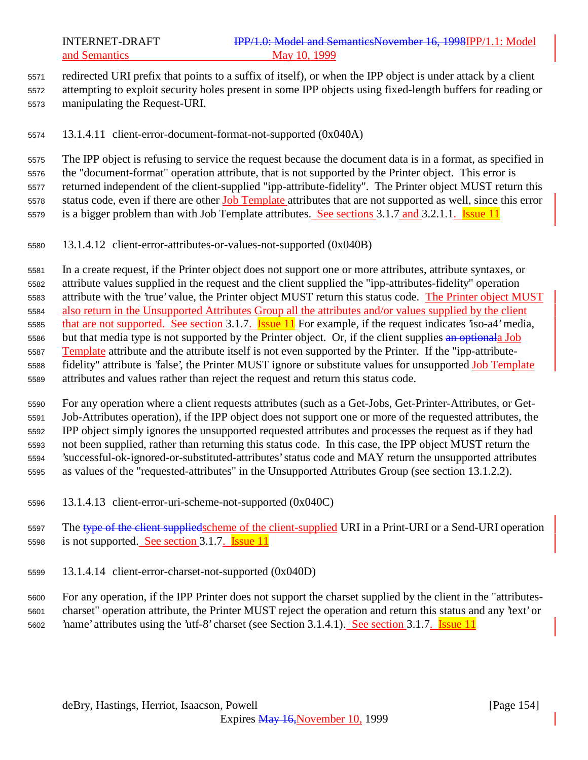redirected URI prefix that points to a suffix of itself), or when the IPP object is under attack by a client attempting to exploit security holes present in some IPP objects using fixed-length buffers for reading or manipulating the Request-URI.

13.1.4.11 client-error-document-format-not-supported (0x040A)

 The IPP object is refusing to service the request because the document data is in a format, as specified in the "document-format" operation attribute, that is not supported by the Printer object. This error is returned independent of the client-supplied "ipp-attribute-fidelity". The Printer object MUST return this 5578 status code, even if there are other Job Template attributes that are not supported as well, since this error is a bigger problem than with Job Template attributes. See sections 3.1.7 and 3.2.1.1. Issue 11

13.1.4.12 client-error-attributes-or-values-not-supported (0x040B)

 In a create request, if the Printer object does not support one or more attributes, attribute syntaxes, or attribute values supplied in the request and the client supplied the "ipp-attributes-fidelity" operation 5583 attribute with the 'true' value, the Printer object MUST return this status code. The Printer object MUST also return in the Unsupported Attributes Group all the attributes and/or values supplied by the client 5585 that are not supported. See section 3.1.7. **Issue 11** For example, if the request indicates 'iso-a4' media, 5586 but that media type is not supported by the Printer object. Or, if the client supplies an optionala Job Template attribute and the attribute itself is not even supported by the Printer. If the "ipp-attribute- fidelity" attribute is 'false', the Printer MUST ignore or substitute values for unsupported Job Template attributes and values rather than reject the request and return this status code.

 For any operation where a client requests attributes (such as a Get-Jobs, Get-Printer-Attributes, or Get- Job-Attributes operation), if the IPP object does not support one or more of the requested attributes, the IPP object simply ignores the unsupported requested attributes and processes the request as if they had not been supplied, rather than returning this status code. In this case, the IPP object MUST return the 'successful-ok-ignored-or-substituted-attributes' status code and MAY return the unsupported attributes as values of the "requested-attributes" in the Unsupported Attributes Group (see section 13.1.2.2).

- 13.1.4.13 client-error-uri-scheme-not-supported (0x040C)
- 5597 The type of the client supplied scheme of the client-supplied URI in a Print-URI or a Send-URI operation is not supported. See section 3.1.7. Issue 11
- 13.1.4.14 client-error-charset-not-supported (0x040D)

 For any operation, if the IPP Printer does not support the charset supplied by the client in the "attributes- charset" operation attribute, the Printer MUST reject the operation and return this status and any 'text' or 'name' attributes using the 'utf-8' charset (see Section 3.1.4.1). See section 3.1.7. Issue 11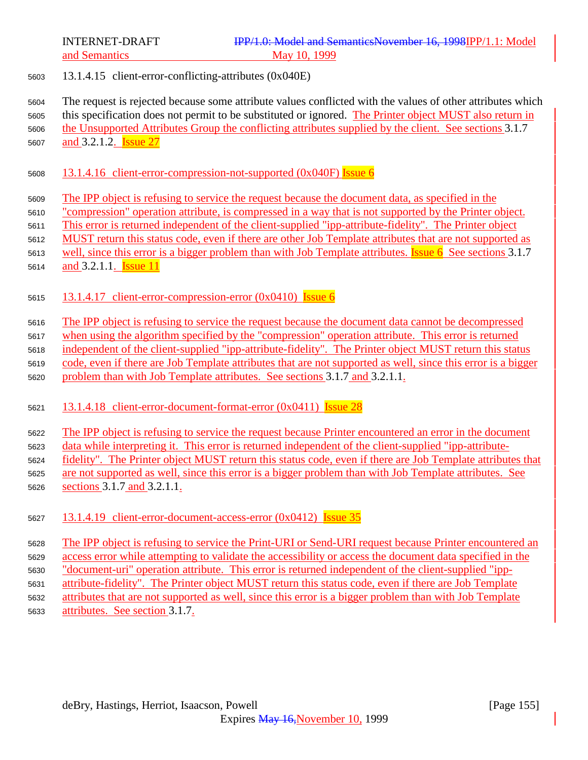13.1.4.15 client-error-conflicting-attributes (0x040E)

 The request is rejected because some attribute values conflicted with the values of other attributes which this specification does not permit to be substituted or ignored. The Printer object MUST also return in the Unsupported Attributes Group the conflicting attributes supplied by the client. See sections 3.1.7

5607 and 3.2.1.2. **Issue 27** 

- 13.1.4.16 client-error-compression-not-supported (0x040F) Issue 6
- The IPP object is refusing to service the request because the document data, as specified in the
- "compression" operation attribute, is compressed in a way that is not supported by the Printer object.
- This error is returned independent of the client-supplied "ipp-attribute-fidelity". The Printer object
- MUST return this status code, even if there are other Job Template attributes that are not supported as
- 5613 well, since this error is a bigger problem than with Job Template attributes. **Issue 6** See sections 3.1.7
- 5614 and 3.2.1.1. **Issue 11**
- 5615 13.1.4.17 client-error-compression-error (0x0410) Issue 6
- The IPP object is refusing to service the request because the document data cannot be decompressed
- when using the algorithm specified by the "compression" operation attribute. This error is returned
- independent of the client-supplied "ipp-attribute-fidelity". The Printer object MUST return this status
- code, even if there are Job Template attributes that are not supported as well, since this error is a bigger
- problem than with Job Template attributes. See sections 3.1.7 and 3.2.1.1.
- 13.1.4.18 client-error-document-format-error (0x0411) Issue 28
- The IPP object is refusing to service the request because Printer encountered an error in the document
- data while interpreting it. This error is returned independent of the client-supplied "ipp-attribute-
- fidelity". The Printer object MUST return this status code, even if there are Job Template attributes that
- are not supported as well, since this error is a bigger problem than with Job Template attributes. See
- sections 3.1.7 and 3.2.1.1.
- 13.1.4.19 client-error-document-access-error (0x0412) Issue 35

 The IPP object is refusing to service the Print-URI or Send-URI request because Printer encountered an access error while attempting to validate the accessibility or access the document data specified in the "document-uri" operation attribute. This error is returned independent of the client-supplied "ipp- attribute-fidelity". The Printer object MUST return this status code, even if there are Job Template attributes that are not supported as well, since this error is a bigger problem than with Job Template attributes. See section 3.1.7.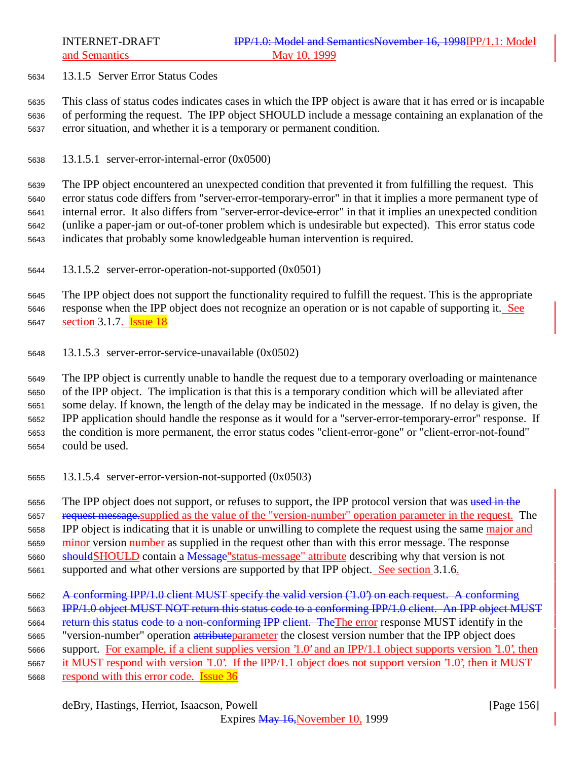13.1.5 Server Error Status Codes

 This class of status codes indicates cases in which the IPP object is aware that it has erred or is incapable of performing the request. The IPP object SHOULD include a message containing an explanation of the error situation, and whether it is a temporary or permanent condition.

13.1.5.1 server-error-internal-error (0x0500)

 The IPP object encountered an unexpected condition that prevented it from fulfilling the request. This error status code differs from "server-error-temporary-error" in that it implies a more permanent type of internal error. It also differs from "server-error-device-error" in that it implies an unexpected condition (unlike a paper-jam or out-of-toner problem which is undesirable but expected). This error status code indicates that probably some knowledgeable human intervention is required.

13.1.5.2 server-error-operation-not-supported (0x0501)

 The IPP object does not support the functionality required to fulfill the request. This is the appropriate response when the IPP object does not recognize an operation or is not capable of supporting it. See 5647 section 3.1.7. **Issue 18** 

13.1.5.3 server-error-service-unavailable (0x0502)

 The IPP object is currently unable to handle the request due to a temporary overloading or maintenance of the IPP object. The implication is that this is a temporary condition which will be alleviated after some delay. If known, the length of the delay may be indicated in the message. If no delay is given, the IPP application should handle the response as it would for a "server-error-temporary-error" response. If the condition is more permanent, the error status codes "client-error-gone" or "client-error-not-found" could be used.

13.1.5.4 server-error-version-not-supported (0x0503)

5656 The IPP object does not support, or refuses to support, the IPP protocol version that was used in the 5657 request message.supplied as the value of the "version-number" operation parameter in the request. The IPP object is indicating that it is unable or unwilling to complete the request using the same major and minor version number as supplied in the request other than with this error message. The response 5660 should SHOULD contain a Message" status-message" attribute describing why that version is not 5661 supported and what other versions are supported by that IPP object. See section 3.1.6.

- A conforming IPP/1.0 client MUST specify the valid version ('1.0') on each request. A conforming **IPP/1.0 object MUST NOT return this status code to a conforming IPP/1.0 client. An IPP object MUST** 5664 return this status code to a non-conforming IPP client. The The error response MUST identify in the 5665 "version-number" operation attribute parameter the closest version number that the IPP object does support. For example, if a client supplies version '1.0' and an IPP/1.1 object supports version '1.0', then it MUST respond with version '1.0'. If the IPP/1.1 object does not support version '1.0', then it MUST
- 5668 respond with this error code. **Issue 36**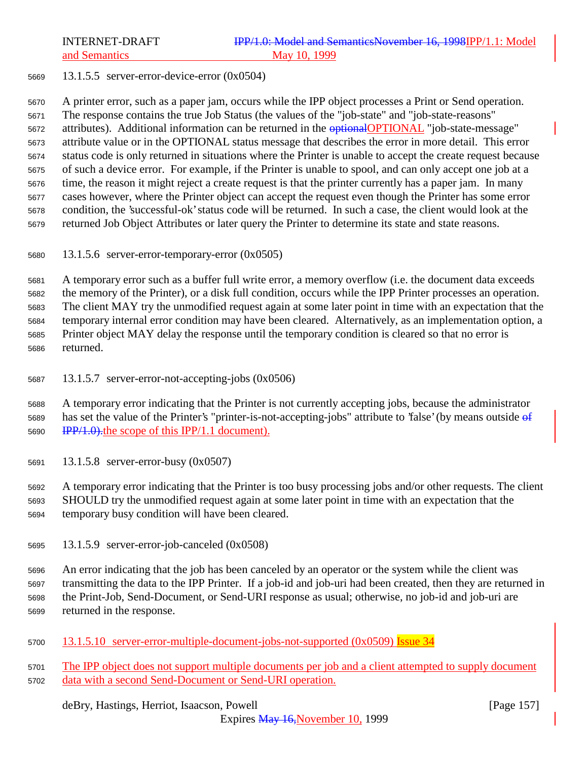13.1.5.5 server-error-device-error (0x0504)

 A printer error, such as a paper jam, occurs while the IPP object processes a Print or Send operation. The response contains the true Job Status (the values of the "job-state" and "job-state-reasons" 5672 attributes). Additional information can be returned in the **optional OPTIONAL** "job-state-message" attribute value or in the OPTIONAL status message that describes the error in more detail. This error status code is only returned in situations where the Printer is unable to accept the create request because of such a device error. For example, if the Printer is unable to spool, and can only accept one job at a time, the reason it might reject a create request is that the printer currently has a paper jam. In many cases however, where the Printer object can accept the request even though the Printer has some error condition, the 'successful-ok' status code will be returned. In such a case, the client would look at the returned Job Object Attributes or later query the Printer to determine its state and state reasons.

13.1.5.6 server-error-temporary-error (0x0505)

 A temporary error such as a buffer full write error, a memory overflow (i.e. the document data exceeds the memory of the Printer), or a disk full condition, occurs while the IPP Printer processes an operation. The client MAY try the unmodified request again at some later point in time with an expectation that the temporary internal error condition may have been cleared. Alternatively, as an implementation option, a Printer object MAY delay the response until the temporary condition is cleared so that no error is returned.

13.1.5.7 server-error-not-accepting-jobs (0x0506)

 A temporary error indicating that the Printer is not currently accepting jobs, because the administrator 5689 has set the value of the Printer's "printer-is-not-accepting-jobs" attribute to 'false' (by means outside  $\theta$ f 5690 IPP/1.0). the scope of this IPP/1.1 document.

13.1.5.8 server-error-busy (0x0507)

 A temporary error indicating that the Printer is too busy processing jobs and/or other requests. The client SHOULD try the unmodified request again at some later point in time with an expectation that the temporary busy condition will have been cleared.

13.1.5.9 server-error-job-canceled (0x0508)

 An error indicating that the job has been canceled by an operator or the system while the client was transmitting the data to the IPP Printer. If a job-id and job-uri had been created, then they are returned in the Print-Job, Send-Document, or Send-URI response as usual; otherwise, no job-id and job-uri are returned in the response.

5700 13.1.5.10 server-error-multiple-document-jobs-not-supported (0x0509) Issue 34

 The IPP object does not support multiple documents per job and a client attempted to supply document data with a second Send-Document or Send-URI operation.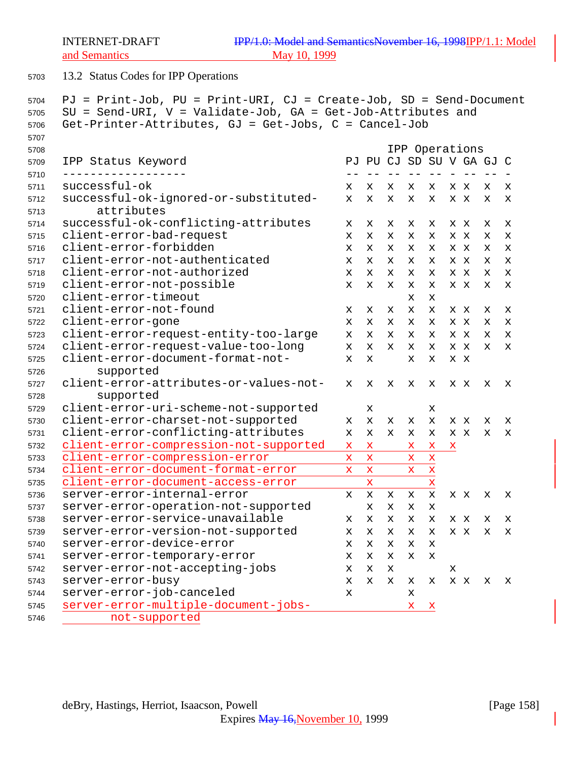13.2 Status Codes for IPP Operations

```
5704 PJ = Print-Job, PU = Print-URI, CJ = Create-Job, SD = Send-Document
5705 SU = Send-URI, V = Validate-Job, GA = Get-Job-Attributes and
5706 Get-Printer-Attributes, GJ = Get-Jobs, C = Cancel-Job
5707
5708 IPP Operations
5709 IPP Status Keyword PJ PU CJ SD SU V GA GJ C
5710 ------------------ -- -- -- -- -- - -- -- -
5711 successful-ok x x x x x x x x x
5712 successful-ok-ignored-or-substituted- x x x x x x x x x
5713 attributes
5714 successful-ok-conflicting-attributes x x x x x x x x x
5715 client-error-bad-request x x x x x x x x x
5716 client-error-forbidden x x x x x x x x x
5717 client-error-not-authenticated x x x x x x x x x
5718 client-error-not-authorized x x x x x x x x x
5719 client-error-not-possible x x x x x x x x x
5720 client-error-timeout x x
5721 client-error-not-found x x x x x x x x x
5722 client-error-gone x x x x x x x x x
5723 client-error-request-entity-too-large x x x x x x x x x
5724 client-error-request-value-too-long x x x x x x x x x
5725 client-error-document-format-not- x x x x x x
5726 supported
5727 client-error-attributes-or-values-not- x x x x x x x x x
5728 supported
5729 client-error-uri-scheme-not-supported x x
5730 client-error-charset-not-supported x x x x x x x x x
5731 client-error-conflicting-attributes x x x x x x x x x
5732 client-error-compression-not-supported x x x x x
5733 client-error-compression-error x x x x
5734 client-error-document-format-error x x x x
5735 client-error-document-access-error x x x
5736 server-error-internal-error x x x x x x x x x
5737 server-error-operation-not-supported x x x x
5738 server-error-service-unavailable x x x x x x x x x
5739 server-error-version-not-supported x x x x x x x x x
5740 server-error-device-error x x x x x
5741 server-error-temporary-error x x x x x
5742 server-error-not-accepting-jobs x x x x
5743 server-error-busy x x x x x x x x x
5744 server-error-job-canceled x x
5745 server-error-multiple-document-jobs- x x
5746 not-supported
```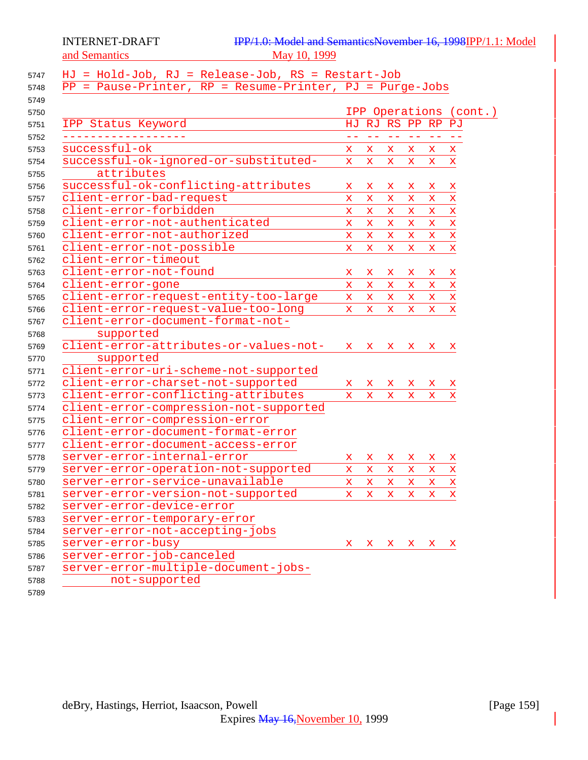### HJ = Hold-Job, RJ = Release-Job, RS = Restart-Job PP = Pause-Printer, RP = Resume-Printer, PJ = Purge-Jobs IPP Operations (cont.) IPP Status Keyword HJ RJ RS PP RP PJ ------------------ -- -- -- -- -- -- successful-ok x x x x x x successful-ok-ignored-or-substituted- x x x x x x attributes successful-ok-conflicting-attributes x x x x x x client-error-bad-request x x x x x x client-error-forbidden x x x x x x client-error-not-authenticated x x x x x x client-error-not-authorized x x x x x x client-error-not-possible x x x x x x client-error-timeout client-error-not-found x x x x x x client-error-gone x x x x x x client-error-request-entity-too-large x x x x x x client-error-request-value-too-long x x x x x x client-error-document-format-not- supported client-error-attributes-or-values-not- x x x x x x supported client-error-uri-scheme-not-supported client-error-charset-not-supported x x x x x x client-error-conflicting-attributes x x x x x x client-error-compression-not-supported client-error-compression-error client-error-document-format-error client-error-document-access-error server-error-internal-error x x x x x x server-error-operation-not-supported x x x x x x server-error-service-unavailable x x x x x x server-error-version-not-supported x x x x x x server-error-device-error server-error-temporary-error server-error-not-accepting-jobs server-error-busy x x x x x x server-error-job-canceled server-error-multiple-document-jobs-not-supported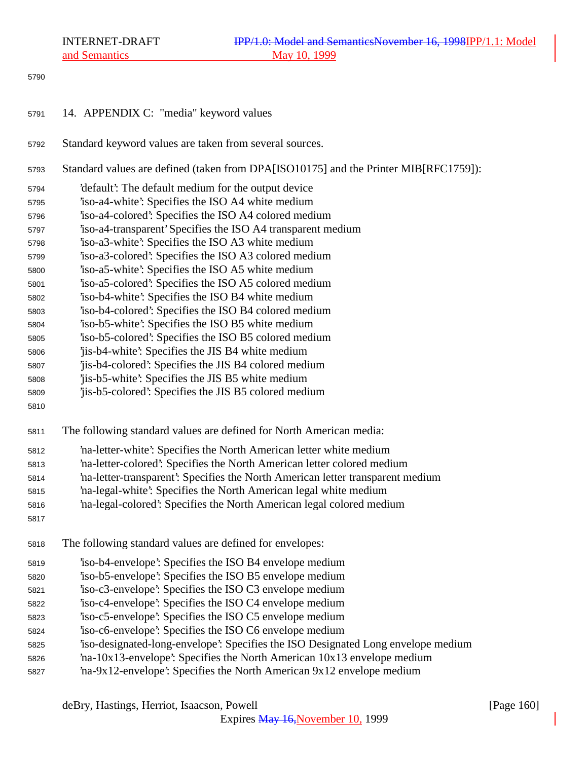- 14. APPENDIX C: "media" keyword values
- Standard keyword values are taken from several sources.
- Standard values are defined (taken from DPA[ISO10175] and the Printer MIB[RFC1759]):
- 'default': The default medium for the output device
- 'iso-a4-white': Specifies the ISO A4 white medium
- 'iso-a4-colored': Specifies the ISO A4 colored medium
- 'iso-a4-transparent' Specifies the ISO A4 transparent medium
- 'iso-a3-white': Specifies the ISO A3 white medium
- 'iso-a3-colored': Specifies the ISO A3 colored medium
- 'iso-a5-white': Specifies the ISO A5 white medium
- 'iso-a5-colored': Specifies the ISO A5 colored medium
- 'iso-b4-white': Specifies the ISO B4 white medium
- 'iso-b4-colored': Specifies the ISO B4 colored medium
- 'iso-b5-white': Specifies the ISO B5 white medium
- 'iso-b5-colored': Specifies the ISO B5 colored medium
- 'jis-b4-white': Specifies the JIS B4 white medium
- 'jis-b4-colored': Specifies the JIS B4 colored medium
- 'jis-b5-white': Specifies the JIS B5 white medium
- 'jis-b5-colored': Specifies the JIS B5 colored medium
- 
- The following standard values are defined for North American media:
- 'na-letter-white': Specifies the North American letter white medium
- 'na-letter-colored': Specifies the North American letter colored medium
- 'na-letter-transparent': Specifies the North American letter transparent medium
- 'na-legal-white': Specifies the North American legal white medium
- 'na-legal-colored': Specifies the North American legal colored medium
- 
- The following standard values are defined for envelopes:
- 'iso-b4-envelope': Specifies the ISO B4 envelope medium
- 'iso-b5-envelope': Specifies the ISO B5 envelope medium
- 'iso-c3-envelope': Specifies the ISO C3 envelope medium
- 'iso-c4-envelope': Specifies the ISO C4 envelope medium
- 'iso-c5-envelope': Specifies the ISO C5 envelope medium
- 'iso-c6-envelope': Specifies the ISO C6 envelope medium
- 'iso-designated-long-envelope': Specifies the ISO Designated Long envelope medium
- 'na-10x13-envelope': Specifies the North American 10x13 envelope medium
- 'na-9x12-envelope': Specifies the North American 9x12 envelope medium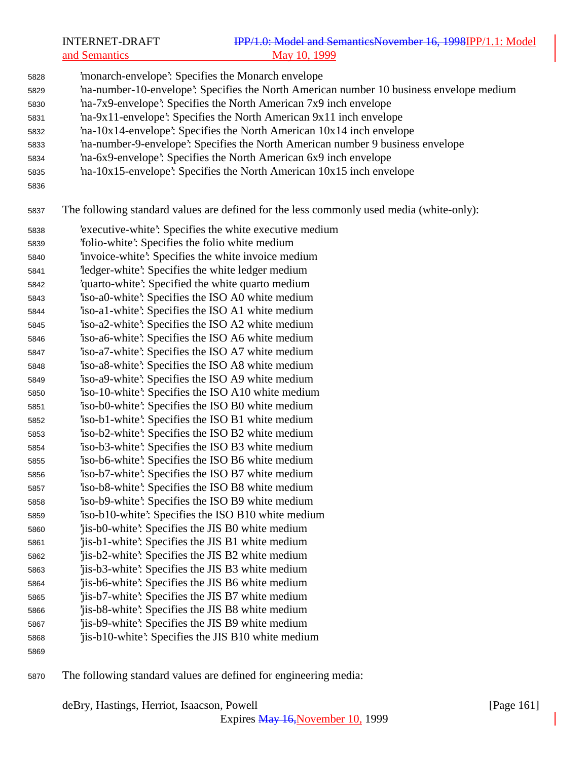INTERNET-DRAFT **IPP/1.0: Model and SemanticsNovember 16, 1998** IPP/1.1: Model and Semantics May 10, 1999 'monarch-envelope': Specifies the Monarch envelope 'na-number-10-envelope': Specifies the North American number 10 business envelope medium 'na-7x9-envelope': Specifies the North American 7x9 inch envelope 'na-9x11-envelope': Specifies the North American 9x11 inch envelope 'na-10x14-envelope': Specifies the North American 10x14 inch envelope 'na-number-9-envelope': Specifies the North American number 9 business envelope 'na-6x9-envelope': Specifies the North American 6x9 inch envelope 'na-10x15-envelope': Specifies the North American 10x15 inch envelope The following standard values are defined for the less commonly used media (white-only): 'executive-white': Specifies the white executive medium 'folio-white': Specifies the folio white medium 'invoice-white': Specifies the white invoice medium 'ledger-white': Specifies the white ledger medium 'quarto-white': Specified the white quarto medium 'iso-a0-white': Specifies the ISO A0 white medium 'iso-a1-white': Specifies the ISO A1 white medium 'iso-a2-white': Specifies the ISO A2 white medium 'iso-a6-white': Specifies the ISO A6 white medium 'iso-a7-white': Specifies the ISO A7 white medium 'iso-a8-white': Specifies the ISO A8 white medium 'iso-a9-white': Specifies the ISO A9 white medium 'iso-10-white': Specifies the ISO A10 white medium 'iso-b0-white': Specifies the ISO B0 white medium 'iso-b1-white': Specifies the ISO B1 white medium 'iso-b2-white': Specifies the ISO B2 white medium 'iso-b3-white': Specifies the ISO B3 white medium 'iso-b6-white': Specifies the ISO B6 white medium 'iso-b7-white': Specifies the ISO B7 white medium 'iso-b8-white': Specifies the ISO B8 white medium 'iso-b9-white': Specifies the ISO B9 white medium 'iso-b10-white': Specifies the ISO B10 white medium 'jis-b0-white': Specifies the JIS B0 white medium 'jis-b1-white': Specifies the JIS B1 white medium 'jis-b2-white': Specifies the JIS B2 white medium 'jis-b3-white': Specifies the JIS B3 white medium 'jis-b6-white': Specifies the JIS B6 white medium 'jis-b7-white': Specifies the JIS B7 white medium 'jis-b8-white': Specifies the JIS B8 white medium 'jis-b9-white': Specifies the JIS B9 white medium 'jis-b10-white': Specifies the JIS B10 white medium 

The following standard values are defined for engineering media: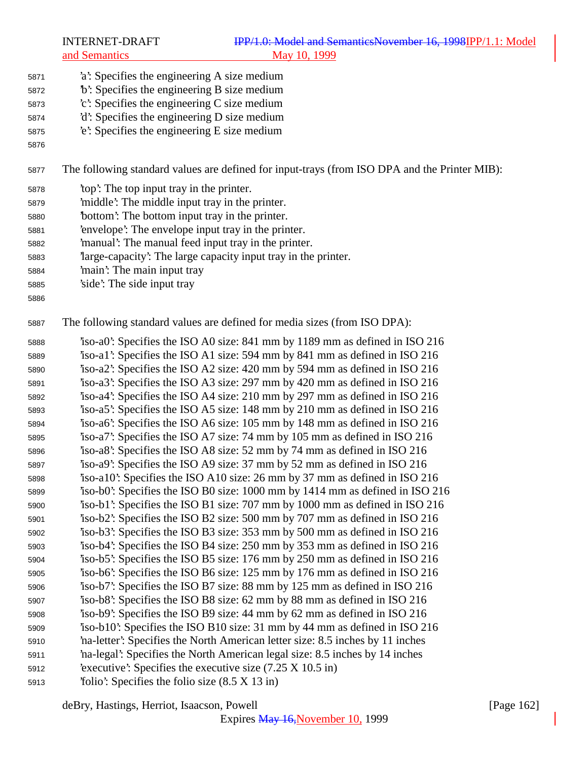- 'a': Specifies the engineering A size medium
- 'b': Specifies the engineering B size medium
- 'c': Specifies the engineering C size medium
- 'd': Specifies the engineering D size medium
- 'e': Specifies the engineering E size medium
- 

The following standard values are defined for input-trays (from ISO DPA and the Printer MIB):

- 'top': The top input tray in the printer.
- 'middle': The middle input tray in the printer.
- 'bottom': The bottom input tray in the printer.
- 'envelope': The envelope input tray in the printer.
- 'manual': The manual feed input tray in the printer.
- 'large-capacity': The large capacity input tray in the printer.
- 'main': The main input tray
- 'side': The side input tray
- 

The following standard values are defined for media sizes (from ISO DPA):

 'iso-a0': Specifies the ISO A0 size: 841 mm by 1189 mm as defined in ISO 216 'iso-a1': Specifies the ISO A1 size: 594 mm by 841 mm as defined in ISO 216 'iso-a2': Specifies the ISO A2 size: 420 mm by 594 mm as defined in ISO 216 'iso-a3': Specifies the ISO A3 size: 297 mm by 420 mm as defined in ISO 216 'iso-a4': Specifies the ISO A4 size: 210 mm by 297 mm as defined in ISO 216 'iso-a5': Specifies the ISO A5 size: 148 mm by 210 mm as defined in ISO 216 'iso-a6': Specifies the ISO A6 size: 105 mm by 148 mm as defined in ISO 216 'iso-a7': Specifies the ISO A7 size: 74 mm by 105 mm as defined in ISO 216 'iso-a8': Specifies the ISO A8 size: 52 mm by 74 mm as defined in ISO 216 'iso-a9': Specifies the ISO A9 size: 37 mm by 52 mm as defined in ISO 216 'iso-a10': Specifies the ISO A10 size: 26 mm by 37 mm as defined in ISO 216 'iso-b0': Specifies the ISO B0 size: 1000 mm by 1414 mm as defined in ISO 216 'iso-b1': Specifies the ISO B1 size: 707 mm by 1000 mm as defined in ISO 216 'iso-b2': Specifies the ISO B2 size: 500 mm by 707 mm as defined in ISO 216 'iso-b3': Specifies the ISO B3 size: 353 mm by 500 mm as defined in ISO 216 'iso-b4': Specifies the ISO B4 size: 250 mm by 353 mm as defined in ISO 216 'iso-b5': Specifies the ISO B5 size: 176 mm by 250 mm as defined in ISO 216 'iso-b6': Specifies the ISO B6 size: 125 mm by 176 mm as defined in ISO 216 'iso-b7': Specifies the ISO B7 size: 88 mm by 125 mm as defined in ISO 216 'iso-b8': Specifies the ISO B8 size: 62 mm by 88 mm as defined in ISO 216 'iso-b9': Specifies the ISO B9 size: 44 mm by 62 mm as defined in ISO 216 'iso-b10': Specifies the ISO B10 size: 31 mm by 44 mm as defined in ISO 216 'na-letter': Specifies the North American letter size: 8.5 inches by 11 inches 'na-legal': Specifies the North American legal size: 8.5 inches by 14 inches 'executive': Specifies the executive size (7.25 X 10.5 in) 'folio': Specifies the folio size (8.5 X 13 in)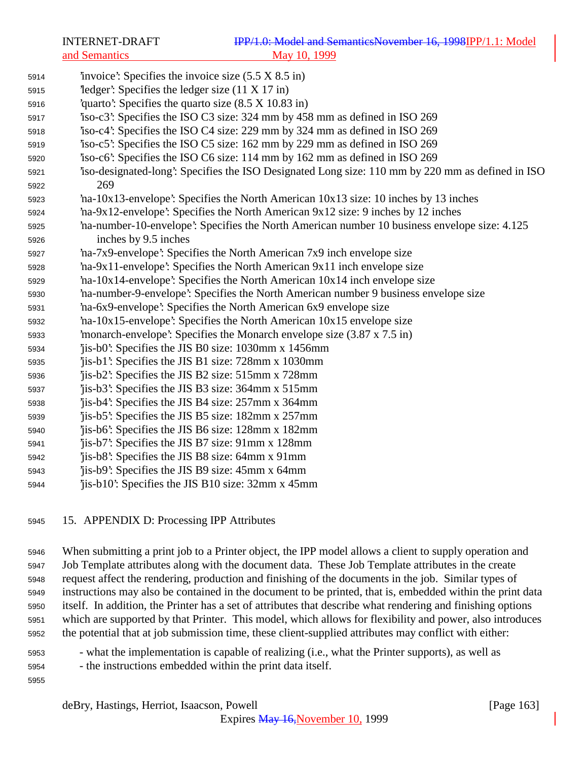'invoice': Specifies the invoice size (5.5 X 8.5 in) 'ledger': Specifies the ledger size (11 X 17 in) 'quarto': Specifies the quarto size (8.5 X 10.83 in) 'iso-c3': Specifies the ISO C3 size: 324 mm by 458 mm as defined in ISO 269 'iso-c4': Specifies the ISO C4 size: 229 mm by 324 mm as defined in ISO 269 'iso-c5': Specifies the ISO C5 size: 162 mm by 229 mm as defined in ISO 269 'iso-c6': Specifies the ISO C6 size: 114 mm by 162 mm as defined in ISO 269 'iso-designated-long': Specifies the ISO Designated Long size: 110 mm by 220 mm as defined in ISO 269 'na-10x13-envelope': Specifies the North American 10x13 size: 10 inches by 13 inches 'na-9x12-envelope': Specifies the North American 9x12 size: 9 inches by 12 inches 'na-number-10-envelope': Specifies the North American number 10 business envelope size: 4.125 inches by 9.5 inches 'na-7x9-envelope': Specifies the North American 7x9 inch envelope size 'na-9x11-envelope': Specifies the North American 9x11 inch envelope size 'na-10x14-envelope': Specifies the North American 10x14 inch envelope size 'na-number-9-envelope': Specifies the North American number 9 business envelope size 'na-6x9-envelope': Specifies the North American 6x9 envelope size 'na-10x15-envelope': Specifies the North American 10x15 envelope size 'monarch-envelope': Specifies the Monarch envelope size (3.87 x 7.5 in) 'jis-b0': Specifies the JIS B0 size: 1030mm x 1456mm 'jis-b1': Specifies the JIS B1 size: 728mm x 1030mm 'jis-b2': Specifies the JIS B2 size: 515mm x 728mm 'jis-b3': Specifies the JIS B3 size: 364mm x 515mm 'jis-b4': Specifies the JIS B4 size: 257mm x 364mm 'jis-b5': Specifies the JIS B5 size: 182mm x 257mm 'jis-b6': Specifies the JIS B6 size: 128mm x 182mm 'jis-b7': Specifies the JIS B7 size: 91mm x 128mm 'jis-b8': Specifies the JIS B8 size: 64mm x 91mm 'jis-b9': Specifies the JIS B9 size: 45mm x 64mm 'jis-b10': Specifies the JIS B10 size: 32mm x 45mm

15. APPENDIX D: Processing IPP Attributes

 When submitting a print job to a Printer object, the IPP model allows a client to supply operation and Job Template attributes along with the document data. These Job Template attributes in the create request affect the rendering, production and finishing of the documents in the job. Similar types of instructions may also be contained in the document to be printed, that is, embedded within the print data itself. In addition, the Printer has a set of attributes that describe what rendering and finishing options which are supported by that Printer. This model, which allows for flexibility and power, also introduces the potential that at job submission time, these client-supplied attributes may conflict with either:

- what the implementation is capable of realizing (i.e., what the Printer supports), as well as - the instructions embedded within the print data itself.
-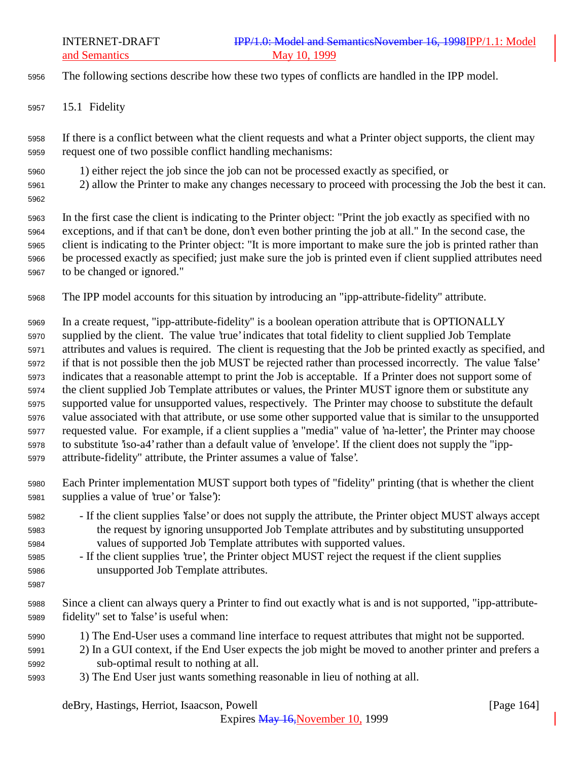- The following sections describe how these two types of conflicts are handled in the IPP model.
- 15.1 Fidelity

 If there is a conflict between what the client requests and what a Printer object supports, the client may request one of two possible conflict handling mechanisms:

- 1) either reject the job since the job can not be processed exactly as specified, or
- 2) allow the Printer to make any changes necessary to proceed with processing the Job the best it can.
- 

 In the first case the client is indicating to the Printer object: "Print the job exactly as specified with no exceptions, and if that can't be done, don't even bother printing the job at all." In the second case, the client is indicating to the Printer object: "It is more important to make sure the job is printed rather than be processed exactly as specified; just make sure the job is printed even if client supplied attributes need to be changed or ignored."

The IPP model accounts for this situation by introducing an "ipp-attribute-fidelity" attribute.

 In a create request, "ipp-attribute-fidelity" is a boolean operation attribute that is OPTIONALLY supplied by the client. The value 'true' indicates that total fidelity to client supplied Job Template attributes and values is required. The client is requesting that the Job be printed exactly as specified, and if that is not possible then the job MUST be rejected rather than processed incorrectly. The value 'false' indicates that a reasonable attempt to print the Job is acceptable. If a Printer does not support some of the client supplied Job Template attributes or values, the Printer MUST ignore them or substitute any supported value for unsupported values, respectively. The Printer may choose to substitute the default value associated with that attribute, or use some other supported value that is similar to the unsupported requested value. For example, if a client supplies a "media" value of 'na-letter', the Printer may choose to substitute 'iso-a4' rather than a default value of 'envelope'. If the client does not supply the "ipp-attribute-fidelity" attribute, the Printer assumes a value of 'false'.

- Each Printer implementation MUST support both types of "fidelity" printing (that is whether the client supplies a value of 'true' or 'false'):
- If the client supplies 'false' or does not supply the attribute, the Printer object MUST always accept the request by ignoring unsupported Job Template attributes and by substituting unsupported values of supported Job Template attributes with supported values.
- If the client supplies 'true', the Printer object MUST reject the request if the client supplies unsupported Job Template attributes.
- 

 Since a client can always query a Printer to find out exactly what is and is not supported, "ipp-attribute-fidelity" set to 'false' is useful when:

- 1) The End-User uses a command line interface to request attributes that might not be supported.
- 2) In a GUI context, if the End User expects the job might be moved to another printer and prefers a sub-optimal result to nothing at all.
- 3) The End User just wants something reasonable in lieu of nothing at all.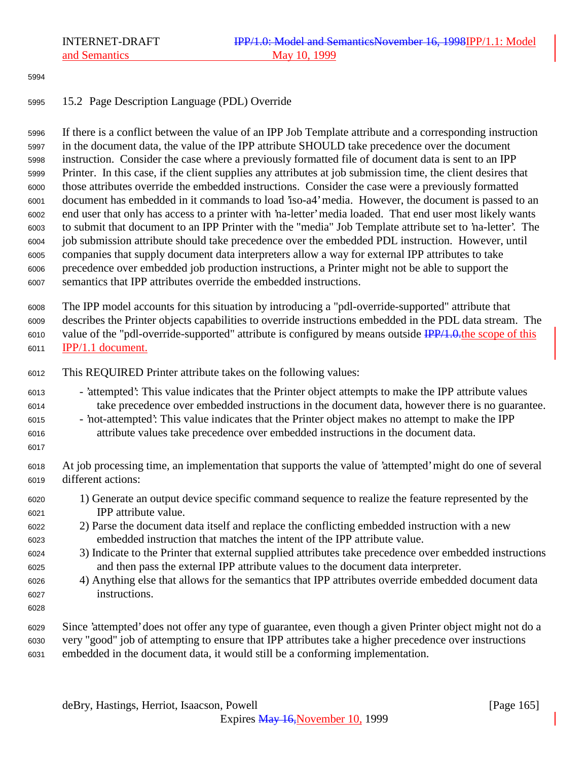#### 

## 15.2 Page Description Language (PDL) Override

 If there is a conflict between the value of an IPP Job Template attribute and a corresponding instruction in the document data, the value of the IPP attribute SHOULD take precedence over the document instruction. Consider the case where a previously formatted file of document data is sent to an IPP Printer. In this case, if the client supplies any attributes at job submission time, the client desires that those attributes override the embedded instructions. Consider the case were a previously formatted document has embedded in it commands to load 'iso-a4' media. However, the document is passed to an end user that only has access to a printer with 'na-letter' media loaded. That end user most likely wants to submit that document to an IPP Printer with the "media" Job Template attribute set to 'na-letter'. The job submission attribute should take precedence over the embedded PDL instruction. However, until companies that supply document data interpreters allow a way for external IPP attributes to take precedence over embedded job production instructions, a Printer might not be able to support the semantics that IPP attributes override the embedded instructions.

 The IPP model accounts for this situation by introducing a "pdl-override-supported" attribute that describes the Printer objects capabilities to override instructions embedded in the PDL data stream. The 6010 value of the "pdl-override-supported" attribute is configured by means outside  $\frac{IPP}{1.0.0}$  the scope of this IPP/1.1 document.

- This REQUIRED Printer attribute takes on the following values:
- 'attempted': This value indicates that the Printer object attempts to make the IPP attribute values take precedence over embedded instructions in the document data, however there is no guarantee.
- 'not-attempted': This value indicates that the Printer object makes no attempt to make the IPP attribute values take precedence over embedded instructions in the document data.
- 
- At job processing time, an implementation that supports the value of 'attempted' might do one of several different actions:
- 1) Generate an output device specific command sequence to realize the feature represented by the IPP attribute value.
- 2) Parse the document data itself and replace the conflicting embedded instruction with a new embedded instruction that matches the intent of the IPP attribute value.
- 3) Indicate to the Printer that external supplied attributes take precedence over embedded instructions and then pass the external IPP attribute values to the document data interpreter.
- 4) Anything else that allows for the semantics that IPP attributes override embedded document data instructions.
- 
- Since 'attempted' does not offer any type of guarantee, even though a given Printer object might not do a very "good" job of attempting to ensure that IPP attributes take a higher precedence over instructions embedded in the document data, it would still be a conforming implementation.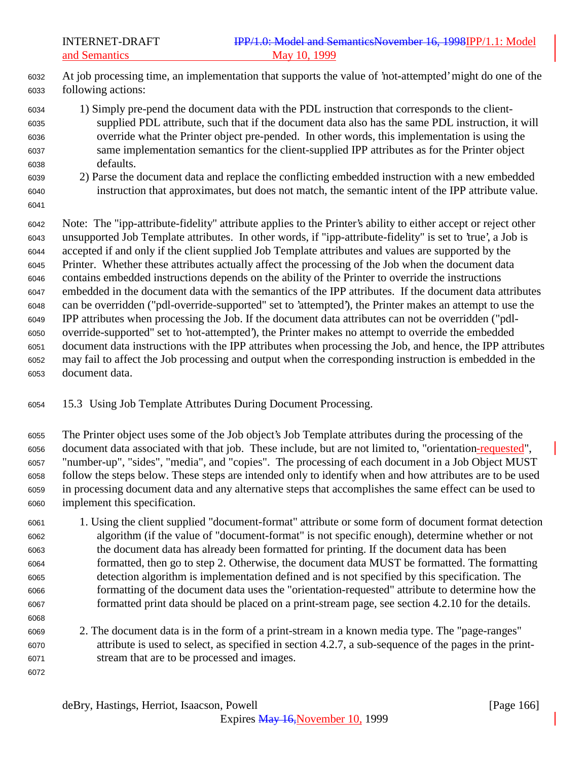At job processing time, an implementation that supports the value of 'not-attempted' might do one of the following actions:

- 1) Simply pre-pend the document data with the PDL instruction that corresponds to the client- supplied PDL attribute, such that if the document data also has the same PDL instruction, it will override what the Printer object pre-pended. In other words, this implementation is using the same implementation semantics for the client-supplied IPP attributes as for the Printer object defaults.
- 2) Parse the document data and replace the conflicting embedded instruction with a new embedded instruction that approximates, but does not match, the semantic intent of the IPP attribute value.
- 

 Note: The "ipp-attribute-fidelity" attribute applies to the Printer's ability to either accept or reject other unsupported Job Template attributes. In other words, if "ipp-attribute-fidelity" is set to 'true', a Job is accepted if and only if the client supplied Job Template attributes and values are supported by the Printer. Whether these attributes actually affect the processing of the Job when the document data contains embedded instructions depends on the ability of the Printer to override the instructions embedded in the document data with the semantics of the IPP attributes. If the document data attributes can be overridden ("pdl-override-supported" set to 'attempted'), the Printer makes an attempt to use the IPP attributes when processing the Job. If the document data attributes can not be overridden ("pdl- override-supported" set to 'not-attempted'), the Printer makes no attempt to override the embedded document data instructions with the IPP attributes when processing the Job, and hence, the IPP attributes may fail to affect the Job processing and output when the corresponding instruction is embedded in the document data.

15.3 Using Job Template Attributes During Document Processing.

 The Printer object uses some of the Job object's Job Template attributes during the processing of the document data associated with that job. These include, but are not limited to, "orientation-requested", "number-up", "sides", "media", and "copies". The processing of each document in a Job Object MUST follow the steps below. These steps are intended only to identify when and how attributes are to be used in processing document data and any alternative steps that accomplishes the same effect can be used to implement this specification.

- 1. Using the client supplied "document-format" attribute or some form of document format detection algorithm (if the value of "document-format" is not specific enough), determine whether or not the document data has already been formatted for printing. If the document data has been formatted, then go to step 2. Otherwise, the document data MUST be formatted. The formatting detection algorithm is implementation defined and is not specified by this specification. The formatting of the document data uses the "orientation-requested" attribute to determine how the formatted print data should be placed on a print-stream page, see section 4.2.10 for the details.
- 2. The document data is in the form of a print-stream in a known media type. The "page-ranges" attribute is used to select, as specified in section 4.2.7, a sub-sequence of the pages in the print-stream that are to be processed and images.
-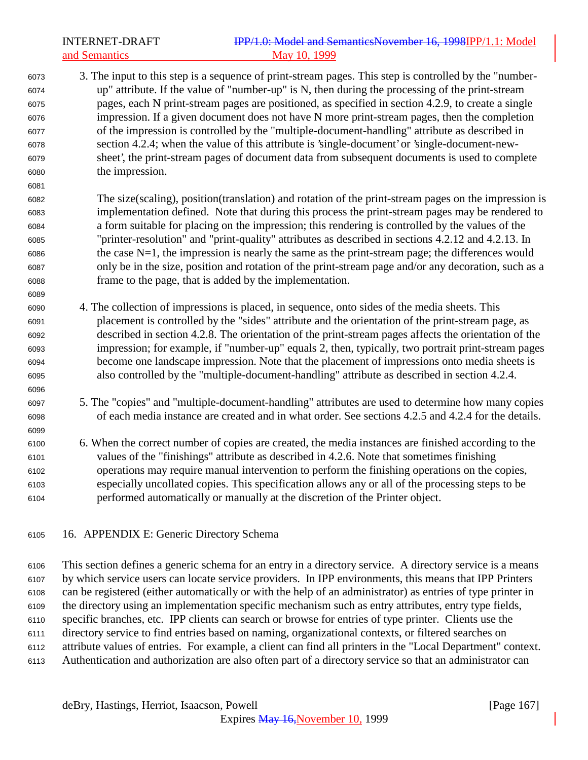INTERNET-DRAFT **IPP/1.0: Model and SemanticsNovember 16, 1998IPP/1.1: Model** and Semantics May 10, 1999 3. The input to this step is a sequence of print-stream pages. This step is controlled by the "number- up" attribute. If the value of "number-up" is N, then during the processing of the print-stream pages, each N print-stream pages are positioned, as specified in section 4.2.9, to create a single impression. If a given document does not have N more print-stream pages, then the completion

 of the impression is controlled by the "multiple-document-handling" attribute as described in section 4.2.4; when the value of this attribute is 'single-document' or 'single-document-new- sheet', the print-stream pages of document data from subsequent documents is used to complete the impression.

 The size(scaling), position(translation) and rotation of the print-stream pages on the impression is implementation defined. Note that during this process the print-stream pages may be rendered to a form suitable for placing on the impression; this rendering is controlled by the values of the "printer-resolution" and "print-quality" attributes as described in sections 4.2.12 and 4.2.13. In the case N=1, the impression is nearly the same as the print-stream page; the differences would only be in the size, position and rotation of the print-stream page and/or any decoration, such as a frame to the page, that is added by the implementation.

- 4. The collection of impressions is placed, in sequence, onto sides of the media sheets. This placement is controlled by the "sides" attribute and the orientation of the print-stream page, as described in section 4.2.8. The orientation of the print-stream pages affects the orientation of the impression; for example, if "number-up" equals 2, then, typically, two portrait print-stream pages become one landscape impression. Note that the placement of impressions onto media sheets is also controlled by the "multiple-document-handling" attribute as described in section 4.2.4.
- 5. The "copies" and "multiple-document-handling" attributes are used to determine how many copies of each media instance are created and in what order. See sections 4.2.5 and 4.2.4 for the details.
- 6. When the correct number of copies are created, the media instances are finished according to the values of the "finishings" attribute as described in 4.2.6. Note that sometimes finishing operations may require manual intervention to perform the finishing operations on the copies, especially uncollated copies. This specification allows any or all of the processing steps to be performed automatically or manually at the discretion of the Printer object.
- 16. APPENDIX E: Generic Directory Schema

 This section defines a generic schema for an entry in a directory service. A directory service is a means by which service users can locate service providers. In IPP environments, this means that IPP Printers can be registered (either automatically or with the help of an administrator) as entries of type printer in the directory using an implementation specific mechanism such as entry attributes, entry type fields, specific branches, etc. IPP clients can search or browse for entries of type printer. Clients use the directory service to find entries based on naming, organizational contexts, or filtered searches on attribute values of entries. For example, a client can find all printers in the "Local Department" context. Authentication and authorization are also often part of a directory service so that an administrator can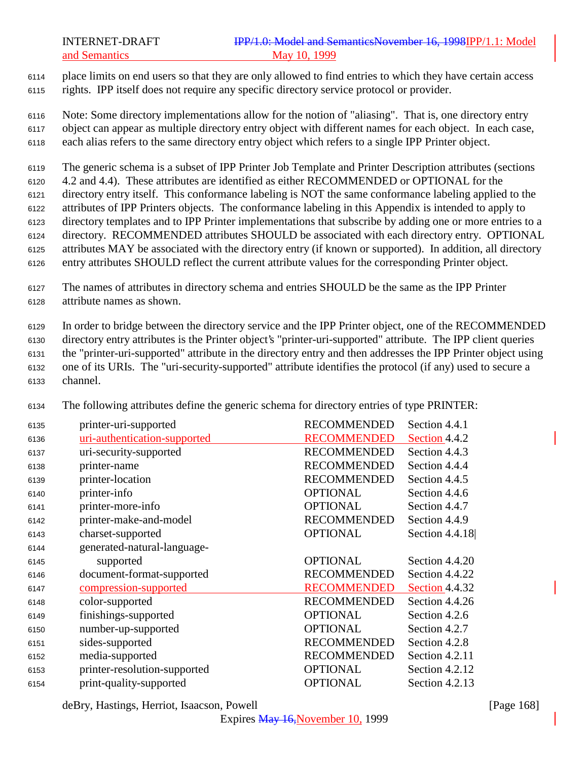place limits on end users so that they are only allowed to find entries to which they have certain access rights. IPP itself does not require any specific directory service protocol or provider.

 Note: Some directory implementations allow for the notion of "aliasing". That is, one directory entry object can appear as multiple directory entry object with different names for each object. In each case, each alias refers to the same directory entry object which refers to a single IPP Printer object.

The generic schema is a subset of IPP Printer Job Template and Printer Description attributes (sections

4.2 and 4.4). These attributes are identified as either RECOMMENDED or OPTIONAL for the

directory entry itself. This conformance labeling is NOT the same conformance labeling applied to the

 attributes of IPP Printers objects. The conformance labeling in this Appendix is intended to apply to directory templates and to IPP Printer implementations that subscribe by adding one or more entries to a

- directory. RECOMMENDED attributes SHOULD be associated with each directory entry. OPTIONAL
- attributes MAY be associated with the directory entry (if known or supported). In addition, all directory
- entry attributes SHOULD reflect the current attribute values for the corresponding Printer object.

 The names of attributes in directory schema and entries SHOULD be the same as the IPP Printer attribute names as shown.

 In order to bridge between the directory service and the IPP Printer object, one of the RECOMMENDED directory entry attributes is the Printer object's "printer-uri-supported" attribute. The IPP client queries the "printer-uri-supported" attribute in the directory entry and then addresses the IPP Printer object using one of its URIs. The "uri-security-supported" attribute identifies the protocol (if any) used to secure a channel.

| 6135 | printer-uri-supported        | <b>RECOMMENDED</b> | Section 4.4.1  |
|------|------------------------------|--------------------|----------------|
| 6136 | uri-authentication-supported | <b>RECOMMENDED</b> | Section 4.4.2  |
| 6137 | uri-security-supported       | <b>RECOMMENDED</b> | Section 4.4.3  |
| 6138 | printer-name                 | <b>RECOMMENDED</b> | Section 4.4.4  |
| 6139 | printer-location             | <b>RECOMMENDED</b> | Section 4.4.5  |
| 6140 | printer-info                 | <b>OPTIONAL</b>    | Section 4.4.6  |
| 6141 | printer-more-info            | <b>OPTIONAL</b>    | Section 4.4.7  |
| 6142 | printer-make-and-model       | <b>RECOMMENDED</b> | Section 4.4.9  |
| 6143 | charset-supported            | <b>OPTIONAL</b>    | Section 4.4.18 |
| 6144 | generated-natural-language-  |                    |                |
| 6145 | supported                    | <b>OPTIONAL</b>    | Section 4.4.20 |
| 6146 | document-format-supported    | <b>RECOMMENDED</b> | Section 4.4.22 |
| 6147 | compression-supported        | <b>RECOMMENDED</b> | Section 4.4.32 |
| 6148 | color-supported              | <b>RECOMMENDED</b> | Section 4.4.26 |
| 6149 | finishings-supported         | <b>OPTIONAL</b>    | Section 4.2.6  |
| 6150 | number-up-supported          | <b>OPTIONAL</b>    | Section 4.2.7  |
| 6151 | sides-supported              | <b>RECOMMENDED</b> | Section 4.2.8  |
| 6152 | media-supported              | <b>RECOMMENDED</b> | Section 4.2.11 |
| 6153 | printer-resolution-supported | <b>OPTIONAL</b>    | Section 4.2.12 |
| 6154 | print-quality-supported      | <b>OPTIONAL</b>    | Section 4.2.13 |
|      |                              |                    |                |

The following attributes define the generic schema for directory entries of type PRINTER:

deBry, Hastings, Herriot, Isaacson, Powell **company** and the company of the company in the company of the company of the company of the company of the company of the company of the company of the company of the company of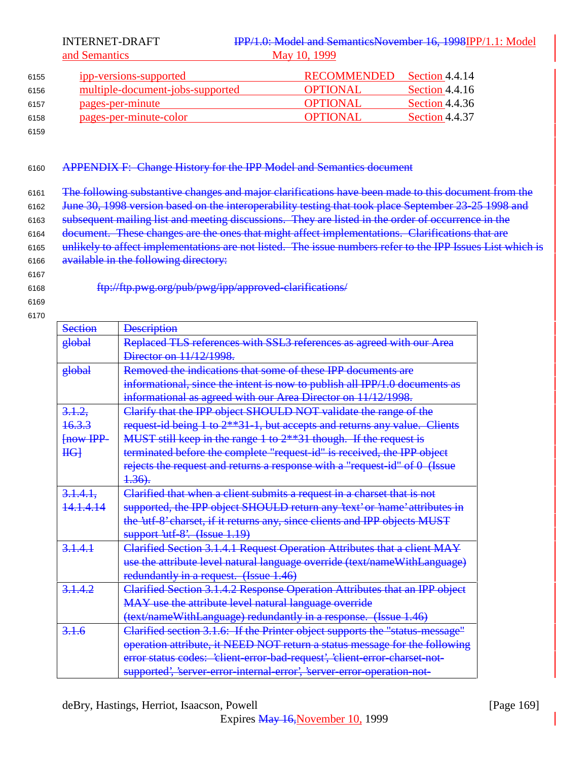| 6155 | ipp-versions-supported           | RECOMMENDED     | Section 4.4.14 |
|------|----------------------------------|-----------------|----------------|
| 6156 | multiple-document-jobs-supported | <b>OPTIONAL</b> | Section 4.4.16 |
| 6157 | pages-per-minute                 | <b>OPTIONAL</b> | Section 4.4.36 |
| 6158 | pages-per-minute-color           | <b>OPTIONAL</b> | Section 4.4.37 |
|      |                                  |                 |                |

6159

### <sup>6160</sup> APPENDIX F: Change History for the IPP Model and Semantics document

<sup>6161</sup> The following substantive changes and major clarifications have been made to this document from the

6162 June 30, 1998 version based on the interoperability testing that took place September 23-25 1998 and

<sup>6163</sup> subsequent mailing list and meeting discussions. They are listed in the order of occurrence in the

6164 document. These changes are the ones that might affect implementations. Clarifications that are

- 6165 unlikely to affect implementations are not listed. The issue numbers refer to the IPP Issues List which is 6166 available in the following directory:
- 6167
- 

6168 ftp://ftp.pwg.org/pub/pwg/ipp/approved-clarifications/

| <b>Section</b>       | <b>Description</b>                                                           |
|----------------------|------------------------------------------------------------------------------|
| global               | Replaced TLS references with SSL3 references as agreed with our Area         |
|                      | Director on $11/12/1998$ .                                                   |
| global               | Removed the indications that some of these IPP documents are                 |
|                      | informational, since the intent is now to publish all IPP/1.0 documents as   |
|                      | informational as agreed with our Area Director on 11/12/1998.                |
| 3.1.2,               | Clarify that the IPP object SHOULD NOT validate the range of the             |
| <del>16.3.3</del>    | request-id being 1 to 2**31-1, but accepts and returns any value. Clients    |
| Fnow IPP             | MUST still keep in the range $1$ to $2**31$ though. If the request is        |
| H <sub>0</sub>       | terminated before the complete "request id" is received, the IPP object      |
|                      | rejects the request and returns a response with a "request-id" of 0 (Issue   |
|                      | <del>1.36).</del>                                                            |
| 3.1.4.1              | Clarified that when a client submits a request in a charset that is not      |
| <del>14.1.4.14</del> | supported, the IPP object SHOULD return any 'text' or 'name' attributes in   |
|                      | the 'utf 8' charset, if it returns any, since clients and IPP objects MUST   |
|                      | $\frac{\text{support 'utf-8'. (Issue 1.19)}}{S(1)}$                          |
| $3 + 4 + 1$          | Clarified Section 3.1.4.1 Request Operation Attributes that a client MAY     |
|                      | use the attribute level natural language override (text/nameWithLanguage)    |
|                      | redundantly in a request. (Issue 1.46)                                       |
| 3,1.4.2              | Clarified Section 3.1.4.2 Response Operation Attributes that an IPP object   |
|                      | MAY use the attribute level natural language override                        |
|                      | (text/nameWithLanguage) redundantly in a response. (Issue 1.46)              |
| 3,1.6                | Clarified section 3.1.6: If the Printer object supports the "status message" |
|                      | operation attribute, it NEED NOT return a status message for the following   |
|                      | error status codes: 'client-error-bad-request', 'client-error-charset-not-   |
|                      | supported', 'server-error-internal-error', 'server-error-operation-not-      |
|                      |                                                                              |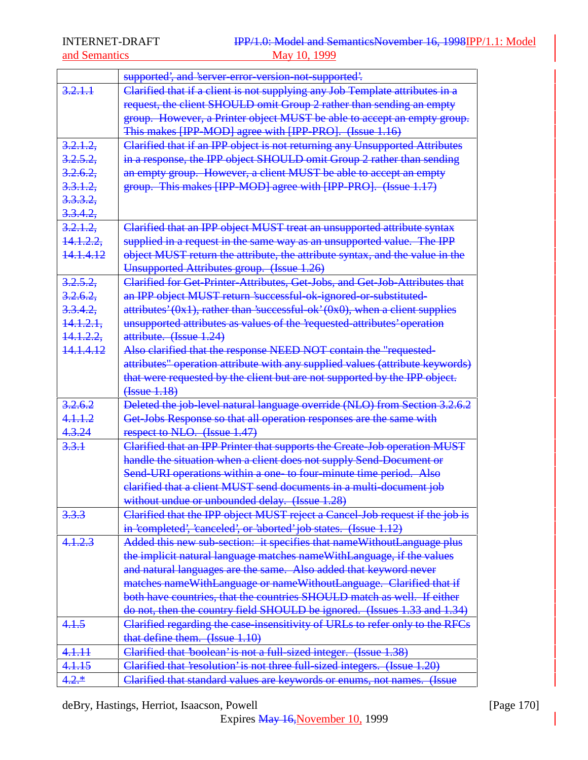and Semantics

|                      | supported', and 'server error version not supported'.                                      |
|----------------------|--------------------------------------------------------------------------------------------|
| 3,2,1,1              | Clarified that if a client is not supplying any Job Template attributes in a               |
|                      | request, the client SHOULD omit Group 2 rather than sending an empty                       |
|                      | group. However, a Printer object MUST be able to accept an empty group.                    |
|                      | This makes [IPP-MOD] agree with [IPP-PRO]. (Issue 1.16)                                    |
| 3.2.1.2              | Clarified that if an IPP object is not returning any Unsupported Attributes                |
| 3.2.5.2              | in a response, the IPP object SHOULD omit Group 2 rather than sending                      |
| 3.2.6.2              | an empty group. However, a client MUST be able to accept an empty                          |
| 3.3.1.2              | group. This makes [IPP-MOD] agree with [IPP-PRO]. (Issue 1.17)                             |
| <del>3.3.3.2,</del>  |                                                                                            |
| <del>3.3.4.2,</del>  |                                                                                            |
| 3.2.1.2              | Clarified that an IPP object MUST treat an unsupported attribute syntax                    |
| <del>14.1.2.2,</del> | supplied in a request in the same way as an unsupported value. The IPP                     |
| <del>14.1.4.12</del> | object MUST return the attribute, the attribute syntax, and the value in the               |
|                      | Unsupported Attributes group. (Issue 1.26)                                                 |
| 3.2.5.2              | Clarified for Get-Printer-Attributes, Get-Jobs, and Get-Job-Attributes that                |
| 3.2.6.2              | an IPP object MUST return 'successful-ok-ignored-or-substituted-                           |
| 3.3.4.2,             | $\frac{1}{2}$ attributes' (0x1), rather than 'successful ok' (0x0), when a client supplies |
| <del>14.1.2.1,</del> | unsupported attributes as values of the requested attributes' operation                    |
| <del>14.1.2.2,</del> | attribute. (Issue 1.24)                                                                    |
| <del>14.1.4.12</del> | Also clarified that the response NEED NOT contain the "requested-                          |
|                      | attributes" operation attribute with any supplied values (attribute keywords)              |
|                      | that were requested by the client but are not supported by the IPP object.                 |
|                      | (Issue 1.18)                                                                               |
| 3.2.6.2              | Deleted the job-level natural language override (NLO) from Section 3.2.6.2                 |
| 4.1.1.2              | Get-Jobs Response so that all operation responses are the same with                        |
| 4.3.24               | respect to NLO. (Issue 1.47)                                                               |
| 3.3.1                | Clarified that an IPP Printer that supports the Create-Job operation MUST                  |
|                      | handle the situation when a client does not supply Send-Document or                        |
|                      | Send-URI operations within a one- to four-minute time period. Also                         |
|                      | elarified that a client MUST send documents in a multi-document job                        |
|                      | without undue or unbounded delay. (Issue 1.28)                                             |
| 3.3.3                | Clarified that the IPP object MUST reject a Cancel-Job request if the job is               |
|                      | in 'completed', 'canceled', or 'aborted' job states. (Issue 1.12)                          |
| 4.1.2.3              | Added this new sub-section: it specifies that nameWithoutLanguage plus                     |
|                      | the implicit natural language matches name With Language, if the values                    |
|                      | and natural languages are the same. Also added that keyword never                          |
|                      | matches nameWithLanguage or nameWithoutLanguage. Clarified that if                         |
|                      | both have countries, that the countries SHOULD match as well. If either                    |
|                      | do not, then the country field SHOULD be ignored. (Issues 1.33 and 1.34)                   |
| 4.1.5                | Clarified regarding the case insensitivity of URLs to refer only to the RFCs               |
|                      | that define them. (Issue 1.10)                                                             |
| 4.1.11               | Clarified that 'boolean' is not a full-sized integer. (Issue 1.38)                         |
| 4.1.15               | Clarified that 'resolution' is not three full-sized integers. (Issue 1.20)                 |
| $4.2.*$              | Clarified that standard values are keywords or enums, not names. (Issue                    |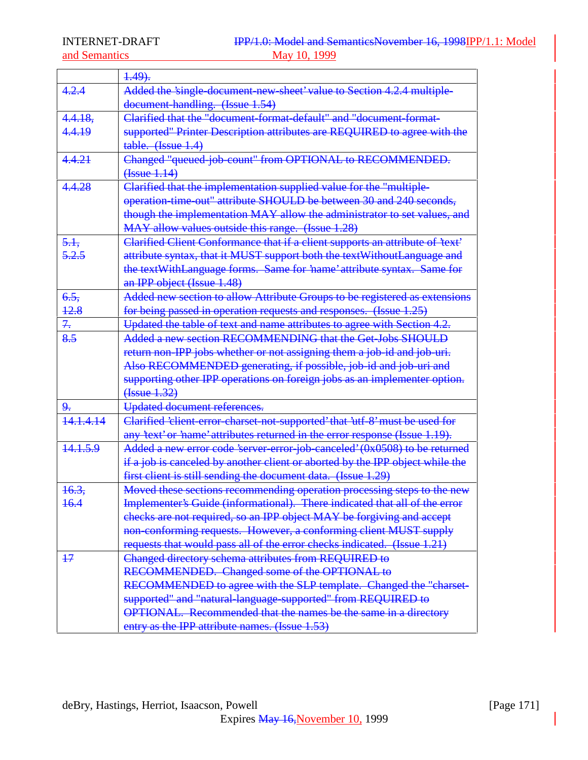|           | $4.49$ .                                                                      |
|-----------|-------------------------------------------------------------------------------|
| 4.2.4     | Added the 'single document new sheet' value to Section 4.2.4 multiple-        |
|           | document handling. (Issue 1.54)                                               |
| 4.4.18.   | Clarified that the "document-format-default" and "document-format-            |
| 4.4.19    | supported" Printer Description attributes are REQUIRED to agree with the      |
|           | table. (Issue 1.4)                                                            |
| 4.4.21    | Changed "queued-job-count" from OPTIONAL to RECOMMENDED.                      |
|           | ( <b>Issue</b> 1.14)                                                          |
| 4.4.28    | Clarified that the implementation supplied value for the "multiple-           |
|           | operation time out" attribute SHOULD be between 30 and 240 seconds,           |
|           | though the implementation MAY allow the administrator to set values, and      |
|           | MAY allow values outside this range. (Issue 1.28)                             |
| 5.1       | Clarified Client Conformance that if a client supports an attribute of 'text' |
| 5.2.5     | attribute syntax, that it MUST support both the textWithoutLanguage and       |
|           | the textWithLanguage forms. Same for 'name' attribute syntax. Same for        |
|           | an IPP object (Issue 1.48)                                                    |
| 6.5.      | Added new section to allow Attribute Groups to be registered as extensions    |
| 42.8      | for being passed in operation requests and responses. (Issue 1.25)            |
| 7.        | Updated the table of text and name attributes to agree with Section 4.2.      |
| 8.5       | Added a new section RECOMMENDING that the Get-Jobs SHOULD                     |
|           | return non-IPP jobs whether or not assigning them a job-id and job-uri.       |
|           | Also RECOMMENDED generating, if possible, job-id and job-uri and              |
|           | supporting other IPP operations on foreign jobs as an implementer option.     |
|           | (Issue 1.32)                                                                  |
| 9.        | Updated document references.                                                  |
| 14.1.4.14 | Clarified 'client error charset not supported' that 'utf 8' must be used for  |
|           | any 'text' or 'name' attributes returned in the error response (Issue 1.19).  |
| 14.1.5.9  | Added a new error code 'server-error-job-canceled' (0x0508) to be returned    |
|           | if a job is canceled by another client or aborted by the IPP object while the |
|           | first client is still sending the document data. (Issue 1.29)                 |
| 16.3,     | Moved these sections recommending operation processing steps to the new       |
| 16.4      | Implementer's Guide (informational). There indicated that all of the error    |
|           | checks are not required, so an IPP object MAY be forgiving and accept         |
|           | non-conforming requests. However, a conforming client MUST supply             |
|           | requests that would pass all of the error checks indicated. (Issue 1.21)      |
| $+7$      | Changed directory schema attributes from REQUIRED to                          |
|           | RECOMMENDED. Changed some of the OPTIONAL to                                  |
|           | RECOMMENDED to agree with the SLP template. Changed the "charset-             |
|           | supported" and "natural-language-supported" from REQUIRED to                  |
|           | <b>OPTIONAL.</b> Recommended that the names be the same in a directory        |
|           | entry as the IPP attribute names. (Issue 1.53)                                |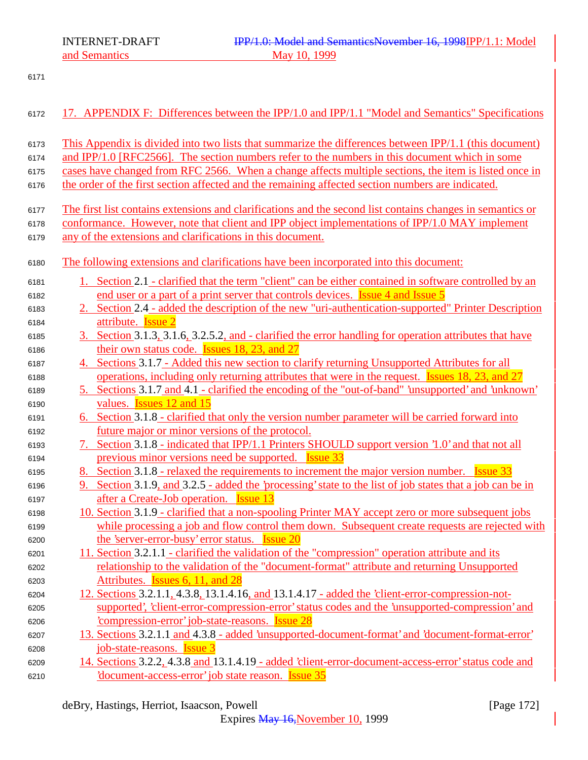and Semantics

| 6172 | 17. APPENDIX F: Differences between the IPP/1.0 and IPP/1.1 "Model and Semantics" Specifications           |
|------|------------------------------------------------------------------------------------------------------------|
| 6173 | This Appendix is divided into two lists that summarize the differences between IPP/1.1 (this document)     |
| 6174 | and IPP/1.0 [RFC2566]. The section numbers refer to the numbers in this document which in some             |
| 6175 | cases have changed from RFC 2566. When a change affects multiple sections, the item is listed once in      |
| 6176 | the order of the first section affected and the remaining affected section numbers are indicated.          |
| 6177 | The first list contains extensions and clarifications and the second list contains changes in semantics or |
| 6178 | conformance. However, note that client and IPP object implementations of IPP/1.0 MAY implement             |
| 6179 | any of the extensions and clarifications in this document.                                                 |
| 6180 | The following extensions and clarifications have been incorporated into this document:                     |
| 6181 | 1. Section 2.1 - clarified that the term "client" can be either contained in software controlled by an     |
| 6182 | end user or a part of a print server that controls devices. <b>Issue 4 and Issue 5</b>                     |
| 6183 | 2. Section 2.4 - added the description of the new "uri-authentication-supported" Printer Description       |
| 6184 | attribute. <b>Issue 2</b>                                                                                  |
| 6185 | 3. Section 3.1.3, 3.1.6, 3.2.5.2, and - clarified the error handling for operation attributes that have    |
| 6186 | their own status code. <b>Issues 18, 23, and 27</b>                                                        |
| 6187 | 4. Sections 3.1.7 - Added this new section to clarify returning Unsupported Attributes for all             |
| 6188 | operations, including only returning attributes that were in the request. Issues 18, 23, and 27            |
| 6189 | 5. Sections 3.1.7 and 4.1 - clarified the encoding of the "out-of-band" 'unsupported' and 'unknown'        |
| 6190 | values. <b>Issues</b> 12 and 15                                                                            |
| 6191 | 6. Section 3.1.8 - clarified that only the version number parameter will be carried forward into           |
| 6192 | future major or minor versions of the protocol.                                                            |
| 6193 | 7. Section 3.1.8 - indicated that IPP/1.1 Printers SHOULD support version '1.0' and that not all           |
| 6194 | previous minor versions need be supported. Issue 33                                                        |
| 6195 | 8. Section 3.1.8 - relaxed the requirements to increment the major version number. Issue 33                |
| 6196 | 9. Section 3.1.9, and 3.2.5 - added the 'processing' state to the list of job states that a job can be in  |
| 6197 | after a Create-Job operation. <b>Issue 13</b>                                                              |
| 6198 | 10. Section 3.1.9 - clarified that a non-spooling Printer MAY accept zero or more subsequent jobs          |
| 6199 | while processing a job and flow control them down. Subsequent create requests are rejected with            |
| 6200 | the 'server-error-busy' error status. <b>Issue 20</b>                                                      |
| 6201 | 11. Section 3.2.1.1 - clarified the validation of the "compression" operation attribute and its            |
| 6202 | relationship to the validation of the "document-format" attribute and returning Unsupported                |
| 6203 | Attributes. Issues 6, 11, and 28                                                                           |
| 6204 | 12. Sections 3.2.1.1, 4.3.8, 13.1.4.16, and 13.1.4.17 - added the 'client-error-compression-not-           |
| 6205 | supported', 'client-error-compression-error' status codes and the 'unsupported-compression' and            |
| 6206 | <i>compression-error'</i> job-state-reasons. <b>Issue 28</b>                                               |
| 6207 | 13. Sections 3.2.1.1 and 4.3.8 - added 'unsupported-document-format' and 'document-format-error'           |
| 6208 | job-state-reasons. <b>Issue 3</b>                                                                          |
| 6209 | 14. Sections 3.2.2, 4.3.8 and 13.1.4.19 - added 'client-error-document-access-error' status code and       |
| 6210 | document-access-error' job state reason. Issue 35                                                          |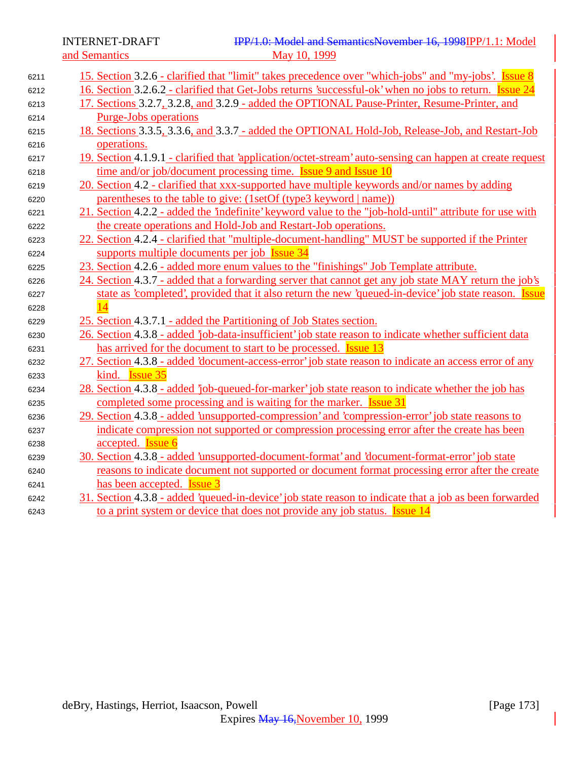and Semantics

| 6211 | 15. Section 3.2.6 - clarified that "limit" takes precedence over "which-jobs" and "my-jobs'. Issue 8          |
|------|---------------------------------------------------------------------------------------------------------------|
| 6212 | 16. Section 3.2.6.2 - clarified that Get-Jobs returns 'successful-ok' when no jobs to return. <b>Issue 24</b> |
| 6213 | 17. Sections 3.2.7, 3.2.8, and 3.2.9 - added the OPTIONAL Pause-Printer, Resume-Printer, and                  |
| 6214 | <b>Purge-Jobs operations</b>                                                                                  |
| 6215 | 18. Sections 3.3.5, 3.3.6, and 3.3.7 - added the OPTIONAL Hold-Job, Release-Job, and Restart-Job              |
| 6216 | operations.                                                                                                   |
| 6217 | 19. Section 4.1.9.1 - clarified that 'application/octet-stream' auto-sensing can happen at create request     |
| 6218 | time and/or job/document processing time. <b>Issue 9 and Issue 10</b>                                         |
| 6219 | 20. Section 4.2 - clarified that xxx-supported have multiple keywords and/or names by adding                  |
| 6220 | parentheses to the table to give: (1setOf (type3 keyword   name))                                             |
| 6221 | 21. Section 4.2.2 - added the 'indefinite' keyword value to the "job-hold-until" attribute for use with       |
| 6222 | the create operations and Hold-Job and Restart-Job operations.                                                |
| 6223 | 22. Section 4.2.4 - clarified that "multiple-document-handling" MUST be supported if the Printer              |
| 6224 | supports multiple documents per job Issue 34                                                                  |
| 6225 | 23. Section 4.2.6 - added more enum values to the "finishings" Job Template attribute.                        |
| 6226 | 24. Section 4.3.7 - added that a forwarding server that cannot get any job state MAY return the job's         |
| 6227 | state as 'completed', provided that it also return the new 'queued-in-device' job state reason. Issue         |
| 6228 |                                                                                                               |
| 6229 | 25. Section 4.3.7.1 - added the Partitioning of Job States section.                                           |
| 6230 | 26. Section 4.3.8 - added 'job-data-insufficient' job state reason to indicate whether sufficient data        |
| 6231 | has arrived for the document to start to be processed. <b>Issue 13</b>                                        |
| 6232 | 27. Section 4.3.8 - added 'document-access-error' job state reason to indicate an access error of any         |
| 6233 | kind. <b>Issue 35</b>                                                                                         |
| 6234 | 28. Section 4.3.8 - added 'job-queued-for-marker' job state reason to indicate whether the job has            |
| 6235 | completed some processing and is waiting for the marker. <b>Issue 31</b>                                      |
| 6236 | 29. Section 4.3.8 - added 'unsupported-compression' and 'compression-error' job state reasons to              |
| 6237 | indicate compression not supported or compression processing error after the create has been                  |
| 6238 | accepted. <b>Issue 6</b>                                                                                      |
| 6239 | 30. Section 4.3.8 - added 'unsupported-document-format' and 'document-format-error' job state                 |
| 6240 | reasons to indicate document not supported or document format processing error after the create               |
| 6241 | has been accepted. <b>Issue 3</b>                                                                             |
| 6242 | 31. Section 4.3.8 - added 'queued-in-device' job state reason to indicate that a job as been forwarded        |
| 6243 | to a print system or device that does not provide any job status. <b>Issue 14</b>                             |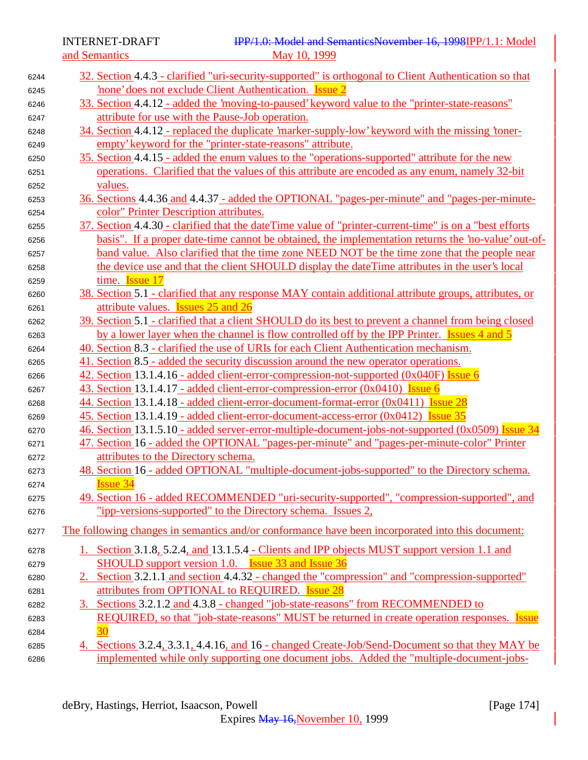| 6244 | 32. Section 4.4.3 - clarified "uri-security-supported" is orthogonal to Client Authentication so that    |
|------|----------------------------------------------------------------------------------------------------------|
| 6245 | none' does not exclude Client Authentication. Issue 2                                                    |
| 6246 | 33. Section 4.4.12 - added the 'moving-to-paused' keyword value to the "printer-state-reasons"           |
| 6247 | attribute for use with the Pause-Job operation.                                                          |
| 6248 | 34. Section 4.4.12 - replaced the duplicate 'marker-supply-low' keyword with the missing 'toner-         |
| 6249 | empty' keyword for the "printer-state-reasons" attribute.                                                |
| 6250 | 35. Section 4.4.15 - added the enum values to the "operations-supported" attribute for the new           |
| 6251 | operations. Clarified that the values of this attribute are encoded as any enum, namely 32-bit           |
| 6252 | values.                                                                                                  |
| 6253 | 36. Sections 4.4.36 and 4.4.37 - added the OPTIONAL "pages-per-minute" and "pages-per-minute-            |
| 6254 | color" Printer Description attributes.                                                                   |
| 6255 | 37. Section 4.4.30 - clarified that the date Time value of "printer-current-time" is on a "best efforts" |
| 6256 | basis". If a proper date-time cannot be obtained, the implementation returns the 'no-value' out-of-      |
| 6257 | band value. Also clarified that the time zone NEED NOT be the time zone that the people near             |
| 6258 | the device use and that the client SHOULD display the dateTime attributes in the user's local            |
| 6259 | time. <b>Issue 17</b>                                                                                    |
| 6260 | 38. Section 5.1 - clarified that any response MAY contain additional attribute groups, attributes, or    |
| 6261 | attribute values. Issues 25 and 26                                                                       |
| 6262 | 39. Section 5.1 - clarified that a client SHOULD do its best to prevent a channel from being closed      |
| 6263 | by a lower layer when the channel is flow controlled off by the IPP Printer. Issues 4 and 5              |
| 6264 | 40. Section 8.3 - clarified the use of URIs for each Client Authentication mechanism.                    |
| 6265 | 41. Section 8.5 - added the security discussion around the new operator operations.                      |
| 6266 | 42. Section 13.1.4.16 - added client-error-compression-not-supported (0x040F) Issue 6                    |
| 6267 | 43. Section 13.1.4.17 - added client-error-compression-error (0x0410) Issue 6                            |
| 6268 | 44. Section 13.1.4.18 - added client-error-document-format-error (0x0411) Issue 28                       |
| 6269 | <u>45. Section 13.1.4.19 - added client-error-document-access-error (0x0412) Issue 35</u>                |
| 6270 | 46. Section 13.1.5.10 - added server-error-multiple-document-jobs-not-supported (0x0509) Issue 34        |
| 6271 | 47. Section 16 - added the OPTIONAL "pages-per-minute" and "pages-per-minute-color" Printer              |
| 6272 | attributes to the Directory schema.                                                                      |
| 6273 | 48. Section 16 - added OPTIONAL "multiple-document-jobs-supported" to the Directory schema.              |
| 6274 | <b>Issue 34</b>                                                                                          |
| 6275 | 49. Section 16 - added RECOMMENDED "uri-security-supported", "compression-supported", and                |
| 6276 | "ipp-versions-supported" to the Directory schema. Issues 2,                                              |
| 6277 | The following changes in semantics and/or conformance have been incorporated into this document:         |
| 6278 | <u>1. Section 3.1.8, 5.2.4, and 13.1.5.4 - Clients and IPP objects MUST support version 1.1 and</u>      |
| 6279 | SHOULD support version 1.0. Issue 33 and Issue 36                                                        |
| 6280 | 2. Section 3.2.1.1 and section 4.4.32 - changed the "compression" and "compression-supported"            |
| 6281 | attributes from OPTIONAL to REQUIRED. Issue 28                                                           |
| 6282 | 3. Sections 3.2.1.2 and 4.3.8 - changed "job-state-reasons" from RECOMMENDED to                          |
| 6283 | REQUIRED, so that "job-state-reasons" MUST be returned in create operation responses. Issue              |
| 6284 |                                                                                                          |
| 6285 | 4. Sections 3.2.4, 3.3.1, 4.4.16, and 16 - changed Create-Job/Send-Document so that they MAY be          |
| 6286 | implemented while only supporting one document jobs. Added the "multiple-document-jobs-                  |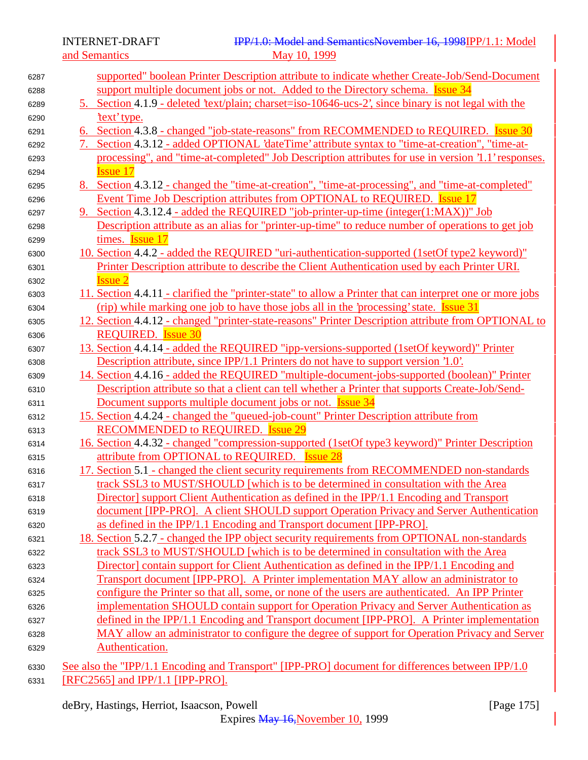| 6287 |    | supported" boolean Printer Description attribute to indicate whether Create-Job/Send-Document             |
|------|----|-----------------------------------------------------------------------------------------------------------|
| 6288 |    | support multiple document jobs or not. Added to the Directory schema. <b>Issue 34</b>                     |
| 6289 |    | 5. Section 4.1.9 - deleted 'text/plain; charget=iso-10646-ucs-2', since binary is not legal with the      |
| 6290 |    | 'text' type.                                                                                              |
| 6291 |    | 6. Section 4.3.8 - changed "job-state-reasons" from RECOMMENDED to REQUIRED. Issue 30                     |
| 6292 | 7. | Section 4.3.12 - added OPTIONAL 'dateTime' attribute syntax to "time-at-creation", "time-at-              |
|      |    | processing", and "time-at-completed" Job Description attributes for use in version '1.1' responses.       |
| 6293 |    | <b>Issue 17</b>                                                                                           |
| 6294 |    | 8. Section 4.3.12 - changed the "time-at-creation", "time-at-processing", and "time-at-completed"         |
| 6295 |    | Event Time Job Description attributes from OPTIONAL to REQUIRED. Issue 17                                 |
| 6296 |    |                                                                                                           |
| 6297 |    | 9. Section 4.3.12.4 - added the REQUIRED "job-printer-up-time (integer(1:MAX))" Job                       |
| 6298 |    | Description attribute as an alias for "printer-up-time" to reduce number of operations to get job         |
| 6299 |    | times. Issue 17                                                                                           |
| 6300 |    | 10. Section 4.4.2 - added the REQUIRED "uri-authentication-supported (1setOf type2 keyword)"              |
| 6301 |    | Printer Description attribute to describe the Client Authentication used by each Printer URI.             |
| 6302 |    | <b>Issue 2</b>                                                                                            |
| 6303 |    | 11. Section 4.4.11 - clarified the "printer-state" to allow a Printer that can interpret one or more jobs |
| 6304 |    | (rip) while marking one job to have those jobs all in the 'processing' state. Issue 31                    |
| 6305 |    | 12. Section 4.4.12 - changed "printer-state-reasons" Printer Description attribute from OPTIONAL to       |
| 6306 |    | <b>REQUIRED.</b> Issue 30                                                                                 |
| 6307 |    | 13. Section 4.4.14 - added the REQUIRED "ipp-versions-supported (1setOf keyword)" Printer                 |
| 6308 |    | Description attribute, since IPP/1.1 Printers do not have to support version '1.0'.                       |
| 6309 |    | 14. Section 4.4.16 - added the REQUIRED "multiple-document-jobs-supported (boolean)" Printer              |
| 6310 |    | Description attr <u>ibute so that a client can tell whether a Printer that supports Create-Job/Send-</u>  |
| 6311 |    | Document supports multiple document jobs or not. <b>Issue 34</b>                                          |
| 6312 |    | 15. Section 4.4.24 - changed the "queued-job-count" Printer Description attribute from                    |
| 6313 |    | <b>RECOMMENDED to REQUIRED. Issue 29</b>                                                                  |
| 6314 |    | 16. Section 4.4.32 - changed "compression-supported (1setOf type3 keyword)" Printer Description           |
| 6315 |    | attribute from OPTIONAL to REQUIRED. Issue 28                                                             |
| 6316 |    | 17. Section 5.1 - changed the client security requirements from RECOMMENDED non-standards                 |
| 6317 |    | track SSL3 to MUST/SHOULD [which is to be determined in consultation with the Area                        |
| 6318 |    | Director] support Client Authentication as defined in the IPP/1.1 Encoding and Transport                  |
| 6319 |    | document [IPP-PRO]. A client SHOULD support Operation Privacy and Server Authentication                   |
| 6320 |    | as defined in the IPP/1.1 Encoding and Transport document [IPP-PRO].                                      |
| 6321 |    | 18. Section 5.2.7 - changed the IPP object security requirements from OPTIONAL non-standards              |
| 6322 |    | track SSL3 to MUST/SHOULD [which is to be determined in consultation with the Area                        |
| 6323 |    | Director] contain support for Client Authentication as defined in the IPP/1.1 Encoding and                |
| 6324 |    | Transport document [IPP-PRO]. A Printer implementation MAY allow an administrator to                      |
| 6325 |    | configure the Printer so that all, some, or none of the users are authenticated. An IPP Printer           |
| 6326 |    | implementation SHOULD contain support for Operation Privacy and Server Authentication as                  |
| 6327 |    | defined in the IPP/1.1 Encoding and Transport document [IPP-PRO]. A Printer implementation                |
| 6328 |    | MAY allow an administrator to configure the degree of support for Operation Privacy and Server            |
| 6329 |    | Authentication.                                                                                           |
| 6330 |    | See also the "IPP/1.1 Encoding and Transport" [IPP-PRO] document for differences between IPP/1.0          |

6331 **REC2565** and **IPP/1.1** [IPP-PRO].